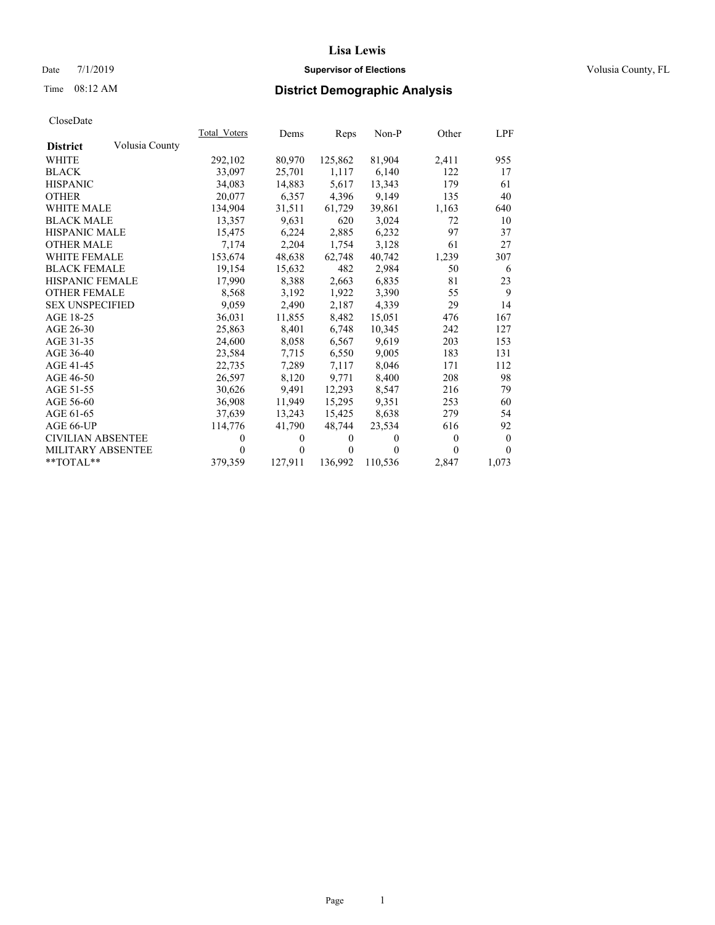### Date 7/1/2019 **Supervisor of Elections Supervisor of Elections** Volusia County, FL

# Time 08:12 AM **District Demographic Analysis**

|                          |                | Total Voters | Dems         | Reps         | Non-P          | Other    | LPF          |
|--------------------------|----------------|--------------|--------------|--------------|----------------|----------|--------------|
| <b>District</b>          | Volusia County |              |              |              |                |          |              |
| <b>WHITE</b>             |                | 292,102      | 80,970       | 125,862      | 81,904         | 2,411    | 955          |
| <b>BLACK</b>             |                | 33,097       | 25,701       | 1,117        | 6,140          | 122      | 17           |
| <b>HISPANIC</b>          |                | 34.083       | 14,883       | 5.617        | 13,343         | 179      | 61           |
| <b>OTHER</b>             |                | 20,077       | 6,357        | 4,396        | 9,149          | 135      | 40           |
| <b>WHITE MALE</b>        |                | 134,904      | 31,511       | 61,729       | 39,861         | 1,163    | 640          |
| <b>BLACK MALE</b>        |                | 13,357       | 9,631        | 620          | 3,024          | 72       | 10           |
| HISPANIC MALE            |                | 15.475       | 6,224        | 2,885        | 6,232          | 97       | 37           |
| <b>OTHER MALE</b>        |                | 7,174        | 2,204        | 1,754        | 3,128          | 61       | 27           |
| <b>WHITE FEMALE</b>      |                | 153,674      | 48,638       | 62.748       | 40,742         | 1,239    | 307          |
| <b>BLACK FEMALE</b>      |                | 19.154       | 15,632       | 482          | 2,984          | 50       | 6            |
| HISPANIC FEMALE          |                | 17,990       | 8,388        | 2,663        | 6,835          | 81       | 23           |
| <b>OTHER FEMALE</b>      |                | 8,568        | 3.192        | 1,922        | 3,390          | 55       | 9            |
| <b>SEX UNSPECIFIED</b>   |                | 9,059        | 2,490        | 2,187        | 4,339          | 29       | 14           |
| AGE 18-25                |                | 36,031       | 11,855       | 8,482        | 15,051         | 476      | 167          |
| AGE 26-30                |                | 25,863       | 8,401        | 6,748        | 10,345         | 242      | 127          |
| AGE 31-35                |                | 24,600       | 8,058        | 6,567        | 9,619          | 203      | 153          |
| AGE 36-40                |                | 23.584       | 7.715        | 6,550        | 9.005          | 183      | 131          |
| AGE 41-45                |                | 22,735       | 7,289        | 7,117        | 8,046          | 171      | 112          |
| AGE 46-50                |                | 26,597       | 8,120        | 9,771        | 8,400          | 208      | 98           |
| AGE 51-55                |                | 30,626       | 9,491        | 12,293       | 8,547          | 216      | 79           |
| AGE 56-60                |                | 36,908       | 11,949       | 15,295       | 9,351          | 253      | 60           |
| AGE 61-65                |                | 37.639       | 13,243       | 15,425       | 8,638          | 279      | 54           |
| AGE 66-UP                |                | 114,776      | 41,790       | 48,744       | 23,534         | 616      | 92           |
| <b>CIVILIAN ABSENTEE</b> |                | 0            | $\mathbf{0}$ | $\mathbf{0}$ | $\overline{0}$ | $\theta$ | $\mathbf{0}$ |
| <b>MILITARY ABSENTEE</b> |                | $\theta$     | 0            | 0            | 0              | $\Omega$ | $\theta$     |
| **TOTAL**                |                | 379,359      | 127,911      | 136,992      | 110,536        | 2,847    | 1,073        |
|                          |                |              |              |              |                |          |              |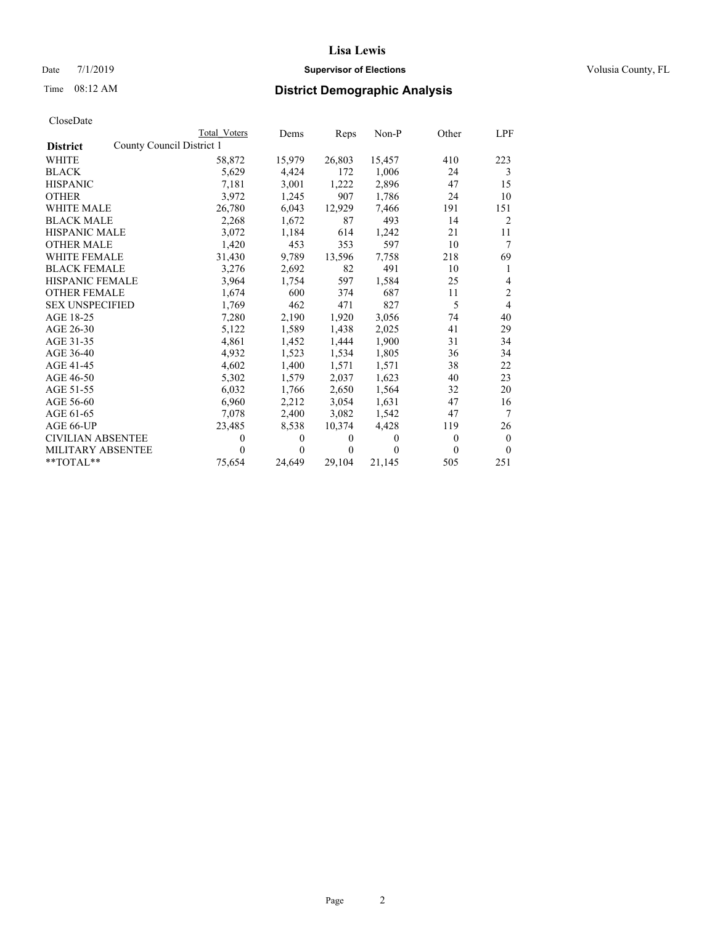## Date 7/1/2019 **Supervisor of Elections Supervisor of Elections** Volusia County, FL

# Time 08:12 AM **District Demographic Analysis**

| CloseDate |
|-----------|
|-----------|

|                          | Total Voters              | Dems         | Reps             | Non-P          | Other | LPF            |
|--------------------------|---------------------------|--------------|------------------|----------------|-------|----------------|
| <b>District</b>          | County Council District 1 |              |                  |                |       |                |
| <b>WHITE</b>             | 58,872                    | 15,979       | 26,803           | 15,457         | 410   | 223            |
| <b>BLACK</b>             | 5,629                     | 4,424        | 172              | 1,006          | 24    | 3              |
| <b>HISPANIC</b>          | 7.181                     | 3,001        | 1,222            | 2,896          | 47    | 15             |
| <b>OTHER</b>             | 3,972                     | 1,245        | 907              | 1,786          | 24    | 10             |
| <b>WHITE MALE</b>        | 26,780                    | 6,043        | 12,929           | 7,466          | 191   | 151            |
| <b>BLACK MALE</b>        | 2,268                     | 1,672        | 87               | 493            | 14    | $\overline{2}$ |
| <b>HISPANIC MALE</b>     | 3,072                     | 1,184        | 614              | 1,242          | 21    | 11             |
| <b>OTHER MALE</b>        | 1,420                     | 453          | 353              | 597            | 10    | $\tau$         |
| <b>WHITE FEMALE</b>      | 31,430                    | 9,789        | 13,596           | 7,758          | 218   | 69             |
| <b>BLACK FEMALE</b>      | 3,276                     | 2,692        | 82               | 491            | 10    | 1              |
| <b>HISPANIC FEMALE</b>   | 3,964                     | 1,754        | 597              | 1,584          | 25    | 4              |
| <b>OTHER FEMALE</b>      | 1,674                     | 600          | 374              | 687            | 11    | $\overline{c}$ |
| <b>SEX UNSPECIFIED</b>   | 1,769                     | 462          | 471              | 827            | 5     | $\overline{4}$ |
| AGE 18-25                | 7,280                     | 2,190        | 1,920            | 3,056          | 74    | 40             |
| AGE 26-30                | 5,122                     | 1,589        | 1,438            | 2,025          | 41    | 29             |
| AGE 31-35                | 4,861                     | 1,452        | 1,444            | 1,900          | 31    | 34             |
| AGE 36-40                | 4,932                     | 1,523        | 1,534            | 1,805          | 36    | 34             |
| AGE 41-45                | 4,602                     | 1,400        | 1,571            | 1,571          | 38    | 22             |
| AGE 46-50                | 5,302                     | 1,579        | 2,037            | 1,623          | 40    | 23             |
| AGE 51-55                | 6,032                     | 1,766        | 2,650            | 1,564          | 32    | 20             |
| AGE 56-60                | 6,960                     | 2,212        | 3,054            | 1,631          | 47    | 16             |
| AGE 61-65                | 7,078                     | 2,400        | 3,082            | 1,542          | 47    | $\tau$         |
| AGE 66-UP                | 23,485                    | 8,538        | 10,374           | 4,428          | 119   | 26             |
| <b>CIVILIAN ABSENTEE</b> | 0                         | $\mathbf{0}$ | $\boldsymbol{0}$ | $\overline{0}$ | 0     | $\mathbf{0}$   |
| MILITARY ABSENTEE        | 0                         | 0            | $\theta$         | 0              | 0     | $\theta$       |
| **TOTAL**                | 75,654                    | 24,649       | 29,104           | 21,145         | 505   | 251            |
|                          |                           |              |                  |                |       |                |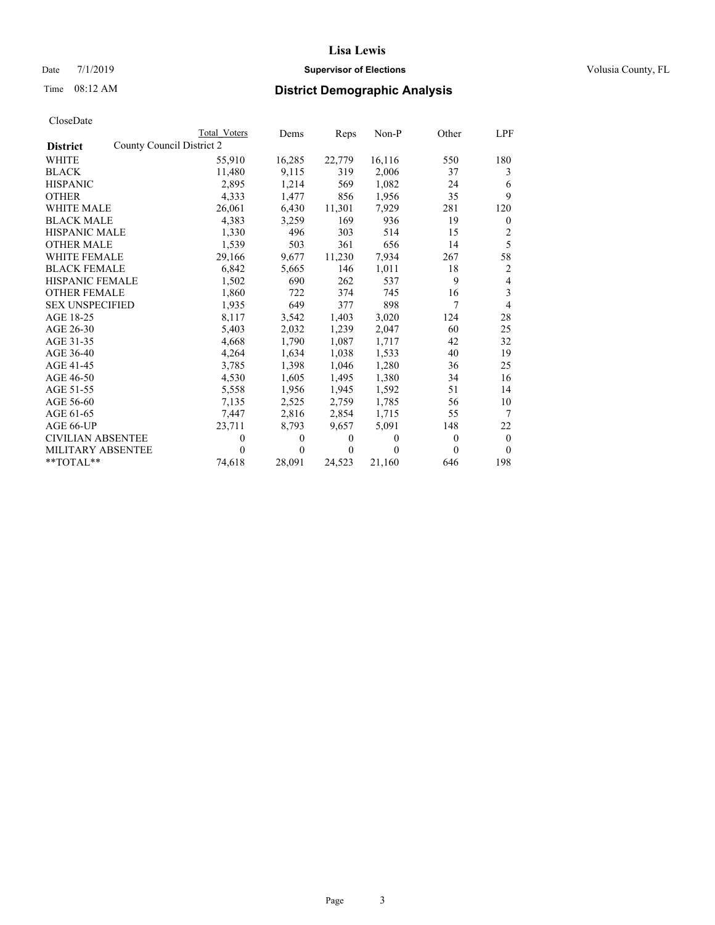## Date 7/1/2019 **Supervisor of Elections Supervisor of Elections** Volusia County, FL

# Time 08:12 AM **District Demographic Analysis**

| CloseDate |
|-----------|
|-----------|

|                        | Total Voters              | Dems   | Reps           | Non-P    | Other          | LPF            |
|------------------------|---------------------------|--------|----------------|----------|----------------|----------------|
| <b>District</b>        | County Council District 2 |        |                |          |                |                |
| WHITE                  | 55,910                    | 16,285 | 22,779         | 16,116   | 550            | 180            |
| BLACK                  | 11,480                    | 9,115  | 319            | 2,006    | 37             | 3              |
| HISPANIC               | 2,895                     | 1,214  | 569            | 1,082    | 24             | 6              |
| OTHER                  | 4,333                     | 1,477  | 856            | 1,956    | 35             | 9              |
| WHITE MALE             | 26,061                    | 6,430  | 11,301         | 7,929    | 281            | 120            |
| <b>BLACK MALE</b>      | 4,383                     | 3,259  | 169            | 936      | 19             | $\mathbf{0}$   |
| HISPANIC MALE          | 1,330                     | 496    | 303            | 514      | 15             | 2              |
| OTHER MALE             | 1,539                     | 503    | 361            | 656      | 14             | 5              |
| WHITE FEMALE           | 29,166                    | 9,677  | 11,230         | 7,934    | 267            | 58             |
| <b>BLACK FEMALE</b>    | 6,842                     | 5,665  | 146            | 1,011    | 18             | $\overline{c}$ |
| HISPANIC FEMALE        | 1,502                     | 690    | 262            | 537      | 9              | 4              |
| <b>OTHER FEMALE</b>    | 1,860                     | 722    | 374            | 745      | 16             | 3              |
| <b>SEX UNSPECIFIED</b> | 1,935                     | 649    | 377            | 898      | 7              | 4              |
| AGE 18-25              | 8,117                     | 3,542  | 1,403          | 3,020    | 124            | 28             |
| AGE 26-30              | 5,403                     | 2,032  | 1,239          | 2,047    | 60             | 25             |
| AGE 31-35              | 4,668                     | 1,790  | 1,087          | 1,717    | 42             | 32             |
| AGE 36-40              | 4,264                     | 1,634  | 1,038          | 1,533    | 40             | 19             |
| AGE 41-45              | 3,785                     | 1,398  | 1,046          | 1,280    | 36             | 25             |
| AGE 46-50              | 4,530                     | 1,605  | 1,495          | 1,380    | 34             | 16             |
| AGE 51-55              | 5,558                     | 1,956  | 1,945          | 1,592    | 51             | 14             |
| AGE 56-60              | 7,135                     | 2,525  | 2,759          | 1,785    | 56             | 10             |
| AGE 61-65              | 7,447                     | 2,816  | 2,854          | 1,715    | 55             | 7              |
| AGE 66-UP              | 23,711                    | 8,793  | 9,657          | 5,091    | 148            | 22             |
| CIVILIAN ABSENTEE      | 0                         | 0      | $\overline{0}$ | $\theta$ | $\overline{0}$ | $\theta$       |
| MILITARY ABSENTEE      | 0                         | 0      | $\Omega$       | 0        | $\Omega$       | $\theta$       |
| **TOTAL**              | 74,618                    | 28,091 | 24,523         | 21,160   | 646            | 198            |
|                        |                           |        |                |          |                |                |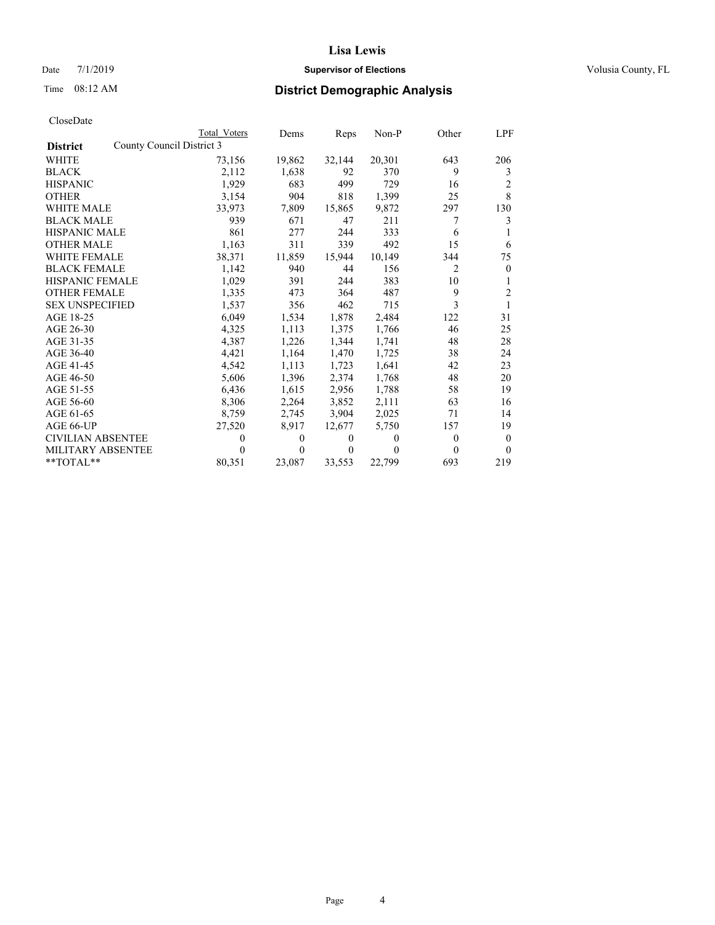### Date 7/1/2019 **Supervisor of Elections Supervisor of Elections** Volusia County, FL

## Time 08:12 AM **District Demographic Analysis**

|                          |                           | Total Voters | Dems     | Reps   | Non-P    | Other          | LPF            |
|--------------------------|---------------------------|--------------|----------|--------|----------|----------------|----------------|
| <b>District</b>          | County Council District 3 |              |          |        |          |                |                |
| <b>WHITE</b>             |                           | 73,156       | 19,862   | 32,144 | 20,301   | 643            | 206            |
| <b>BLACK</b>             |                           | 2,112        | 1,638    | 92     | 370      | 9              | 3              |
| <b>HISPANIC</b>          |                           | 1.929        | 683      | 499    | 729      | 16             | $\overline{c}$ |
| <b>OTHER</b>             |                           | 3,154        | 904      | 818    | 1,399    | 25             | 8              |
| WHITE MALE               |                           | 33,973       | 7,809    | 15,865 | 9,872    | 297            | 130            |
| <b>BLACK MALE</b>        |                           | 939          | 671      | 47     | 211      | 7              | 3              |
| <b>HISPANIC MALE</b>     |                           | 861          | 277      | 244    | 333      | 6              |                |
| <b>OTHER MALE</b>        |                           | 1,163        | 311      | 339    | 492      | 15             | 6              |
| WHITE FEMALE             |                           | 38,371       | 11,859   | 15,944 | 10,149   | 344            | 75             |
| <b>BLACK FEMALE</b>      |                           | 1,142        | 940      | 44     | 156      | $\overline{2}$ | $\mathbf{0}$   |
| <b>HISPANIC FEMALE</b>   |                           | 1,029        | 391      | 244    | 383      | 10             | 1              |
| <b>OTHER FEMALE</b>      |                           | 1,335        | 473      | 364    | 487      | 9              | $\overline{2}$ |
| <b>SEX UNSPECIFIED</b>   |                           | 1,537        | 356      | 462    | 715      | 3              | 1              |
| AGE 18-25                |                           | 6,049        | 1,534    | 1,878  | 2,484    | 122            | 31             |
| AGE 26-30                |                           | 4,325        | 1,113    | 1,375  | 1,766    | 46             | 25             |
| AGE 31-35                |                           | 4,387        | 1,226    | 1,344  | 1,741    | 48             | 28             |
| AGE 36-40                |                           | 4,421        | 1,164    | 1,470  | 1,725    | 38             | 24             |
| AGE 41-45                |                           | 4,542        | 1,113    | 1,723  | 1,641    | 42             | 23             |
| AGE 46-50                |                           | 5,606        | 1,396    | 2,374  | 1,768    | 48             | 20             |
| AGE 51-55                |                           | 6,436        | 1,615    | 2,956  | 1,788    | 58             | 19             |
| AGE 56-60                |                           | 8,306        | 2,264    | 3,852  | 2,111    | 63             | 16             |
| AGE 61-65                |                           | 8,759        | 2,745    | 3,904  | 2,025    | 71             | 14             |
| AGE 66-UP                |                           | 27,520       | 8,917    | 12,677 | 5,750    | 157            | 19             |
| <b>CIVILIAN ABSENTEE</b> |                           | $\theta$     | 0        | 0      | $\theta$ | $\Omega$       | $\theta$       |
| <b>MILITARY ABSENTEE</b> |                           | 0            | $\theta$ | 0      | 0        | $\Omega$       | $\theta$       |
| $*$ $TOTAL**$            |                           | 80,351       | 23,087   | 33,553 | 22,799   | 693            | 219            |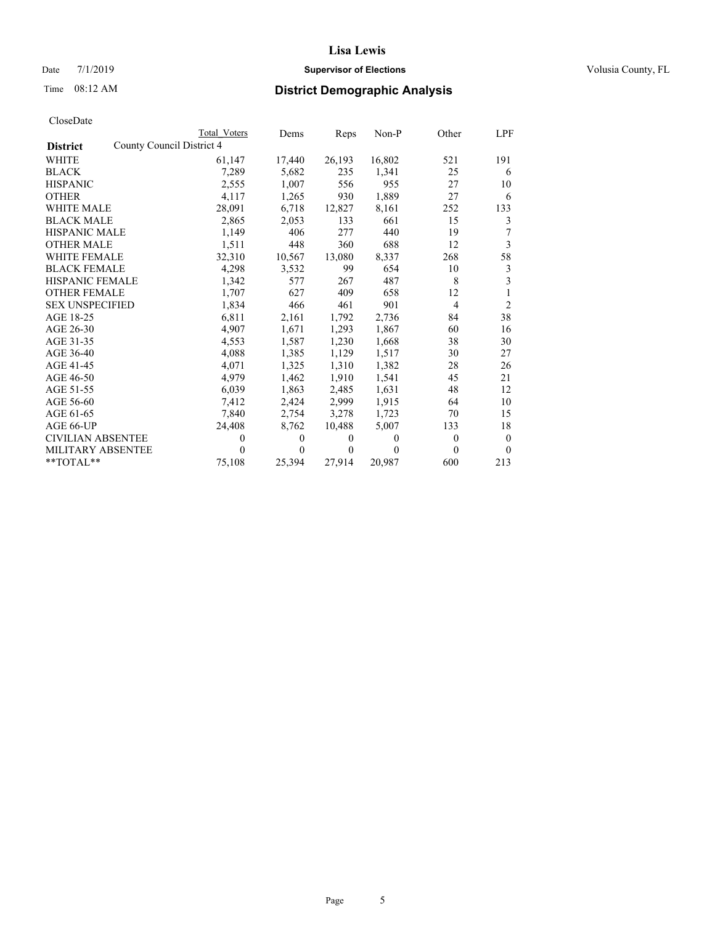### Date 7/1/2019 **Supervisor of Elections Supervisor of Elections** Volusia County, FL

# Time 08:12 AM **District Demographic Analysis**

|                          |                           | Total Voters | Dems         | Reps     | Non-P    | Other          | LPF            |
|--------------------------|---------------------------|--------------|--------------|----------|----------|----------------|----------------|
| <b>District</b>          | County Council District 4 |              |              |          |          |                |                |
| <b>WHITE</b>             |                           | 61,147       | 17,440       | 26,193   | 16,802   | 521            | 191            |
| <b>BLACK</b>             |                           | 7,289        | 5,682        | 235      | 1,341    | 25             | 6              |
| <b>HISPANIC</b>          |                           | 2,555        | 1,007        | 556      | 955      | 27             | 10             |
| <b>OTHER</b>             |                           | 4,117        | 1,265        | 930      | 1,889    | 27             | 6              |
| WHITE MALE               |                           | 28,091       | 6,718        | 12,827   | 8,161    | 252            | 133            |
| <b>BLACK MALE</b>        |                           | 2,865        | 2,053        | 133      | 661      | 15             | 3              |
| <b>HISPANIC MALE</b>     |                           | 1,149        | 406          | 277      | 440      | 19             | 7              |
| <b>OTHER MALE</b>        |                           | 1,511        | 448          | 360      | 688      | 12             | 3              |
| WHITE FEMALE             |                           | 32,310       | 10,567       | 13,080   | 8,337    | 268            | 58             |
| <b>BLACK FEMALE</b>      |                           | 4,298        | 3,532        | 99       | 654      | 10             | 3              |
| <b>HISPANIC FEMALE</b>   |                           | 1,342        | 577          | 267      | 487      | 8              | 3              |
| <b>OTHER FEMALE</b>      |                           | 1,707        | 627          | 409      | 658      | 12             | 1              |
| <b>SEX UNSPECIFIED</b>   |                           | 1,834        | 466          | 461      | 901      | 4              | $\overline{2}$ |
| AGE 18-25                |                           | 6,811        | 2,161        | 1,792    | 2,736    | 84             | 38             |
| AGE 26-30                |                           | 4,907        | 1,671        | 1,293    | 1,867    | 60             | 16             |
| AGE 31-35                |                           | 4,553        | 1,587        | 1,230    | 1,668    | 38             | 30             |
| AGE 36-40                |                           | 4,088        | 1,385        | 1,129    | 1,517    | 30             | 27             |
| AGE 41-45                |                           | 4,071        | 1,325        | 1,310    | 1,382    | 28             | 26             |
| AGE 46-50                |                           | 4,979        | 1,462        | 1,910    | 1,541    | 45             | 21             |
| AGE 51-55                |                           | 6,039        | 1,863        | 2.485    | 1,631    | 48             | 12             |
| AGE 56-60                |                           | 7,412        | 2,424        | 2,999    | 1,915    | 64             | 10             |
| AGE 61-65                |                           | 7,840        | 2,754        | 3,278    | 1,723    | 70             | 15             |
| AGE 66-UP                |                           | 24,408       | 8,762        | 10,488   | 5,007    | 133            | 18             |
| <b>CIVILIAN ABSENTEE</b> |                           | $\theta$     | $\mathbf{0}$ | 0        | $\theta$ | $\overline{0}$ | $\theta$       |
| <b>MILITARY ABSENTEE</b> |                           | $\theta$     | $\theta$     | $\Omega$ | $\theta$ | 0              | $\Omega$       |
| $**TOTAL**$              |                           | 75,108       | 25,394       | 27,914   | 20,987   | 600            | 213            |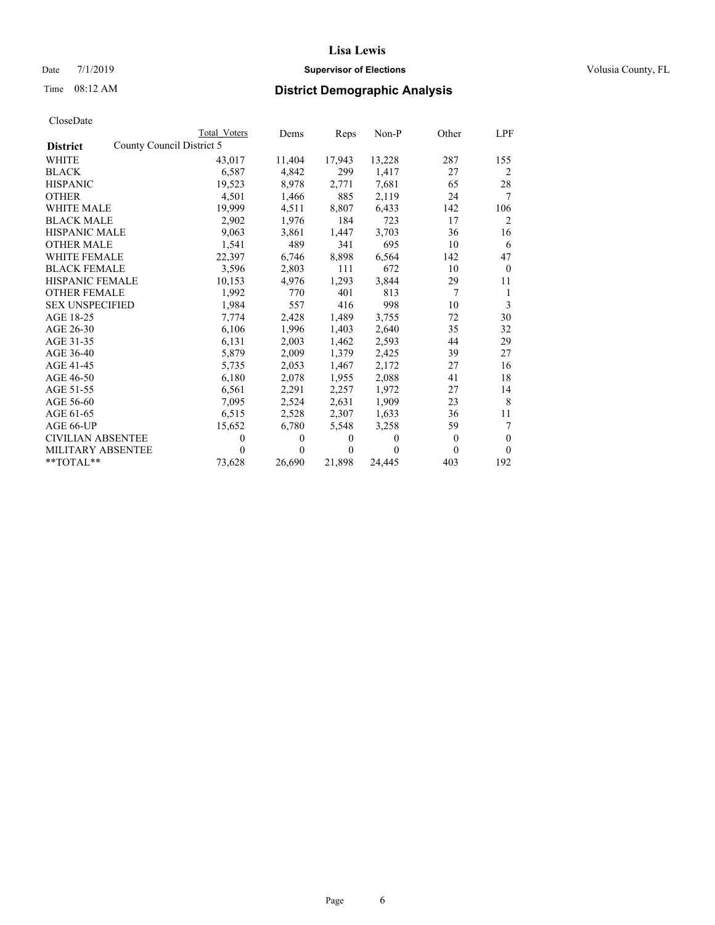## Date 7/1/2019 **Supervisor of Elections Supervisor of Elections** Volusia County, FL

## Time 08:12 AM **District Demographic Analysis**

|                                              | Total Voters | Dems     | Reps     | Non-P    | Other    | LPF      |
|----------------------------------------------|--------------|----------|----------|----------|----------|----------|
| County Council District 5<br><b>District</b> |              |          |          |          |          |          |
| WHITE                                        | 43,017       | 11,404   | 17,943   | 13,228   | 287      | 155      |
| BLACK                                        | 6,587        | 4,842    | 299      | 1,417    | 27       | 2        |
| HISPANIC                                     | 19,523       | 8,978    | 2,771    | 7.681    | 65       | 28       |
| <b>OTHER</b>                                 | 4,501        | 1,466    | 885      | 2,119    | 24       | 7        |
| WHITE MALE                                   | 19,999       | 4,511    | 8,807    | 6,433    | 142      | 106      |
| BLACK MALE                                   | 2,902        | 1,976    | 184      | 723      | 17       | 2        |
| HISPANIC MALE                                | 9,063        | 3,861    | 1,447    | 3,703    | 36       | 16       |
| <b>OTHER MALE</b>                            | 1,541        | 489      | 341      | 695      | 10       | 6        |
| WHITE FEMALE                                 | 22,397       | 6,746    | 8,898    | 6,564    | 142      | 47       |
| <b>BLACK FEMALE</b>                          | 3,596        | 2,803    | 111      | 672      | 10       | $\theta$ |
| HISPANIC FEMALE                              | 10,153       | 4,976    | 1,293    | 3,844    | 29       | 11       |
| <b>OTHER FEMALE</b>                          | 1,992        | 770      | 401      | 813      | 7        | 1        |
| <b>SEX UNSPECIFIED</b>                       | 1,984        | 557      | 416      | 998      | 10       | 3        |
| AGE 18-25                                    | 7,774        | 2,428    | 1,489    | 3,755    | 72       | 30       |
| AGE 26-30                                    | 6,106        | 1,996    | 1,403    | 2,640    | 35       | 32       |
| AGE 31-35                                    | 6,131        | 2,003    | 1,462    | 2,593    | 44       | 29       |
| AGE 36-40                                    | 5,879        | 2,009    | 1,379    | 2,425    | 39       | 27       |
| AGE 41-45                                    | 5.735        | 2,053    | 1,467    | 2,172    | 27       | 16       |
| AGE 46-50                                    | 6,180        | 2,078    | 1,955    | 2,088    | 41       | 18       |
| AGE 51-55                                    | 6,561        | 2,291    | 2,257    | 1.972    | 27       | 14       |
| AGE 56-60                                    | 7,095        | 2,524    | 2,631    | 1,909    | 23       | 8        |
| AGE 61-65                                    | 6,515        | 2,528    | 2,307    | 1,633    | 36       | 11       |
| AGE 66-UP                                    | 15,652       | 6,780    | 5,548    | 3,258    | 59       | 7        |
| CIVILIAN ABSENTEE                            | 0            | $\Omega$ | $\theta$ | $\theta$ | $\theta$ | $\theta$ |
| MILITARY ABSENTEE                            | 0            | $\Omega$ | $\theta$ | 0        | $\Omega$ | $\Omega$ |
| $*$ TOTAL $*$                                | 73,628       | 26,690   | 21,898   | 24,445   | 403      | 192      |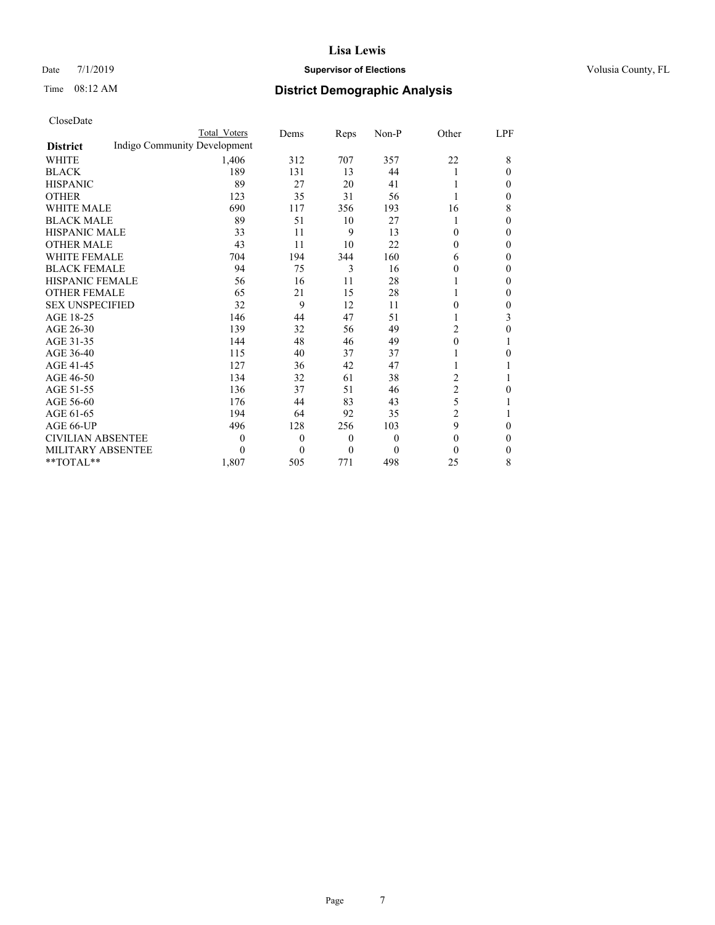### Date 7/1/2019 **Supervisor of Elections Supervisor of Elections** Volusia County, FL

# Time 08:12 AM **District Demographic Analysis**

|                          | Total Voters                 | Dems         | Reps     | Non-P            | Other          | LPF |
|--------------------------|------------------------------|--------------|----------|------------------|----------------|-----|
| <b>District</b>          | Indigo Community Development |              |          |                  |                |     |
| WHITE                    | 1,406                        | 312          | 707      | 357              | 22             | 8   |
| <b>BLACK</b>             | 189                          | 131          | 13       | 44               | 1              | 0   |
| <b>HISPANIC</b>          | 89                           | 27           | 20       | 41               |                | 0   |
| <b>OTHER</b>             | 123                          | 35           | 31       | 56               |                | 0   |
| <b>WHITE MALE</b>        | 690                          | 117          | 356      | 193              | 16             | 8   |
| <b>BLACK MALE</b>        | 89                           | 51           | 10       | 27               | 1              | 0   |
| <b>HISPANIC MALE</b>     | 33                           | 11           | 9        | 13               | $\theta$       | 0   |
| <b>OTHER MALE</b>        | 43                           | 11           | 10       | 22               | 0              | 0   |
| <b>WHITE FEMALE</b>      | 704                          | 194          | 344      | 160              | 6              | 0   |
| <b>BLACK FEMALE</b>      | 94                           | 75           | 3        | 16               | $\theta$       | 0   |
| HISPANIC FEMALE          | 56                           | 16           | 11       | 28               |                | 0   |
| <b>OTHER FEMALE</b>      | 65                           | 21           | 15       | 28               | 1              | 0   |
| <b>SEX UNSPECIFIED</b>   | 32                           | 9            | 12       | 11               | $\theta$       | 0   |
| AGE 18-25                | 146                          | 44           | 47       | 51               |                | 3   |
| AGE 26-30                | 139                          | 32           | 56       | 49               | 2              | 0   |
| AGE 31-35                | 144                          | 48           | 46       | 49               | $\mathbf{0}$   |     |
| AGE 36-40                | 115                          | 40           | 37       | 37               |                | 0   |
| AGE 41-45                | 127                          | 36           | 42       | 47               | 1              |     |
| AGE 46-50                | 134                          | 32           | 61       | 38               | 2              |     |
| AGE 51-55                | 136                          | 37           | 51       | 46               | 2              | 0   |
| AGE 56-60                | 176                          | 44           | 83       | 43               | 5              |     |
| AGE 61-65                | 194                          | 64           | 92       | 35               | $\overline{c}$ |     |
| AGE 66-UP                | 496                          | 128          | 256      | 103              | 9              | 0   |
| <b>CIVILIAN ABSENTEE</b> | 0                            | $\mathbf{0}$ | $\theta$ | $\boldsymbol{0}$ | $\theta$       | 0   |
| MILITARY ABSENTEE        | 0                            | $\theta$     | $\theta$ | $\theta$         | $\theta$       | 0   |
| $*$ TOTAL $*$            | 1,807                        | 505          | 771      | 498              | 25             | 8   |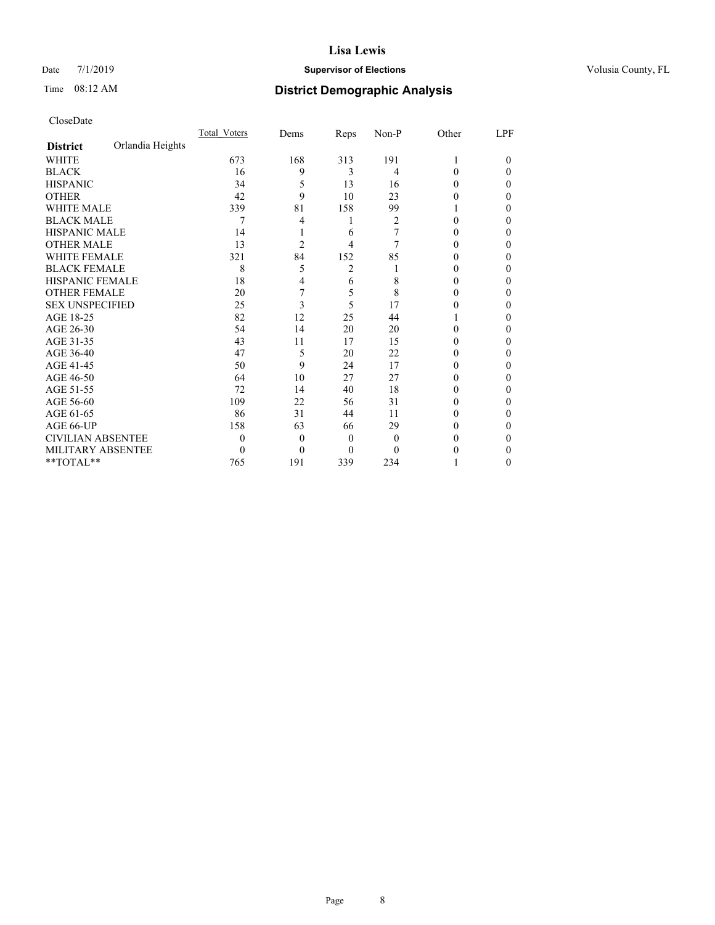### Date 7/1/2019 **Supervisor of Elections Supervisor of Elections** Volusia County, FL

## Time 08:12 AM **District Demographic Analysis**

|                          |                  | Total Voters | Dems     | Reps           | $Non-P$  | Other    | LPF      |
|--------------------------|------------------|--------------|----------|----------------|----------|----------|----------|
| <b>District</b>          | Orlandia Heights |              |          |                |          |          |          |
| <b>WHITE</b>             |                  | 673          | 168      | 313            | 191      | 1        | $\Omega$ |
| <b>BLACK</b>             |                  | 16           | 9        | 3              | 4        | 0        | 0        |
| <b>HISPANIC</b>          |                  | 34           | 5        | 13             | 16       | $_{0}$   | 0        |
| <b>OTHER</b>             |                  | 42           | 9        | 10             | 23       | $_{0}$   | 0        |
| <b>WHITE MALE</b>        |                  | 339          | 81       | 158            | 99       |          | 0        |
| <b>BLACK MALE</b>        |                  | 7            | 4        | 1              | 2        | 0        | 0        |
| <b>HISPANIC MALE</b>     |                  | 14           |          | 6              | 7        |          | 0        |
| <b>OTHER MALE</b>        |                  | 13           | 2        | 4              | 7        | 0        | 0        |
| <b>WHITE FEMALE</b>      |                  | 321          | 84       | 152            | 85       | 0        | 0        |
| <b>BLACK FEMALE</b>      |                  | 8            | 5        | $\overline{2}$ |          |          | 0        |
| HISPANIC FEMALE          |                  | 18           | 4        | 6              | 8        | $_{0}$   | 0        |
| <b>OTHER FEMALE</b>      |                  | 20           | 7        | 5              | 8        | $_{0}$   | 0        |
| <b>SEX UNSPECIFIED</b>   |                  | 25           | 3        | 5              | 17       | $_{0}$   | 0        |
| AGE 18-25                |                  | 82           | 12       | 25             | 44       |          | 0        |
| AGE 26-30                |                  | 54           | 14       | 20             | 20       | $_{0}$   | 0        |
| AGE 31-35                |                  | 43           | 11       | 17             | 15       |          | 0        |
| AGE 36-40                |                  | 47           | 5        | 20             | 22       | $\theta$ | 0        |
| AGE 41-45                |                  | 50           | 9        | 24             | 17       | 0        | 0        |
| AGE 46-50                |                  | 64           | 10       | 27             | 27       |          | 0        |
| AGE 51-55                |                  | 72           | 14       | 40             | 18       | 0        | 0        |
| AGE 56-60                |                  | 109          | 22       | 56             | 31       | 0        | 0        |
| AGE 61-65                |                  | 86           | 31       | 44             | 11       |          | 0        |
| AGE 66-UP                |                  | 158          | 63       | 66             | 29       | 0        | 0        |
| <b>CIVILIAN ABSENTEE</b> |                  | 0            | $\theta$ | $\overline{0}$ | $\theta$ | $\theta$ | 0        |
| <b>MILITARY ABSENTEE</b> |                  | 0            | 0        | 0              | 0        |          | 0        |
| $*$ TOTAL $*$            |                  | 765          | 191      | 339            | 234      |          | 0        |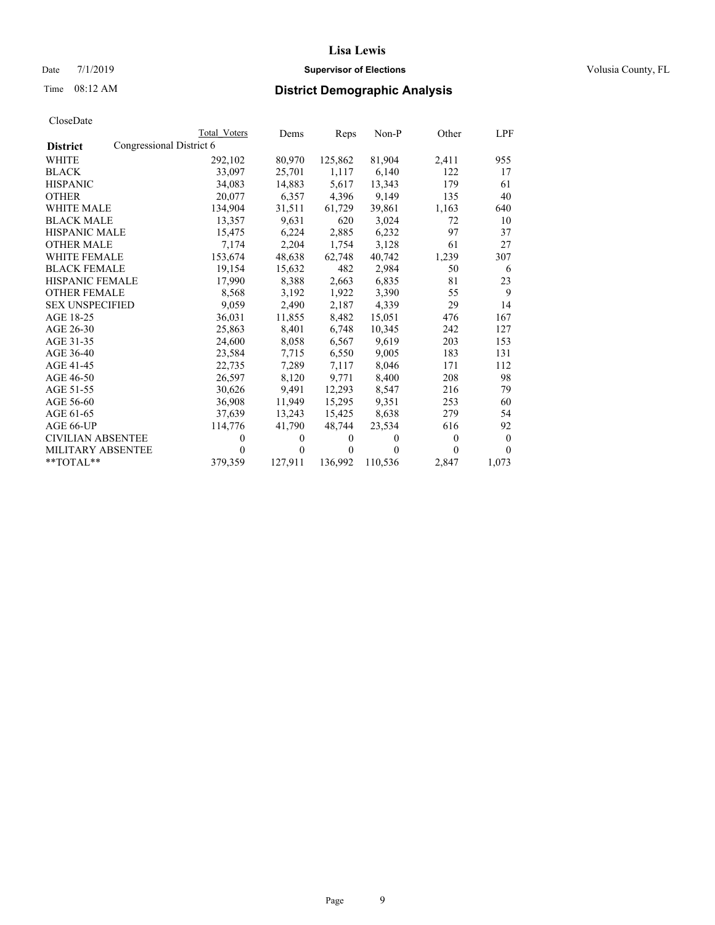## Date 7/1/2019 **Supervisor of Elections Supervisor of Elections** Volusia County, FL

# Time 08:12 AM **District Demographic Analysis**

| CloseDate |
|-----------|
|-----------|

|                          | Total Voters             | Dems     | Reps     | $Non-P$ | Other    | LPF          |
|--------------------------|--------------------------|----------|----------|---------|----------|--------------|
| <b>District</b>          | Congressional District 6 |          |          |         |          |              |
| WHITE                    | 292,102                  | 80,970   | 125,862  | 81,904  | 2,411    | 955          |
| <b>BLACK</b>             | 33,097                   | 25,701   | 1,117    | 6.140   | 122      | 17           |
| <b>HISPANIC</b>          | 34,083                   | 14,883   | 5,617    | 13,343  | 179      | 61           |
| <b>OTHER</b>             | 20,077                   | 6,357    | 4,396    | 9,149   | 135      | 40           |
| <b>WHITE MALE</b>        | 134,904                  | 31,511   | 61,729   | 39,861  | 1,163    | 640          |
| <b>BLACK MALE</b>        | 13,357                   | 9,631    | 620      | 3,024   | 72       | 10           |
| <b>HISPANIC MALE</b>     | 15,475                   | 6,224    | 2,885    | 6,232   | 97       | 37           |
| <b>OTHER MALE</b>        | 7.174                    | 2,204    | 1,754    | 3,128   | 61       | 27           |
| <b>WHITE FEMALE</b>      | 153,674                  | 48,638   | 62,748   | 40,742  | 1,239    | 307          |
| <b>BLACK FEMALE</b>      | 19,154                   | 15,632   | 482      | 2,984   | 50       | 6            |
| HISPANIC FEMALE          | 17,990                   | 8,388    | 2,663    | 6,835   | 81       | 23           |
| <b>OTHER FEMALE</b>      | 8,568                    | 3.192    | 1,922    | 3,390   | 55       | 9            |
| <b>SEX UNSPECIFIED</b>   | 9,059                    | 2,490    | 2,187    | 4,339   | 29       | 14           |
| AGE 18-25                | 36,031                   | 11,855   | 8,482    | 15,051  | 476      | 167          |
| AGE 26-30                | 25,863                   | 8,401    | 6,748    | 10.345  | 242      | 127          |
| AGE 31-35                | 24,600                   | 8,058    | 6,567    | 9,619   | 203      | 153          |
| AGE 36-40                | 23,584                   | 7,715    | 6,550    | 9,005   | 183      | 131          |
| AGE 41-45                | 22.735                   | 7,289    | 7,117    | 8.046   | 171      | 112          |
| AGE 46-50                | 26,597                   | 8,120    | 9,771    | 8,400   | 208      | 98           |
| AGE 51-55                | 30,626                   | 9,491    | 12,293   | 8,547   | 216      | 79           |
| AGE 56-60                | 36,908                   | 11,949   | 15,295   | 9,351   | 253      | 60           |
| AGE 61-65                | 37,639                   | 13,243   | 15,425   | 8,638   | 279      | 54           |
| AGE 66-UP                | 114,776                  | 41,790   | 48,744   | 23,534  | 616      | 92           |
| <b>CIVILIAN ABSENTEE</b> | 0                        | $\theta$ | $\theta$ | 0       | $\theta$ | $\mathbf{0}$ |
| <b>MILITARY ABSENTEE</b> | 0                        | 0        | $\theta$ | 0       | 0        | $\theta$     |
| $*$ TOTAL $*$            | 379,359                  | 127,911  | 136,992  | 110,536 | 2,847    | 1,073        |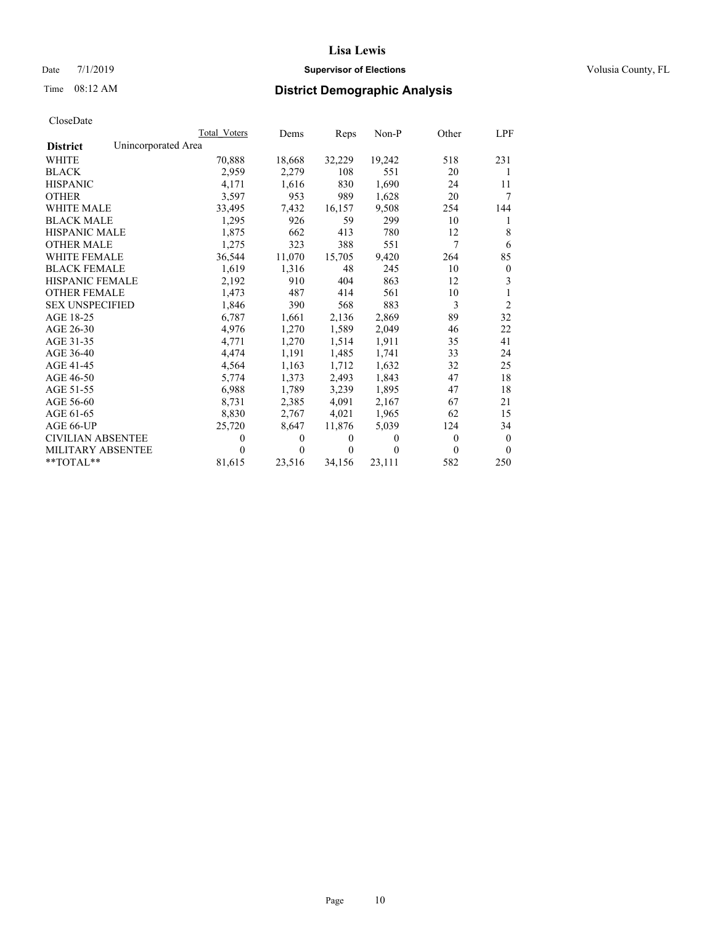## Date 7/1/2019 **Supervisor of Elections Supervisor of Elections** Volusia County, FL

# Time 08:12 AM **District Demographic Analysis**

|                          |                     | Total Voters | Dems     | Reps   | Non-P  | Other    | LPF            |
|--------------------------|---------------------|--------------|----------|--------|--------|----------|----------------|
| <b>District</b>          | Unincorporated Area |              |          |        |        |          |                |
| <b>WHITE</b>             |                     | 70,888       | 18,668   | 32,229 | 19,242 | 518      | 231            |
| <b>BLACK</b>             |                     | 2,959        | 2,279    | 108    | 551    | 20       | 1              |
| <b>HISPANIC</b>          |                     | 4.171        | 1,616    | 830    | 1,690  | 24       | 11             |
| <b>OTHER</b>             |                     | 3,597        | 953      | 989    | 1,628  | 20       | 7              |
| WHITE MALE               |                     | 33,495       | 7,432    | 16,157 | 9,508  | 254      | 144            |
| <b>BLACK MALE</b>        |                     | 1,295        | 926      | 59     | 299    | 10       | 1              |
| <b>HISPANIC MALE</b>     |                     | 1,875        | 662      | 413    | 780    | 12       | 8              |
| <b>OTHER MALE</b>        |                     | 1,275        | 323      | 388    | 551    | 7        | 6              |
| <b>WHITE FEMALE</b>      |                     | 36,544       | 11,070   | 15,705 | 9,420  | 264      | 85             |
| <b>BLACK FEMALE</b>      |                     | 1,619        | 1,316    | 48     | 245    | 10       | $\mathbf{0}$   |
| <b>HISPANIC FEMALE</b>   |                     | 2,192        | 910      | 404    | 863    | 12       | 3              |
| <b>OTHER FEMALE</b>      |                     | 1.473        | 487      | 414    | 561    | 10       | 1              |
| <b>SEX UNSPECIFIED</b>   |                     | 1,846        | 390      | 568    | 883    | 3        | $\overline{2}$ |
| AGE 18-25                |                     | 6,787        | 1,661    | 2,136  | 2,869  | 89       | 32             |
| AGE 26-30                |                     | 4.976        | 1,270    | 1,589  | 2,049  | 46       | 22             |
| AGE 31-35                |                     | 4,771        | 1,270    | 1,514  | 1,911  | 35       | 41             |
| AGE 36-40                |                     | 4,474        | 1,191    | 1,485  | 1,741  | 33       | 24             |
| AGE 41-45                |                     | 4,564        | 1,163    | 1,712  | 1,632  | 32       | 25             |
| AGE 46-50                |                     | 5,774        | 1,373    | 2,493  | 1,843  | 47       | 18             |
| AGE 51-55                |                     | 6,988        | 1,789    | 3,239  | 1,895  | 47       | 18             |
| AGE 56-60                |                     | 8,731        | 2,385    | 4,091  | 2,167  | 67       | 21             |
| AGE 61-65                |                     | 8,830        | 2,767    | 4,021  | 1,965  | 62       | 15             |
| AGE 66-UP                |                     | 25,720       | 8,647    | 11,876 | 5,039  | 124      | 34             |
| <b>CIVILIAN ABSENTEE</b> |                     | $\theta$     | $\Omega$ | 0      | 0      | $\theta$ | $\theta$       |
| <b>MILITARY ABSENTEE</b> |                     | $\theta$     | $\Omega$ | 0      | 0      | $\Omega$ | $\theta$       |
| $*$ TOTAL $*$            |                     | 81,615       | 23,516   | 34,156 | 23,111 | 582      | 250            |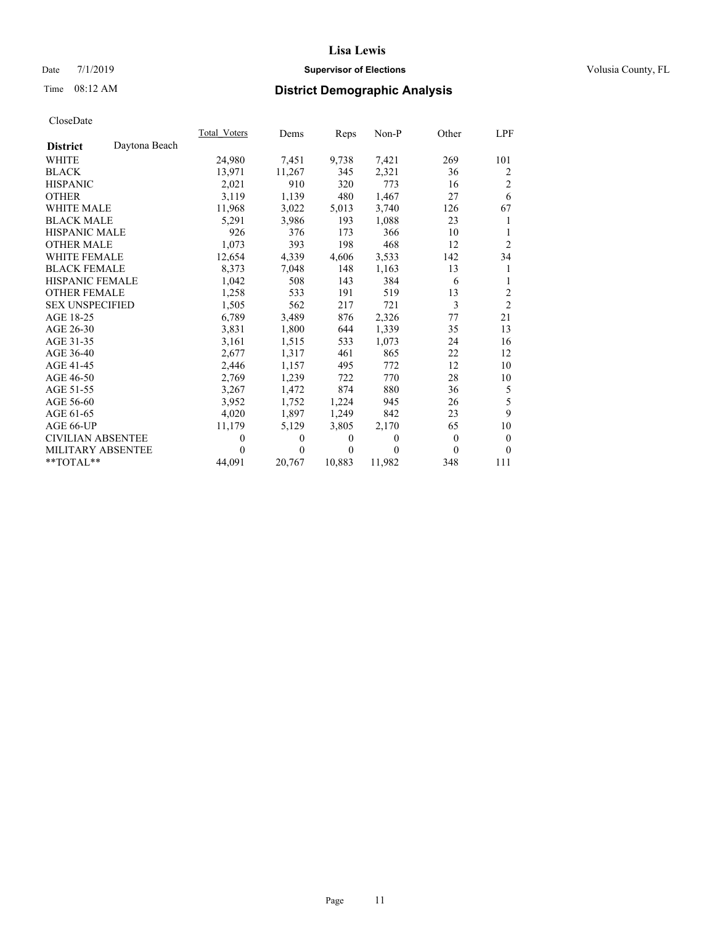## Date 7/1/2019 **Supervisor of Elections Supervisor of Elections** Volusia County, FL

# Time 08:12 AM **District Demographic Analysis**

|                          |               | Total Voters | Dems   | Reps     | Non-P  | Other        | LPF            |
|--------------------------|---------------|--------------|--------|----------|--------|--------------|----------------|
| <b>District</b>          | Daytona Beach |              |        |          |        |              |                |
| WHITE                    |               | 24,980       | 7,451  | 9,738    | 7,421  | 269          | 101            |
| <b>BLACK</b>             |               | 13.971       | 11,267 | 345      | 2,321  | 36           | 2              |
| <b>HISPANIC</b>          |               | 2,021        | 910    | 320      | 773    | 16           | $\overline{2}$ |
| <b>OTHER</b>             |               | 3,119        | 1,139  | 480      | 1,467  | 27           | 6              |
| WHITE MALE               |               | 11,968       | 3,022  | 5,013    | 3,740  | 126          | 67             |
| <b>BLACK MALE</b>        |               | 5,291        | 3,986  | 193      | 1,088  | 23           | 1              |
| <b>HISPANIC MALE</b>     |               | 926          | 376    | 173      | 366    | 10           | 1              |
| <b>OTHER MALE</b>        |               | 1,073        | 393    | 198      | 468    | 12           | $\overline{2}$ |
| WHITE FEMALE             |               | 12,654       | 4,339  | 4,606    | 3,533  | 142          | 34             |
| <b>BLACK FEMALE</b>      |               | 8,373        | 7,048  | 148      | 1,163  | 13           | 1              |
| <b>HISPANIC FEMALE</b>   |               | 1,042        | 508    | 143      | 384    | 6            | 1              |
| <b>OTHER FEMALE</b>      |               | 1,258        | 533    | 191      | 519    | 13           | $\overline{2}$ |
| <b>SEX UNSPECIFIED</b>   |               | 1,505        | 562    | 217      | 721    | 3            | $\overline{2}$ |
| AGE 18-25                |               | 6,789        | 3,489  | 876      | 2,326  | 77           | 21             |
| AGE 26-30                |               | 3,831        | 1,800  | 644      | 1,339  | 35           | 13             |
| AGE 31-35                |               | 3,161        | 1,515  | 533      | 1,073  | 24           | 16             |
| AGE 36-40                |               | 2,677        | 1,317  | 461      | 865    | 22           | 12             |
| AGE 41-45                |               | 2,446        | 1,157  | 495      | 772    | 12           | 10             |
| AGE 46-50                |               | 2,769        | 1,239  | 722      | 770    | 28           | 10             |
| AGE 51-55                |               | 3,267        | 1,472  | 874      | 880    | 36           | 5              |
| AGE 56-60                |               | 3,952        | 1,752  | 1,224    | 945    | 26           | 5              |
| AGE 61-65                |               | 4,020        | 1,897  | 1,249    | 842    | 23           | 9              |
| AGE 66-UP                |               | 11,179       | 5,129  | 3,805    | 2,170  | 65           | 10             |
| <b>CIVILIAN ABSENTEE</b> |               | 0            | 0      | 0        | 0      | $\mathbf{0}$ | $\mathbf{0}$   |
| <b>MILITARY ABSENTEE</b> |               | $\theta$     | 0      | $\theta$ | 0      | 0            | $\theta$       |
| **TOTAL**                |               | 44,091       | 20,767 | 10,883   | 11,982 | 348          | 111            |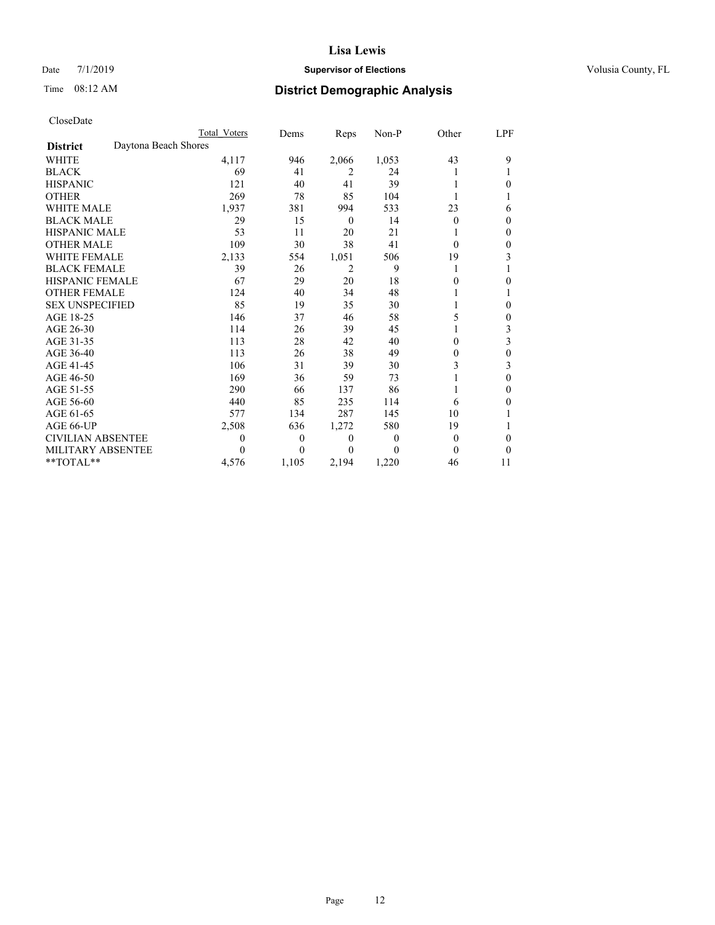## Date 7/1/2019 **Supervisor of Elections Supervisor of Elections** Volusia County, FL

# Time 08:12 AM **District Demographic Analysis**

|                                         | Total Voters | Dems     | Reps     | Non-P    | Other    | LPF |
|-----------------------------------------|--------------|----------|----------|----------|----------|-----|
| Daytona Beach Shores<br><b>District</b> |              |          |          |          |          |     |
| <b>WHITE</b>                            | 4,117        | 946      | 2,066    | 1,053    | 43       | 9   |
| <b>BLACK</b>                            | 69           | 41       | 2        | 24       |          |     |
| <b>HISPANIC</b>                         | 121          | 40       | 41       | 39       |          | 0   |
| <b>OTHER</b>                            | 269          | 78       | 85       | 104      |          |     |
| <b>WHITE MALE</b>                       | 1,937        | 381      | 994      | 533      | 23       | 6   |
| <b>BLACK MALE</b>                       | 29           | 15       | $\theta$ | 14       | $\Omega$ | 0   |
| <b>HISPANIC MALE</b>                    | 53           | 11       | 20       | 21       |          | 0   |
| <b>OTHER MALE</b>                       | 109          | 30       | 38       | 41       | $\Omega$ | 0   |
| <b>WHITE FEMALE</b>                     | 2,133        | 554      | 1,051    | 506      | 19       | 3   |
| <b>BLACK FEMALE</b>                     | 39           | 26       | 2        | 9        | 1        |     |
| <b>HISPANIC FEMALE</b>                  | 67           | 29       | 20       | 18       | $\theta$ | 0   |
| <b>OTHER FEMALE</b>                     | 124          | 40       | 34       | 48       |          |     |
| <b>SEX UNSPECIFIED</b>                  | 85           | 19       | 35       | 30       |          | 0   |
| AGE 18-25                               | 146          | 37       | 46       | 58       | 5        | 0   |
| AGE 26-30                               | 114          | 26       | 39       | 45       |          | 3   |
| AGE 31-35                               | 113          | 28       | 42       | 40       | 0        | 3   |
| AGE 36-40                               | 113          | 26       | 38       | 49       | $\theta$ | 0   |
| AGE 41-45                               | 106          | 31       | 39       | 30       | 3        | 3   |
| AGE 46-50                               | 169          | 36       | 59       | 73       |          | 0   |
| AGE 51-55                               | 290          | 66       | 137      | 86       | 1        | 0   |
| AGE 56-60                               | 440          | 85       | 235      | 114      | 6        | 0   |
| AGE 61-65                               | 577          | 134      | 287      | 145      | 10       |     |
| AGE 66-UP                               | 2,508        | 636      | 1,272    | 580      | 19       |     |
| CIVILIAN ABSENTEE                       | $\theta$     | $\theta$ | $\theta$ | $\Omega$ | $\theta$ | 0   |
| MILITARY ABSENTEE                       | 0            | 0        | 0        | 0        | 0        | 0   |
| **TOTAL**                               | 4,576        | 1,105    | 2,194    | 1,220    | 46       | 11  |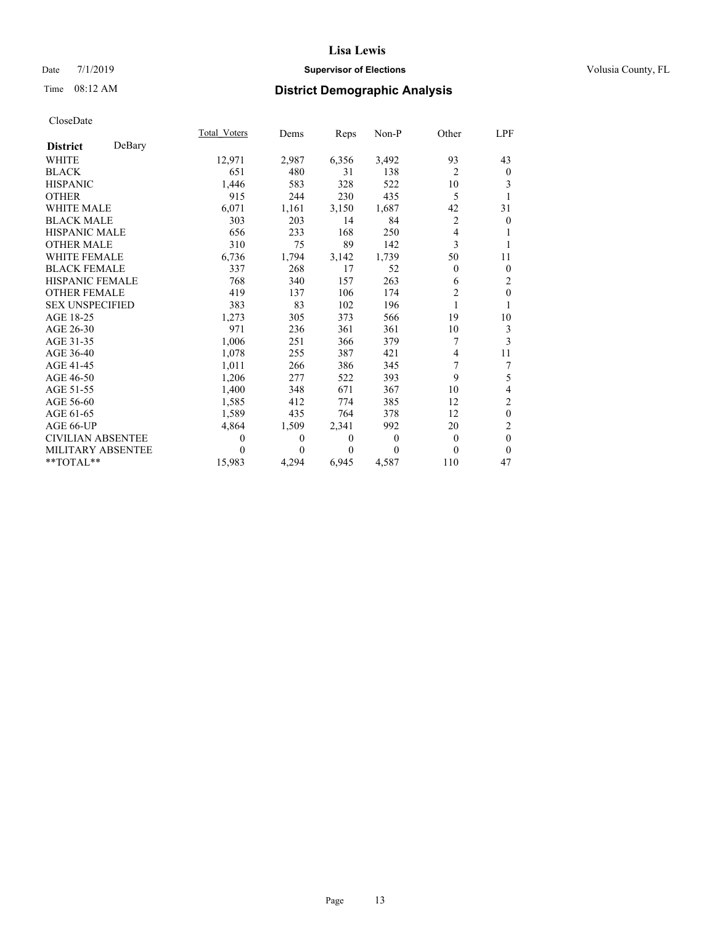## Date 7/1/2019 **Supervisor of Elections Supervisor of Elections** Volusia County, FL

# Time 08:12 AM **District Demographic Analysis**

|                          |        | Total Voters | Dems     | Reps     | Non-P    | Other          | <u>LPF</u>       |
|--------------------------|--------|--------------|----------|----------|----------|----------------|------------------|
| <b>District</b>          | DeBary |              |          |          |          |                |                  |
| <b>WHITE</b>             |        | 12,971       | 2,987    | 6,356    | 3,492    | 93             | 43               |
| <b>BLACK</b>             |        | 651          | 480      | 31       | 138      | $\overline{2}$ | $\mathbf{0}$     |
| <b>HISPANIC</b>          |        | 1,446        | 583      | 328      | 522      | 10             | 3                |
| <b>OTHER</b>             |        | 915          | 244      | 230      | 435      | 5              |                  |
| <b>WHITE MALE</b>        |        | 6,071        | 1,161    | 3,150    | 1,687    | 42             | 31               |
| <b>BLACK MALE</b>        |        | 303          | 203      | 14       | 84       | $\overline{c}$ | $\mathbf{0}$     |
| <b>HISPANIC MALE</b>     |        | 656          | 233      | 168      | 250      | 4              | 1                |
| <b>OTHER MALE</b>        |        | 310          | 75       | 89       | 142      | 3              | 1                |
| <b>WHITE FEMALE</b>      |        | 6,736        | 1,794    | 3,142    | 1,739    | 50             | 11               |
| <b>BLACK FEMALE</b>      |        | 337          | 268      | 17       | 52       | $\theta$       | $\mathbf{0}$     |
| <b>HISPANIC FEMALE</b>   |        | 768          | 340      | 157      | 263      | 6              | $\overline{2}$   |
| <b>OTHER FEMALE</b>      |        | 419          | 137      | 106      | 174      | $\overline{c}$ | $\mathbf{0}$     |
| <b>SEX UNSPECIFIED</b>   |        | 383          | 83       | 102      | 196      |                | 1                |
| AGE 18-25                |        | 1,273        | 305      | 373      | 566      | 19             | 10               |
| AGE 26-30                |        | 971          | 236      | 361      | 361      | 10             | 3                |
| AGE 31-35                |        | 1,006        | 251      | 366      | 379      | 7              | 3                |
| AGE 36-40                |        | 1,078        | 255      | 387      | 421      | 4              | 11               |
| AGE 41-45                |        | 1,011        | 266      | 386      | 345      | 7              | 7                |
| AGE 46-50                |        | 1,206        | 277      | 522      | 393      | 9              | 5                |
| AGE 51-55                |        | 1,400        | 348      | 671      | 367      | 10             | 4                |
| AGE 56-60                |        | 1,585        | 412      | 774      | 385      | 12             | $\overline{c}$   |
| AGE 61-65                |        | 1,589        | 435      | 764      | 378      | 12             | $\boldsymbol{0}$ |
| AGE 66-UP                |        | 4,864        | 1,509    | 2,341    | 992      | 20             | $\overline{c}$   |
| <b>CIVILIAN ABSENTEE</b> |        | $\theta$     | $\theta$ | $\theta$ | $\theta$ | $\theta$       | $\theta$         |
| MILITARY ABSENTEE        |        | $\theta$     | 0        | 0        | $\Omega$ | $\theta$       | $\theta$         |
| $**TOTAL**$              |        | 15,983       | 4,294    | 6,945    | 4,587    | 110            | 47               |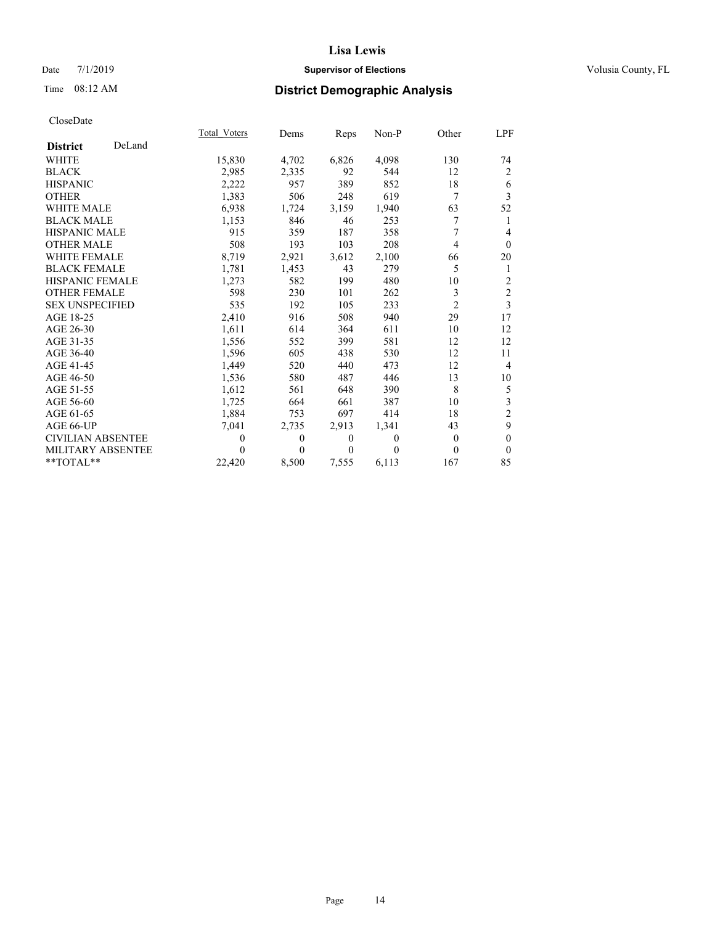## Date 7/1/2019 **Supervisor of Elections Supervisor of Elections** Volusia County, FL

# Time 08:12 AM **District Demographic Analysis**

|                          |        | Total Voters | Dems     | Reps     | Non-P    | Other          | LPF            |
|--------------------------|--------|--------------|----------|----------|----------|----------------|----------------|
| <b>District</b>          | DeLand |              |          |          |          |                |                |
| WHITE                    |        | 15,830       | 4,702    | 6,826    | 4,098    | 130            | 74             |
| <b>BLACK</b>             |        | 2,985        | 2,335    | 92       | 544      | 12             | $\overline{2}$ |
| <b>HISPANIC</b>          |        | 2,222        | 957      | 389      | 852      | 18             | 6              |
| <b>OTHER</b>             |        | 1,383        | 506      | 248      | 619      | 7              | $\overline{3}$ |
| <b>WHITE MALE</b>        |        | 6,938        | 1,724    | 3,159    | 1,940    | 63             | 52             |
| <b>BLACK MALE</b>        |        | 1,153        | 846      | 46       | 253      | 7              | 1              |
| <b>HISPANIC MALE</b>     |        | 915          | 359      | 187      | 358      | 7              | $\overline{4}$ |
| <b>OTHER MALE</b>        |        | 508          | 193      | 103      | 208      | 4              | $\mathbf{0}$   |
| <b>WHITE FEMALE</b>      |        | 8,719        | 2,921    | 3,612    | 2,100    | 66             | 20             |
| <b>BLACK FEMALE</b>      |        | 1,781        | 1,453    | 43       | 279      | 5              | 1              |
| <b>HISPANIC FEMALE</b>   |        | 1,273        | 582      | 199      | 480      | 10             | $\overline{c}$ |
| <b>OTHER FEMALE</b>      |        | 598          | 230      | 101      | 262      | 3              | $\sqrt{2}$     |
| <b>SEX UNSPECIFIED</b>   |        | 535          | 192      | 105      | 233      | $\overline{2}$ | 3              |
| AGE 18-25                |        | 2,410        | 916      | 508      | 940      | 29             | 17             |
| AGE 26-30                |        | 1,611        | 614      | 364      | 611      | 10             | 12             |
| AGE 31-35                |        | 1,556        | 552      | 399      | 581      | 12             | 12             |
| AGE 36-40                |        | 1,596        | 605      | 438      | 530      | 12             | 11             |
| AGE 41-45                |        | 1,449        | 520      | 440      | 473      | 12             | $\overline{4}$ |
| AGE 46-50                |        | 1,536        | 580      | 487      | 446      | 13             | 10             |
| AGE 51-55                |        | 1,612        | 561      | 648      | 390      | 8              | 5              |
| AGE 56-60                |        | 1,725        | 664      | 661      | 387      | 10             | $\mathfrak{Z}$ |
| AGE 61-65                |        | 1,884        | 753      | 697      | 414      | 18             | $\overline{2}$ |
| AGE 66-UP                |        | 7,041        | 2,735    | 2,913    | 1,341    | 43             | 9              |
| <b>CIVILIAN ABSENTEE</b> |        | $\theta$     | $\Omega$ | $\Omega$ | $\Omega$ | $\theta$       | $\overline{0}$ |
| MILITARY ABSENTEE        |        | $\theta$     | 0        | 0        | $\Omega$ | $\theta$       | $\theta$       |
| **TOTAL**                |        | 22,420       | 8,500    | 7,555    | 6,113    | 167            | 85             |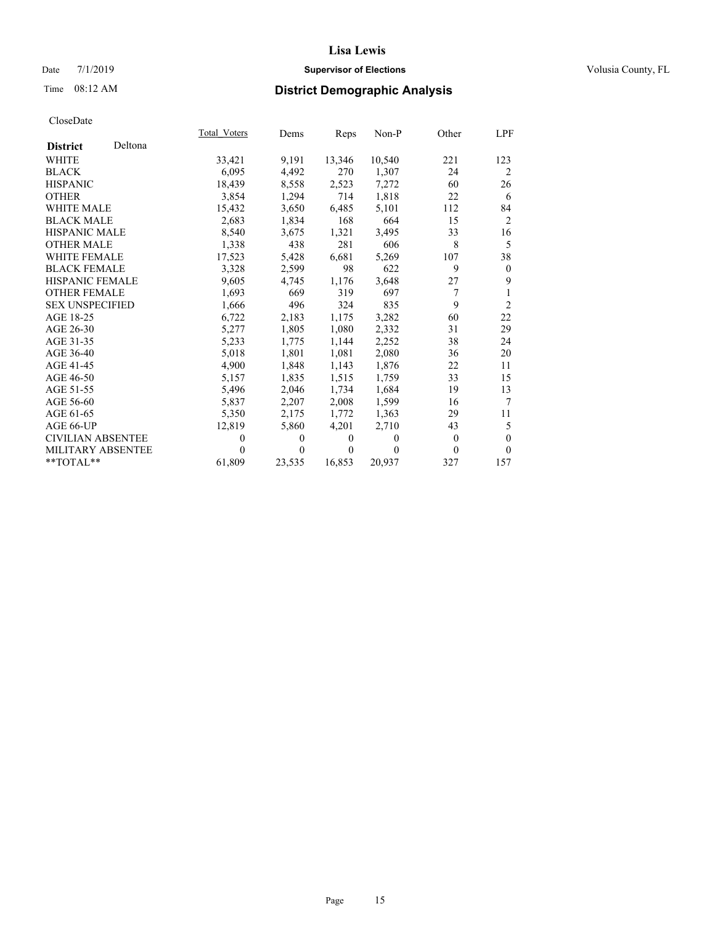## Date 7/1/2019 **Supervisor of Elections Supervisor of Elections** Volusia County, FL

## Time 08:12 AM **District Demographic Analysis**

|                            | Total Voters   | Dems     | Reps           | Non-P  | Other    | LPF            |
|----------------------------|----------------|----------|----------------|--------|----------|----------------|
| Deltona<br><b>District</b> |                |          |                |        |          |                |
| <b>WHITE</b>               | 33,421         | 9,191    | 13,346         | 10,540 | 221      | 123            |
| <b>BLACK</b>               | 6,095          | 4,492    | 270            | 1,307  | 24       | 2              |
| <b>HISPANIC</b>            | 18.439         | 8,558    | 2,523          | 7,272  | 60       | 26             |
| <b>OTHER</b>               | 3,854          | 1,294    | 714            | 1,818  | 22       | 6              |
| <b>WHITE MALE</b>          | 15,432         | 3,650    | 6,485          | 5,101  | 112      | 84             |
| <b>BLACK MALE</b>          | 2,683          | 1,834    | 168            | 664    | 15       | 2              |
| <b>HISPANIC MALE</b>       | 8,540          | 3,675    | 1,321          | 3,495  | 33       | 16             |
| <b>OTHER MALE</b>          | 1,338          | 438      | 281            | 606    | 8        | 5              |
| <b>WHITE FEMALE</b>        | 17,523         | 5,428    | 6,681          | 5,269  | 107      | 38             |
| <b>BLACK FEMALE</b>        | 3,328          | 2,599    | 98             | 622    | 9        | $\mathbf{0}$   |
| <b>HISPANIC FEMALE</b>     | 9,605          | 4,745    | 1,176          | 3,648  | 27       | 9              |
| <b>OTHER FEMALE</b>        | 1,693          | 669      | 319            | 697    | 7        | 1              |
| <b>SEX UNSPECIFIED</b>     | 1,666          | 496      | 324            | 835    | 9        | $\overline{2}$ |
| AGE 18-25                  | 6,722          | 2,183    | 1,175          | 3,282  | 60       | 22             |
| AGE 26-30                  | 5,277          | 1,805    | 1,080          | 2,332  | 31       | 29             |
| AGE 31-35                  | 5,233          | 1,775    | 1,144          | 2,252  | 38       | 24             |
| AGE 36-40                  | 5,018          | 1,801    | 1,081          | 2,080  | 36       | 20             |
| AGE 41-45                  | 4,900          | 1.848    | 1,143          | 1,876  | 22       | 11             |
| AGE 46-50                  | 5,157          | 1,835    | 1,515          | 1,759  | 33       | 15             |
| AGE 51-55                  | 5,496          | 2,046    | 1.734          | 1.684  | 19       | 13             |
| AGE 56-60                  | 5,837          | 2,207    | 2,008          | 1,599  | 16       | 7              |
| AGE 61-65                  | 5,350          | 2,175    | 1.772          | 1,363  | 29       | 11             |
| AGE 66-UP                  | 12,819         | 5,860    | 4,201          | 2,710  | 43       | 5              |
| <b>CIVILIAN ABSENTEE</b>   | $\overline{0}$ | $\Omega$ | $\overline{0}$ | 0      | $\theta$ | $\mathbf{0}$   |
| <b>MILITARY ABSENTEE</b>   | 0              | $\theta$ | $\Omega$       | 0      | $\Omega$ | $\theta$       |
| $**TOTAL**$                | 61,809         | 23,535   | 16,853         | 20,937 | 327      | 157            |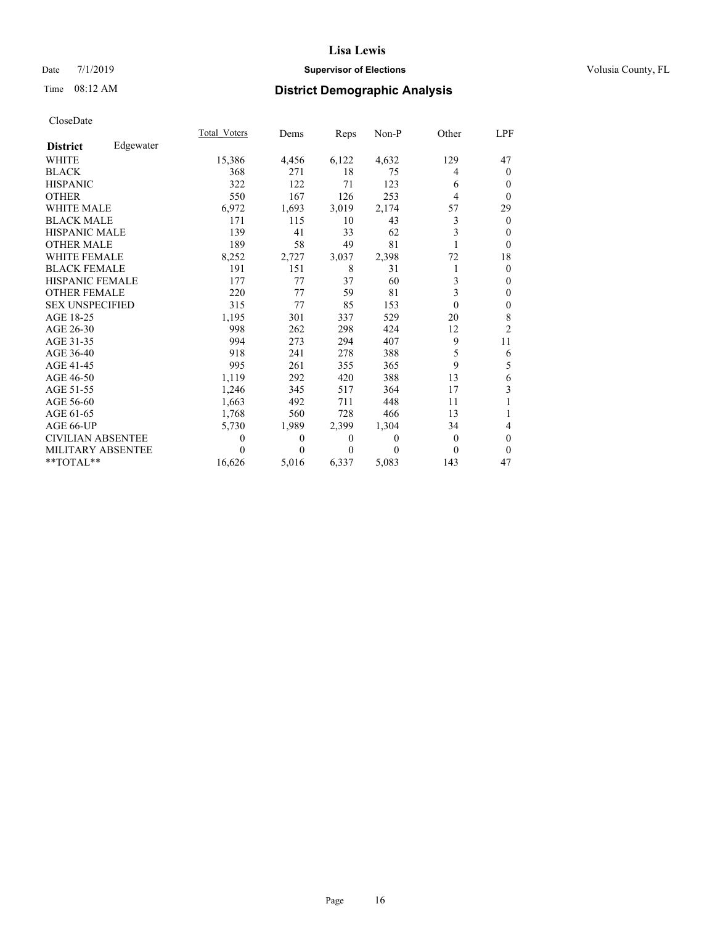## Date 7/1/2019 **Supervisor of Elections Supervisor of Elections** Volusia County, FL

# Time 08:12 AM **District Demographic Analysis**

|                          |           | Total Voters | Dems  | Reps  | $Non-P$ | Other    | <u>LPF</u>     |
|--------------------------|-----------|--------------|-------|-------|---------|----------|----------------|
| <b>District</b>          | Edgewater |              |       |       |         |          |                |
| WHITE                    |           | 15,386       | 4,456 | 6,122 | 4,632   | 129      | 47             |
| <b>BLACK</b>             |           | 368          | 271   | 18    | 75      | 4        | $\mathbf{0}$   |
| <b>HISPANIC</b>          |           | 322          | 122   | 71    | 123     | 6        | $\Omega$       |
| <b>OTHER</b>             |           | 550          | 167   | 126   | 253     | 4        | $\theta$       |
| <b>WHITE MALE</b>        |           | 6,972        | 1,693 | 3,019 | 2,174   | 57       | 29             |
| <b>BLACK MALE</b>        |           | 171          | 115   | 10    | 43      | 3        | $\theta$       |
| <b>HISPANIC MALE</b>     |           | 139          | 41    | 33    | 62      | 3        | $\Omega$       |
| <b>OTHER MALE</b>        |           | 189          | 58    | 49    | 81      |          | $\theta$       |
| <b>WHITE FEMALE</b>      |           | 8,252        | 2,727 | 3,037 | 2,398   | 72       | 18             |
| <b>BLACK FEMALE</b>      |           | 191          | 151   | 8     | 31      |          | $\theta$       |
| <b>HISPANIC FEMALE</b>   |           | 177          | 77    | 37    | 60      | 3        | $\mathbf{0}$   |
| <b>OTHER FEMALE</b>      |           | 220          | 77    | 59    | 81      | 3        | $\mathbf{0}$   |
| <b>SEX UNSPECIFIED</b>   |           | 315          | 77    | 85    | 153     | $\theta$ | $\mathbf{0}$   |
| AGE 18-25                |           | 1,195        | 301   | 337   | 529     | 20       | 8              |
| AGE 26-30                |           | 998          | 262   | 298   | 424     | 12       | $\overline{2}$ |
| AGE 31-35                |           | 994          | 273   | 294   | 407     | 9        | 11             |
| AGE 36-40                |           | 918          | 241   | 278   | 388     | 5        | 6              |
| AGE 41-45                |           | 995          | 261   | 355   | 365     | 9        | 5              |
| AGE 46-50                |           | 1,119        | 292   | 420   | 388     | 13       | 6              |
| AGE 51-55                |           | 1,246        | 345   | 517   | 364     | 17       | 3              |
| AGE 56-60                |           | 1,663        | 492   | 711   | 448     | 11       | 1              |
| AGE 61-65                |           | 1,768        | 560   | 728   | 466     | 13       |                |
| AGE 66-UP                |           | 5,730        | 1,989 | 2,399 | 1,304   | 34       | 4              |
| <b>CIVILIAN ABSENTEE</b> |           | $\theta$     | 0     | 0     | 0       | $\theta$ | $\theta$       |
| MILITARY ABSENTEE        |           | $\Omega$     | 0     | 0     | 0       | $\theta$ | $\theta$       |
| **TOTAL**                |           | 16,626       | 5,016 | 6,337 | 5,083   | 143      | 47             |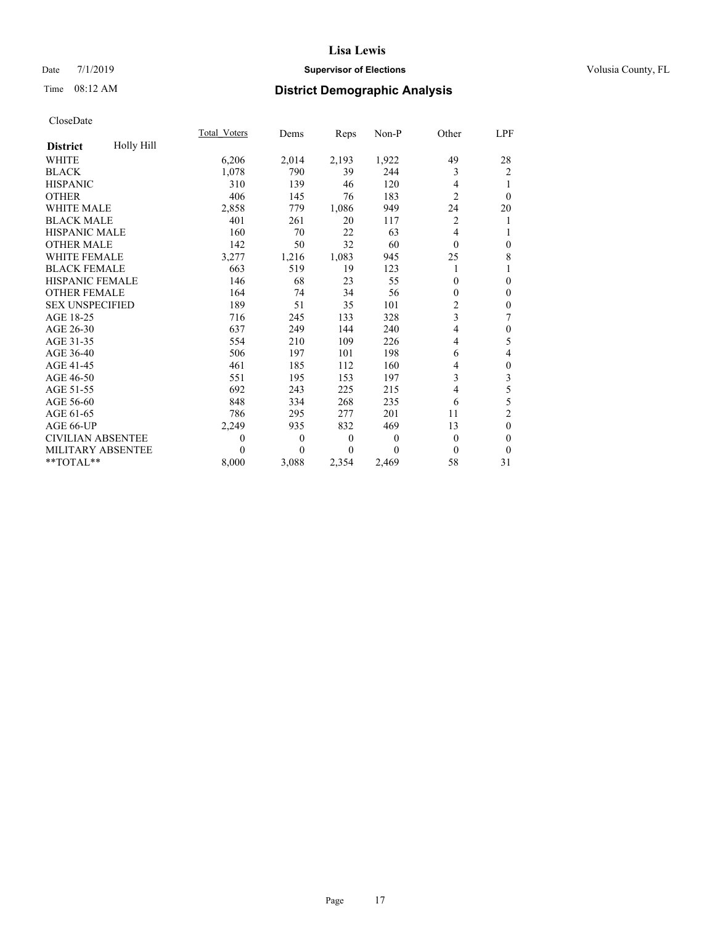## Date 7/1/2019 **Supervisor of Elections Supervisor of Elections** Volusia County, FL

# Time 08:12 AM **District Demographic Analysis**

|                          |            | Total Voters | Dems     | Reps     | $Non-P$  | Other          | <b>LPF</b>       |
|--------------------------|------------|--------------|----------|----------|----------|----------------|------------------|
| <b>District</b>          | Holly Hill |              |          |          |          |                |                  |
| WHITE                    |            | 6,206        | 2,014    | 2,193    | 1,922    | 49             | 28               |
| <b>BLACK</b>             |            | 1,078        | 790      | 39       | 244      | 3              | $\overline{2}$   |
| <b>HISPANIC</b>          |            | 310          | 139      | 46       | 120      | 4              |                  |
| <b>OTHER</b>             |            | 406          | 145      | 76       | 183      | $\overline{2}$ | $\theta$         |
| <b>WHITE MALE</b>        |            | 2,858        | 779      | 1,086    | 949      | 24             | 20               |
| <b>BLACK MALE</b>        |            | 401          | 261      | 20       | 117      | $\overline{2}$ | 1                |
| <b>HISPANIC MALE</b>     |            | 160          | 70       | 22       | 63       | 4              | 1                |
| <b>OTHER MALE</b>        |            | 142          | 50       | 32       | 60       | $\theta$       | $\boldsymbol{0}$ |
| <b>WHITE FEMALE</b>      |            | 3,277        | 1,216    | 1,083    | 945      | 25             | 8                |
| <b>BLACK FEMALE</b>      |            | 663          | 519      | 19       | 123      |                | 1                |
| <b>HISPANIC FEMALE</b>   |            | 146          | 68       | 23       | 55       | 0              | $\mathbf{0}$     |
| <b>OTHER FEMALE</b>      |            | 164          | 74       | 34       | 56       | 0              | $\mathbf{0}$     |
| <b>SEX UNSPECIFIED</b>   |            | 189          | 51       | 35       | 101      | 2              | $\boldsymbol{0}$ |
| AGE 18-25                |            | 716          | 245      | 133      | 328      | 3              | 7                |
| AGE 26-30                |            | 637          | 249      | 144      | 240      | 4              | $\boldsymbol{0}$ |
| AGE 31-35                |            | 554          | 210      | 109      | 226      | 4              | 5                |
| AGE 36-40                |            | 506          | 197      | 101      | 198      | 6              | 4                |
| AGE 41-45                |            | 461          | 185      | 112      | 160      | 4              | $\boldsymbol{0}$ |
| AGE 46-50                |            | 551          | 195      | 153      | 197      | 3              | 3                |
| AGE 51-55                |            | 692          | 243      | 225      | 215      | 4              | 5                |
| AGE 56-60                |            | 848          | 334      | 268      | 235      | 6              | 5                |
| AGE 61-65                |            | 786          | 295      | 277      | 201      | 11             | $\overline{c}$   |
| AGE 66-UP                |            | 2,249        | 935      | 832      | 469      | 13             | $\mathbf{0}$     |
| <b>CIVILIAN ABSENTEE</b> |            | 0            | $\theta$ | $\theta$ | $\theta$ | $\overline{0}$ | $\mathbf{0}$     |
| MILITARY ABSENTEE        |            | 0            | 0        | 0        | 0        | $\theta$       | $\theta$         |
| **TOTAL**                |            | 8,000        | 3,088    | 2,354    | 2,469    | 58             | 31               |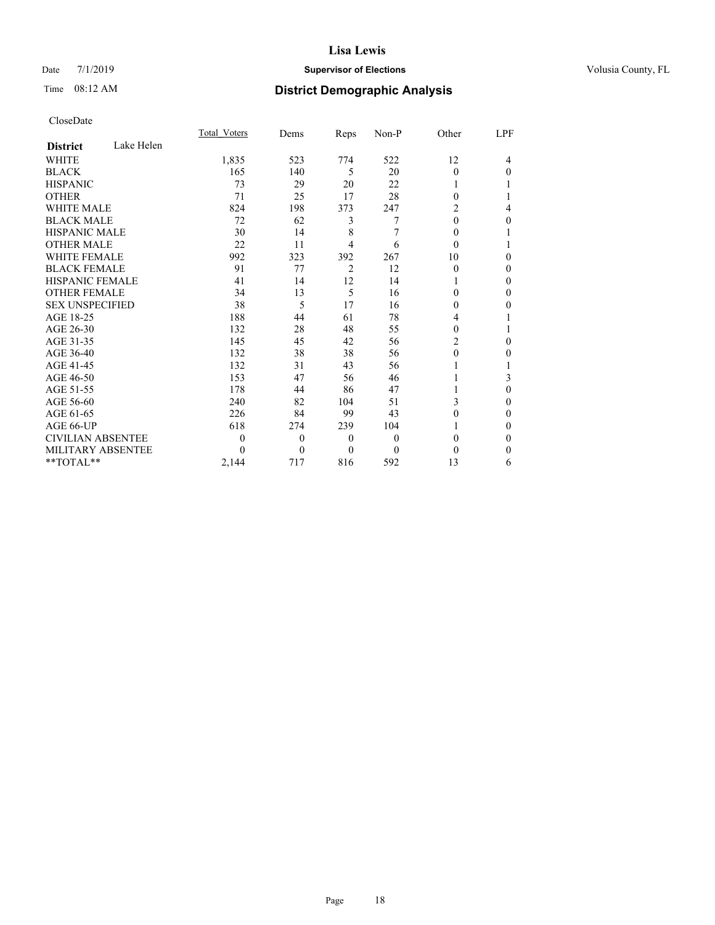## Date 7/1/2019 **Supervisor of Elections Supervisor of Elections** Volusia County, FL

# Time 08:12 AM **District Demographic Analysis**

|                          |            | Total Voters | Dems           | Reps           | Non-P            | Other    | LPF |
|--------------------------|------------|--------------|----------------|----------------|------------------|----------|-----|
| <b>District</b>          | Lake Helen |              |                |                |                  |          |     |
| WHITE                    |            | 1,835        | 523            | 774            | 522              | 12       | 4   |
| <b>BLACK</b>             |            | 165          | 140            | 5              | 20               | $\theta$ | 0   |
| <b>HISPANIC</b>          |            | 73           | 29             | 20             | 22               |          |     |
| <b>OTHER</b>             |            | 71           | 25             | 17             | 28               | $\Omega$ |     |
| <b>WHITE MALE</b>        |            | 824          | 198            | 373            | 247              | 2        | 4   |
| <b>BLACK MALE</b>        |            | 72           | 62             | 3              | 7                | $\Omega$ | 0   |
| <b>HISPANIC MALE</b>     |            | 30           | 14             | 8              | 7                | $\Omega$ |     |
| <b>OTHER MALE</b>        |            | 22           | 11             | 4              | 6                | $\Omega$ |     |
| <b>WHITE FEMALE</b>      |            | 992          | 323            | 392            | 267              | 10       | 0   |
| <b>BLACK FEMALE</b>      |            | 91           | 77             | $\overline{2}$ | 12               | $\Omega$ | 0   |
| <b>HISPANIC FEMALE</b>   |            | 41           | 14             | 12             | 14               |          | 0   |
| <b>OTHER FEMALE</b>      |            | 34           | 13             | 5              | 16               | 0        | 0   |
| <b>SEX UNSPECIFIED</b>   |            | 38           | 5              | 17             | 16               | 0        | 0   |
| AGE 18-25                |            | 188          | 44             | 61             | 78               | 4        |     |
| AGE 26-30                |            | 132          | 28             | 48             | 55               | $\Omega$ |     |
| AGE 31-35                |            | 145          | 45             | 42             | 56               | 2        | 0   |
| AGE 36-40                |            | 132          | 38             | 38             | 56               | $\theta$ | 0   |
| AGE 41-45                |            | 132          | 31             | 43             | 56               |          |     |
| AGE 46-50                |            | 153          | 47             | 56             | 46               |          | 3   |
| AGE 51-55                |            | 178          | 44             | 86             | 47               |          | 0   |
| AGE 56-60                |            | 240          | 82             | 104            | 51               | 3        | 0   |
| AGE 61-65                |            | 226          | 84             | 99             | 43               | 0        | 0   |
| AGE 66-UP                |            | 618          | 274            | 239            | 104              |          | 0   |
| <b>CIVILIAN ABSENTEE</b> |            | 0            | $\overline{0}$ | $\overline{0}$ | $\boldsymbol{0}$ | $\Omega$ | 0   |
| <b>MILITARY ABSENTEE</b> |            | 0            | $\theta$       | 0              | $\Omega$         | 0        | 0   |
| $*$ TOTAL $*$            |            | 2,144        | 717            | 816            | 592              | 13       | 6   |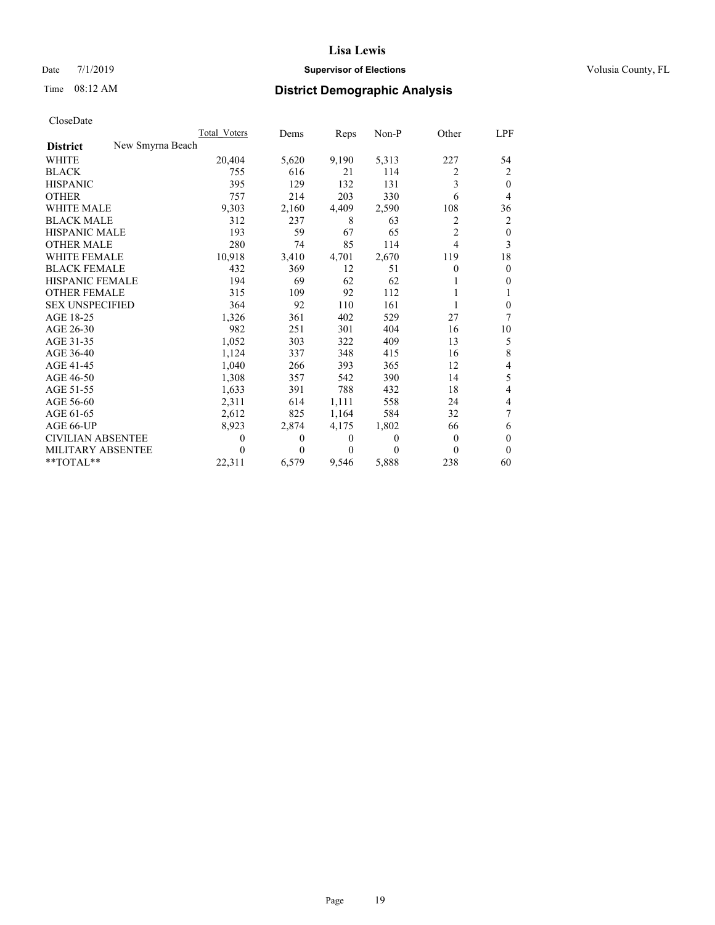## Date 7/1/2019 **Supervisor of Elections Supervisor of Elections** Volusia County, FL

# Time 08:12 AM **District Demographic Analysis**

|                                     | Total Voters     | Dems     | Reps     | Non-P | Other          | LPF          |
|-------------------------------------|------------------|----------|----------|-------|----------------|--------------|
| New Smyrna Beach<br><b>District</b> |                  |          |          |       |                |              |
| <b>WHITE</b>                        | 20,404           | 5,620    | 9,190    | 5,313 | 227            | 54           |
| <b>BLACK</b>                        | 755              | 616      | 21       | 114   | 2              | 2            |
| <b>HISPANIC</b>                     | 395              | 129      | 132      | 131   | 3              | $\theta$     |
| <b>OTHER</b>                        | 757              | 214      | 203      | 330   | 6              | 4            |
| WHITE MALE                          | 9,303            | 2,160    | 4,409    | 2,590 | 108            | 36           |
| <b>BLACK MALE</b>                   | 312              | 237      | 8        | 63    | 2              | 2            |
| <b>HISPANIC MALE</b>                | 193              | 59       | 67       | 65    | $\overline{2}$ | $\mathbf{0}$ |
| <b>OTHER MALE</b>                   | 280              | 74       | 85       | 114   | 4              | 3            |
| <b>WHITE FEMALE</b>                 | 10,918           | 3,410    | 4,701    | 2,670 | 119            | 18           |
| <b>BLACK FEMALE</b>                 | 432              | 369      | 12       | 51    | 0              | $\mathbf{0}$ |
| <b>HISPANIC FEMALE</b>              | 194              | 69       | 62       | 62    |                | $\theta$     |
| <b>OTHER FEMALE</b>                 | 315              | 109      | 92       | 112   |                | 1            |
| <b>SEX UNSPECIFIED</b>              | 364              | 92       | 110      | 161   |                | $\mathbf{0}$ |
| AGE 18-25                           | 1,326            | 361      | 402      | 529   | 27             | 7            |
| AGE 26-30                           | 982              | 251      | 301      | 404   | 16             | 10           |
| AGE 31-35                           | 1,052            | 303      | 322      | 409   | 13             | 5            |
| AGE 36-40                           | 1,124            | 337      | 348      | 415   | 16             | 8            |
| AGE 41-45                           | 1,040            | 266      | 393      | 365   | 12             | 4            |
| AGE 46-50                           | 1,308            | 357      | 542      | 390   | 14             | 5            |
| AGE 51-55                           | 1,633            | 391      | 788      | 432   | 18             | 4            |
| AGE 56-60                           | 2,311            | 614      | 1,111    | 558   | 24             | 4            |
| AGE 61-65                           | 2,612            | 825      | 1,164    | 584   | 32             | 7            |
| AGE 66-UP                           | 8,923            | 2,874    | 4,175    | 1,802 | 66             | 6            |
| <b>CIVILIAN ABSENTEE</b>            | $\boldsymbol{0}$ | $\Omega$ | $\theta$ | 0     | $\Omega$       | $\theta$     |
| <b>MILITARY ABSENTEE</b>            | $\theta$         | 0        | $\theta$ | 0     | 0              | $\theta$     |
| $*$ TOTAL $*$                       | 22,311           | 6,579    | 9,546    | 5,888 | 238            | 60           |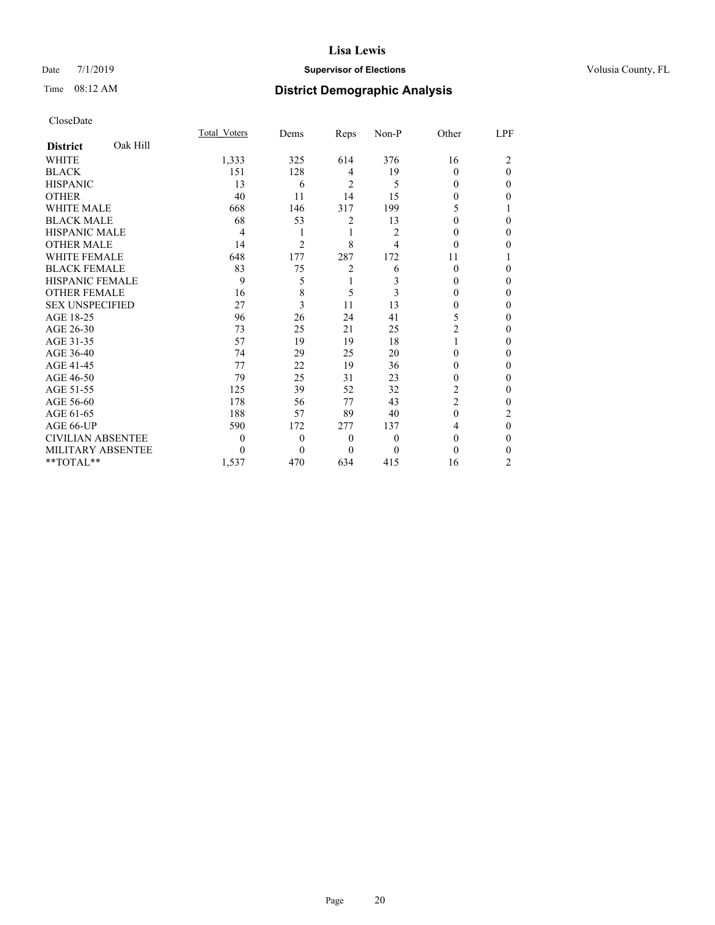## Date 7/1/2019 **Supervisor of Elections Supervisor of Elections** Volusia County, FL

## Time 08:12 AM **District Demographic Analysis**

|                          |          | Total Voters | Dems           | Reps           | Non-P          | Other    | LPF            |
|--------------------------|----------|--------------|----------------|----------------|----------------|----------|----------------|
| <b>District</b>          | Oak Hill |              |                |                |                |          |                |
| <b>WHITE</b>             |          | 1,333        | 325            | 614            | 376            | 16       | 2              |
| <b>BLACK</b>             |          | 151          | 128            | 4              | 19             | $\Omega$ | 0              |
| <b>HISPANIC</b>          |          | 13           | 6              | $\overline{2}$ | 5              | 0        | 0              |
| <b>OTHER</b>             |          | 40           | 11             | 14             | 15             | 0        | 0              |
| <b>WHITE MALE</b>        |          | 668          | 146            | 317            | 199            | 5        |                |
| <b>BLACK MALE</b>        |          | 68           | 53             | 2              | 13             | 0        | 0              |
| <b>HISPANIC MALE</b>     |          | 4            | 1              | 1              | $\overline{c}$ | $\theta$ | 0              |
| <b>OTHER MALE</b>        |          | 14           | $\overline{2}$ | 8              | 4              | 0        | 0              |
| <b>WHITE FEMALE</b>      |          | 648          | 177            | 287            | 172            | 11       |                |
| <b>BLACK FEMALE</b>      |          | 83           | 75             | $\overline{2}$ | 6              | $\Omega$ | 0              |
| <b>HISPANIC FEMALE</b>   |          | 9            | 5              | 1              | 3              | 0        | 0              |
| <b>OTHER FEMALE</b>      |          | 16           | 8              | 5              | 3              | 0        | 0              |
| <b>SEX UNSPECIFIED</b>   |          | 27           | 3              | 11             | 13             | 0        | 0              |
| AGE 18-25                |          | 96           | 26             | 24             | 41             | 5        | 0              |
| AGE 26-30                |          | 73           | 25             | 21             | 25             | 2        | 0              |
| AGE 31-35                |          | 57           | 19             | 19             | 18             |          | 0              |
| AGE 36-40                |          | 74           | 29             | 25             | 20             | 0        | 0              |
| AGE 41-45                |          | 77           | 22             | 19             | 36             | 0        | 0              |
| AGE 46-50                |          | 79           | 25             | 31             | 23             | 0        | 0              |
| AGE 51-55                |          | 125          | 39             | 52             | 32             | 2        | 0              |
| AGE 56-60                |          | 178          | 56             | 77             | 43             | 2        | 0              |
| AGE 61-65                |          | 188          | 57             | 89             | 40             | $\theta$ | $\overline{2}$ |
| AGE 66-UP                |          | 590          | 172            | 277            | 137            | 4        | 0              |
| <b>CIVILIAN ABSENTEE</b> |          | 0            | $\theta$       | $\theta$       | $\theta$       | $\Omega$ | 0              |
| MILITARY ABSENTEE        |          | 0            | 0              | $\theta$       | 0              | 0        | 0              |
| **TOTAL**                |          | 1,537        | 470            | 634            | 415            | 16       | 2              |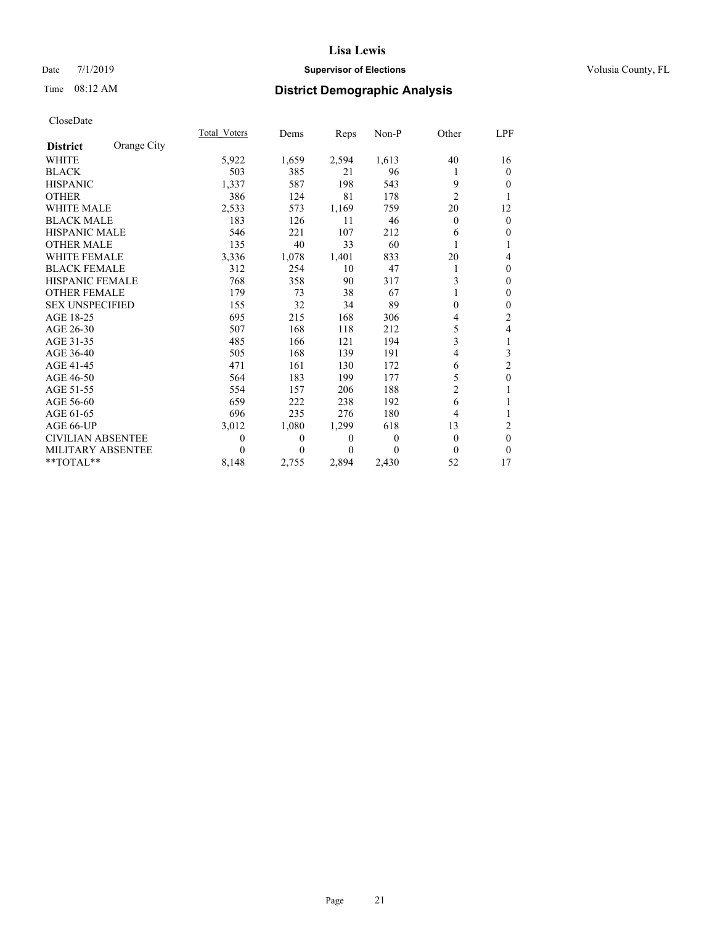## Date 7/1/2019 **Supervisor of Elections Supervisor of Elections** Volusia County, FL

# Time 08:12 AM **District Demographic Analysis**

|                          |             | Total Voters | Dems  | Reps     | Non-P    | Other          | LPF            |
|--------------------------|-------------|--------------|-------|----------|----------|----------------|----------------|
| <b>District</b>          | Orange City |              |       |          |          |                |                |
| WHITE                    |             | 5,922        | 1,659 | 2,594    | 1,613    | 40             | 16             |
| <b>BLACK</b>             |             | 503          | 385   | 21       | 96       |                | $\theta$       |
| <b>HISPANIC</b>          |             | 1,337        | 587   | 198      | 543      | 9              | $\Omega$       |
| <b>OTHER</b>             |             | 386          | 124   | 81       | 178      | $\overline{2}$ | 1              |
| <b>WHITE MALE</b>        |             | 2,533        | 573   | 1,169    | 759      | 20             | 12             |
| <b>BLACK MALE</b>        |             | 183          | 126   | 11       | 46       | $\theta$       | $\mathbf{0}$   |
| <b>HISPANIC MALE</b>     |             | 546          | 221   | 107      | 212      | 6              | $\theta$       |
| <b>OTHER MALE</b>        |             | 135          | 40    | 33       | 60       |                | 1              |
| <b>WHITE FEMALE</b>      |             | 3,336        | 1,078 | 1,401    | 833      | 20             | 4              |
| <b>BLACK FEMALE</b>      |             | 312          | 254   | 10       | 47       |                | $\mathbf{0}$   |
| HISPANIC FEMALE          |             | 768          | 358   | 90       | 317      | 3              | $\mathbf{0}$   |
| <b>OTHER FEMALE</b>      |             | 179          | 73    | 38       | 67       |                | $\mathbf{0}$   |
| <b>SEX UNSPECIFIED</b>   |             | 155          | 32    | 34       | 89       | 0              | $\mathbf{0}$   |
| AGE 18-25                |             | 695          | 215   | 168      | 306      | 4              | 2              |
| AGE 26-30                |             | 507          | 168   | 118      | 212      | 5              | 4              |
| AGE 31-35                |             | 485          | 166   | 121      | 194      | 3              | 1              |
| AGE 36-40                |             | 505          | 168   | 139      | 191      | 4              | 3              |
| AGE 41-45                |             | 471          | 161   | 130      | 172      | 6              | $\overline{c}$ |
| AGE 46-50                |             | 564          | 183   | 199      | 177      | 5              | $\mathbf{0}$   |
| AGE 51-55                |             | 554          | 157   | 206      | 188      | $\overline{2}$ | 1              |
| AGE 56-60                |             | 659          | 222   | 238      | 192      | 6              | 1              |
| AGE 61-65                |             | 696          | 235   | 276      | 180      | 4              | 1              |
| AGE 66-UP                |             | 3,012        | 1,080 | 1,299    | 618      | 13             | 2              |
| <b>CIVILIAN ABSENTEE</b> |             | $\theta$     | 0     | $\theta$ | $\theta$ | $\Omega$       | $\theta$       |
| MILITARY ABSENTEE        |             | $\Omega$     | 0     | $\Omega$ | 0        | $\Omega$       | $\Omega$       |
| $*$ $TOTAL**$            |             | 8,148        | 2,755 | 2,894    | 2,430    | 52             | 17             |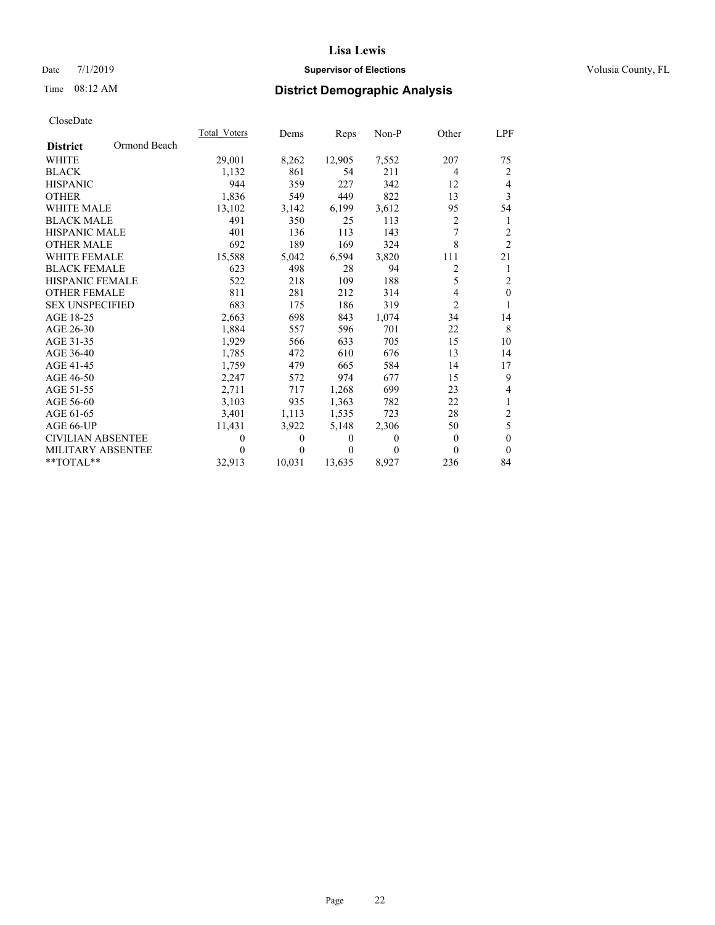## Date 7/1/2019 **Supervisor of Elections Supervisor of Elections** Volusia County, FL

# Time 08:12 AM **District Demographic Analysis**

|                          |              | Total Voters | Dems         | Reps     | Non-P    | Other          | <u>LPF</u>     |
|--------------------------|--------------|--------------|--------------|----------|----------|----------------|----------------|
| <b>District</b>          | Ormond Beach |              |              |          |          |                |                |
| <b>WHITE</b>             |              | 29,001       | 8,262        | 12,905   | 7,552    | 207            | 75             |
| <b>BLACK</b>             |              | 1,132        | 861          | 54       | 211      | $\overline{4}$ | 2              |
| <b>HISPANIC</b>          |              | 944          | 359          | 227      | 342      | 12             | $\overline{4}$ |
| <b>OTHER</b>             |              | 1,836        | 549          | 449      | 822      | 13             | $\overline{3}$ |
| <b>WHITE MALE</b>        |              | 13,102       | 3,142        | 6,199    | 3,612    | 95             | 54             |
| <b>BLACK MALE</b>        |              | 491          | 350          | 25       | 113      | 2              | 1              |
| <b>HISPANIC MALE</b>     |              | 401          | 136          | 113      | 143      | 7              | $\overline{2}$ |
| <b>OTHER MALE</b>        |              | 692          | 189          | 169      | 324      | 8              | $\overline{2}$ |
| <b>WHITE FEMALE</b>      |              | 15,588       | 5,042        | 6,594    | 3,820    | 111            | 21             |
| <b>BLACK FEMALE</b>      |              | 623          | 498          | 28       | 94       | $\overline{c}$ | 1              |
| <b>HISPANIC FEMALE</b>   |              | 522          | 218          | 109      | 188      | 5              | 2              |
| <b>OTHER FEMALE</b>      |              | 811          | 281          | 212      | 314      | $\overline{4}$ | $\mathbf{0}$   |
| <b>SEX UNSPECIFIED</b>   |              | 683          | 175          | 186      | 319      | $\overline{2}$ | $\mathbf{1}$   |
| AGE 18-25                |              | 2,663        | 698          | 843      | 1,074    | 34             | 14             |
| AGE 26-30                |              | 1,884        | 557          | 596      | 701      | 22             | 8              |
| AGE 31-35                |              | 1,929        | 566          | 633      | 705      | 15             | 10             |
| AGE 36-40                |              | 1,785        | 472          | 610      | 676      | 13             | 14             |
| AGE 41-45                |              | 1,759        | 479          | 665      | 584      | 14             | 17             |
| AGE 46-50                |              | 2,247        | 572          | 974      | 677      | 15             | 9              |
| AGE 51-55                |              | 2,711        | 717          | 1,268    | 699      | 23             | 4              |
| AGE 56-60                |              | 3,103        | 935          | 1,363    | 782      | 22             | 1              |
| AGE 61-65                |              | 3,401        | 1,113        | 1,535    | 723      | 28             | $\sqrt{2}$     |
| AGE 66-UP                |              | 11,431       | 3,922        | 5,148    | 2,306    | 50             | 5              |
| <b>CIVILIAN ABSENTEE</b> |              | $\theta$     | $\mathbf{0}$ | $\theta$ | $\theta$ | $\theta$       | $\mathbf{0}$   |
| <b>MILITARY ABSENTEE</b> |              | 0            | 0            | 0        | 0        | $\Omega$       | $\theta$       |
| $*$ TOTAL $*$            |              | 32,913       | 10,031       | 13,635   | 8,927    | 236            | 84             |
|                          |              |              |              |          |          |                |                |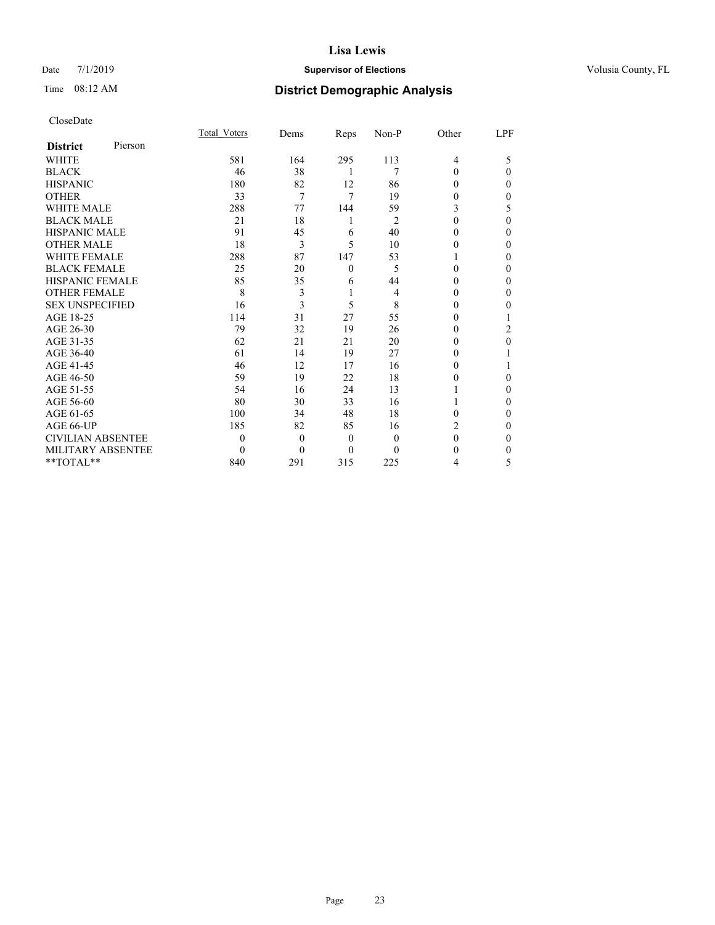## Date 7/1/2019 **Supervisor of Elections Supervisor of Elections** Volusia County, FL

# Time 08:12 AM **District Demographic Analysis**

|                          |         | Total Voters | Dems     | Reps           | Non-P          | Other          | LPF |
|--------------------------|---------|--------------|----------|----------------|----------------|----------------|-----|
| <b>District</b>          | Pierson |              |          |                |                |                |     |
| <b>WHITE</b>             |         | 581          | 164      | 295            | 113            | $\overline{4}$ | 5   |
| <b>BLACK</b>             |         | 46           | 38       | 1              | 7              | $\Omega$       | 0   |
| <b>HISPANIC</b>          |         | 180          | 82       | 12             | 86             | 0              | 0   |
| <b>OTHER</b>             |         | 33           | 7        | 7              | 19             | 0              | 0   |
| <b>WHITE MALE</b>        |         | 288          | 77       | 144            | 59             | 3              | 5   |
| <b>BLACK MALE</b>        |         | 21           | 18       | 1              | $\overline{2}$ | 0              | 0   |
| <b>HISPANIC MALE</b>     |         | 91           | 45       | 6              | 40             | $_{0}$         | 0   |
| <b>OTHER MALE</b>        |         | 18           | 3        | 5              | 10             | 0              | 0   |
| <b>WHITE FEMALE</b>      |         | 288          | 87       | 147            | 53             |                | 0   |
| <b>BLACK FEMALE</b>      |         | 25           | 20       | $\theta$       | 5              | 0              | 0   |
| <b>HISPANIC FEMALE</b>   |         | 85           | 35       | 6              | 44             | 0              | 0   |
| <b>OTHER FEMALE</b>      |         | 8            | 3        | 1              | 4              | 0              | 0   |
| <b>SEX UNSPECIFIED</b>   |         | 16           | 3        | 5              | 8              | $_{0}$         | 0   |
| AGE 18-25                |         | 114          | 31       | 27             | 55             | 0              |     |
| AGE 26-30                |         | 79           | 32       | 19             | 26             | 0              | 2   |
| AGE 31-35                |         | 62           | 21       | 21             | 20             | 0              | 0   |
| AGE 36-40                |         | 61           | 14       | 19             | 27             | 0              |     |
| AGE 41-45                |         | 46           | 12       | 17             | 16             | 0              |     |
| AGE 46-50                |         | 59           | 19       | 22             | 18             | 0              | 0   |
| AGE 51-55                |         | 54           | 16       | 24             | 13             |                | 0   |
| AGE 56-60                |         | 80           | 30       | 33             | 16             |                | 0   |
| AGE 61-65                |         | 100          | 34       | 48             | 18             | 0              | 0   |
| AGE 66-UP                |         | 185          | 82       | 85             | 16             | 2              | 0   |
| <b>CIVILIAN ABSENTEE</b> |         | $\theta$     | $\theta$ | $\overline{0}$ | $\theta$       | 0              | 0   |
| MILITARY ABSENTEE        |         | $\Omega$     | $\Omega$ | $\theta$       | 0              | 0              | 0   |
| **TOTAL**                |         | 840          | 291      | 315            | 225            | 4              | 5   |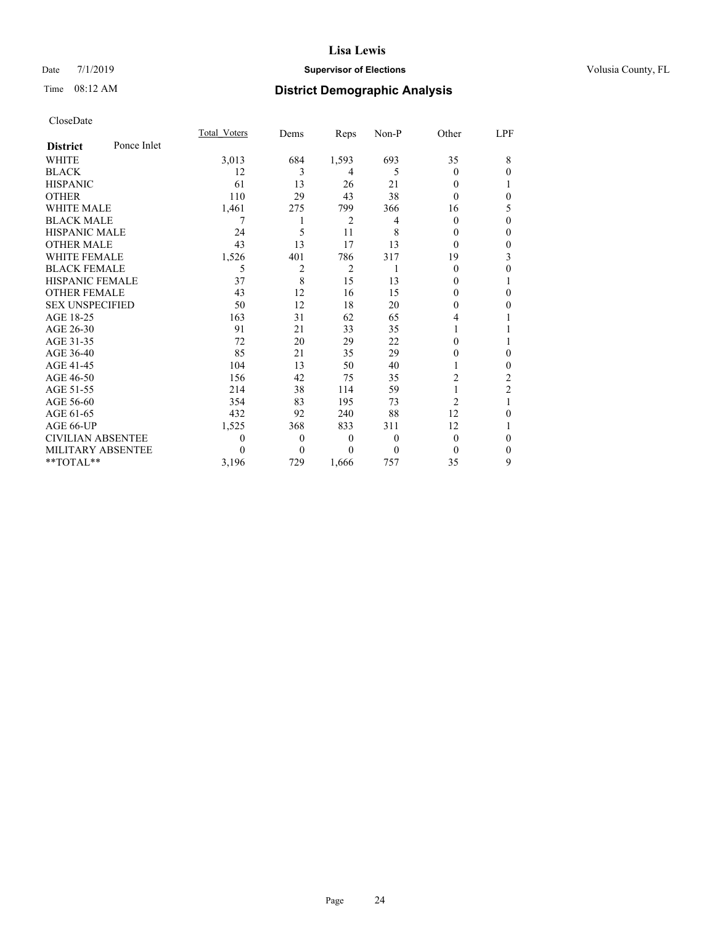## Date 7/1/2019 **Supervisor of Elections Supervisor of Elections** Volusia County, FL

# Time 08:12 AM **District Demographic Analysis**

|                          |             | Total Voters | Dems           | Reps           | Non-P    | Other          | LPF            |
|--------------------------|-------------|--------------|----------------|----------------|----------|----------------|----------------|
| <b>District</b>          | Ponce Inlet |              |                |                |          |                |                |
| WHITE                    |             | 3,013        | 684            | 1,593          | 693      | 35             | 8              |
| <b>BLACK</b>             |             | 12           | 3              | 4              | 5        | $\theta$       | 0              |
| <b>HISPANIC</b>          |             | 61           | 13             | 26             | 21       | 0              |                |
| <b>OTHER</b>             |             | 110          | 29             | 43             | 38       | $\theta$       | 0              |
| WHITE MALE               |             | 1,461        | 275            | 799            | 366      | 16             | 5              |
| <b>BLACK MALE</b>        |             | 7            |                | $\overline{2}$ | 4        | $\theta$       | 0              |
| <b>HISPANIC MALE</b>     |             | 24           | 5              | 11             | 8        | 0              | 0              |
| <b>OTHER MALE</b>        |             | 43           | 13             | 17             | 13       | $\theta$       | 0              |
| <b>WHITE FEMALE</b>      |             | 1,526        | 401            | 786            | 317      | 19             | 3              |
| <b>BLACK FEMALE</b>      |             | 5            | $\overline{2}$ | $\overline{2}$ |          | $\theta$       | 0              |
| HISPANIC FEMALE          |             | 37           | 8              | 15             | 13       | 0              | 1              |
| <b>OTHER FEMALE</b>      |             | 43           | 12             | 16             | 15       | 0              | 0              |
| <b>SEX UNSPECIFIED</b>   |             | 50           | 12             | 18             | 20       | 0              | 0              |
| AGE 18-25                |             | 163          | 31             | 62             | 65       | 4              |                |
| AGE 26-30                |             | 91           | 21             | 33             | 35       |                |                |
| AGE 31-35                |             | 72           | 20             | 29             | 22       | 0              |                |
| AGE 36-40                |             | 85           | 21             | 35             | 29       | 0              | $\theta$       |
| AGE 41-45                |             | 104          | 13             | 50             | 40       |                | 0              |
| AGE 46-50                |             | 156          | 42             | 75             | 35       | 2              | 2              |
| AGE 51-55                |             | 214          | 38             | 114            | 59       |                | $\overline{2}$ |
| AGE 56-60                |             | 354          | 83             | 195            | 73       | $\overline{c}$ | 1              |
| AGE 61-65                |             | 432          | 92             | 240            | 88       | 12             | 0              |
| AGE 66-UP                |             | 1,525        | 368            | 833            | 311      | 12             | 1              |
| <b>CIVILIAN ABSENTEE</b> |             | 0            | $\theta$       | $\theta$       | 0        | $\theta$       | 0              |
| MILITARY ABSENTEE        |             | 0            | $\Omega$       | $\Omega$       | $\theta$ | $\theta$       | $\Omega$       |
| **TOTAL**                |             | 3,196        | 729            | 1.666          | 757      | 35             | 9              |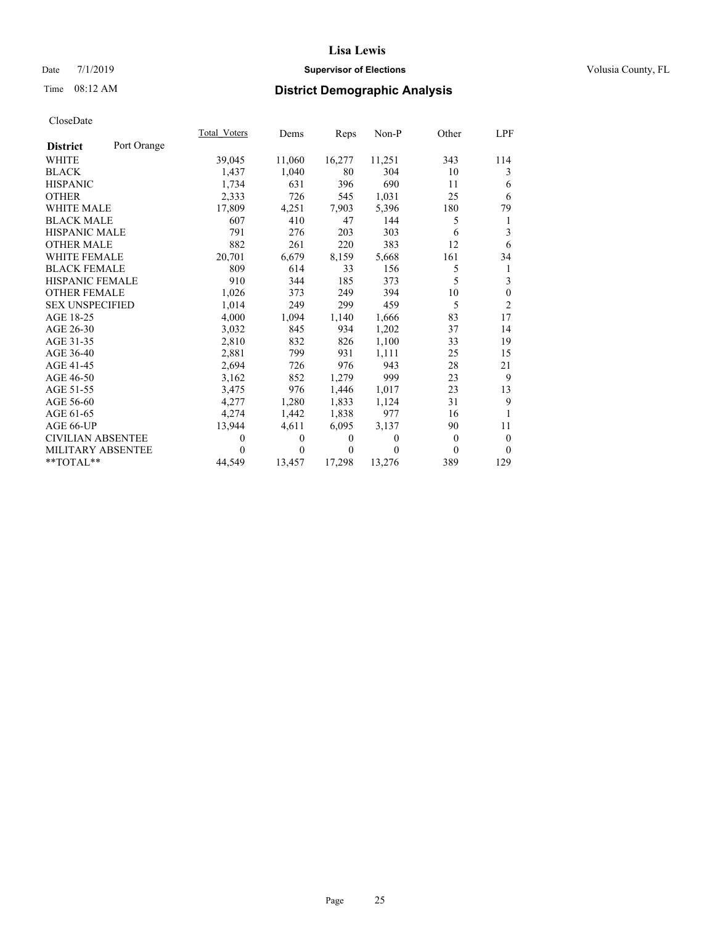## Date 7/1/2019 **Supervisor of Elections Supervisor of Elections** Volusia County, FL

## Time 08:12 AM **District Demographic Analysis**

|                          |             | Total Voters | Dems   | Reps   | Non-P    | Other | LPF            |
|--------------------------|-------------|--------------|--------|--------|----------|-------|----------------|
| <b>District</b>          | Port Orange |              |        |        |          |       |                |
| WHITE                    |             | 39,045       | 11,060 | 16,277 | 11,251   | 343   | 114            |
| <b>BLACK</b>             |             | 1.437        | 1,040  | 80     | 304      | 10    | 3              |
| <b>HISPANIC</b>          |             | 1.734        | 631    | 396    | 690      | 11    | 6              |
| <b>OTHER</b>             |             | 2,333        | 726    | 545    | 1,031    | 25    | 6              |
| <b>WHITE MALE</b>        |             | 17,809       | 4,251  | 7,903  | 5,396    | 180   | 79             |
| <b>BLACK MALE</b>        |             | 607          | 410    | 47     | 144      | 5     | 1              |
| <b>HISPANIC MALE</b>     |             | 791          | 276    | 203    | 303      | 6     | 3              |
| <b>OTHER MALE</b>        |             | 882          | 261    | 220    | 383      | 12    | 6              |
| <b>WHITE FEMALE</b>      |             | 20,701       | 6,679  | 8,159  | 5,668    | 161   | 34             |
| <b>BLACK FEMALE</b>      |             | 809          | 614    | 33     | 156      | 5     | 1              |
| <b>HISPANIC FEMALE</b>   |             | 910          | 344    | 185    | 373      | 5     | 3              |
| <b>OTHER FEMALE</b>      |             | 1,026        | 373    | 249    | 394      | 10    | $\mathbf{0}$   |
| <b>SEX UNSPECIFIED</b>   |             | 1,014        | 249    | 299    | 459      | 5     | $\overline{2}$ |
| AGE 18-25                |             | 4,000        | 1,094  | 1,140  | 1,666    | 83    | 17             |
| AGE 26-30                |             | 3,032        | 845    | 934    | 1,202    | 37    | 14             |
| AGE 31-35                |             | 2,810        | 832    | 826    | 1,100    | 33    | 19             |
| AGE 36-40                |             | 2,881        | 799    | 931    | 1,111    | 25    | 15             |
| AGE 41-45                |             | 2,694        | 726    | 976    | 943      | 28    | 21             |
| AGE 46-50                |             | 3,162        | 852    | 1,279  | 999      | 23    | 9              |
| AGE 51-55                |             | 3,475        | 976    | 1,446  | 1,017    | 23    | 13             |
| AGE 56-60                |             | 4,277        | 1,280  | 1,833  | 1,124    | 31    | 9              |
| AGE 61-65                |             | 4,274        | 1,442  | 1,838  | 977      | 16    |                |
| AGE 66-UP                |             | 13,944       | 4,611  | 6,095  | 3,137    | 90    | 11             |
| <b>CIVILIAN ABSENTEE</b> |             | $\Omega$     | 0      | 0      | $\theta$ | 0     | $\mathbf{0}$   |
| <b>MILITARY ABSENTEE</b> |             | $\theta$     | 0      | 0      | $\theta$ | 0     | $\theta$       |
| $*$ TOTAL $*$            |             | 44,549       | 13,457 | 17,298 | 13,276   | 389   | 129            |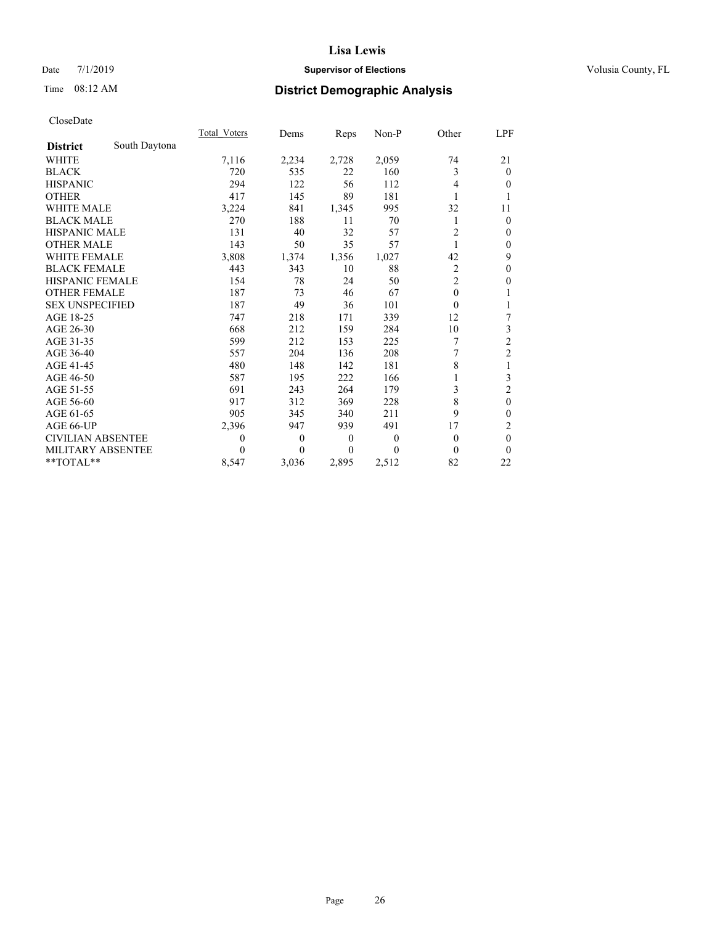## Date 7/1/2019 **Supervisor of Elections Supervisor of Elections** Volusia County, FL

# Time 08:12 AM **District Demographic Analysis**

|                          |               | Total Voters | Dems     | Reps     | Non-P    | Other          | LPF            |
|--------------------------|---------------|--------------|----------|----------|----------|----------------|----------------|
| <b>District</b>          | South Daytona |              |          |          |          |                |                |
| WHITE                    |               | 7,116        | 2,234    | 2,728    | 2,059    | 74             | 21             |
| <b>BLACK</b>             |               | 720          | 535      | 22       | 160      | 3              | $\mathbf{0}$   |
| <b>HISPANIC</b>          |               | 294          | 122      | 56       | 112      | 4              | $\theta$       |
| <b>OTHER</b>             |               | 417          | 145      | 89       | 181      |                |                |
| <b>WHITE MALE</b>        |               | 3,224        | 841      | 1,345    | 995      | 32             | 11             |
| <b>BLACK MALE</b>        |               | 270          | 188      | 11       | 70       | 1              | $\mathbf{0}$   |
| <b>HISPANIC MALE</b>     |               | 131          | 40       | 32       | 57       | $\overline{2}$ | $\mathbf{0}$   |
| <b>OTHER MALE</b>        |               | 143          | 50       | 35       | 57       | 1              | $\mathbf{0}$   |
| WHITE FEMALE             |               | 3,808        | 1,374    | 1,356    | 1,027    | 42             | 9              |
| <b>BLACK FEMALE</b>      |               | 443          | 343      | 10       | 88       | $\overline{2}$ | $\mathbf{0}$   |
| <b>HISPANIC FEMALE</b>   |               | 154          | 78       | 24       | 50       | $\overline{c}$ | $\theta$       |
| <b>OTHER FEMALE</b>      |               | 187          | 73       | 46       | 67       | $\theta$       |                |
| <b>SEX UNSPECIFIED</b>   |               | 187          | 49       | 36       | 101      | $\Omega$       | 1              |
| AGE 18-25                |               | 747          | 218      | 171      | 339      | 12             | 7              |
| AGE 26-30                |               | 668          | 212      | 159      | 284      | 10             | 3              |
| AGE 31-35                |               | 599          | 212      | 153      | 225      | 7              | $\overline{c}$ |
| AGE 36-40                |               | 557          | 204      | 136      | 208      | 7              | $\overline{c}$ |
| AGE 41-45                |               | 480          | 148      | 142      | 181      | 8              | 1              |
| AGE 46-50                |               | 587          | 195      | 222      | 166      |                | 3              |
| AGE 51-55                |               | 691          | 243      | 264      | 179      | 3              | 2              |
| AGE 56-60                |               | 917          | 312      | 369      | 228      | 8              | $\mathbf{0}$   |
| AGE 61-65                |               | 905          | 345      | 340      | 211      | 9              | $\mathbf{0}$   |
| AGE 66-UP                |               | 2,396        | 947      | 939      | 491      | 17             | 2              |
| <b>CIVILIAN ABSENTEE</b> |               | 0            | $\theta$ | $\theta$ | $\theta$ | $\theta$       | $\mathbf{0}$   |
| MILITARY ABSENTEE        |               | 0            | 0        | $\Omega$ | $\Omega$ | $\Omega$       | $\theta$       |
| $*$ TOTAL $*$            |               | 8,547        | 3,036    | 2,895    | 2,512    | 82             | 22             |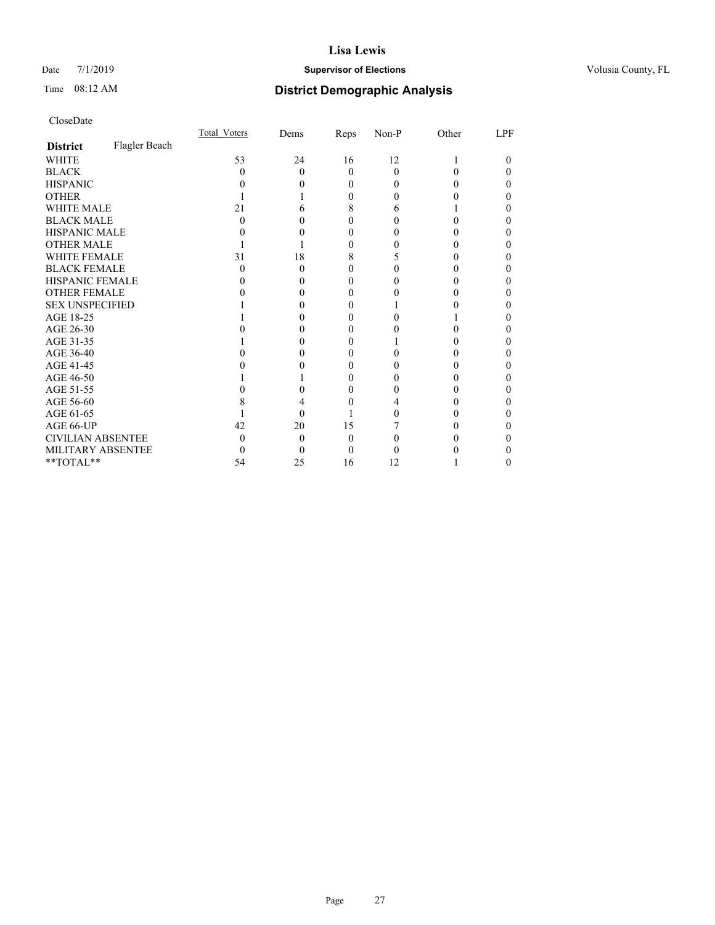## Date 7/1/2019 **Supervisor of Elections Supervisor of Elections** Volusia County, FL

## Time 08:12 AM **District Demographic Analysis**

|                          |               | Total Voters | Dems     | Reps           | Non-P    | Other | LPF      |
|--------------------------|---------------|--------------|----------|----------------|----------|-------|----------|
| <b>District</b>          | Flagler Beach |              |          |                |          |       |          |
| <b>WHITE</b>             |               | 53           | 24       | 16             | 12       |       | $\theta$ |
| <b>BLACK</b>             |               | 0            | $\Omega$ | $\theta$       | $\Omega$ |       |          |
| <b>HISPANIC</b>          |               |              |          | 0              | $\theta$ |       | 0        |
| <b>OTHER</b>             |               |              |          | 0              | $_{0}$   |       |          |
| <b>WHITE MALE</b>        |               | 21           | 6        | 8              | 6        |       |          |
| <b>BLACK MALE</b>        |               | 0            | 0        | 0              | 0        |       | 0        |
| <b>HISPANIC MALE</b>     |               |              | 0        | 0              | 0        |       |          |
| <b>OTHER MALE</b>        |               |              |          | 0              |          |       |          |
| WHITE FEMALE             |               | 31           | 18       | 8              | ↑        |       | 0        |
| <b>BLACK FEMALE</b>      |               | 0            | $\theta$ | $\theta$       |          |       |          |
| <b>HISPANIC FEMALE</b>   |               |              | 0        | 0              |          |       | 0        |
| <b>OTHER FEMALE</b>      |               |              |          | 0              |          |       | 0        |
| <b>SEX UNSPECIFIED</b>   |               |              |          | 0              |          |       |          |
| AGE 18-25                |               |              |          | 0              | 0        |       |          |
| AGE 26-30                |               |              |          | 0              |          |       |          |
| AGE 31-35                |               |              |          | 0              |          |       |          |
| AGE 36-40                |               |              |          | 0              | 0        |       | 0        |
| AGE 41-45                |               |              |          | 0              | 0        |       |          |
| AGE 46-50                |               |              |          | 0              | 0        |       |          |
| AGE 51-55                |               |              |          | 0              |          |       | 0        |
| AGE 56-60                |               |              |          |                |          |       |          |
| AGE 61-65                |               |              | 0        |                | 0        |       |          |
| AGE 66-UP                |               | 42           | 20       | 15             |          |       | 0        |
| <b>CIVILIAN ABSENTEE</b> |               | 0            | $\theta$ | $\overline{0}$ | 0        |       |          |
| MILITARY ABSENTEE        |               | 0            | 0        | 0              |          |       |          |
| **TOTAL**                |               | 54           | 25       | 16             | 12       |       | 0        |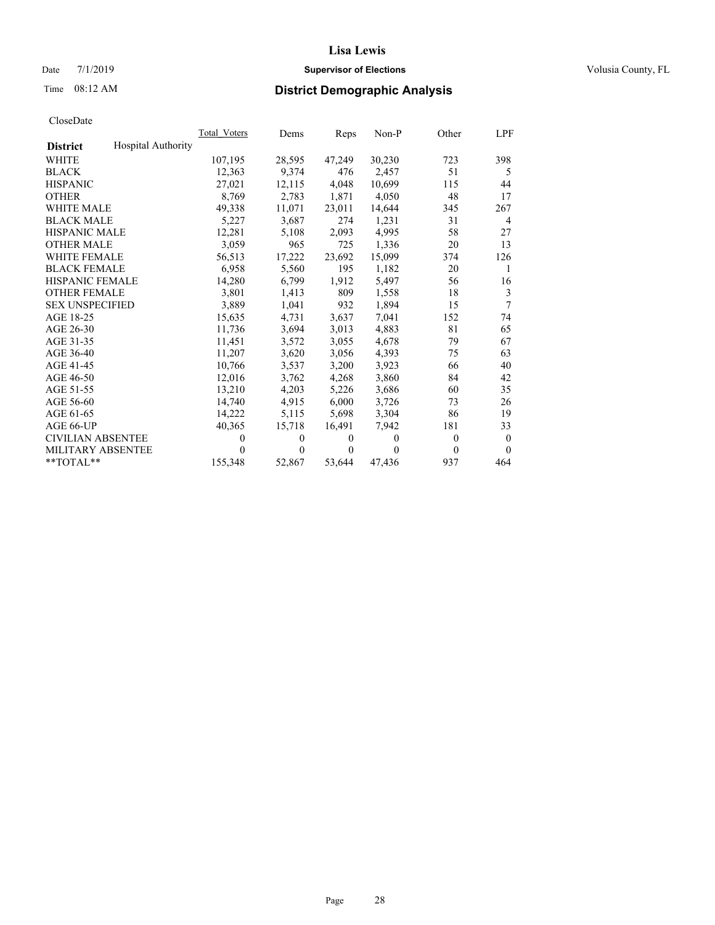## Date 7/1/2019 **Supervisor of Elections Supervisor of Elections** Volusia County, FL

# Time 08:12 AM **District Demographic Analysis**

|                          |                           | Total Voters | Dems   | Reps     | Non-P    | Other    | LPF            |
|--------------------------|---------------------------|--------------|--------|----------|----------|----------|----------------|
| <b>District</b>          | <b>Hospital Authority</b> |              |        |          |          |          |                |
| <b>WHITE</b>             |                           | 107,195      | 28,595 | 47,249   | 30,230   | 723      | 398            |
| <b>BLACK</b>             |                           | 12,363       | 9,374  | 476      | 2,457    | 51       | 5              |
| <b>HISPANIC</b>          |                           | 27,021       | 12,115 | 4,048    | 10.699   | 115      | 44             |
| <b>OTHER</b>             |                           | 8,769        | 2,783  | 1,871    | 4,050    | 48       | 17             |
| WHITE MALE               |                           | 49,338       | 11,071 | 23,011   | 14,644   | 345      | 267            |
| <b>BLACK MALE</b>        |                           | 5,227        | 3,687  | 274      | 1,231    | 31       | $\overline{4}$ |
| <b>HISPANIC MALE</b>     |                           | 12,281       | 5,108  | 2,093    | 4,995    | 58       | 27             |
| <b>OTHER MALE</b>        |                           | 3,059        | 965    | 725      | 1,336    | 20       | 13             |
| <b>WHITE FEMALE</b>      |                           | 56,513       | 17,222 | 23,692   | 15,099   | 374      | 126            |
| <b>BLACK FEMALE</b>      |                           | 6.958        | 5,560  | 195      | 1,182    | 20       | 1              |
| HISPANIC FEMALE          |                           | 14,280       | 6,799  | 1,912    | 5,497    | 56       | 16             |
| <b>OTHER FEMALE</b>      |                           | 3,801        | 1,413  | 809      | 1,558    | 18       | 3              |
| <b>SEX UNSPECIFIED</b>   |                           | 3.889        | 1,041  | 932      | 1,894    | 15       | 7              |
| AGE 18-25                |                           | 15,635       | 4,731  | 3,637    | 7.041    | 152      | 74             |
| AGE 26-30                |                           | 11.736       | 3,694  | 3,013    | 4.883    | 81       | 65             |
| AGE 31-35                |                           | 11,451       | 3,572  | 3,055    | 4,678    | 79       | 67             |
| AGE 36-40                |                           | 11,207       | 3,620  | 3,056    | 4,393    | 75       | 63             |
| AGE 41-45                |                           | 10,766       | 3,537  | 3,200    | 3,923    | 66       | 40             |
| AGE 46-50                |                           | 12,016       | 3,762  | 4,268    | 3,860    | 84       | 42             |
| AGE 51-55                |                           | 13,210       | 4,203  | 5,226    | 3,686    | 60       | 35             |
| AGE 56-60                |                           | 14,740       | 4,915  | 6,000    | 3,726    | 73       | 26             |
| AGE 61-65                |                           | 14,222       | 5,115  | 5,698    | 3,304    | 86       | 19             |
| AGE 66-UP                |                           | 40,365       | 15,718 | 16,491   | 7.942    | 181      | 33             |
| <b>CIVILIAN ABSENTEE</b> |                           | 0            | 0      | $\theta$ | $\Omega$ | $\theta$ | $\theta$       |
| <b>MILITARY ABSENTEE</b> |                           | 0            | 0      | $\theta$ | $\theta$ | $\Omega$ | $\theta$       |
| **TOTAL**                |                           | 155,348      | 52,867 | 53,644   | 47,436   | 937      | 464            |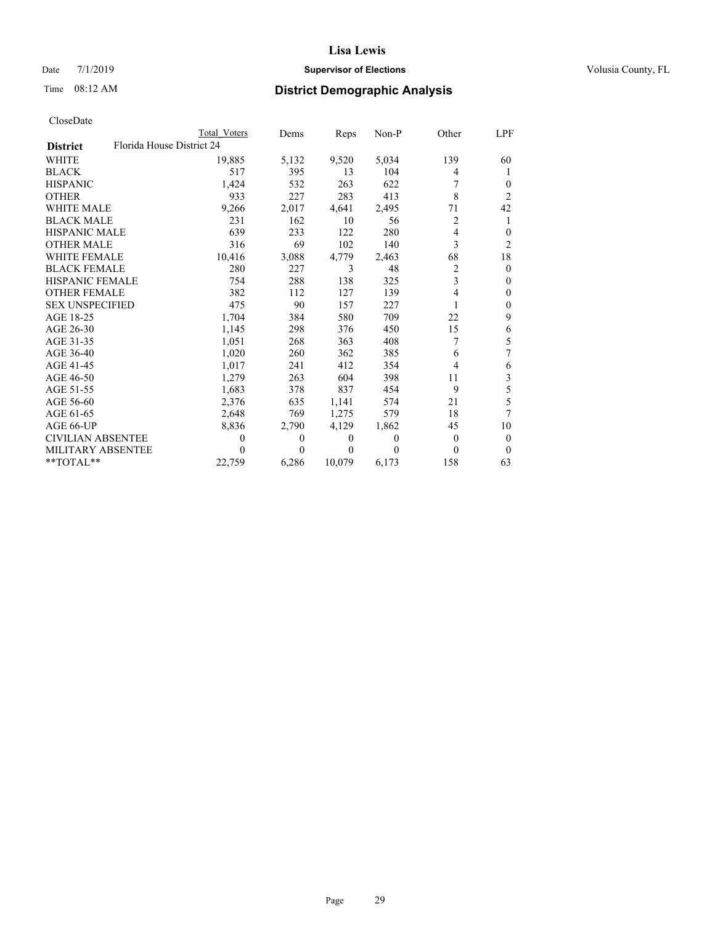## Date 7/1/2019 **Supervisor of Elections Supervisor of Elections** Volusia County, FL

# Time 08:12 AM **District Demographic Analysis**

| CloseDate |
|-----------|
|-----------|

|                                              | Total Voters | Dems     | Reps   | Non-P    | Other    | LPF      |
|----------------------------------------------|--------------|----------|--------|----------|----------|----------|
| Florida House District 24<br><b>District</b> |              |          |        |          |          |          |
| WHITE                                        | 19,885       | 5,132    | 9,520  | 5,034    | 139      | 60       |
| BLACK                                        | 517          | 395      | 13     | 104      | 4        | T        |
| HISPANIC                                     | 1,424        | 532      | 263    | 622      |          | $\Omega$ |
| OTHER                                        | 933          | 227      | 283    | 413      | 8        | 2        |
| WHITE MALE                                   | 9,266        | 2,017    | 4,641  | 2,495    | 71       | 42       |
| <b>BLACK MALE</b>                            | 231          | 162      | 10     | 56       | 2        |          |
| HISPANIC MALE                                | 639          | 233      | 122    | 280      | 4        | $_{0}$   |
| OTHER MALE                                   | 316          | 69       | 102    | 140      | 3        | 2        |
| WHITE FEMALE                                 | 10,416       | 3,088    | 4,779  | 2,463    | 68       | 18       |
| BLACK FEMALE                                 | 280          | 227      | 3      | 48       | 2        | $\Omega$ |
| HISPANIC FEMALE                              | 754          | 288      | 138    | 325      | 3        | $_{0}$   |
| OTHER FEMALE                                 | 382          | 112      | 127    | 139      | 4        | 0        |
| SEX UNSPECIFIED                              | 475          | 90       | 157    | 227      |          | $_{0}$   |
| AGE 18-25                                    | 1,704        | 384      | 580    | 709      | 22       | 9        |
| AGE 26-30                                    | 1,145        | 298      | 376    | 450      | 15       | 6        |
| AGE 31-35                                    | 1,051        | 268      | 363    | 408      |          | 5        |
| AGE 36-40                                    | 1,020        | 260      | 362    | 385      | 6        | 7        |
| AGE 41-45                                    | 1,017        | 241      | 412    | 354      | 4        | 6        |
| AGE 46-50                                    | 1,279        | 263      | 604    | 398      | 11       | 3        |
| AGE 51-55                                    | 1,683        | 378      | 837    | 454      | 9        | 5        |
| AGE 56-60                                    | 2,376        | 635      | 1,141  | 574      | 21       | 5        |
| AGE 61-65                                    | 2,648        | 769      | 1,275  | 579      | 18       |          |
| AGE 66-UP                                    | 8,836        | 2,790    | 4,129  | 1,862    | 45       | 10       |
| CIVILIAN ABSENTEE                            | 0            | $\Omega$ | 0      | $\theta$ | $\Omega$ | $\theta$ |
| MILITARY ABSENTEE                            | 0            | $\Omega$ | 0      | $\Omega$ | $\Omega$ | $\theta$ |
| **TOTAL**                                    | 22,759       | 6,286    | 10,079 | 6,173    | 158      | 63       |
|                                              |              |          |        |          |          |          |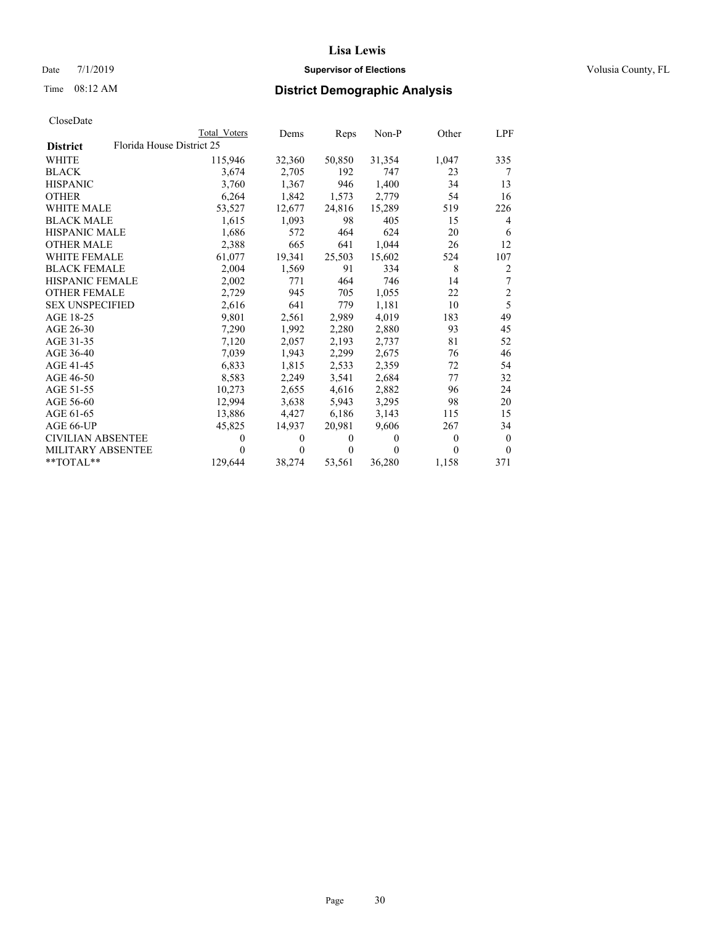## Date 7/1/2019 **Supervisor of Elections Supervisor of Elections** Volusia County, FL

## Time 08:12 AM **District Demographic Analysis**

|                          | Total Voters              | Dems     | Reps           | Non-P    | Other          | LPF            |
|--------------------------|---------------------------|----------|----------------|----------|----------------|----------------|
| <b>District</b>          | Florida House District 25 |          |                |          |                |                |
| <b>WHITE</b>             | 115,946                   | 32,360   | 50,850         | 31,354   | 1,047          | 335            |
| <b>BLACK</b>             | 3,674                     | 2,705    | 192            | 747      | 23             | 7              |
| <b>HISPANIC</b>          | 3,760                     | 1.367    | 946            | 1,400    | 34             | 13             |
| <b>OTHER</b>             | 6,264                     | 1,842    | 1,573          | 2,779    | 54             | 16             |
| <b>WHITE MALE</b>        | 53,527                    | 12,677   | 24,816         | 15,289   | 519            | 226            |
| <b>BLACK MALE</b>        | 1,615                     | 1,093    | 98             | 405      | 15             | $\overline{4}$ |
| <b>HISPANIC MALE</b>     | 1,686                     | 572      | 464            | 624      | 20             | 6              |
| <b>OTHER MALE</b>        | 2,388                     | 665      | 641            | 1,044    | 26             | 12             |
| <b>WHITE FEMALE</b>      | 61,077                    | 19,341   | 25,503         | 15,602   | 524            | 107            |
| <b>BLACK FEMALE</b>      | 2.004                     | 1,569    | 91             | 334      | 8              | $\overline{2}$ |
| <b>HISPANIC FEMALE</b>   | 2,002                     | 771      | 464            | 746      | 14             | 7              |
| <b>OTHER FEMALE</b>      | 2,729                     | 945      | 705            | 1,055    | 22             | $\sqrt{2}$     |
| <b>SEX UNSPECIFIED</b>   | 2,616                     | 641      | 779            | 1,181    | 10             | $\overline{5}$ |
| AGE 18-25                | 9,801                     | 2,561    | 2,989          | 4,019    | 183            | 49             |
| AGE 26-30                | 7,290                     | 1,992    | 2,280          | 2,880    | 93             | 45             |
| AGE 31-35                | 7,120                     | 2,057    | 2,193          | 2,737    | 81             | 52             |
| AGE 36-40                | 7,039                     | 1,943    | 2,299          | 2,675    | 76             | 46             |
| AGE 41-45                | 6,833                     | 1,815    | 2,533          | 2,359    | 72             | 54             |
| AGE 46-50                | 8,583                     | 2,249    | 3,541          | 2,684    | 77             | 32             |
| AGE 51-55                | 10,273                    | 2,655    | 4,616          | 2,882    | 96             | 24             |
| AGE 56-60                | 12,994                    | 3,638    | 5,943          | 3,295    | 98             | 20             |
| AGE 61-65                | 13,886                    | 4,427    | 6,186          | 3,143    | 115            | 15             |
| AGE 66-UP                | 45,825                    | 14,937   | 20,981         | 9,606    | 267            | 34             |
| <b>CIVILIAN ABSENTEE</b> | 0                         | $\theta$ | $\overline{0}$ | $\theta$ | $\overline{0}$ | $\mathbf{0}$   |
| <b>MILITARY ABSENTEE</b> | 0                         | $\theta$ | 0              | 0        | 0              | $\theta$       |
| **TOTAL**                | 129,644                   | 38,274   | 53,561         | 36,280   | 1,158          | 371            |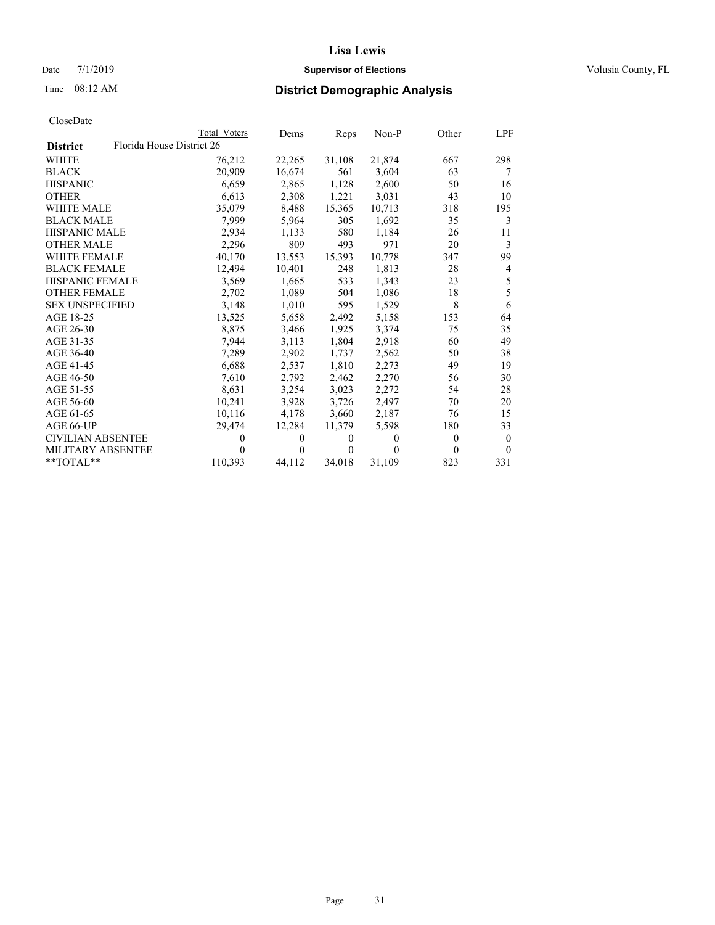## Date 7/1/2019 **Supervisor of Elections Supervisor of Elections** Volusia County, FL

## Time 08:12 AM **District Demographic Analysis**

| CloseDate |
|-----------|
|-----------|

|                          | Total Voters              | Dems           | Reps     | Non-P          | Other          | LPF      |
|--------------------------|---------------------------|----------------|----------|----------------|----------------|----------|
| <b>District</b>          | Florida House District 26 |                |          |                |                |          |
| <b>WHITE</b>             | 76,212                    | 22,265         | 31,108   | 21,874         | 667            | 298      |
| <b>BLACK</b>             | 20,909                    | 16,674         | 561      | 3,604          | 63             | 7        |
| <b>HISPANIC</b>          | 6,659                     | 2,865          | 1,128    | 2,600          | 50             | 16       |
| <b>OTHER</b>             | 6,613                     | 2,308          | 1,221    | 3,031          | 43             | 10       |
| <b>WHITE MALE</b>        | 35,079                    | 8,488          | 15,365   | 10,713         | 318            | 195      |
| <b>BLACK MALE</b>        | 7,999                     | 5,964          | 305      | 1,692          | 35             | 3        |
| <b>HISPANIC MALE</b>     | 2,934                     | 1,133          | 580      | 1,184          | 26             | 11       |
| <b>OTHER MALE</b>        | 2,296                     | 809            | 493      | 971            | 20             | 3        |
| <b>WHITE FEMALE</b>      | 40,170                    | 13,553         | 15,393   | 10,778         | 347            | 99       |
| <b>BLACK FEMALE</b>      | 12,494                    | 10,401         | 248      | 1,813          | 28             | 4        |
| <b>HISPANIC FEMALE</b>   | 3,569                     | 1,665          | 533      | 1,343          | 23             | 5        |
| <b>OTHER FEMALE</b>      | 2,702                     | 1,089          | 504      | 1,086          | 18             | 5        |
| <b>SEX UNSPECIFIED</b>   | 3,148                     | 1,010          | 595      | 1,529          | 8              | 6        |
| AGE 18-25                | 13,525                    | 5,658          | 2,492    | 5,158          | 153            | 64       |
| AGE 26-30                | 8,875                     | 3,466          | 1,925    | 3,374          | 75             | 35       |
| AGE 31-35                | 7,944                     | 3,113          | 1,804    | 2,918          | 60             | 49       |
| AGE 36-40                | 7,289                     | 2,902          | 1,737    | 2,562          | 50             | 38       |
| AGE 41-45                | 6,688                     | 2,537          | 1,810    | 2,273          | 49             | 19       |
| AGE 46-50                | 7,610                     | 2,792          | 2,462    | 2,270          | 56             | 30       |
| AGE 51-55                | 8,631                     | 3,254          | 3,023    | 2,272          | 54             | 28       |
| AGE 56-60                | 10,241                    | 3,928          | 3,726    | 2,497          | 70             | 20       |
| AGE 61-65                | 10,116                    | 4,178          | 3,660    | 2,187          | 76             | 15       |
| AGE 66-UP                | 29,474                    | 12,284         | 11,379   | 5,598          | 180            | 33       |
| <b>CIVILIAN ABSENTEE</b> | 0                         | $\overline{0}$ | $\theta$ | $\overline{0}$ | $\overline{0}$ | $\theta$ |
| MILITARY ABSENTEE        | 0                         | $\Omega$       | $\Omega$ | 0              | $\Omega$       | $\theta$ |
| **TOTAL**                | 110,393                   | 44,112         | 34,018   | 31,109         | 823            | 331      |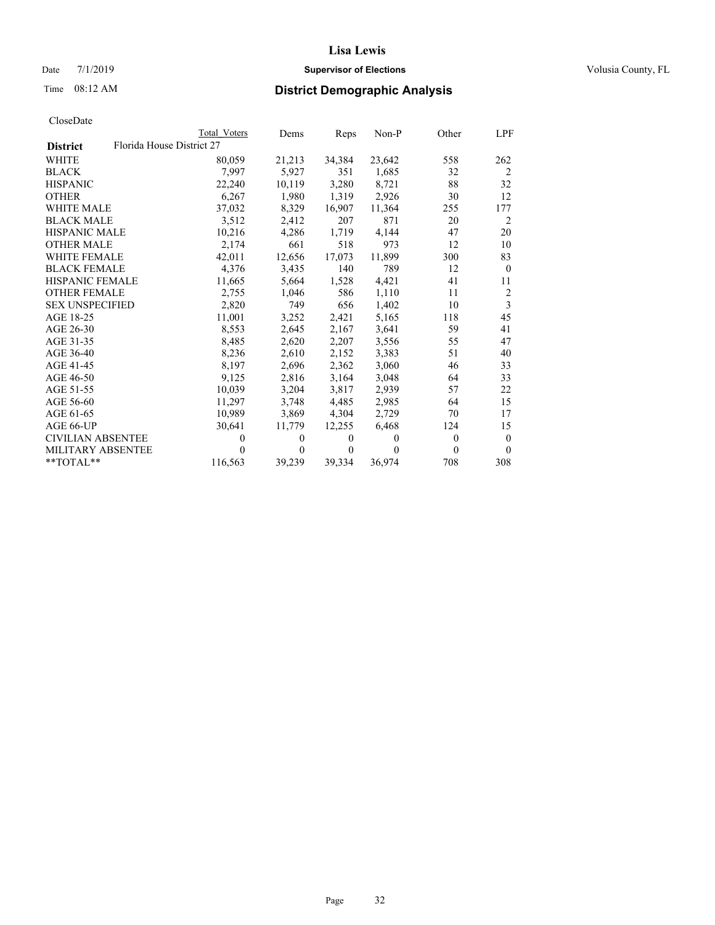## Date 7/1/2019 **Supervisor of Elections Supervisor of Elections** Volusia County, FL

## Time 08:12 AM **District Demographic Analysis**

|                                              | Total Voters   | Dems             | Reps             | Non-P    | Other    | LPF            |
|----------------------------------------------|----------------|------------------|------------------|----------|----------|----------------|
| Florida House District 27<br><b>District</b> |                |                  |                  |          |          |                |
| WHITE                                        | 80,059         | 21,213           | 34,384           | 23,642   | 558      | 262            |
| BLACK                                        | 7,997          | 5,927            | 351              | 1,685    | 32       | 2              |
| HISPANIC                                     | 22,240         | 10,119           | 3,280            | 8,721    | 88       | 32             |
| OTHER                                        | 6,267          | 1,980            | 1,319            | 2,926    | 30       | 12             |
| WHITE MALE                                   | 37,032         | 8,329            | 16,907           | 11,364   | 255      | 177            |
| BLACK MALE                                   | 3,512          | 2,412            | 207              | 871      | 20       | 2              |
| HISPANIC MALE                                | 10,216         | 4,286            | 1,719            | 4,144    | 47       | 20             |
| OTHER MALE                                   | 2,174          | 661              | 518              | 973      | 12       | 10             |
| WHITE FEMALE                                 | 42,011         | 12,656           | 17,073           | 11,899   | 300      | 83             |
| <b>BLACK FEMALE</b>                          | 4,376          | 3,435            | 140              | 789      | 12       | $\mathbf{0}$   |
| HISPANIC FEMALE                              | 11,665         | 5,664            | 1,528            | 4,421    | 41       | 11             |
| <b>OTHER FEMALE</b>                          | 2,755          | 1,046            | 586              | 1,110    | 11       | $\overline{2}$ |
| <b>SEX UNSPECIFIED</b>                       | 2,820          | 749              | 656              | 1.402    | 10       | 3              |
| AGE 18-25                                    | 11,001         | 3,252            | 2,421            | 5,165    | 118      | 45             |
| AGE 26-30                                    | 8,553          | 2,645            | 2,167            | 3,641    | 59       | 41             |
| AGE 31-35                                    | 8,485          | 2,620            | 2,207            | 3,556    | 55       | 47             |
| AGE 36-40                                    | 8,236          | 2,610            | 2,152            | 3,383    | 51       | 40             |
| AGE 41-45                                    | 8,197          | 2,696            | 2,362            | 3,060    | 46       | 33             |
| AGE 46-50                                    | 9,125          | 2,816            | 3,164            | 3,048    | 64       | 33             |
| AGE 51-55                                    | 10.039         | 3,204            | 3,817            | 2,939    | 57       | 22             |
| AGE 56-60                                    | 11,297         | 3,748            | 4,485            | 2,985    | 64       | 15             |
| AGE 61-65                                    | 10,989         | 3,869            | 4,304            | 2,729    | 70       | 17             |
| AGE 66-UP                                    | 30,641         | 11,779           | 12,255           | 6,468    | 124      | 15             |
| CIVILIAN ABSENTEE                            | $\overline{0}$ | $\boldsymbol{0}$ | $\boldsymbol{0}$ | $\theta$ | $\theta$ | $\theta$       |
| MILITARY ABSENTEE                            | 0              | 0                | $\theta$         | $\Omega$ | $\theta$ | $\theta$       |
| $*$ TOTAL $*$                                | 116,563        | 39,239           | 39,334           | 36,974   | 708      | 308            |
|                                              |                |                  |                  |          |          |                |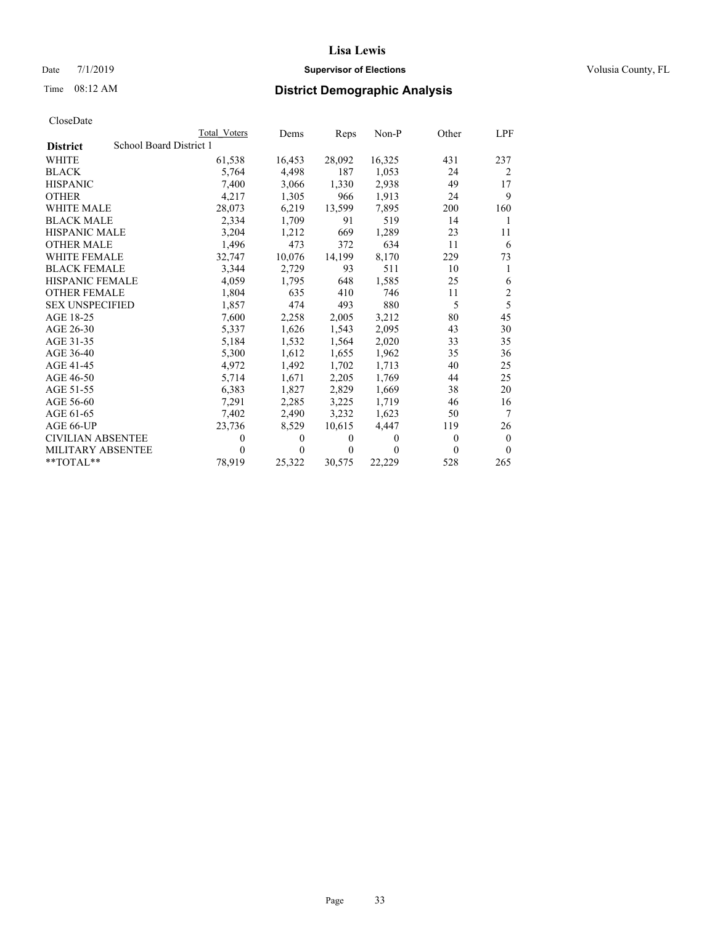## Date 7/1/2019 **Supervisor of Elections Supervisor of Elections** Volusia County, FL

# Time 08:12 AM **District Demographic Analysis**

|                          | Total Voters            | Dems     | Reps   | Non-P  | Other    | LPF            |
|--------------------------|-------------------------|----------|--------|--------|----------|----------------|
| <b>District</b>          | School Board District 1 |          |        |        |          |                |
| <b>WHITE</b>             | 61,538                  | 16,453   | 28,092 | 16,325 | 431      | 237            |
| <b>BLACK</b>             | 5,764                   | 4,498    | 187    | 1,053  | 24       | 2              |
| <b>HISPANIC</b>          | 7,400                   | 3,066    | 1,330  | 2,938  | 49       | 17             |
| <b>OTHER</b>             | 4,217                   | 1,305    | 966    | 1,913  | 24       | 9              |
| WHITE MALE               | 28,073                  | 6,219    | 13,599 | 7,895  | 200      | 160            |
| <b>BLACK MALE</b>        | 2,334                   | 1,709    | 91     | 519    | 14       | 1              |
| <b>HISPANIC MALE</b>     | 3,204                   | 1,212    | 669    | 1,289  | 23       | 11             |
| <b>OTHER MALE</b>        | 1,496                   | 473      | 372    | 634    | 11       | 6              |
| WHITE FEMALE             | 32,747                  | 10,076   | 14,199 | 8,170  | 229      | 73             |
| <b>BLACK FEMALE</b>      | 3,344                   | 2,729    | 93     | 511    | 10       | 1              |
| <b>HISPANIC FEMALE</b>   | 4,059                   | 1,795    | 648    | 1,585  | 25       | 6              |
| <b>OTHER FEMALE</b>      | 1,804                   | 635      | 410    | 746    | 11       | $\overline{2}$ |
| <b>SEX UNSPECIFIED</b>   | 1,857                   | 474      | 493    | 880    | 5        | 5              |
| AGE 18-25                | 7,600                   | 2,258    | 2,005  | 3,212  | 80       | 45             |
| AGE 26-30                | 5.337                   | 1,626    | 1,543  | 2,095  | 43       | 30             |
| AGE 31-35                | 5,184                   | 1,532    | 1,564  | 2,020  | 33       | 35             |
| AGE 36-40                | 5,300                   | 1,612    | 1,655  | 1,962  | 35       | 36             |
| AGE 41-45                | 4,972                   | 1,492    | 1,702  | 1,713  | 40       | 25             |
| AGE 46-50                | 5,714                   | 1,671    | 2,205  | 1,769  | 44       | 25             |
| AGE 51-55                | 6,383                   | 1,827    | 2,829  | 1,669  | 38       | 20             |
| AGE 56-60                | 7,291                   | 2,285    | 3,225  | 1,719  | 46       | 16             |
| AGE 61-65                | 7,402                   | 2,490    | 3,232  | 1,623  | 50       | $\tau$         |
| AGE 66-UP                | 23,736                  | 8,529    | 10,615 | 4,447  | 119      | 26             |
| <b>CIVILIAN ABSENTEE</b> | $\theta$                | $\Omega$ | 0      | 0      | $\Omega$ | $\theta$       |
| MILITARY ABSENTEE        | $\theta$                | 0        | 0      | 0      | 0        | $\theta$       |
| $*$ TOTAL $*$            | 78,919                  | 25,322   | 30,575 | 22,229 | 528      | 265            |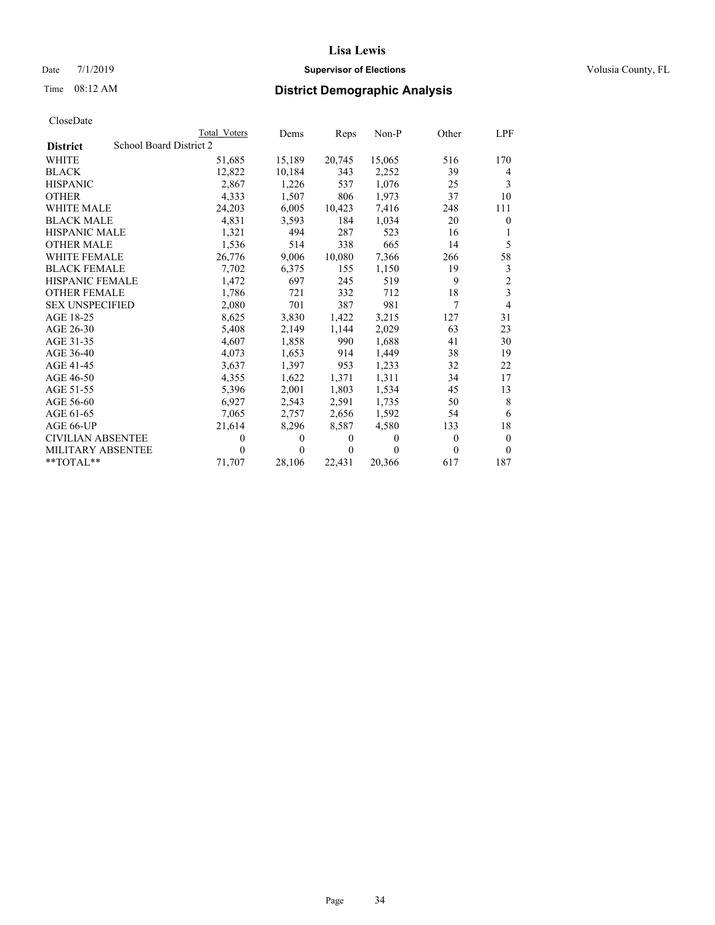## Date 7/1/2019 **Supervisor of Elections Supervisor of Elections** Volusia County, FL

# Time 08:12 AM **District Demographic Analysis**

|                          |                         | Total Voters | Dems     | Reps   | Non-P  | Other    | LPF            |
|--------------------------|-------------------------|--------------|----------|--------|--------|----------|----------------|
| <b>District</b>          | School Board District 2 |              |          |        |        |          |                |
| <b>WHITE</b>             |                         | 51,685       | 15,189   | 20,745 | 15,065 | 516      | 170            |
| <b>BLACK</b>             |                         | 12,822       | 10,184   | 343    | 2,252  | 39       | 4              |
| <b>HISPANIC</b>          |                         | 2.867        | 1,226    | 537    | 1.076  | 25       | 3              |
| <b>OTHER</b>             |                         | 4,333        | 1,507    | 806    | 1,973  | 37       | 10             |
| WHITE MALE               |                         | 24,203       | 6,005    | 10,423 | 7,416  | 248      | 111            |
| <b>BLACK MALE</b>        |                         | 4,831        | 3,593    | 184    | 1,034  | 20       | $\theta$       |
| <b>HISPANIC MALE</b>     |                         | 1,321        | 494      | 287    | 523    | 16       | 1              |
| <b>OTHER MALE</b>        |                         | 1,536        | 514      | 338    | 665    | 14       | 5              |
| <b>WHITE FEMALE</b>      |                         | 26,776       | 9,006    | 10,080 | 7,366  | 266      | 58             |
| <b>BLACK FEMALE</b>      |                         | 7,702        | 6,375    | 155    | 1,150  | 19       | 3              |
| <b>HISPANIC FEMALE</b>   |                         | 1,472        | 697      | 245    | 519    | 9        | $\overline{2}$ |
| <b>OTHER FEMALE</b>      |                         | 1,786        | 721      | 332    | 712    | 18       | 3              |
| <b>SEX UNSPECIFIED</b>   |                         | 2,080        | 701      | 387    | 981    | 7        | $\overline{4}$ |
| AGE 18-25                |                         | 8,625        | 3,830    | 1,422  | 3,215  | 127      | 31             |
| AGE 26-30                |                         | 5,408        | 2,149    | 1,144  | 2,029  | 63       | 23             |
| AGE 31-35                |                         | 4,607        | 1,858    | 990    | 1,688  | 41       | 30             |
| AGE 36-40                |                         | 4,073        | 1,653    | 914    | 1,449  | 38       | 19             |
| AGE 41-45                |                         | 3,637        | 1.397    | 953    | 1,233  | 32       | 22             |
| AGE 46-50                |                         | 4,355        | 1,622    | 1,371  | 1,311  | 34       | 17             |
| AGE 51-55                |                         | 5,396        | 2,001    | 1,803  | 1,534  | 45       | 13             |
| AGE 56-60                |                         | 6,927        | 2,543    | 2,591  | 1,735  | 50       | 8              |
| AGE 61-65                |                         | 7,065        | 2,757    | 2,656  | 1,592  | 54       | 6              |
| AGE 66-UP                |                         | 21,614       | 8,296    | 8,587  | 4,580  | 133      | 18             |
| <b>CIVILIAN ABSENTEE</b> |                         | $\theta$     | $\Omega$ | 0      | 0      | $\Omega$ | $\theta$       |
| <b>MILITARY ABSENTEE</b> |                         | $\theta$     | 0        | 0      | 0      | $\Omega$ | $\theta$       |
| $*$ TOTAL $*$            |                         | 71,707       | 28,106   | 22,431 | 20,366 | 617      | 187            |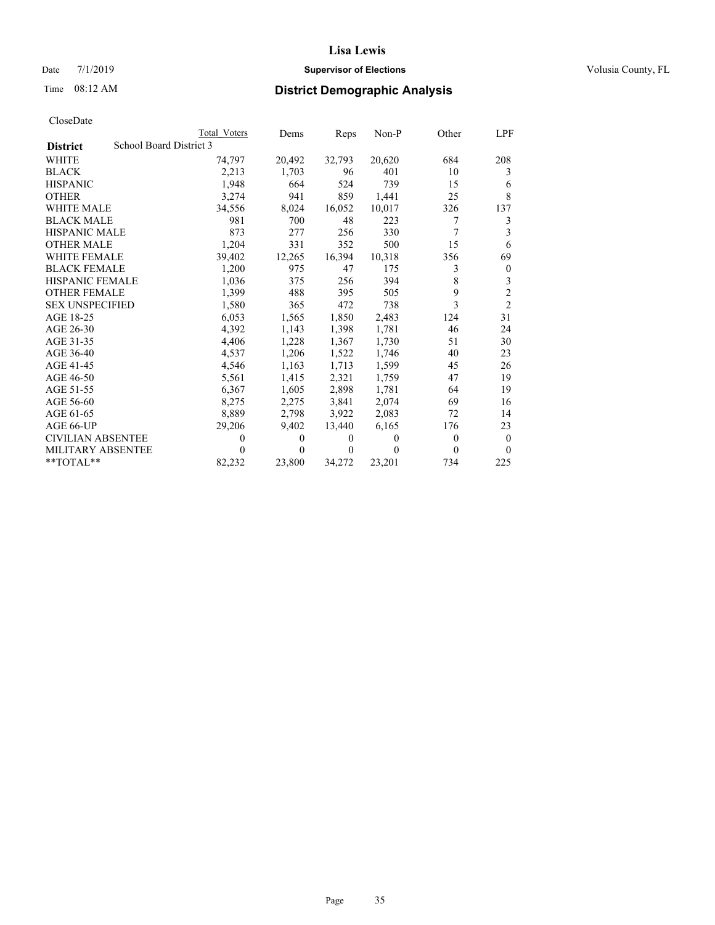## Date 7/1/2019 **Supervisor of Elections Supervisor of Elections** Volusia County, FL

# Time 08:12 AM **District Demographic Analysis**

|                          |                         | Total Voters | Dems     | Reps   | Non-P    | Other    | LPF            |
|--------------------------|-------------------------|--------------|----------|--------|----------|----------|----------------|
| <b>District</b>          | School Board District 3 |              |          |        |          |          |                |
| <b>WHITE</b>             |                         | 74,797       | 20,492   | 32,793 | 20,620   | 684      | 208            |
| <b>BLACK</b>             |                         | 2,213        | 1,703    | 96     | 401      | 10       | 3              |
| <b>HISPANIC</b>          |                         | 1.948        | 664      | 524    | 739      | 15       | 6              |
| <b>OTHER</b>             |                         | 3,274        | 941      | 859    | 1,441    | 25       | 8              |
| WHITE MALE               |                         | 34,556       | 8,024    | 16,052 | 10,017   | 326      | 137            |
| <b>BLACK MALE</b>        |                         | 981          | 700      | 48     | 223      | 7        | 3              |
| <b>HISPANIC MALE</b>     |                         | 873          | 277      | 256    | 330      | 7        | 3              |
| <b>OTHER MALE</b>        |                         | 1,204        | 331      | 352    | 500      | 15       | 6              |
| <b>WHITE FEMALE</b>      |                         | 39,402       | 12,265   | 16,394 | 10,318   | 356      | 69             |
| <b>BLACK FEMALE</b>      |                         | 1,200        | 975      | 47     | 175      | 3        | $\theta$       |
| <b>HISPANIC FEMALE</b>   |                         | 1,036        | 375      | 256    | 394      | 8        | 3              |
| <b>OTHER FEMALE</b>      |                         | 1,399        | 488      | 395    | 505      | 9        | $\overline{c}$ |
| <b>SEX UNSPECIFIED</b>   |                         | 1,580        | 365      | 472    | 738      | 3        | $\overline{2}$ |
| AGE 18-25                |                         | 6,053        | 1,565    | 1,850  | 2,483    | 124      | 31             |
| AGE 26-30                |                         | 4,392        | 1,143    | 1,398  | 1,781    | 46       | 24             |
| AGE 31-35                |                         | 4,406        | 1,228    | 1,367  | 1,730    | 51       | 30             |
| AGE 36-40                |                         | 4,537        | 1,206    | 1,522  | 1,746    | 40       | 23             |
| AGE 41-45                |                         | 4,546        | 1,163    | 1,713  | 1,599    | 45       | 26             |
| AGE 46-50                |                         | 5,561        | 1,415    | 2,321  | 1,759    | 47       | 19             |
| AGE 51-55                |                         | 6,367        | 1,605    | 2,898  | 1,781    | 64       | 19             |
| AGE 56-60                |                         | 8,275        | 2,275    | 3,841  | 2,074    | 69       | 16             |
| AGE 61-65                |                         | 8,889        | 2,798    | 3,922  | 2,083    | 72       | 14             |
| AGE 66-UP                |                         | 29,206       | 9,402    | 13,440 | 6,165    | 176      | 23             |
| <b>CIVILIAN ABSENTEE</b> |                         | $_{0}$       | 0        | 0      | $\theta$ | $\Omega$ | $\theta$       |
| MILITARY ABSENTEE        |                         | 0            | $\theta$ | 0      | 0        | $\Omega$ | $\theta$       |
| **TOTAL**                |                         | 82,232       | 23,800   | 34,272 | 23,201   | 734      | 225            |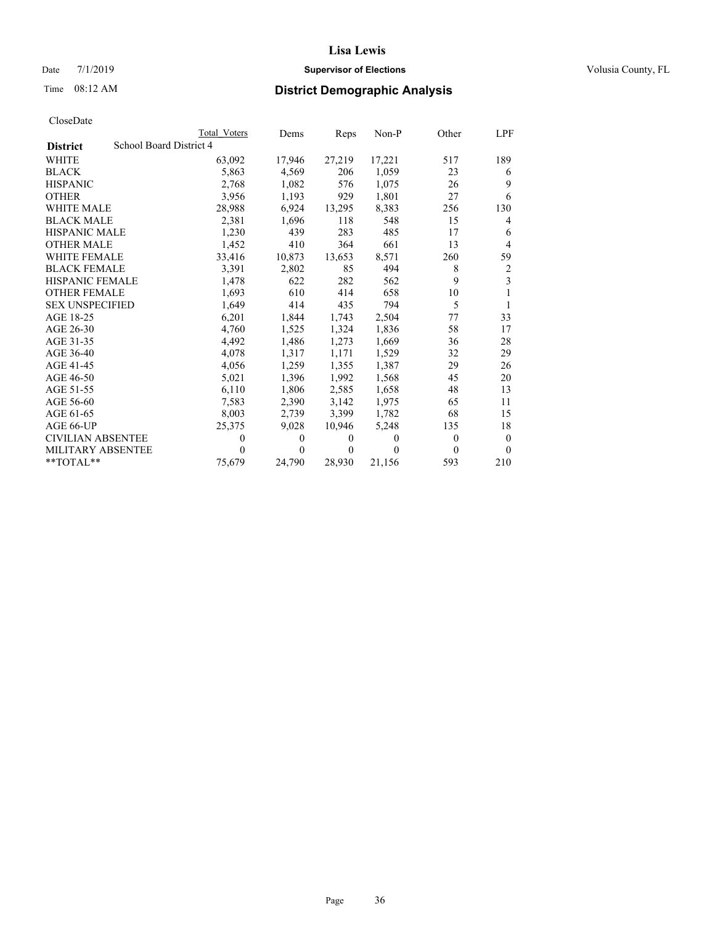## Date 7/1/2019 **Supervisor of Elections Supervisor of Elections** Volusia County, FL

# Time 08:12 AM **District Demographic Analysis**

|                          |                         | Total Voters | Dems     | Reps             | Non-P    | Other    | LPF            |
|--------------------------|-------------------------|--------------|----------|------------------|----------|----------|----------------|
| <b>District</b>          | School Board District 4 |              |          |                  |          |          |                |
| <b>WHITE</b>             |                         | 63,092       | 17,946   | 27,219           | 17,221   | 517      | 189            |
| <b>BLACK</b>             |                         | 5,863        | 4,569    | 206              | 1,059    | 23       | 6              |
| <b>HISPANIC</b>          |                         | 2,768        | 1,082    | 576              | 1,075    | 26       | 9              |
| <b>OTHER</b>             |                         | 3,956        | 1,193    | 929              | 1,801    | 27       | 6              |
| WHITE MALE               |                         | 28,988       | 6,924    | 13,295           | 8,383    | 256      | 130            |
| <b>BLACK MALE</b>        |                         | 2,381        | 1,696    | 118              | 548      | 15       | $\overline{4}$ |
| <b>HISPANIC MALE</b>     |                         | 1,230        | 439      | 283              | 485      | 17       | 6              |
| <b>OTHER MALE</b>        |                         | 1,452        | 410      | 364              | 661      | 13       | 4              |
| <b>WHITE FEMALE</b>      |                         | 33,416       | 10,873   | 13,653           | 8,571    | 260      | 59             |
| <b>BLACK FEMALE</b>      |                         | 3,391        | 2,802    | 85               | 494      | 8        | $\overline{2}$ |
| <b>HISPANIC FEMALE</b>   |                         | 1,478        | 622      | 282              | 562      | 9        | 3              |
| <b>OTHER FEMALE</b>      |                         | 1,693        | 610      | 414              | 658      | 10       |                |
| <b>SEX UNSPECIFIED</b>   |                         | 1,649        | 414      | 435              | 794      | 5        | 1              |
| AGE 18-25                |                         | 6,201        | 1,844    | 1,743            | 2,504    | 77       | 33             |
| AGE 26-30                |                         | 4,760        | 1,525    | 1,324            | 1,836    | 58       | 17             |
| AGE 31-35                |                         | 4,492        | 1,486    | 1,273            | 1,669    | 36       | 28             |
| AGE 36-40                |                         | 4,078        | 1,317    | 1,171            | 1,529    | 32       | 29             |
| AGE 41-45                |                         | 4,056        | 1,259    | 1,355            | 1,387    | 29       | 26             |
| AGE 46-50                |                         | 5,021        | 1,396    | 1,992            | 1,568    | 45       | 20             |
| AGE 51-55                |                         | 6,110        | 1,806    | 2,585            | 1,658    | 48       | 13             |
| AGE 56-60                |                         | 7,583        | 2,390    | 3,142            | 1,975    | 65       | 11             |
| AGE 61-65                |                         | 8,003        | 2,739    | 3,399            | 1,782    | 68       | 15             |
| AGE 66-UP                |                         | 25,375       | 9,028    | 10,946           | 5,248    | 135      | 18             |
| <b>CIVILIAN ABSENTEE</b> |                         | $\theta$     | $\theta$ | $\boldsymbol{0}$ | $\theta$ | $\Omega$ | $\theta$       |
| MILITARY ABSENTEE        |                         | $\theta$     | $\theta$ | $\Omega$         | $\theta$ | $\Omega$ | $\Omega$       |
| $*$ TOTAL $*$            |                         | 75,679       | 24,790   | 28,930           | 21,156   | 593      | 210            |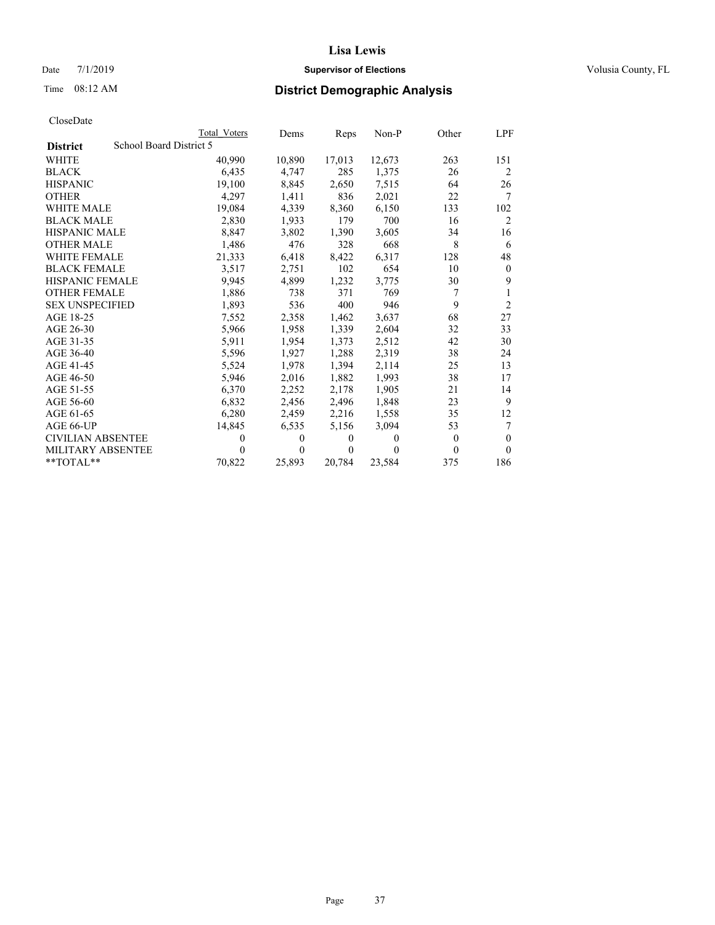# Date 7/1/2019 **Supervisor of Elections Supervisor of Elections** Volusia County, FL

# Time 08:12 AM **District Demographic Analysis**

|                          | Total Voters            | Dems     | Reps   | Non-P    | Other | LPF            |
|--------------------------|-------------------------|----------|--------|----------|-------|----------------|
| <b>District</b>          | School Board District 5 |          |        |          |       |                |
| <b>WHITE</b>             | 40,990                  | 10,890   | 17,013 | 12,673   | 263   | 151            |
| <b>BLACK</b>             | 6,435                   | 4,747    | 285    | 1,375    | 26    | 2              |
| <b>HISPANIC</b>          | 19.100                  | 8,845    | 2,650  | 7,515    | 64    | 26             |
| <b>OTHER</b>             | 4.297                   | 1,411    | 836    | 2,021    | 22    | 7              |
| WHITE MALE               | 19,084                  | 4,339    | 8,360  | 6,150    | 133   | 102            |
| <b>BLACK MALE</b>        | 2,830                   | 1,933    | 179    | 700      | 16    | $\overline{2}$ |
| <b>HISPANIC MALE</b>     | 8,847                   | 3,802    | 1,390  | 3,605    | 34    | 16             |
| <b>OTHER MALE</b>        | 1,486                   | 476      | 328    | 668      | 8     | 6              |
| WHITE FEMALE             | 21,333                  | 6,418    | 8,422  | 6,317    | 128   | 48             |
| <b>BLACK FEMALE</b>      | 3,517                   | 2,751    | 102    | 654      | 10    | $\mathbf{0}$   |
| <b>HISPANIC FEMALE</b>   | 9,945                   | 4,899    | 1,232  | 3,775    | 30    | 9              |
| <b>OTHER FEMALE</b>      | 1,886                   | 738      | 371    | 769      | 7     | 1              |
| <b>SEX UNSPECIFIED</b>   | 1,893                   | 536      | 400    | 946      | 9     | $\overline{2}$ |
| AGE 18-25                | 7,552                   | 2,358    | 1,462  | 3,637    | 68    | 27             |
| AGE 26-30                | 5,966                   | 1,958    | 1,339  | 2,604    | 32    | 33             |
| AGE 31-35                | 5,911                   | 1,954    | 1,373  | 2,512    | 42    | 30             |
| AGE 36-40                | 5,596                   | 1,927    | 1,288  | 2,319    | 38    | 24             |
| AGE 41-45                | 5,524                   | 1,978    | 1,394  | 2,114    | 25    | 13             |
| AGE 46-50                | 5,946                   | 2,016    | 1,882  | 1,993    | 38    | 17             |
| AGE 51-55                | 6,370                   | 2,252    | 2.178  | 1,905    | 21    | 14             |
| AGE 56-60                | 6,832                   | 2,456    | 2,496  | 1,848    | 23    | 9              |
| AGE 61-65                | 6,280                   | 2,459    | 2,216  | 1,558    | 35    | 12             |
| AGE 66-UP                | 14,845                  | 6,535    | 5,156  | 3,094    | 53    | 7              |
| <b>CIVILIAN ABSENTEE</b> | $\theta$                | $\theta$ | 0      | $\theta$ | 0     | $\Omega$       |
| MILITARY ABSENTEE        | $\theta$                | 0        | 0      | 0        | 0     | $\Omega$       |
| $*$ TOTAL $*$            | 70,822                  | 25,893   | 20,784 | 23,584   | 375   | 186            |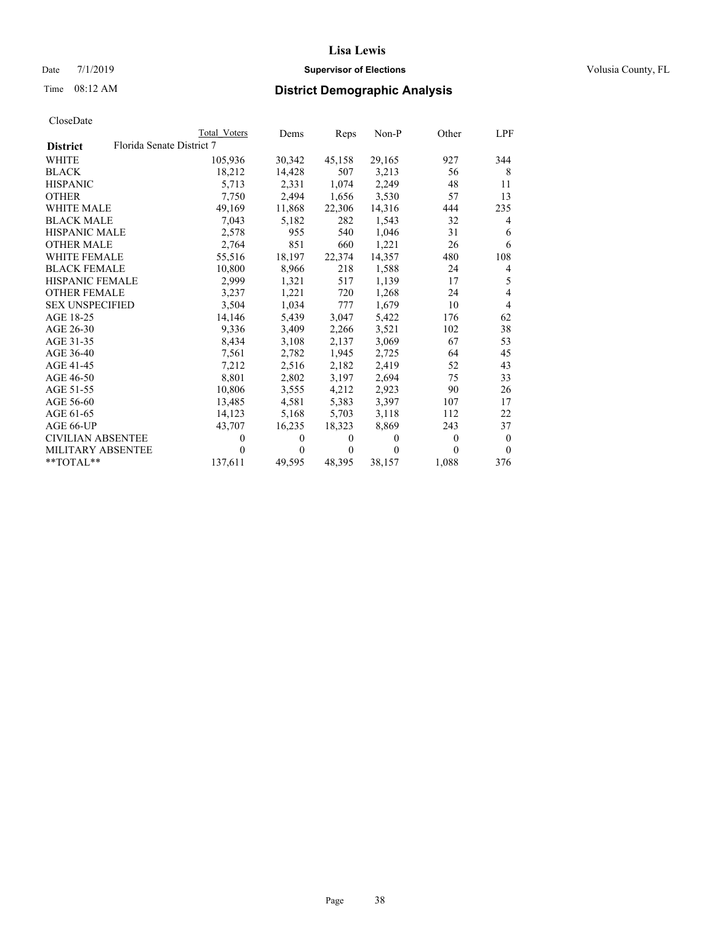# Date 7/1/2019 **Supervisor of Elections Supervisor of Elections** Volusia County, FL

# Time 08:12 AM **District Demographic Analysis**

|                                              | Total Voters | Dems           | Reps             | Non-P    | Other          | LPF            |
|----------------------------------------------|--------------|----------------|------------------|----------|----------------|----------------|
| Florida Senate District 7<br><b>District</b> |              |                |                  |          |                |                |
| <b>WHITE</b>                                 | 105,936      | 30,342         | 45,158           | 29,165   | 927            | 344            |
| <b>BLACK</b>                                 | 18,212       | 14,428         | 507              | 3,213    | 56             | 8              |
| <b>HISPANIC</b>                              | 5,713        | 2.331          | 1,074            | 2,249    | 48             | 11             |
| <b>OTHER</b>                                 | 7,750        | 2,494          | 1,656            | 3,530    | 57             | 13             |
| <b>WHITE MALE</b>                            | 49,169       | 11,868         | 22,306           | 14,316   | 444            | 235            |
| <b>BLACK MALE</b>                            | 7,043        | 5,182          | 282              | 1,543    | 32             | 4              |
| <b>HISPANIC MALE</b>                         | 2,578        | 955            | 540              | 1,046    | 31             | 6              |
| <b>OTHER MALE</b>                            | 2,764        | 851            | 660              | 1,221    | 26             | 6              |
| <b>WHITE FEMALE</b>                          | 55,516       | 18,197         | 22,374           | 14,357   | 480            | 108            |
| <b>BLACK FEMALE</b>                          | 10.800       | 8,966          | 218              | 1,588    | 24             | 4              |
| <b>HISPANIC FEMALE</b>                       | 2,999        | 1,321          | 517              | 1,139    | 17             | 5              |
| <b>OTHER FEMALE</b>                          | 3,237        | 1,221          | 720              | 1,268    | 24             | 4              |
| <b>SEX UNSPECIFIED</b>                       | 3,504        | 1,034          | 777              | 1,679    | 10             | $\overline{4}$ |
| AGE 18-25                                    | 14,146       | 5,439          | 3,047            | 5,422    | 176            | 62             |
| AGE 26-30                                    | 9,336        | 3,409          | 2,266            | 3,521    | 102            | 38             |
| AGE 31-35                                    | 8,434        | 3,108          | 2,137            | 3,069    | 67             | 53             |
| AGE 36-40                                    | 7,561        | 2,782          | 1,945            | 2.725    | 64             | 45             |
| AGE 41-45                                    | 7,212        | 2,516          | 2,182            | 2,419    | 52             | 43             |
| AGE 46-50                                    | 8,801        | 2,802          | 3,197            | 2,694    | 75             | 33             |
| AGE 51-55                                    | 10,806       | 3,555          | 4,212            | 2,923    | 90             | 26             |
| AGE 56-60                                    | 13,485       | 4,581          | 5,383            | 3,397    | 107            | 17             |
| AGE 61-65                                    | 14,123       | 5,168          | 5,703            | 3,118    | 112            | 22             |
| AGE 66-UP                                    | 43,707       | 16,235         | 18,323           | 8,869    | 243            | 37             |
| <b>CIVILIAN ABSENTEE</b>                     | 0            | $\overline{0}$ | $\boldsymbol{0}$ | $\theta$ | $\overline{0}$ | $\mathbf{0}$   |
| <b>MILITARY ABSENTEE</b>                     | 0            | 0              | 0                | 0        | 0              | $\theta$       |
| **TOTAL**                                    | 137,611      | 49,595         | 48,395           | 38,157   | 1,088          | 376            |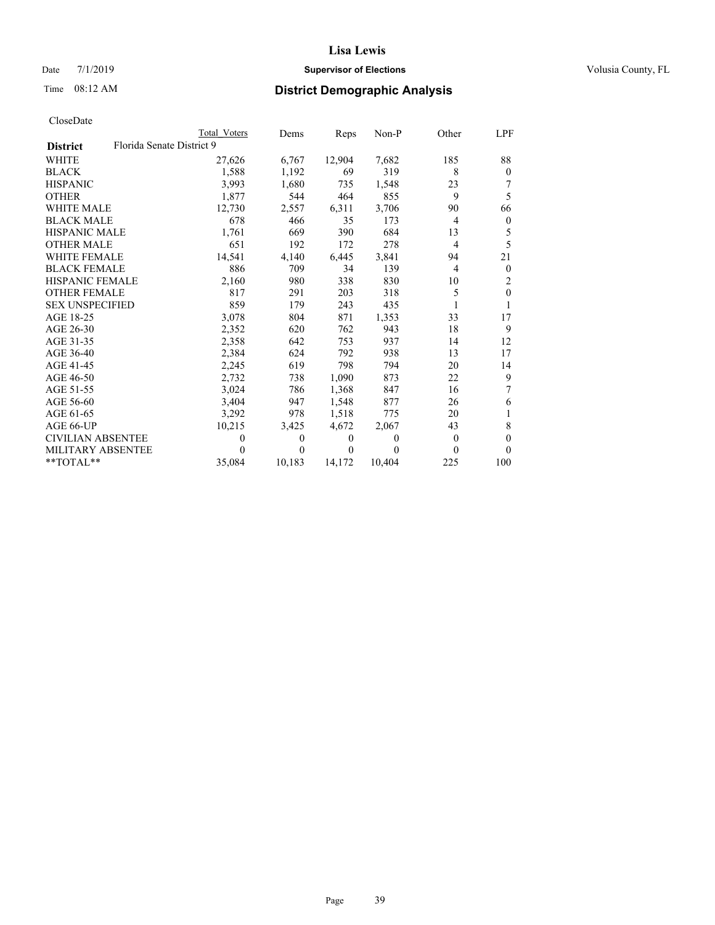# Date 7/1/2019 **Supervisor of Elections Supervisor of Elections** Volusia County, FL

# Time 08:12 AM **District Demographic Analysis**

|                                              | Total Voters | Dems     | Reps           | Non-P  | Other          | LPF              |
|----------------------------------------------|--------------|----------|----------------|--------|----------------|------------------|
| Florida Senate District 9<br><b>District</b> |              |          |                |        |                |                  |
| <b>WHITE</b>                                 | 27,626       | 6,767    | 12,904         | 7,682  | 185            | 88               |
| <b>BLACK</b>                                 | 1,588        | 1,192    | 69             | 319    | 8              | $\Omega$         |
| <b>HISPANIC</b>                              | 3,993        | 1,680    | 735            | 1,548  | 23             | 7                |
| <b>OTHER</b>                                 | 1,877        | 544      | 464            | 855    | 9              | 5                |
| WHITE MALE                                   | 12,730       | 2,557    | 6,311          | 3,706  | 90             | 66               |
| <b>BLACK MALE</b>                            | 678          | 466      | 35             | 173    | 4              | $\mathbf{0}$     |
| <b>HISPANIC MALE</b>                         | 1,761        | 669      | 390            | 684    | 13             | 5                |
| <b>OTHER MALE</b>                            | 651          | 192      | 172            | 278    | $\overline{4}$ | 5                |
| <b>WHITE FEMALE</b>                          | 14,541       | 4,140    | 6,445          | 3,841  | 94             | 21               |
| <b>BLACK FEMALE</b>                          | 886          | 709      | 34             | 139    | 4              | $\mathbf{0}$     |
| <b>HISPANIC FEMALE</b>                       | 2,160        | 980      | 338            | 830    | 10             | 2                |
| <b>OTHER FEMALE</b>                          | 817          | 291      | 203            | 318    | 5              | $\boldsymbol{0}$ |
| <b>SEX UNSPECIFIED</b>                       | 859          | 179      | 243            | 435    |                |                  |
| AGE 18-25                                    | 3,078        | 804      | 871            | 1,353  | 33             | 17               |
| AGE 26-30                                    | 2.352        | 620      | 762            | 943    | 18             | 9                |
| AGE 31-35                                    | 2,358        | 642      | 753            | 937    | 14             | 12               |
| AGE 36-40                                    | 2,384        | 624      | 792            | 938    | 13             | 17               |
| AGE 41-45                                    | 2,245        | 619      | 798            | 794    | 20             | 14               |
| AGE 46-50                                    | 2,732        | 738      | 1,090          | 873    | 22             | 9                |
| AGE 51-55                                    | 3,024        | 786      | 1,368          | 847    | 16             | 7                |
| AGE 56-60                                    | 3,404        | 947      | 1,548          | 877    | 26             | 6                |
| AGE 61-65                                    | 3,292        | 978      | 1,518          | 775    | 20             | 1                |
| AGE 66-UP                                    | 10,215       | 3,425    | 4,672          | 2,067  | 43             | 8                |
| <b>CIVILIAN ABSENTEE</b>                     | $\theta$     | $\theta$ | $\overline{0}$ | 0      | $\theta$       | 0                |
| <b>MILITARY ABSENTEE</b>                     | $\theta$     | 0        | $\theta$       | 0      | 0              | 0                |
| **TOTAL**                                    | 35,084       | 10,183   | 14,172         | 10,404 | 225            | 100              |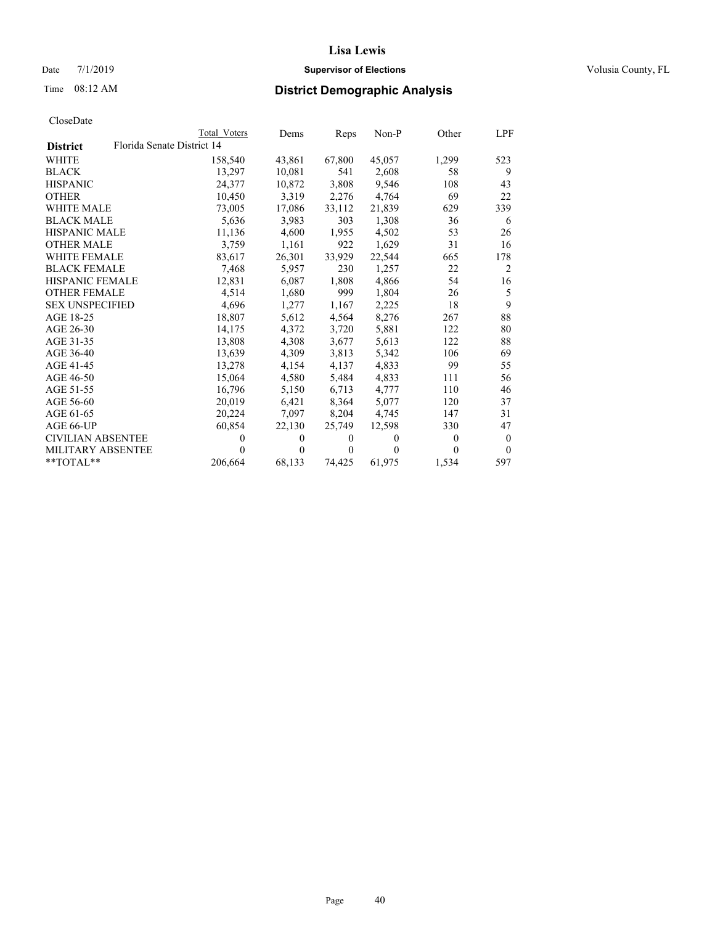# Date 7/1/2019 **Supervisor of Elections Supervisor of Elections** Volusia County, FL

# Time 08:12 AM **District Demographic Analysis**

|                          | Total Voters | Dems                       |          |        | Other | LPF            |
|--------------------------|--------------|----------------------------|----------|--------|-------|----------------|
|                          |              |                            |          |        |       |                |
|                          | 158,540      | 43,861                     | 67,800   | 45,057 | 1,299 | 523            |
|                          | 13,297       | 10,081                     | 541      | 2,608  | 58    | 9              |
|                          | 24,377       | 10,872                     | 3,808    | 9,546  | 108   | 43             |
|                          | 10,450       | 3,319                      | 2,276    | 4,764  | 69    | 22             |
|                          | 73,005       | 17,086                     | 33,112   | 21.839 | 629   | 339            |
|                          | 5,636        | 3,983                      | 303      | 1,308  | 36    | 6              |
| <b>HISPANIC MALE</b>     | 11,136       | 4,600                      | 1,955    | 4,502  | 53    | 26             |
|                          | 3.759        | 1,161                      | 922      | 1,629  | 31    | 16             |
| <b>WHITE FEMALE</b>      | 83,617       | 26,301                     | 33,929   | 22,544 | 665   | 178            |
| <b>BLACK FEMALE</b>      | 7,468        | 5,957                      | 230      | 1,257  | 22    | $\overline{2}$ |
| HISPANIC FEMALE          | 12,831       | 6,087                      | 1,808    | 4,866  | 54    | 16             |
| <b>OTHER FEMALE</b>      | 4.514        | 1,680                      | 999      | 1,804  | 26    | 5              |
| <b>SEX UNSPECIFIED</b>   | 4.696        | 1,277                      | 1,167    | 2,225  | 18    | 9              |
|                          | 18,807       | 5,612                      | 4,564    | 8,276  | 267   | 88             |
|                          | 14,175       | 4,372                      | 3,720    | 5,881  | 122   | 80             |
|                          | 13,808       | 4,308                      | 3,677    | 5,613  | 122   | 88             |
|                          | 13,639       | 4,309                      | 3,813    | 5,342  | 106   | 69             |
|                          | 13.278       | 4,154                      | 4,137    | 4,833  | 99    | 55             |
|                          | 15,064       | 4,580                      | 5,484    | 4,833  | 111   | 56             |
|                          | 16.796       | 5,150                      | 6,713    | 4,777  | 110   | 46             |
|                          | 20,019       | 6,421                      | 8,364    | 5,077  | 120   | 37             |
|                          | 20,224       | 7,097                      | 8,204    | 4,745  | 147   | 31             |
|                          | 60,854       | 22,130                     | 25,749   | 12,598 | 330   | 47             |
| <b>CIVILIAN ABSENTEE</b> | 0            | $\theta$                   | $\theta$ | 0      | 0     | $\overline{0}$ |
| <b>MILITARY ABSENTEE</b> | 0            | 0                          | 0        | 0      | 0     | $\theta$       |
|                          | 206,664      | 68,133                     | 74,425   | 61,975 | 1,534 | 597            |
|                          |              | Florida Senate District 14 |          |        | Reps  | Non-P          |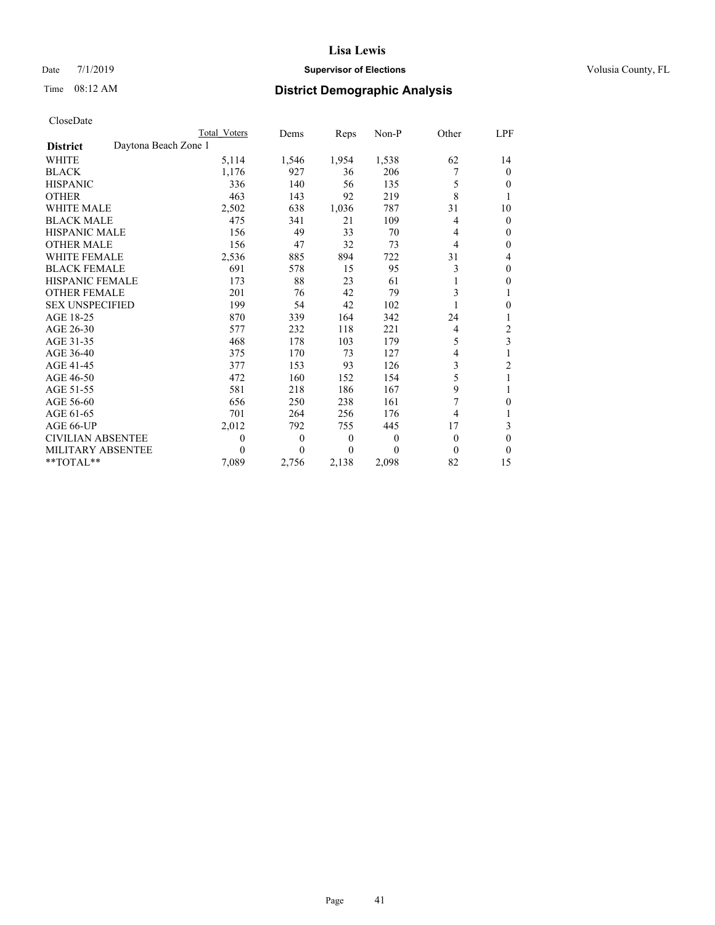# Date 7/1/2019 **Supervisor of Elections Supervisor of Elections** Volusia County, FL

# Time 08:12 AM **District Demographic Analysis**

|                                         | Total Voters | Dems         | Reps             | Non-P    | Other | LPF                     |
|-----------------------------------------|--------------|--------------|------------------|----------|-------|-------------------------|
| Daytona Beach Zone 1<br><b>District</b> |              |              |                  |          |       |                         |
| <b>WHITE</b>                            | 5,114        | 1,546        | 1,954            | 1,538    | 62    | 14                      |
| <b>BLACK</b>                            | 1,176        | 927          | 36               | 206      | 7     | $\mathbf{0}$            |
| <b>HISPANIC</b>                         | 336          | 140          | 56               | 135      | 5     | 0                       |
| <b>OTHER</b>                            | 463          | 143          | 92               | 219      | 8     | 1                       |
| <b>WHITE MALE</b>                       | 2,502        | 638          | 1,036            | 787      | 31    | 10                      |
| <b>BLACK MALE</b>                       | 475          | 341          | 21               | 109      | 4     | $\mathbf{0}$            |
| <b>HISPANIC MALE</b>                    | 156          | 49           | 33               | 70       | 4     | $\mathbf{0}$            |
| <b>OTHER MALE</b>                       | 156          | 47           | 32               | 73       | 4     | 0                       |
| <b>WHITE FEMALE</b>                     | 2,536        | 885          | 894              | 722      | 31    | 4                       |
| <b>BLACK FEMALE</b>                     | 691          | 578          | 15               | 95       | 3     | $\theta$                |
| <b>HISPANIC FEMALE</b>                  | 173          | 88           | 23               | 61       |       | $\theta$                |
| <b>OTHER FEMALE</b>                     | 201          | 76           | 42               | 79       | 3     | 1                       |
| <b>SEX UNSPECIFIED</b>                  | 199          | 54           | 42               | 102      |       | 0                       |
| AGE 18-25                               | 870          | 339          | 164              | 342      | 24    | 1                       |
| AGE 26-30                               | 577          | 232          | 118              | 221      | 4     | 2                       |
| AGE 31-35                               | 468          | 178          | 103              | 179      | 5     | $\overline{\mathbf{3}}$ |
| AGE 36-40                               | 375          | 170          | 73               | 127      | 4     | 1                       |
| AGE 41-45                               | 377          | 153          | 93               | 126      | 3     | $\overline{2}$          |
| AGE 46-50                               | 472          | 160          | 152              | 154      | 5     |                         |
| AGE 51-55                               | 581          | 218          | 186              | 167      | 9     | 1                       |
| AGE 56-60                               | 656          | 250          | 238              | 161      | 7     | $\boldsymbol{0}$        |
| AGE 61-65                               | 701          | 264          | 256              | 176      | 4     |                         |
| AGE 66-UP                               | 2,012        | 792          | 755              | 445      | 17    | 3                       |
| <b>CIVILIAN ABSENTEE</b>                | $\theta$     | $\mathbf{0}$ | $\boldsymbol{0}$ | $\theta$ | 0     | $\theta$                |
| MILITARY ABSENTEE                       | 0            | $\Omega$     | 0                | 0        | 0     | 0                       |
| $*$ TOTAL $*$                           | 7,089        | 2,756        | 2,138            | 2,098    | 82    | 15                      |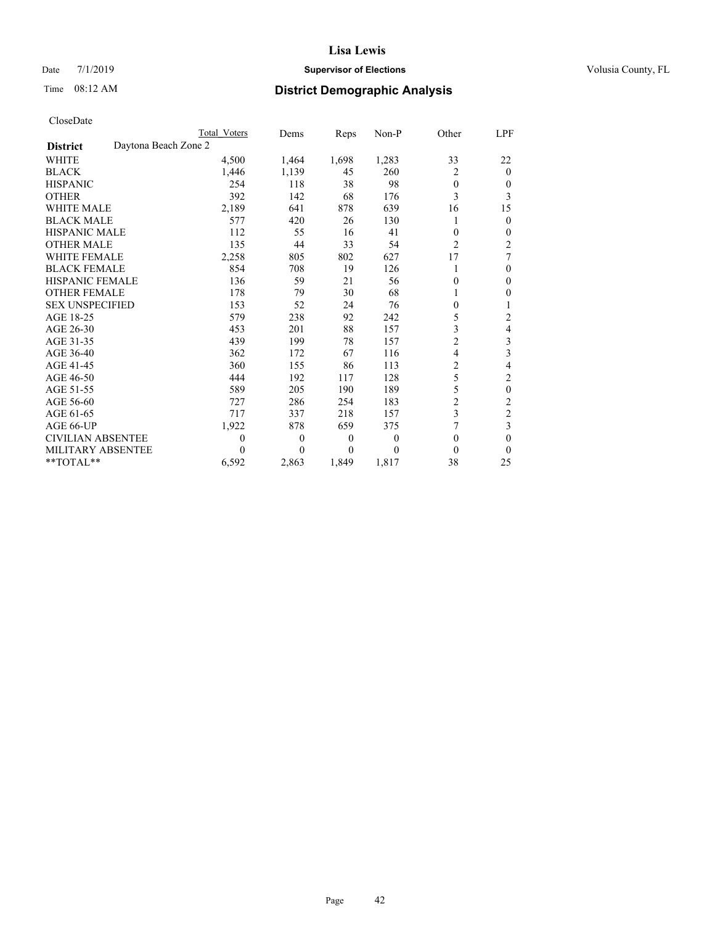# Date 7/1/2019 **Supervisor of Elections Supervisor of Elections** Volusia County, FL

# Time 08:12 AM **District Demographic Analysis**

|                                         | Total Voters | Dems             | Reps             | $Non-P$  | Other          | LPF            |
|-----------------------------------------|--------------|------------------|------------------|----------|----------------|----------------|
| Daytona Beach Zone 2<br><b>District</b> |              |                  |                  |          |                |                |
| <b>WHITE</b>                            | 4,500        | 1,464            | 1,698            | 1,283    | 33             | 22             |
| <b>BLACK</b>                            | 1,446        | 1,139            | 45               | 260      | 2              | $\Omega$       |
| <b>HISPANIC</b>                         | 254          | 118              | 38               | 98       | $\theta$       | 0              |
| <b>OTHER</b>                            | 392          | 142              | 68               | 176      | 3              | 3              |
| WHITE MALE                              | 2,189        | 641              | 878              | 639      | 16             | 15             |
| <b>BLACK MALE</b>                       | 577          | 420              | 26               | 130      |                | 0              |
| <b>HISPANIC MALE</b>                    | 112          | 55               | 16               | 41       | 0              | 0              |
| <b>OTHER MALE</b>                       | 135          | 44               | 33               | 54       | $\overline{2}$ | 2              |
| WHITE FEMALE                            | 2,258        | 805              | 802              | 627      | 17             | 7              |
| <b>BLACK FEMALE</b>                     | 854          | 708              | 19               | 126      | 1              | $\Omega$       |
| <b>HISPANIC FEMALE</b>                  | 136          | 59               | 21               | 56       | 0              | 0              |
| <b>OTHER FEMALE</b>                     | 178          | 79               | 30               | 68       |                | 0              |
| <b>SEX UNSPECIFIED</b>                  | 153          | 52               | 24               | 76       | 0              | 1              |
| AGE 18-25                               | 579          | 238              | 92               | 242      | 5              | 2              |
| AGE 26-30                               | 453          | 201              | 88               | 157      | 3              | 4              |
| AGE 31-35                               | 439          | 199              | 78               | 157      | $\overline{c}$ | 3              |
| AGE 36-40                               | 362          | 172              | 67               | 116      | 4              | 3              |
| AGE 41-45                               | 360          | 155              | 86               | 113      | $\overline{c}$ | 4              |
| AGE 46-50                               | 444          | 192              | 117              | 128      | 5              | 2              |
| AGE 51-55                               | 589          | 205              | 190              | 189      | 5              | 0              |
| AGE 56-60                               | 727          | 286              | 254              | 183      | $\overline{2}$ | $\overline{c}$ |
| AGE 61-65                               | 717          | 337              | 218              | 157      | 3              | $\overline{c}$ |
| AGE 66-UP                               | 1,922        | 878              | 659              | 375      | 7              | 3              |
| <b>CIVILIAN ABSENTEE</b>                | $\theta$     | $\boldsymbol{0}$ | $\boldsymbol{0}$ | $\theta$ | $\overline{0}$ | 0              |
| <b>MILITARY ABSENTEE</b>                | 0            | 0                | $\theta$         | $\Omega$ | 0              | 0              |
| $*$ TOTAL $*$                           | 6,592        | 2,863            | 1,849            | 1,817    | 38             | 25             |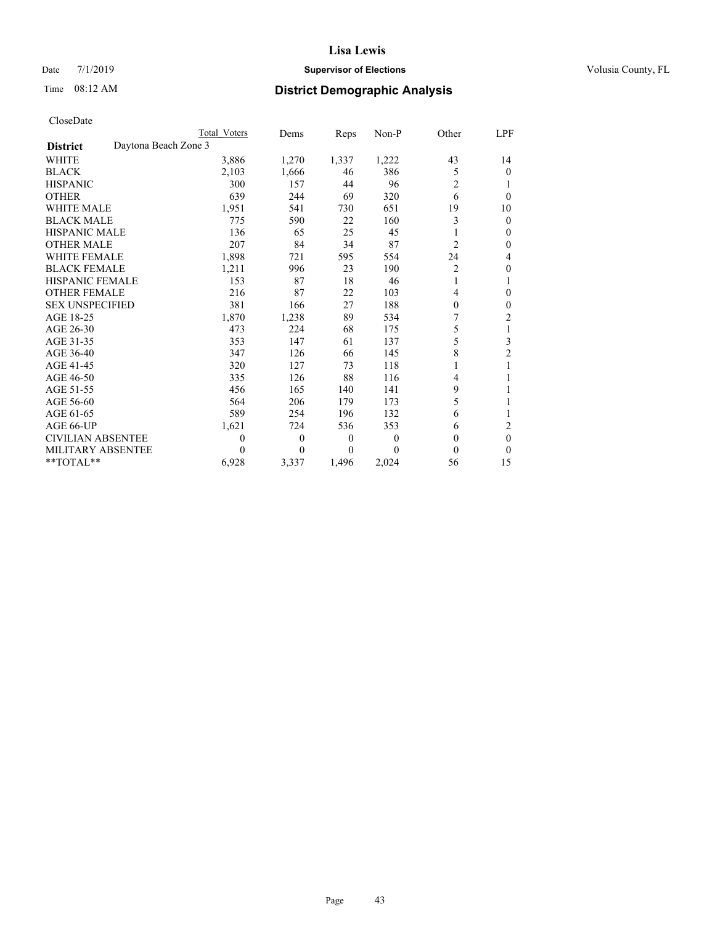# Date 7/1/2019 **Supervisor of Elections Supervisor of Elections** Volusia County, FL

# Time 08:12 AM **District Demographic Analysis**

|                                         | Total Voters | Dems             | Reps             | Non-P    | Other          | LPF      |
|-----------------------------------------|--------------|------------------|------------------|----------|----------------|----------|
| Daytona Beach Zone 3<br><b>District</b> |              |                  |                  |          |                |          |
| <b>WHITE</b>                            | 3,886        | 1,270            | 1,337            | 1,222    | 43             | 14       |
| <b>BLACK</b>                            | 2,103        | 1,666            | 46               | 386      | 5              | 0        |
| <b>HISPANIC</b>                         | 300          | 157              | 44               | 96       | $\overline{2}$ | 1        |
| <b>OTHER</b>                            | 639          | 244              | 69               | 320      | 6              | $\theta$ |
| WHITE MALE                              | 1,951        | 541              | 730              | 651      | 19             | 10       |
| <b>BLACK MALE</b>                       | 775          | 590              | 22               | 160      | 3              | 0        |
| <b>HISPANIC MALE</b>                    | 136          | 65               | 25               | 45       |                | 0        |
| <b>OTHER MALE</b>                       | 207          | 84               | 34               | 87       | $\overline{2}$ | 0        |
| WHITE FEMALE                            | 1,898        | 721              | 595              | 554      | 24             | 4        |
| <b>BLACK FEMALE</b>                     | 1,211        | 996              | 23               | 190      | 2              | 0        |
| <b>HISPANIC FEMALE</b>                  | 153          | 87               | 18               | 46       | 1              |          |
| <b>OTHER FEMALE</b>                     | 216          | 87               | 22               | 103      | 4              | 0        |
| <b>SEX UNSPECIFIED</b>                  | 381          | 166              | 27               | 188      | 0              | 0        |
| AGE 18-25                               | 1,870        | 1,238            | 89               | 534      | 7              | 2        |
| AGE 26-30                               | 473          | 224              | 68               | 175      | 5              | 1        |
| AGE 31-35                               | 353          | 147              | 61               | 137      | 5              | 3        |
| AGE 36-40                               | 347          | 126              | 66               | 145      | 8              | 2        |
| AGE 41-45                               | 320          | 127              | 73               | 118      | 1              |          |
| AGE 46-50                               | 335          | 126              | 88               | 116      | 4              |          |
| AGE 51-55                               | 456          | 165              | 140              | 141      | 9              |          |
| AGE 56-60                               | 564          | 206              | 179              | 173      | 5              |          |
| AGE 61-65                               | 589          | 254              | 196              | 132      | 6              |          |
| AGE 66-UP                               | 1,621        | 724              | 536              | 353      | 6              | 2        |
| <b>CIVILIAN ABSENTEE</b>                | $\theta$     | $\boldsymbol{0}$ | $\boldsymbol{0}$ | $\theta$ | $\Omega$       | 0        |
| <b>MILITARY ABSENTEE</b>                | 0            | 0                | $\theta$         | $\Omega$ | 0              | 0        |
| $*$ TOTAL $*$                           | 6,928        | 3,337            | 1,496            | 2,024    | 56             | 15       |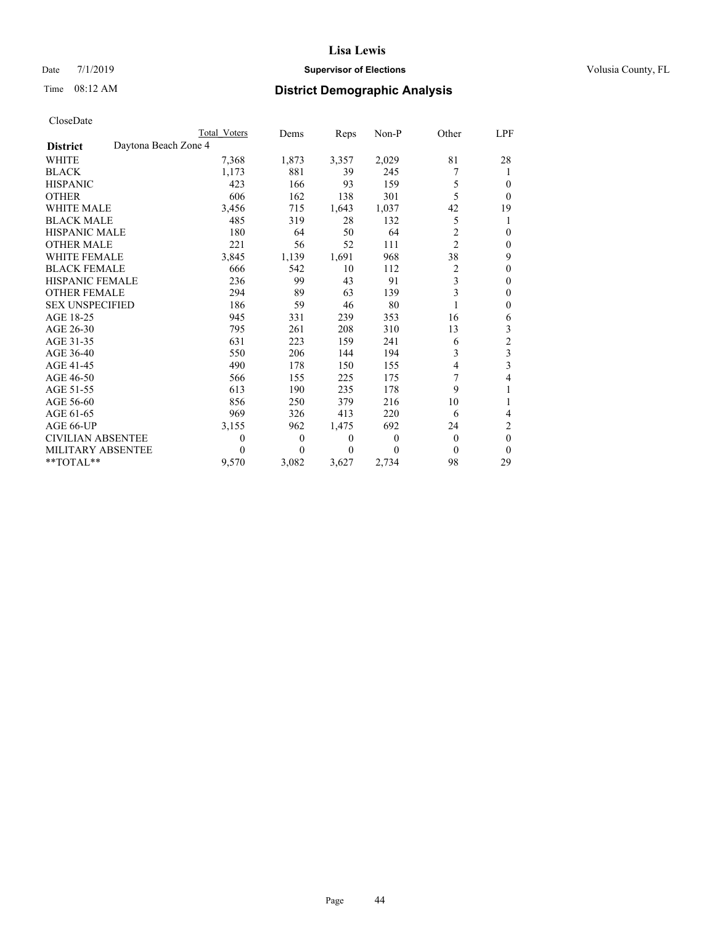# Date 7/1/2019 **Supervisor of Elections Supervisor of Elections** Volusia County, FL

# Time 08:12 AM **District Demographic Analysis**

|                                         | Total Voters | Dems         | Reps             | Non-P    | Other          | LPF            |
|-----------------------------------------|--------------|--------------|------------------|----------|----------------|----------------|
| Daytona Beach Zone 4<br><b>District</b> |              |              |                  |          |                |                |
| <b>WHITE</b>                            | 7,368        | 1,873        | 3,357            | 2,029    | 81             | 28             |
| <b>BLACK</b>                            | 1,173        | 881          | 39               | 245      | 7              |                |
| <b>HISPANIC</b>                         | 423          | 166          | 93               | 159      | 5              | 0              |
| <b>OTHER</b>                            | 606          | 162          | 138              | 301      | 5              | $\theta$       |
| <b>WHITE MALE</b>                       | 3,456        | 715          | 1,643            | 1,037    | 42             | 19             |
| <b>BLACK MALE</b>                       | 485          | 319          | 28               | 132      | 5              | 1              |
| <b>HISPANIC MALE</b>                    | 180          | 64           | 50               | 64       | 2              | $\theta$       |
| <b>OTHER MALE</b>                       | 221          | 56           | 52               | 111      | $\overline{c}$ | 0              |
| <b>WHITE FEMALE</b>                     | 3,845        | 1,139        | 1,691            | 968      | 38             | 9              |
| <b>BLACK FEMALE</b>                     | 666          | 542          | 10               | 112      | 2              | $\theta$       |
| <b>HISPANIC FEMALE</b>                  | 236          | 99           | 43               | 91       | 3              | $\theta$       |
| <b>OTHER FEMALE</b>                     | 294          | 89           | 63               | 139      | 3              | 0              |
| <b>SEX UNSPECIFIED</b>                  | 186          | 59           | 46               | 80       |                | $\mathbf{0}$   |
| AGE 18-25                               | 945          | 331          | 239              | 353      | 16             | 6              |
| AGE 26-30                               | 795          | 261          | 208              | 310      | 13             | 3              |
| AGE 31-35                               | 631          | 223          | 159              | 241      | 6              | $\overline{c}$ |
| AGE 36-40                               | 550          | 206          | 144              | 194      | 3              | 3              |
| AGE 41-45                               | 490          | 178          | 150              | 155      | 4              | 3              |
| AGE 46-50                               | 566          | 155          | 225              | 175      | 7              | 4              |
| AGE 51-55                               | 613          | 190          | 235              | 178      | 9              | 1              |
| AGE 56-60                               | 856          | 250          | 379              | 216      | 10             |                |
| AGE 61-65                               | 969          | 326          | 413              | 220      | 6              | 4              |
| AGE 66-UP                               | 3,155        | 962          | 1,475            | 692      | 24             | 2              |
| <b>CIVILIAN ABSENTEE</b>                | $\theta$     | $\mathbf{0}$ | $\boldsymbol{0}$ | $\theta$ | 0              | $\mathbf{0}$   |
| MILITARY ABSENTEE                       | 0            | 0            | 0                | $\Omega$ | 0              | $\Omega$       |
| $*$ TOTAL $*$                           | 9,570        | 3,082        | 3,627            | 2,734    | 98             | 29             |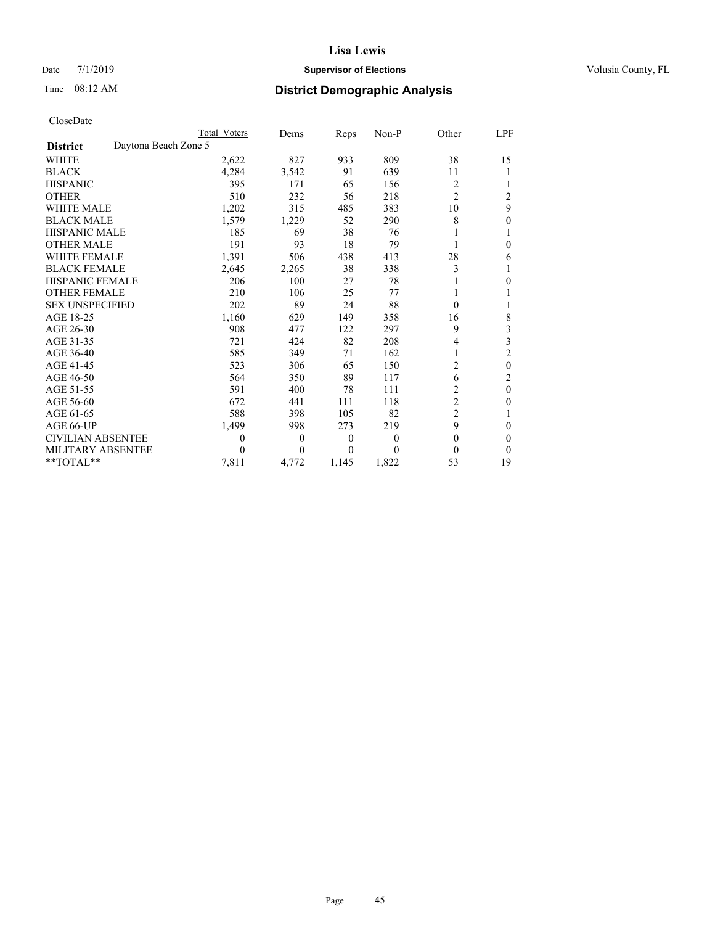# Date 7/1/2019 **Supervisor of Elections Supervisor of Elections** Volusia County, FL

| CloseDate |
|-----------|
|-----------|

|                                         | Total Voters | Dems           | Reps  | Non-P | Other          | LPF      |
|-----------------------------------------|--------------|----------------|-------|-------|----------------|----------|
| Daytona Beach Zone 5<br><b>District</b> |              |                |       |       |                |          |
| WHITE                                   | 2,622        | 827            | 933   | 809   | 38             | 15       |
| <b>BLACK</b>                            | 4,284        | 3,542          | 91    | 639   | 11             |          |
| <b>HISPANIC</b>                         | 395          | 171            | 65    | 156   | 2              |          |
| <b>OTHER</b>                            | 510          | 232            | 56    | 218   | $\overline{c}$ | 2        |
| <b>WHITE MALE</b>                       | 1,202        | 315            | 485   | 383   | 10             | 9        |
| <b>BLACK MALE</b>                       | 1,579        | 1,229          | 52    | 290   | 8              | 0        |
| <b>HISPANIC MALE</b>                    | 185          | 69             | 38    | 76    |                |          |
| <b>OTHER MALE</b>                       | 191          | 93             | 18    | 79    |                | $\Omega$ |
| <b>WHITE FEMALE</b>                     | 1,391        | 506            | 438   | 413   | 28             | 6        |
| <b>BLACK FEMALE</b>                     | 2,645        | 2,265          | 38    | 338   | 3              |          |
| <b>HISPANIC FEMALE</b>                  | 206          | 100            | 27    | 78    |                | $\Omega$ |
| <b>OTHER FEMALE</b>                     | 210          | 106            | 25    | 77    |                |          |
| <b>SEX UNSPECIFIED</b>                  | 202          | 89             | 24    | 88    | 0              |          |
| AGE 18-25                               | 1,160        | 629            | 149   | 358   | 16             | 8        |
| AGE 26-30                               | 908          | 477            | 122   | 297   | 9              | 3        |
| AGE 31-35                               | 721          | 424            | 82    | 208   | 4              | 3        |
| AGE 36-40                               | 585          | 349            | 71    | 162   |                | 2        |
| AGE 41-45                               | 523          | 306            | 65    | 150   | $\overline{c}$ | $\theta$ |
| AGE 46-50                               | 564          | 350            | 89    | 117   | 6              | 2        |
| AGE 51-55                               | 591          | 400            | 78    | 111   | 2              | $\theta$ |
| AGE 56-60                               | 672          | 441            | 111   | 118   | 2              | $\Omega$ |
| AGE 61-65                               | 588          | 398            | 105   | 82    | 2              |          |
| AGE 66-UP                               | 1,499        | 998            | 273   | 219   | 9              | $\theta$ |
| <b>CIVILIAN ABSENTEE</b>                | 0            | $\overline{0}$ | 0     | 0     | 0              | $\Omega$ |
| <b>MILITARY ABSENTEE</b>                | 0            | $\theta$       | 0     | 0     | 0              | $\Omega$ |
| $*$ TOTAL $*$                           | 7,811        | 4,772          | 1,145 | 1,822 | 53             | 19       |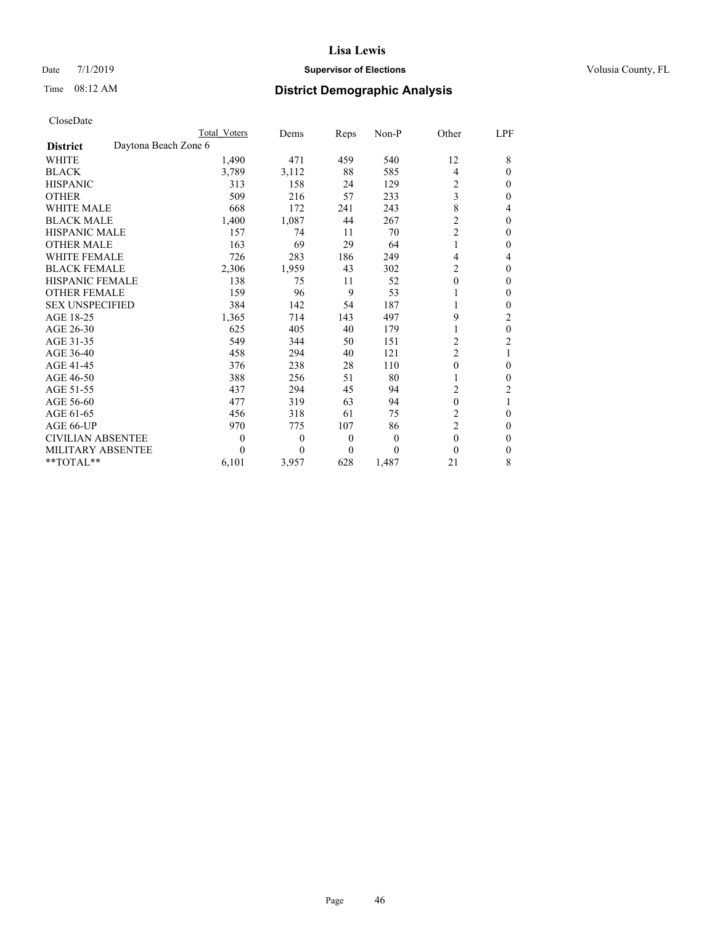# Date 7/1/2019 **Supervisor of Elections Supervisor of Elections** Volusia County, FL

| CloseDate |
|-----------|
|-----------|

|                          |                      | Total Voters | Dems     | Reps | Non-P | Other            | LPF          |
|--------------------------|----------------------|--------------|----------|------|-------|------------------|--------------|
| <b>District</b>          | Daytona Beach Zone 6 |              |          |      |       |                  |              |
| <b>WHITE</b>             |                      | 1,490        | 471      | 459  | 540   | 12               | 8            |
| <b>BLACK</b>             |                      | 3,789        | 3,112    | 88   | 585   | 4                | $\theta$     |
| <b>HISPANIC</b>          |                      | 313          | 158      | 24   | 129   | 2                | $\theta$     |
| <b>OTHER</b>             |                      | 509          | 216      | 57   | 233   | 3                | $\theta$     |
| <b>WHITE MALE</b>        |                      | 668          | 172      | 241  | 243   | 8                | 4            |
| <b>BLACK MALE</b>        |                      | 1,400        | 1,087    | 44   | 267   | $\overline{c}$   | 0            |
| <b>HISPANIC MALE</b>     |                      | 157          | 74       | 11   | 70    | 2                | $\theta$     |
| <b>OTHER MALE</b>        |                      | 163          | 69       | 29   | 64    |                  | $\theta$     |
| <b>WHITE FEMALE</b>      |                      | 726          | 283      | 186  | 249   | 4                | 4            |
| <b>BLACK FEMALE</b>      |                      | 2,306        | 1,959    | 43   | 302   | 2                | $\theta$     |
| <b>HISPANIC FEMALE</b>   |                      | 138          | 75       | 11   | 52    | 0                | $\mathbf{0}$ |
| <b>OTHER FEMALE</b>      |                      | 159          | 96       | 9    | 53    |                  | 0            |
| <b>SEX UNSPECIFIED</b>   |                      | 384          | 142      | 54   | 187   | 1                | $\theta$     |
| AGE 18-25                |                      | 1,365        | 714      | 143  | 497   | 9                | 2            |
| AGE 26-30                |                      | 625          | 405      | 40   | 179   |                  | $\theta$     |
| AGE 31-35                |                      | 549          | 344      | 50   | 151   | 2                | 2            |
| AGE 36-40                |                      | 458          | 294      | 40   | 121   | $\overline{c}$   | 1            |
| AGE 41-45                |                      | 376          | 238      | 28   | 110   | 0                | $\theta$     |
| AGE 46-50                |                      | 388          | 256      | 51   | 80    |                  | $\theta$     |
| AGE 51-55                |                      | 437          | 294      | 45   | 94    | 2                | 2            |
| AGE 56-60                |                      | 477          | 319      | 63   | 94    | $\boldsymbol{0}$ |              |
| AGE 61-65                |                      | 456          | 318      | 61   | 75    | $\overline{c}$   | $\theta$     |
| AGE 66-UP                |                      | 970          | 775      | 107  | 86    | $\overline{c}$   | $\mathbf{0}$ |
| <b>CIVILIAN ABSENTEE</b> |                      | $\theta$     | $\theta$ | 0    | 0     | $\theta$         | $\Omega$     |
| MILITARY ABSENTEE        |                      | 0            | $\Omega$ | 0    | 0     | $\theta$         | $\theta$     |
| $*$ TOTAL $*$            |                      | 6,101        | 3,957    | 628  | 1,487 | 21               | 8            |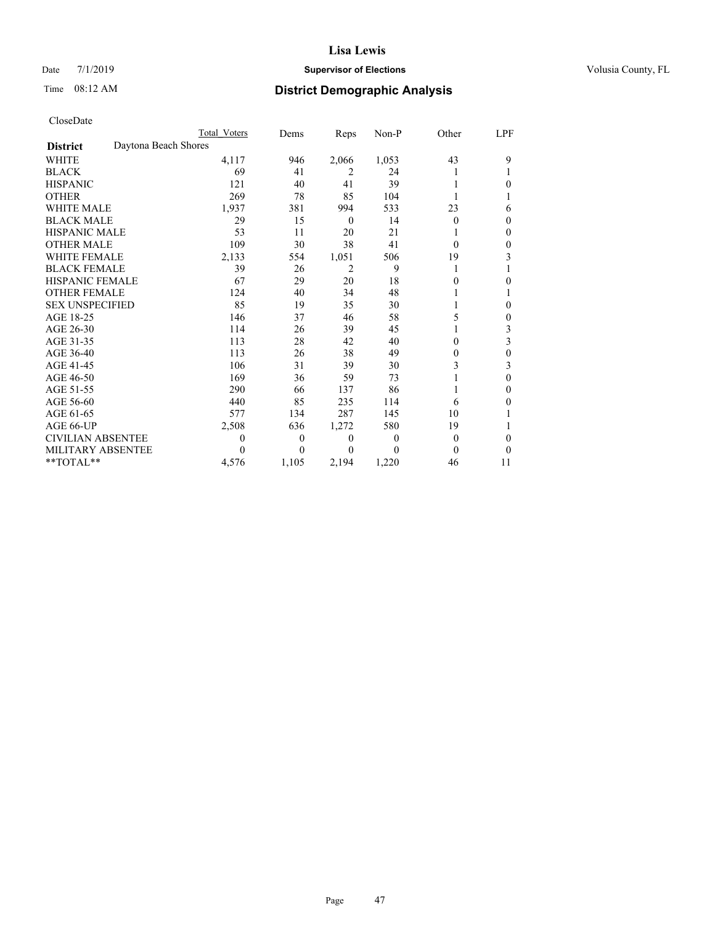# Date 7/1/2019 **Supervisor of Elections Supervisor of Elections** Volusia County, FL

# Time 08:12 AM **District Demographic Analysis**

|                                         | Total Voters | Dems     | Reps     | Non-P    | Other    | LPF |
|-----------------------------------------|--------------|----------|----------|----------|----------|-----|
| Daytona Beach Shores<br><b>District</b> |              |          |          |          |          |     |
| <b>WHITE</b>                            | 4,117        | 946      | 2,066    | 1,053    | 43       | 9   |
| <b>BLACK</b>                            | 69           | 41       | 2        | 24       |          |     |
| <b>HISPANIC</b>                         | 121          | 40       | 41       | 39       |          | 0   |
| <b>OTHER</b>                            | 269          | 78       | 85       | 104      |          |     |
| <b>WHITE MALE</b>                       | 1,937        | 381      | 994      | 533      | 23       | 6   |
| <b>BLACK MALE</b>                       | 29           | 15       | $\theta$ | 14       | $\Omega$ | 0   |
| <b>HISPANIC MALE</b>                    | 53           | 11       | 20       | 21       |          | 0   |
| <b>OTHER MALE</b>                       | 109          | 30       | 38       | 41       | $\Omega$ | 0   |
| <b>WHITE FEMALE</b>                     | 2,133        | 554      | 1,051    | 506      | 19       | 3   |
| <b>BLACK FEMALE</b>                     | 39           | 26       | 2        | 9        | 1        |     |
| <b>HISPANIC FEMALE</b>                  | 67           | 29       | 20       | 18       | $\theta$ | 0   |
| <b>OTHER FEMALE</b>                     | 124          | 40       | 34       | 48       |          |     |
| <b>SEX UNSPECIFIED</b>                  | 85           | 19       | 35       | 30       |          | 0   |
| AGE 18-25                               | 146          | 37       | 46       | 58       | 5        | 0   |
| AGE 26-30                               | 114          | 26       | 39       | 45       |          | 3   |
| AGE 31-35                               | 113          | 28       | 42       | 40       | 0        | 3   |
| AGE 36-40                               | 113          | 26       | 38       | 49       | $\theta$ | 0   |
| AGE 41-45                               | 106          | 31       | 39       | 30       | 3        | 3   |
| AGE 46-50                               | 169          | 36       | 59       | 73       |          | 0   |
| AGE 51-55                               | 290          | 66       | 137      | 86       | 1        | 0   |
| AGE 56-60                               | 440          | 85       | 235      | 114      | 6        | 0   |
| AGE 61-65                               | 577          | 134      | 287      | 145      | 10       |     |
| AGE 66-UP                               | 2,508        | 636      | 1,272    | 580      | 19       |     |
| CIVILIAN ABSENTEE                       | $\theta$     | $\theta$ | $\theta$ | $\Omega$ | $\theta$ | 0   |
| MILITARY ABSENTEE                       | 0            | 0        | 0        | 0        | 0        | 0   |
| **TOTAL**                               | 4,576        | 1,105    | 2,194    | 1,220    | 46       | 11  |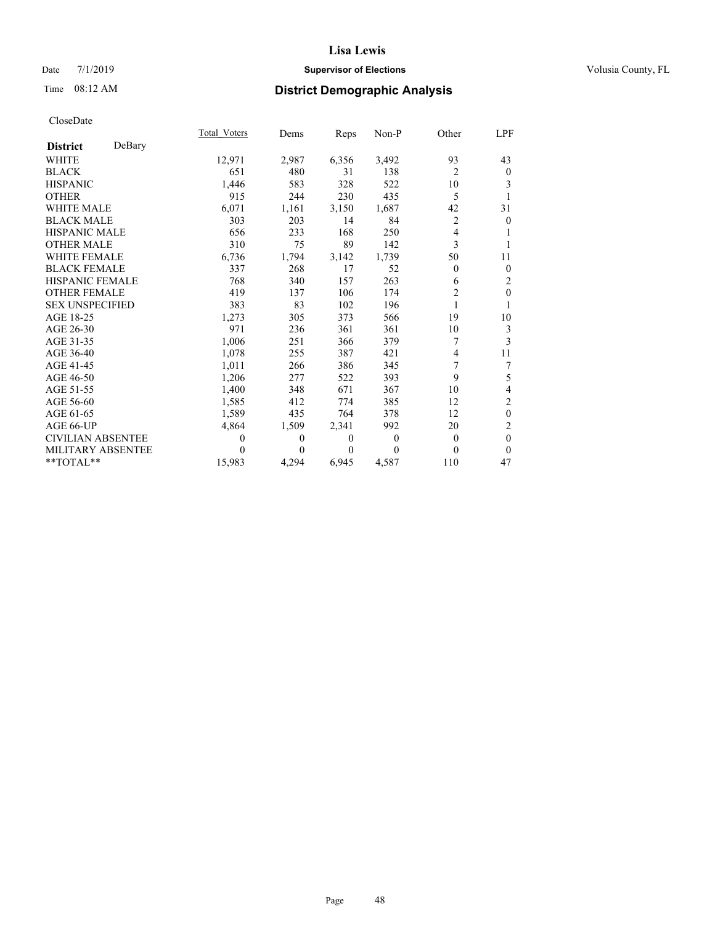# Date 7/1/2019 **Supervisor of Elections Supervisor of Elections** Volusia County, FL

# Time 08:12 AM **District Demographic Analysis**

|                          |        | Total Voters | Dems     | Reps     | Non-P    | Other          | <u>LPF</u>       |
|--------------------------|--------|--------------|----------|----------|----------|----------------|------------------|
| <b>District</b>          | DeBary |              |          |          |          |                |                  |
| <b>WHITE</b>             |        | 12,971       | 2,987    | 6,356    | 3,492    | 93             | 43               |
| <b>BLACK</b>             |        | 651          | 480      | 31       | 138      | $\overline{2}$ | $\mathbf{0}$     |
| <b>HISPANIC</b>          |        | 1,446        | 583      | 328      | 522      | 10             | 3                |
| <b>OTHER</b>             |        | 915          | 244      | 230      | 435      | 5              |                  |
| <b>WHITE MALE</b>        |        | 6,071        | 1,161    | 3,150    | 1,687    | 42             | 31               |
| <b>BLACK MALE</b>        |        | 303          | 203      | 14       | 84       | $\overline{c}$ | $\mathbf{0}$     |
| <b>HISPANIC MALE</b>     |        | 656          | 233      | 168      | 250      | 4              | 1                |
| <b>OTHER MALE</b>        |        | 310          | 75       | 89       | 142      | 3              | 1                |
| <b>WHITE FEMALE</b>      |        | 6,736        | 1,794    | 3,142    | 1,739    | 50             | 11               |
| <b>BLACK FEMALE</b>      |        | 337          | 268      | 17       | 52       | $\theta$       | $\mathbf{0}$     |
| <b>HISPANIC FEMALE</b>   |        | 768          | 340      | 157      | 263      | 6              | $\overline{2}$   |
| <b>OTHER FEMALE</b>      |        | 419          | 137      | 106      | 174      | $\overline{c}$ | $\mathbf{0}$     |
| <b>SEX UNSPECIFIED</b>   |        | 383          | 83       | 102      | 196      |                | 1                |
| AGE 18-25                |        | 1,273        | 305      | 373      | 566      | 19             | 10               |
| AGE 26-30                |        | 971          | 236      | 361      | 361      | 10             | 3                |
| AGE 31-35                |        | 1,006        | 251      | 366      | 379      | $\overline{7}$ | 3                |
| AGE 36-40                |        | 1,078        | 255      | 387      | 421      | 4              | 11               |
| AGE 41-45                |        | 1,011        | 266      | 386      | 345      | 7              | 7                |
| AGE 46-50                |        | 1,206        | 277      | 522      | 393      | 9              | 5                |
| AGE 51-55                |        | 1,400        | 348      | 671      | 367      | 10             | 4                |
| AGE 56-60                |        | 1,585        | 412      | 774      | 385      | 12             | $\overline{c}$   |
| AGE 61-65                |        | 1,589        | 435      | 764      | 378      | 12             | $\boldsymbol{0}$ |
| AGE 66-UP                |        | 4,864        | 1,509    | 2,341    | 992      | 20             | $\overline{c}$   |
| <b>CIVILIAN ABSENTEE</b> |        | $\theta$     | $\theta$ | $\theta$ | $\theta$ | $\theta$       | $\theta$         |
| MILITARY ABSENTEE        |        | $\theta$     | 0        | 0        | $\Omega$ | $\theta$       | $\theta$         |
| $**TOTAL**$              |        | 15,983       | 4,294    | 6,945    | 4,587    | 110            | 47               |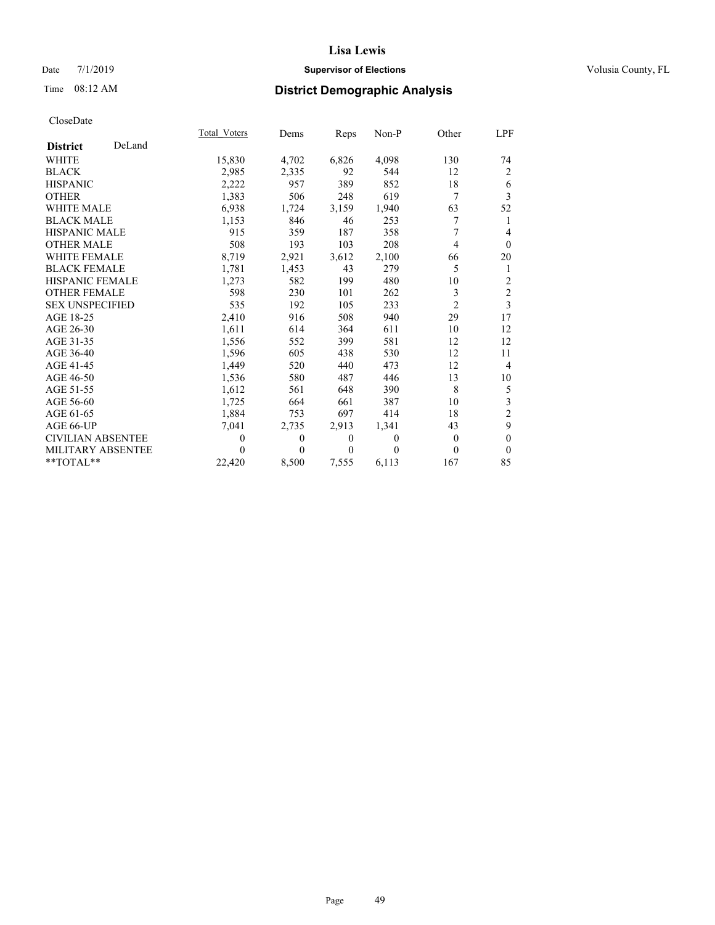# Date 7/1/2019 **Supervisor of Elections Supervisor of Elections** Volusia County, FL

# Time 08:12 AM **District Demographic Analysis**

|                          |        | Total Voters | Dems     | Reps     | Non-P    | Other          | LPF            |
|--------------------------|--------|--------------|----------|----------|----------|----------------|----------------|
| <b>District</b>          | DeLand |              |          |          |          |                |                |
| <b>WHITE</b>             |        | 15,830       | 4,702    | 6,826    | 4,098    | 130            | 74             |
| <b>BLACK</b>             |        | 2,985        | 2,335    | 92       | 544      | 12             | $\overline{2}$ |
| <b>HISPANIC</b>          |        | 2,222        | 957      | 389      | 852      | 18             | 6              |
| <b>OTHER</b>             |        | 1,383        | 506      | 248      | 619      | 7              | 3              |
| <b>WHITE MALE</b>        |        | 6,938        | 1,724    | 3,159    | 1,940    | 63             | 52             |
| <b>BLACK MALE</b>        |        | 1,153        | 846      | 46       | 253      | 7              | 1              |
| <b>HISPANIC MALE</b>     |        | 915          | 359      | 187      | 358      | 7              | $\overline{4}$ |
| <b>OTHER MALE</b>        |        | 508          | 193      | 103      | 208      | 4              | $\theta$       |
| <b>WHITE FEMALE</b>      |        | 8,719        | 2,921    | 3,612    | 2,100    | 66             | 20             |
| <b>BLACK FEMALE</b>      |        | 1,781        | 1,453    | 43       | 279      | 5              | 1              |
| <b>HISPANIC FEMALE</b>   |        | 1,273        | 582      | 199      | 480      | 10             | $\overline{c}$ |
| <b>OTHER FEMALE</b>      |        | 598          | 230      | 101      | 262      | 3              | $\overline{2}$ |
| <b>SEX UNSPECIFIED</b>   |        | 535          | 192      | 105      | 233      | $\overline{c}$ | 3              |
| AGE 18-25                |        | 2,410        | 916      | 508      | 940      | 29             | 17             |
| AGE 26-30                |        | 1,611        | 614      | 364      | 611      | 10             | 12             |
| AGE 31-35                |        | 1,556        | 552      | 399      | 581      | 12             | 12             |
| AGE 36-40                |        | 1,596        | 605      | 438      | 530      | 12             | 11             |
| AGE 41-45                |        | 1,449        | 520      | 440      | 473      | 12             | $\overline{4}$ |
| AGE 46-50                |        | 1,536        | 580      | 487      | 446      | 13             | 10             |
| AGE 51-55                |        | 1,612        | 561      | 648      | 390      | 8              | $\mathfrak s$  |
| AGE 56-60                |        | 1,725        | 664      | 661      | 387      | 10             | $\mathfrak{Z}$ |
| AGE 61-65                |        | 1,884        | 753      | 697      | 414      | 18             | $\overline{2}$ |
| AGE 66-UP                |        | 7,041        | 2,735    | 2,913    | 1,341    | 43             | 9              |
| <b>CIVILIAN ABSENTEE</b> |        | $\theta$     | $\theta$ | $\theta$ | $\Omega$ | $\theta$       | $\mathbf{0}$   |
| MILITARY ABSENTEE        |        | $\Omega$     | $\Omega$ | $\theta$ | $\Omega$ | $\theta$       | $\theta$       |
| $**TOTAL**$              |        | 22,420       | 8,500    | 7,555    | 6,113    | 167            | 85             |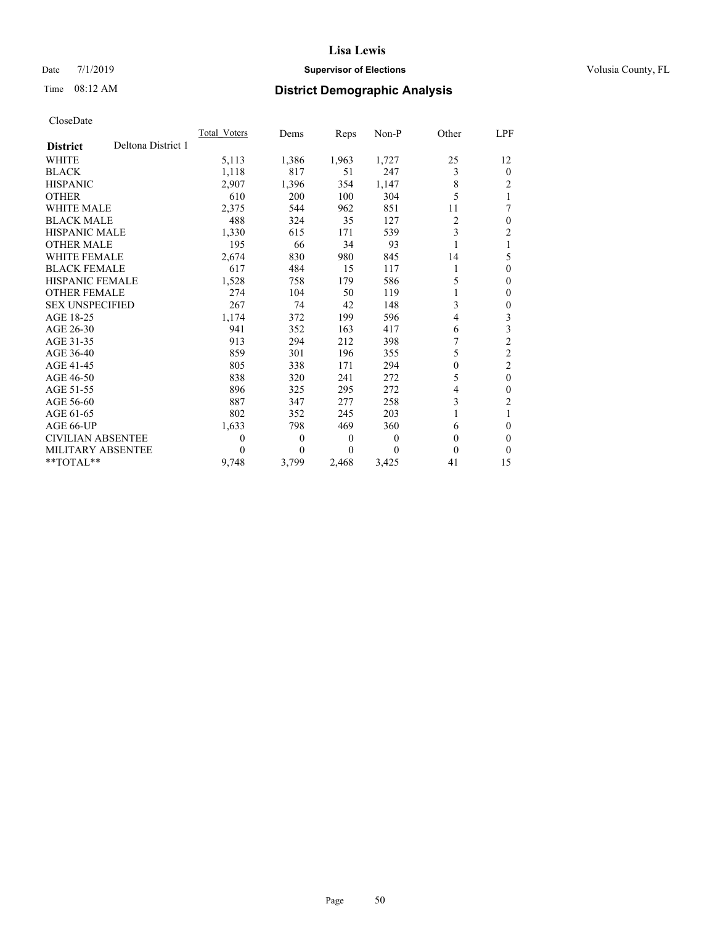# Date 7/1/2019 **Supervisor of Elections Supervisor of Elections** Volusia County, FL

# Time 08:12 AM **District Demographic Analysis**

|                          |                    | Total Voters | Dems     | Reps  | Non-P          | Other    | LPF            |
|--------------------------|--------------------|--------------|----------|-------|----------------|----------|----------------|
| <b>District</b>          | Deltona District 1 |              |          |       |                |          |                |
| WHITE                    |                    | 5,113        | 1,386    | 1,963 | 1,727          | 25       | 12             |
| <b>BLACK</b>             |                    | 1,118        | 817      | 51    | 247            | 3        | $\overline{0}$ |
| <b>HISPANIC</b>          |                    | 2,907        | 1,396    | 354   | 1,147          | 8        | 2              |
| <b>OTHER</b>             |                    | 610          | 200      | 100   | 304            | 5        |                |
| <b>WHITE MALE</b>        |                    | 2,375        | 544      | 962   | 851            | 11       | 7              |
| <b>BLACK MALE</b>        |                    | 488          | 324      | 35    | 127            | 2        | $\theta$       |
| <b>HISPANIC MALE</b>     |                    | 1,330        | 615      | 171   | 539            | 3        | 2              |
| <b>OTHER MALE</b>        |                    | 195          | 66       | 34    | 93             |          | 1              |
| <b>WHITE FEMALE</b>      |                    | 2,674        | 830      | 980   | 845            | 14       | 5              |
| <b>BLACK FEMALE</b>      |                    | 617          | 484      | 15    | 117            |          | $\Omega$       |
| <b>HISPANIC FEMALE</b>   |                    | 1,528        | 758      | 179   | 586            | 5        | 0              |
| <b>OTHER FEMALE</b>      |                    | 274          | 104      | 50    | 119            |          | 0              |
| <b>SEX UNSPECIFIED</b>   |                    | 267          | 74       | 42    | 148            | 3        | 0              |
| AGE 18-25                |                    | 1,174        | 372      | 199   | 596            | 4        | 3              |
| AGE 26-30                |                    | 941          | 352      | 163   | 417            | 6        | 3              |
| AGE 31-35                |                    | 913          | 294      | 212   | 398            |          | $\overline{2}$ |
| AGE 36-40                |                    | 859          | 301      | 196   | 355            | 5        | 2              |
| AGE 41-45                |                    | 805          | 338      | 171   | 294            | $\theta$ | $\overline{2}$ |
| AGE 46-50                |                    | 838          | 320      | 241   | 272            | 5        | $\theta$       |
| AGE 51-55                |                    | 896          | 325      | 295   | 272            | 4        | 0              |
| AGE 56-60                |                    | 887          | 347      | 277   | 258            | 3        | 2              |
| AGE 61-65                |                    | 802          | 352      | 245   | 203            |          |                |
| AGE 66-UP                |                    | 1,633        | 798      | 469   | 360            | 6        | 0              |
| <b>CIVILIAN ABSENTEE</b> |                    | 0            | $\theta$ | 0     | $\overline{0}$ | $\Omega$ | 0              |
| <b>MILITARY ABSENTEE</b> |                    | 0            | $\Omega$ | 0     | 0              | 0        | 0              |
| $*$ TOTAL $*$            |                    | 9,748        | 3,799    | 2,468 | 3,425          | 41       | 15             |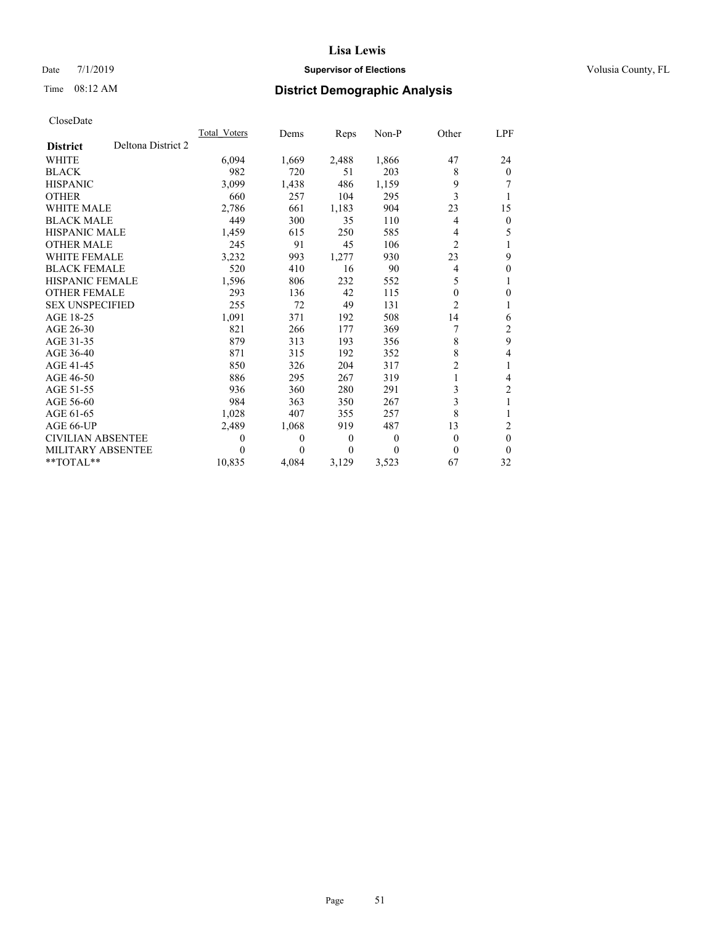# Date 7/1/2019 **Supervisor of Elections Supervisor of Elections** Volusia County, FL

# Time 08:12 AM **District Demographic Analysis**

|                          |                    | Total Voters | Dems     | Reps     | Non-P    | Other          | LPF      |
|--------------------------|--------------------|--------------|----------|----------|----------|----------------|----------|
| <b>District</b>          | Deltona District 2 |              |          |          |          |                |          |
| <b>WHITE</b>             |                    | 6,094        | 1,669    | 2,488    | 1,866    | 47             | 24       |
| <b>BLACK</b>             |                    | 982          | 720      | 51       | 203      | 8              | $\Omega$ |
| <b>HISPANIC</b>          |                    | 3,099        | 1,438    | 486      | 1,159    | 9              | 7        |
| <b>OTHER</b>             |                    | 660          | 257      | 104      | 295      | 3              |          |
| <b>WHITE MALE</b>        |                    | 2,786        | 661      | 1,183    | 904      | 23             | 15       |
| <b>BLACK MALE</b>        |                    | 449          | 300      | 35       | 110      | 4              | $\theta$ |
| <b>HISPANIC MALE</b>     |                    | 1,459        | 615      | 250      | 585      | 4              | 5        |
| <b>OTHER MALE</b>        |                    | 245          | 91       | 45       | 106      | $\overline{c}$ |          |
| <b>WHITE FEMALE</b>      |                    | 3,232        | 993      | 1.277    | 930      | 23             | 9        |
| <b>BLACK FEMALE</b>      |                    | 520          | 410      | 16       | 90       | 4              | $\theta$ |
| HISPANIC FEMALE          |                    | 1,596        | 806      | 232      | 552      | 5              |          |
| <b>OTHER FEMALE</b>      |                    | 293          | 136      | 42       | 115      | 0              | 0        |
| <b>SEX UNSPECIFIED</b>   |                    | 255          | 72       | 49       | 131      | $\overline{c}$ |          |
| AGE 18-25                |                    | 1,091        | 371      | 192      | 508      | 14             | 6        |
| AGE 26-30                |                    | 821          | 266      | 177      | 369      | 7              | 2        |
| AGE 31-35                |                    | 879          | 313      | 193      | 356      | 8              | 9        |
| AGE 36-40                |                    | 871          | 315      | 192      | 352      | 8              | 4        |
| AGE 41-45                |                    | 850          | 326      | 204      | 317      | $\overline{2}$ | 1        |
| AGE 46-50                |                    | 886          | 295      | 267      | 319      |                | 4        |
| AGE 51-55                |                    | 936          | 360      | 280      | 291      | 3              | 2        |
| AGE 56-60                |                    | 984          | 363      | 350      | 267      | 3              | 1        |
| AGE 61-65                |                    | 1,028        | 407      | 355      | 257      | 8              |          |
| AGE 66-UP                |                    | 2,489        | 1,068    | 919      | 487      | 13             | 2        |
| <b>CIVILIAN ABSENTEE</b> |                    | $\theta$     | $\theta$ | $\theta$ | $\theta$ | $\theta$       | $\theta$ |
| MILITARY ABSENTEE        |                    | 0            | 0        | $\theta$ | $\theta$ | $\Omega$       | $\theta$ |
| **TOTAL**                |                    | 10,835       | 4,084    | 3,129    | 3,523    | 67             | 32       |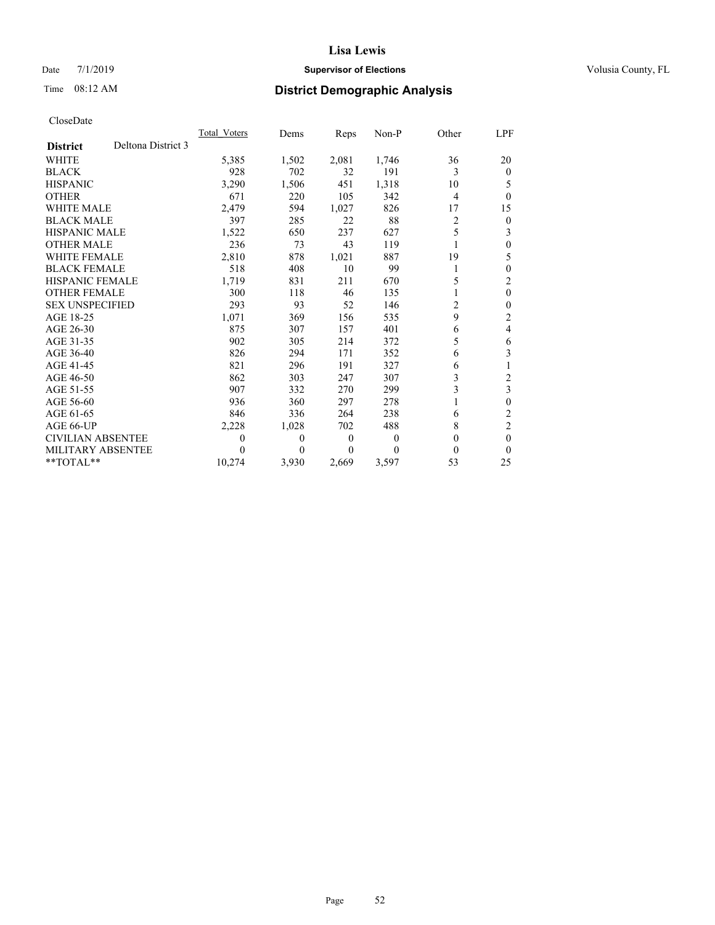# Date 7/1/2019 **Supervisor of Elections Supervisor of Elections** Volusia County, FL

# Time 08:12 AM **District Demographic Analysis**

|                          |                    | Total Voters | Dems  | Reps             | Non-P    | Other | LPF          |
|--------------------------|--------------------|--------------|-------|------------------|----------|-------|--------------|
| <b>District</b>          | Deltona District 3 |              |       |                  |          |       |              |
| <b>WHITE</b>             |                    | 5,385        | 1,502 | 2,081            | 1,746    | 36    | 20           |
| <b>BLACK</b>             |                    | 928          | 702   | 32               | 191      | 3     | $\Omega$     |
| <b>HISPANIC</b>          |                    | 3,290        | 1,506 | 451              | 1,318    | 10    | 5            |
| <b>OTHER</b>             |                    | 671          | 220   | 105              | 342      | 4     | 0            |
| <b>WHITE MALE</b>        |                    | 2,479        | 594   | 1,027            | 826      | 17    | 15           |
| <b>BLACK MALE</b>        |                    | 397          | 285   | 22               | 88       | 2     | 0            |
| <b>HISPANIC MALE</b>     |                    | 1,522        | 650   | 237              | 627      | 5     | 3            |
| <b>OTHER MALE</b>        |                    | 236          | 73    | 43               | 119      |       | 0            |
| <b>WHITE FEMALE</b>      |                    | 2,810        | 878   | 1,021            | 887      | 19    | 5            |
| <b>BLACK FEMALE</b>      |                    | 518          | 408   | 10               | 99       | 1     | 0            |
| <b>HISPANIC FEMALE</b>   |                    | 1,719        | 831   | 211              | 670      | 5     | 2            |
| <b>OTHER FEMALE</b>      |                    | 300          | 118   | 46               | 135      |       | $\mathbf{0}$ |
| <b>SEX UNSPECIFIED</b>   |                    | 293          | 93    | 52               | 146      | 2     | 0            |
| AGE 18-25                |                    | 1,071        | 369   | 156              | 535      | 9     | 2            |
| AGE 26-30                |                    | 875          | 307   | 157              | 401      | 6     | 4            |
| AGE 31-35                |                    | 902          | 305   | 214              | 372      | 5     | 6            |
| AGE 36-40                |                    | 826          | 294   | 171              | 352      | 6     | 3            |
| AGE 41-45                |                    | 821          | 296   | 191              | 327      | 6     |              |
| AGE 46-50                |                    | 862          | 303   | 247              | 307      | 3     | 2            |
| AGE 51-55                |                    | 907          | 332   | 270              | 299      | 3     | 3            |
| AGE 56-60                |                    | 936          | 360   | 297              | 278      |       | 0            |
| AGE 61-65                |                    | 846          | 336   | 264              | 238      | 6     | 2            |
| AGE 66-UP                |                    | 2,228        | 1,028 | 702              | 488      | 8     | 2            |
| <b>CIVILIAN ABSENTEE</b> |                    | $\theta$     | 0     | $\boldsymbol{0}$ | $\theta$ | 0     | 0            |
| MILITARY ABSENTEE        |                    | $\theta$     | 0     | 0                | 0        | 0     | 0            |
| **TOTAL**                |                    | 10,274       | 3,930 | 2,669            | 3,597    | 53    | 25           |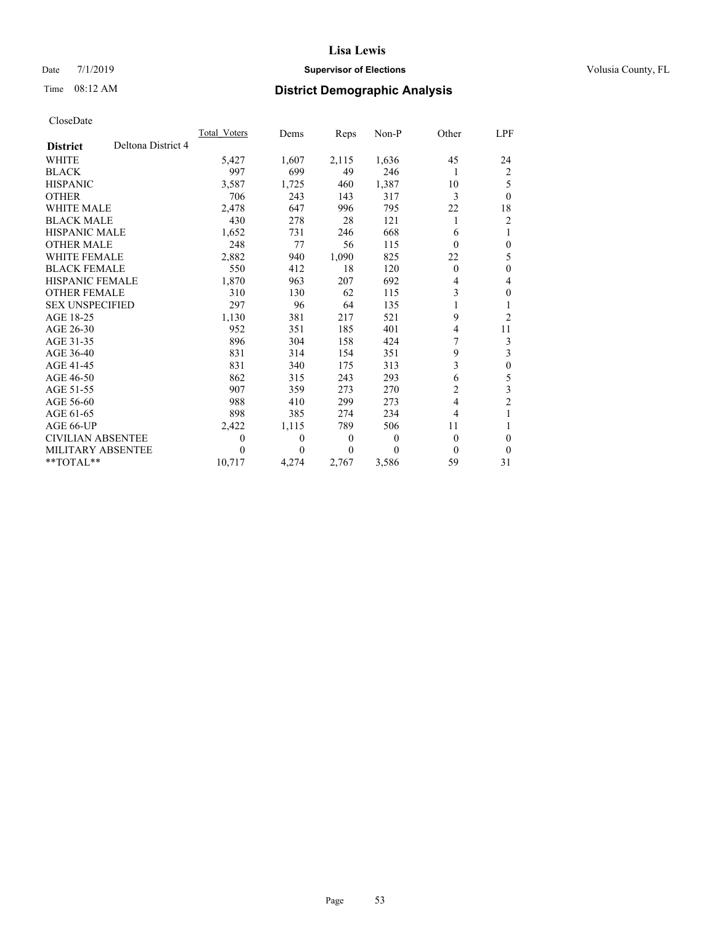# Date 7/1/2019 **Supervisor of Elections Supervisor of Elections** Volusia County, FL

# Time 08:12 AM **District Demographic Analysis**

|                          |                    | Total Voters | Dems  | Reps             | Non-P | Other    | LPF            |
|--------------------------|--------------------|--------------|-------|------------------|-------|----------|----------------|
| <b>District</b>          | Deltona District 4 |              |       |                  |       |          |                |
| <b>WHITE</b>             |                    | 5,427        | 1,607 | 2,115            | 1,636 | 45       | 24             |
| <b>BLACK</b>             |                    | 997          | 699   | 49               | 246   | 1        | 2              |
| <b>HISPANIC</b>          |                    | 3,587        | 1,725 | 460              | 1,387 | 10       | 5              |
| <b>OTHER</b>             |                    | 706          | 243   | 143              | 317   | 3        | $\mathbf{0}$   |
| WHITE MALE               |                    | 2,478        | 647   | 996              | 795   | 22       | 18             |
| <b>BLACK MALE</b>        |                    | 430          | 278   | 28               | 121   | 1        | $\overline{2}$ |
| <b>HISPANIC MALE</b>     |                    | 1,652        | 731   | 246              | 668   | 6        | 1              |
| <b>OTHER MALE</b>        |                    | 248          | 77    | 56               | 115   | 0        | 0              |
| <b>WHITE FEMALE</b>      |                    | 2,882        | 940   | 1,090            | 825   | 22       | 5              |
| <b>BLACK FEMALE</b>      |                    | 550          | 412   | 18               | 120   | $\theta$ | $\theta$       |
| HISPANIC FEMALE          |                    | 1,870        | 963   | 207              | 692   | 4        | 4              |
| <b>OTHER FEMALE</b>      |                    | 310          | 130   | 62               | 115   | 3        | $\theta$       |
| <b>SEX UNSPECIFIED</b>   |                    | 297          | 96    | 64               | 135   |          | 1              |
| AGE 18-25                |                    | 1,130        | 381   | 217              | 521   | 9        | $\overline{2}$ |
| AGE 26-30                |                    | 952          | 351   | 185              | 401   | 4        | 11             |
| AGE 31-35                |                    | 896          | 304   | 158              | 424   | 7        | 3              |
| AGE 36-40                |                    | 831          | 314   | 154              | 351   | 9        | 3              |
| AGE 41-45                |                    | 831          | 340   | 175              | 313   | 3        | $\theta$       |
| AGE 46-50                |                    | 862          | 315   | 243              | 293   | 6        | 5              |
| AGE 51-55                |                    | 907          | 359   | 273              | 270   | 2        | 3              |
| AGE 56-60                |                    | 988          | 410   | 299              | 273   | 4        | $\overline{c}$ |
| AGE 61-65                |                    | 898          | 385   | 274              | 234   | 4        | 1              |
| AGE 66-UP                |                    | 2,422        | 1,115 | 789              | 506   | 11       |                |
| <b>CIVILIAN ABSENTEE</b> |                    | 0            | 0     | $\boldsymbol{0}$ | 0     | $\theta$ | 0              |
| MILITARY ABSENTEE        |                    | 0            | 0     | $\theta$         | 0     | $\theta$ | $\theta$       |
| $*$ TOTAL $*$            |                    | 10,717       | 4,274 | 2,767            | 3,586 | 59       | 31             |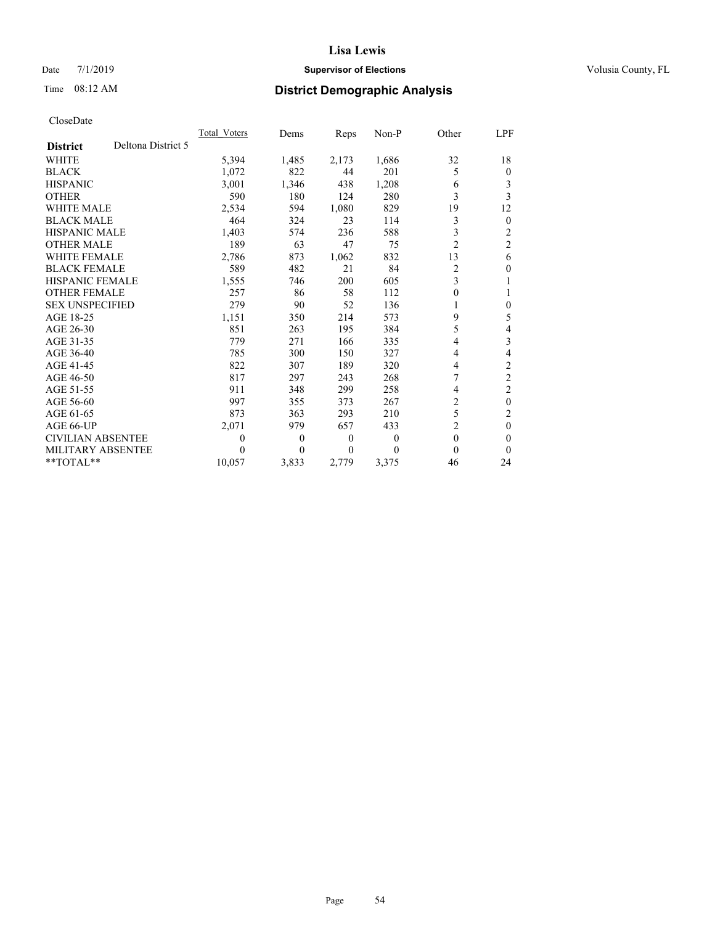# Date 7/1/2019 **Supervisor of Elections Supervisor of Elections** Volusia County, FL

# Time 08:12 AM **District Demographic Analysis**

|                          |                    | Total Voters     | Dems     | Reps             | Non-P    | Other          | LPF            |
|--------------------------|--------------------|------------------|----------|------------------|----------|----------------|----------------|
| <b>District</b>          | Deltona District 5 |                  |          |                  |          |                |                |
| <b>WHITE</b>             |                    | 5,394            | 1,485    | 2,173            | 1,686    | 32             | 18             |
| <b>BLACK</b>             |                    | 1,072            | 822      | 44               | 201      | 5              | $\overline{0}$ |
| <b>HISPANIC</b>          |                    | 3.001            | 1,346    | 438              | 1,208    | 6              | 3              |
| <b>OTHER</b>             |                    | 590              | 180      | 124              | 280      | 3              | 3              |
| <b>WHITE MALE</b>        |                    | 2,534            | 594      | 1,080            | 829      | 19             | 12             |
| <b>BLACK MALE</b>        |                    | 464              | 324      | 23               | 114      | 3              | $\theta$       |
| <b>HISPANIC MALE</b>     |                    | 1,403            | 574      | 236              | 588      | 3              | 2              |
| <b>OTHER MALE</b>        |                    | 189              | 63       | 47               | 75       | $\overline{2}$ | $\overline{2}$ |
| <b>WHITE FEMALE</b>      |                    | 2,786            | 873      | 1,062            | 832      | 13             | 6              |
| <b>BLACK FEMALE</b>      |                    | 589              | 482      | 21               | 84       | 2              | 0              |
| <b>HISPANIC FEMALE</b>   |                    | 1,555            | 746      | 200              | 605      | 3              |                |
| <b>OTHER FEMALE</b>      |                    | 257              | 86       | 58               | 112      | $\theta$       |                |
| <b>SEX UNSPECIFIED</b>   |                    | 279              | 90       | 52               | 136      | 1              | 0              |
| AGE 18-25                |                    | 1,151            | 350      | 214              | 573      | 9              | 5              |
| AGE 26-30                |                    | 851              | 263      | 195              | 384      | 5              | 4              |
| AGE 31-35                |                    | 779              | 271      | 166              | 335      | 4              | 3              |
| AGE 36-40                |                    | 785              | 300      | 150              | 327      | 4              | 4              |
| AGE 41-45                |                    | 822              | 307      | 189              | 320      | 4              | $\overline{c}$ |
| AGE 46-50                |                    | 817              | 297      | 243              | 268      | 7              | $\overline{c}$ |
| AGE 51-55                |                    | 911              | 348      | 299              | 258      | 4              | $\overline{2}$ |
| AGE 56-60                |                    | 997              | 355      | 373              | 267      | $\overline{2}$ | $\mathbf{0}$   |
| AGE 61-65                |                    | 873              | 363      | 293              | 210      | 5              | 2              |
| AGE 66-UP                |                    | 2,071            | 979      | 657              | 433      | 2              | $\mathbf{0}$   |
| <b>CIVILIAN ABSENTEE</b> |                    | $\boldsymbol{0}$ | $\theta$ | $\boldsymbol{0}$ | $\theta$ | $\mathbf{0}$   | 0              |
| <b>MILITARY ABSENTEE</b> |                    | 0                | 0        | $\theta$         | 0        | 0              | 0              |
| **TOTAL**                |                    | 10,057           | 3,833    | 2,779            | 3,375    | 46             | 24             |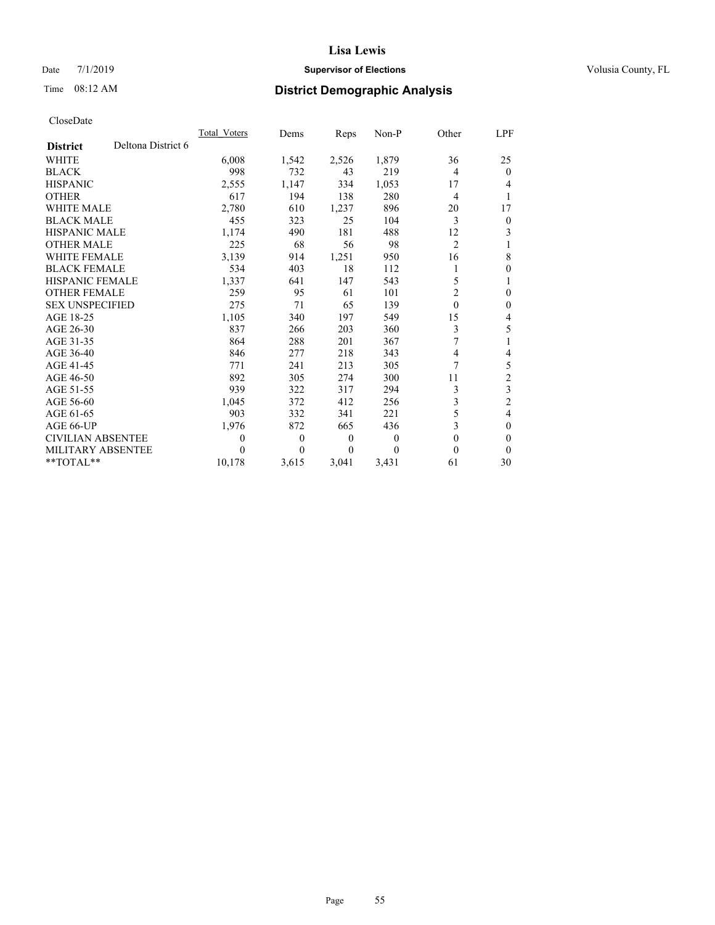# Date 7/1/2019 **Supervisor of Elections Supervisor of Elections** Volusia County, FL

# Time 08:12 AM **District Demographic Analysis**

|                          |                    | Total Voters     | Dems     | Reps             | Non-P | Other          | LPF            |
|--------------------------|--------------------|------------------|----------|------------------|-------|----------------|----------------|
| <b>District</b>          | Deltona District 6 |                  |          |                  |       |                |                |
| <b>WHITE</b>             |                    | 6,008            | 1,542    | 2,526            | 1,879 | 36             | 25             |
| <b>BLACK</b>             |                    | 998              | 732      | 43               | 219   | 4              | $\Omega$       |
| <b>HISPANIC</b>          |                    | 2,555            | 1,147    | 334              | 1,053 | 17             | 4              |
| <b>OTHER</b>             |                    | 617              | 194      | 138              | 280   | 4              | 1              |
| WHITE MALE               |                    | 2,780            | 610      | 1,237            | 896   | 20             | 17             |
| <b>BLACK MALE</b>        |                    | 455              | 323      | 25               | 104   | 3              | $\mathbf{0}$   |
| <b>HISPANIC MALE</b>     |                    | 1,174            | 490      | 181              | 488   | 12             | 3              |
| <b>OTHER MALE</b>        |                    | 225              | 68       | 56               | 98    | $\overline{2}$ |                |
| WHITE FEMALE             |                    | 3,139            | 914      | 1,251            | 950   | 16             | 8              |
| <b>BLACK FEMALE</b>      |                    | 534              | 403      | 18               | 112   | 1              | $\mathbf{0}$   |
| <b>HISPANIC FEMALE</b>   |                    | 1,337            | 641      | 147              | 543   | 5              | 1              |
| <b>OTHER FEMALE</b>      |                    | 259              | 95       | 61               | 101   | $\overline{2}$ | 0              |
| <b>SEX UNSPECIFIED</b>   |                    | 275              | 71       | 65               | 139   | $\theta$       | $\theta$       |
| AGE 18-25                |                    | 1,105            | 340      | 197              | 549   | 15             | 4              |
| AGE 26-30                |                    | 837              | 266      | 203              | 360   | 3              | 5              |
| AGE 31-35                |                    | 864              | 288      | 201              | 367   | $\overline{7}$ |                |
| AGE 36-40                |                    | 846              | 277      | 218              | 343   | 4              | 4              |
| AGE 41-45                |                    | 771              | 241      | 213              | 305   | 7              | 5              |
| AGE 46-50                |                    | 892              | 305      | 274              | 300   | 11             | $\overline{2}$ |
| AGE 51-55                |                    | 939              | 322      | 317              | 294   | 3              | 3              |
| AGE 56-60                |                    | 1,045            | 372      | 412              | 256   | 3              | $\overline{2}$ |
| AGE 61-65                |                    | 903              | 332      | 341              | 221   | 5              | 4              |
| AGE 66-UP                |                    | 1,976            | 872      | 665              | 436   | 3              | $\theta$       |
| <b>CIVILIAN ABSENTEE</b> |                    | $\boldsymbol{0}$ | $\theta$ | $\boldsymbol{0}$ | 0     | $\mathbf{0}$   | $\theta$       |
| MILITARY ABSENTEE        |                    | 0                | 0        | $\theta$         | 0     | 0              | $\theta$       |
| **TOTAL**                |                    | 10,178           | 3,615    | 3,041            | 3,431 | 61             | 30             |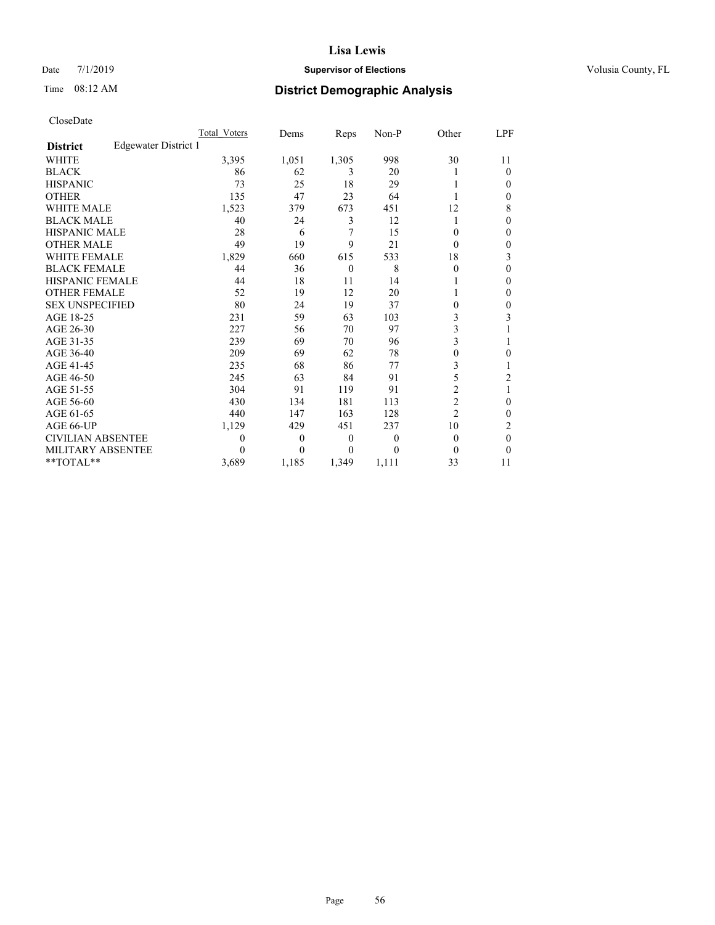# Date 7/1/2019 **Supervisor of Elections Supervisor of Elections** Volusia County, FL

# Time 08:12 AM **District Demographic Analysis**

|                        |                      | Total Voters | Dems     | Reps     | Non-P    | Other          | LPF          |
|------------------------|----------------------|--------------|----------|----------|----------|----------------|--------------|
| <b>District</b>        | Edgewater District 1 |              |          |          |          |                |              |
| <b>WHITE</b>           |                      | 3,395        | 1,051    | 1,305    | 998      | 30             | 11           |
| <b>BLACK</b>           |                      | 86           | 62       | 3        | 20       |                | 0            |
| <b>HISPANIC</b>        |                      | 73           | 25       | 18       | 29       |                | 0            |
| <b>OTHER</b>           |                      | 135          | 47       | 23       | 64       |                | $\mathbf{0}$ |
| WHITE MALE             |                      | 1,523        | 379      | 673      | 451      | 12             | 8            |
| <b>BLACK MALE</b>      |                      | 40           | 24       | 3        | 12       | 1              | 0            |
| <b>HISPANIC MALE</b>   |                      | 28           | 6        | 7        | 15       | 0              | 0            |
| <b>OTHER MALE</b>      |                      | 49           | 19       | 9        | 21       | 0              | 0            |
| WHITE FEMALE           |                      | 1,829        | 660      | 615      | 533      | 18             | 3            |
| <b>BLACK FEMALE</b>    |                      | 44           | 36       | $\theta$ | 8        | 0              | 0            |
| <b>HISPANIC FEMALE</b> |                      | 44           | 18       | 11       | 14       | 1              | $\Omega$     |
| <b>OTHER FEMALE</b>    |                      | 52           | 19       | 12       | 20       |                | 0            |
| <b>SEX UNSPECIFIED</b> |                      | 80           | 24       | 19       | 37       | 0              | 0            |
| AGE 18-25              |                      | 231          | 59       | 63       | 103      | 3              | 3            |
| AGE 26-30              |                      | 227          | 56       | 70       | 97       | 3              |              |
| AGE 31-35              |                      | 239          | 69       | 70       | 96       | 3              |              |
| AGE 36-40              |                      | 209          | 69       | 62       | 78       | $\Omega$       | 0            |
| AGE 41-45              |                      | 235          | 68       | 86       | 77       | 3              |              |
| AGE 46-50              |                      | 245          | 63       | 84       | 91       | 5              | 2            |
| AGE 51-55              |                      | 304          | 91       | 119      | 91       | 2              | 1            |
| AGE 56-60              |                      | 430          | 134      | 181      | 113      | $\overline{2}$ | 0            |
| AGE 61-65              |                      | 440          | 147      | 163      | 128      | $\overline{c}$ | 0            |
| AGE 66-UP              |                      | 1,129        | 429      | 451      | 237      | 10             | 2            |
| CIVILIAN ABSENTEE      |                      | $\theta$     | $\theta$ | $\theta$ | $\theta$ | $\theta$       | $\theta$     |
| MILITARY ABSENTEE      |                      | 0            | 0        | $\theta$ | $\Omega$ | 0              | 0            |
| **TOTAL**              |                      | 3,689        | 1,185    | 1,349    | 1,111    | 33             | 11           |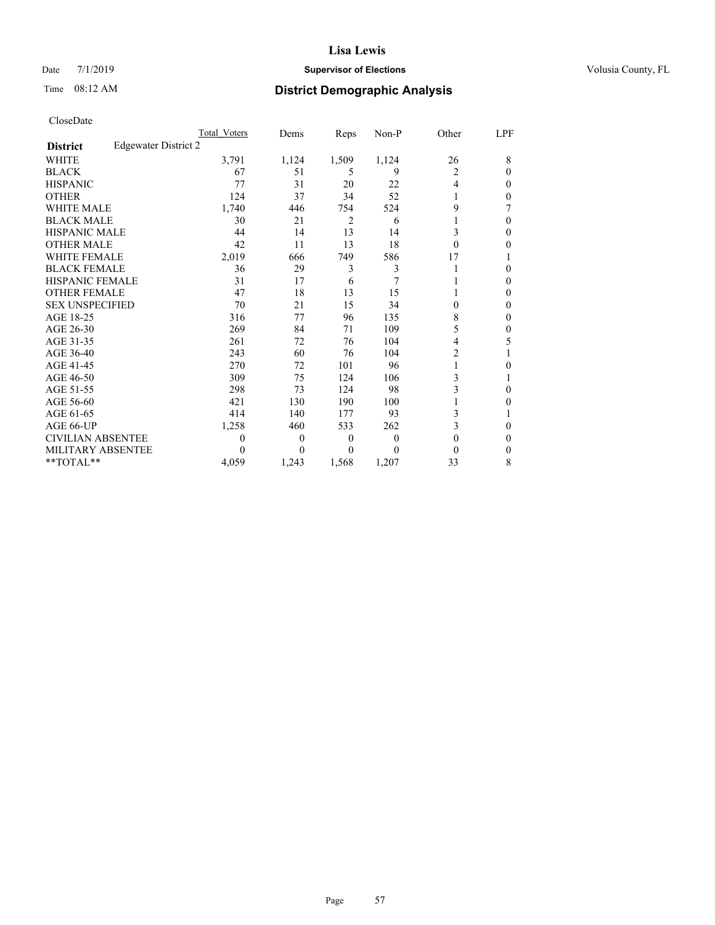# Date 7/1/2019 **Supervisor of Elections Supervisor of Elections** Volusia County, FL

# Time 08:12 AM **District Demographic Analysis**

|                        |                      | Total Voters | Dems     | Reps           | Non-P | Other          | LPF |
|------------------------|----------------------|--------------|----------|----------------|-------|----------------|-----|
| <b>District</b>        | Edgewater District 2 |              |          |                |       |                |     |
| <b>WHITE</b>           |                      | 3,791        | 1,124    | 1,509          | 1,124 | 26             | 8   |
| <b>BLACK</b>           |                      | 67           | 51       | 5              | 9     | 2              | 0   |
| <b>HISPANIC</b>        |                      | 77           | 31       | 20             | 22    | $\overline{4}$ | 0   |
| <b>OTHER</b>           |                      | 124          | 37       | 34             | 52    | 1              | 0   |
| WHITE MALE             |                      | 1,740        | 446      | 754            | 524   | 9              |     |
| <b>BLACK MALE</b>      |                      | 30           | 21       | $\overline{c}$ | 6     |                | 0   |
| <b>HISPANIC MALE</b>   |                      | 44           | 14       | 13             | 14    | 3              | 0   |
| <b>OTHER MALE</b>      |                      | 42           | 11       | 13             | 18    | $\theta$       | 0   |
| WHITE FEMALE           |                      | 2,019        | 666      | 749            | 586   | 17             |     |
| <b>BLACK FEMALE</b>    |                      | 36           | 29       | 3              | 3     |                | 0   |
| <b>HISPANIC FEMALE</b> |                      | 31           | 17       | 6              | 7     |                | 0   |
| <b>OTHER FEMALE</b>    |                      | 47           | 18       | 13             | 15    |                | 0   |
| <b>SEX UNSPECIFIED</b> |                      | 70           | 21       | 15             | 34    | 0              | 0   |
| AGE 18-25              |                      | 316          | 77       | 96             | 135   | 8              | 0   |
| AGE 26-30              |                      | 269          | 84       | 71             | 109   | 5              | 0   |
| AGE 31-35              |                      | 261          | 72       | 76             | 104   | 4              | 5   |
| AGE 36-40              |                      | 243          | 60       | 76             | 104   | $\overline{2}$ |     |
| AGE 41-45              |                      | 270          | 72       | 101            | 96    | 1              | 0   |
| AGE 46-50              |                      | 309          | 75       | 124            | 106   | 3              |     |
| AGE 51-55              |                      | 298          | 73       | 124            | 98    | 3              | 0   |
| AGE 56-60              |                      | 421          | 130      | 190            | 100   | 1              | 0   |
| AGE 61-65              |                      | 414          | 140      | 177            | 93    | 3              |     |
| AGE 66-UP              |                      | 1,258        | 460      | 533            | 262   | 3              | 0   |
| CIVILIAN ABSENTEE      |                      | $\theta$     | $\theta$ | $\theta$       | 0     | $\theta$       | 0   |
| MILITARY ABSENTEE      |                      | 0            | 0        | $\Omega$       | 0     | 0              | 0   |
| **TOTAL**              |                      | 4,059        | 1,243    | 1,568          | 1,207 | 33             | 8   |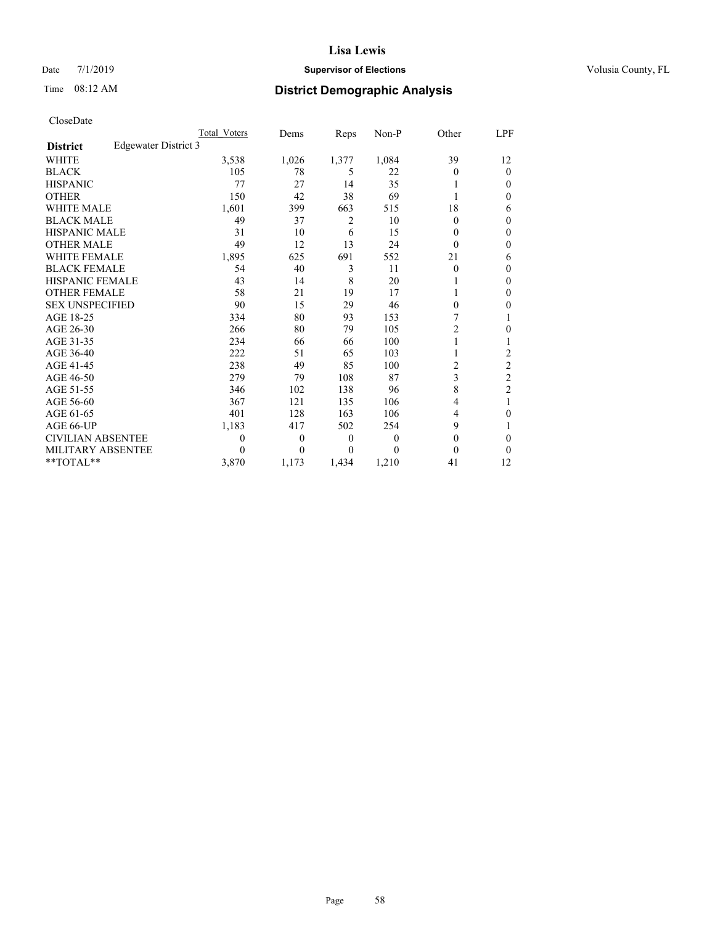# Date 7/1/2019 **Supervisor of Elections Supervisor of Elections** Volusia County, FL

# Time 08:12 AM **District Demographic Analysis**

|                        |                      | Total Voters | Dems     | Reps           | Non-P    | Other          | LPF            |
|------------------------|----------------------|--------------|----------|----------------|----------|----------------|----------------|
| <b>District</b>        | Edgewater District 3 |              |          |                |          |                |                |
| <b>WHITE</b>           |                      | 3,538        | 1,026    | 1,377          | 1,084    | 39             | 12             |
| <b>BLACK</b>           |                      | 105          | 78       | 5              | 22       | $\Omega$       | 0              |
| <b>HISPANIC</b>        |                      | 77           | 27       | 14             | 35       |                | $_{0}$         |
| <b>OTHER</b>           |                      | 150          | 42       | 38             | 69       |                | 0              |
| WHITE MALE             |                      | 1,601        | 399      | 663            | 515      | 18             | 6              |
| <b>BLACK MALE</b>      |                      | 49           | 37       | $\overline{c}$ | 10       | $\Omega$       | 0              |
| <b>HISPANIC MALE</b>   |                      | 31           | 10       | 6              | 15       | 0              | 0              |
| <b>OTHER MALE</b>      |                      | 49           | 12       | 13             | 24       | $\Omega$       | 0              |
| WHITE FEMALE           |                      | 1,895        | 625      | 691            | 552      | 21             | 6              |
| <b>BLACK FEMALE</b>    |                      | 54           | 40       | 3              | 11       | $\overline{0}$ | 0              |
| <b>HISPANIC FEMALE</b> |                      | 43           | 14       | 8              | 20       |                | 0              |
| <b>OTHER FEMALE</b>    |                      | 58           | 21       | 19             | 17       |                | 0              |
| <b>SEX UNSPECIFIED</b> |                      | 90           | 15       | 29             | 46       | 0              | 0              |
| AGE 18-25              |                      | 334          | 80       | 93             | 153      | 7              |                |
| AGE 26-30              |                      | 266          | 80       | 79             | 105      | $\overline{2}$ | 0              |
| AGE 31-35              |                      | 234          | 66       | 66             | 100      |                |                |
| AGE 36-40              |                      | 222          | 51       | 65             | 103      | 1              | $\overline{2}$ |
| AGE 41-45              |                      | 238          | 49       | 85             | 100      | 2              | 2              |
| AGE 46-50              |                      | 279          | 79       | 108            | 87       | 3              | $\overline{c}$ |
| AGE 51-55              |                      | 346          | 102      | 138            | 96       | 8              | $\overline{2}$ |
| AGE 56-60              |                      | 367          | 121      | 135            | 106      | 4              | 1              |
| AGE 61-65              |                      | 401          | 128      | 163            | 106      | 4              | 0              |
| AGE 66-UP              |                      | 1,183        | 417      | 502            | 254      | 9              |                |
| CIVILIAN ABSENTEE      |                      | $\theta$     | $\theta$ | $\overline{0}$ | $\theta$ | $\theta$       | 0              |
| MILITARY ABSENTEE      |                      | 0            | 0        | $\theta$       | $\Omega$ | 0              | 0              |
| **TOTAL**              |                      | 3,870        | 1,173    | 1,434          | 1,210    | 41             | 12             |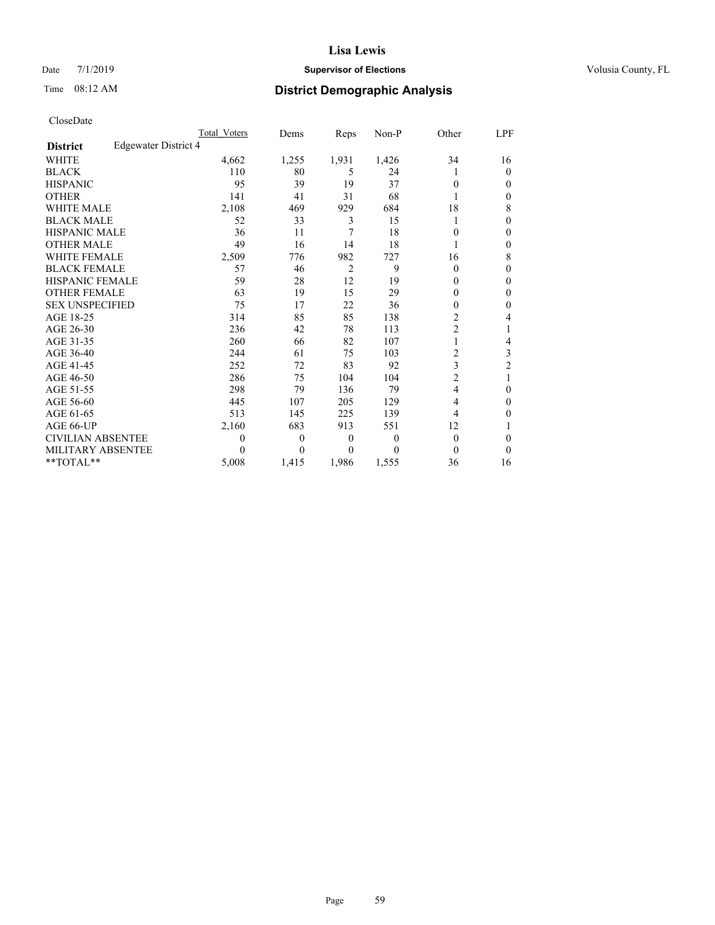# Date 7/1/2019 **Supervisor of Elections Supervisor of Elections** Volusia County, FL

# Time 08:12 AM **District Demographic Analysis**

|                        |                      | Total Voters | Dems     | Reps     | Non-P    | Other          | LPF            |
|------------------------|----------------------|--------------|----------|----------|----------|----------------|----------------|
| <b>District</b>        | Edgewater District 4 |              |          |          |          |                |                |
| <b>WHITE</b>           |                      | 4,662        | 1,255    | 1,931    | 1,426    | 34             | 16             |
| <b>BLACK</b>           |                      | 110          | 80       | 5        | 24       | 1              | 0              |
| <b>HISPANIC</b>        |                      | 95           | 39       | 19       | 37       | 0              | $_{0}$         |
| <b>OTHER</b>           |                      | 141          | 41       | 31       | 68       |                | 0              |
| WHITE MALE             |                      | 2,108        | 469      | 929      | 684      | 18             | 8              |
| <b>BLACK MALE</b>      |                      | 52           | 33       | 3        | 15       |                | 0              |
| <b>HISPANIC MALE</b>   |                      | 36           | 11       | 7        | 18       | 0              | 0              |
| <b>OTHER MALE</b>      |                      | 49           | 16       | 14       | 18       |                | 0              |
| WHITE FEMALE           |                      | 2,509        | 776      | 982      | 727      | 16             | 8              |
| <b>BLACK FEMALE</b>    |                      | 57           | 46       | 2        | 9        | $\Omega$       | 0              |
| <b>HISPANIC FEMALE</b> |                      | 59           | 28       | 12       | 19       | 0              | 0              |
| <b>OTHER FEMALE</b>    |                      | 63           | 19       | 15       | 29       | 0              | 0              |
| <b>SEX UNSPECIFIED</b> |                      | 75           | 17       | 22       | 36       | 0              | 0              |
| AGE 18-25              |                      | 314          | 85       | 85       | 138      | 2              | 4              |
| AGE 26-30              |                      | 236          | 42       | 78       | 113      | $\overline{2}$ |                |
| AGE 31-35              |                      | 260          | 66       | 82       | 107      | 1              | 4              |
| AGE 36-40              |                      | 244          | 61       | 75       | 103      | 2              | 3              |
| AGE 41-45              |                      | 252          | 72       | 83       | 92       | 3              | $\overline{2}$ |
| AGE 46-50              |                      | 286          | 75       | 104      | 104      | $\overline{2}$ |                |
| AGE 51-55              |                      | 298          | 79       | 136      | 79       | 4              | 0              |
| AGE 56-60              |                      | 445          | 107      | 205      | 129      | 4              | 0              |
| AGE 61-65              |                      | 513          | 145      | 225      | 139      | 4              | 0              |
| AGE 66-UP              |                      | 2,160        | 683      | 913      | 551      | 12             |                |
| CIVILIAN ABSENTEE      |                      | $\Omega$     | $\theta$ | $\theta$ | $\theta$ | $\theta$       | 0              |
| MILITARY ABSENTEE      |                      | $\Omega$     | 0        | 0        | $\Omega$ | 0              | 0              |
| **TOTAL**              |                      | 5,008        | 1,415    | 1,986    | 1,555    | 36             | 16             |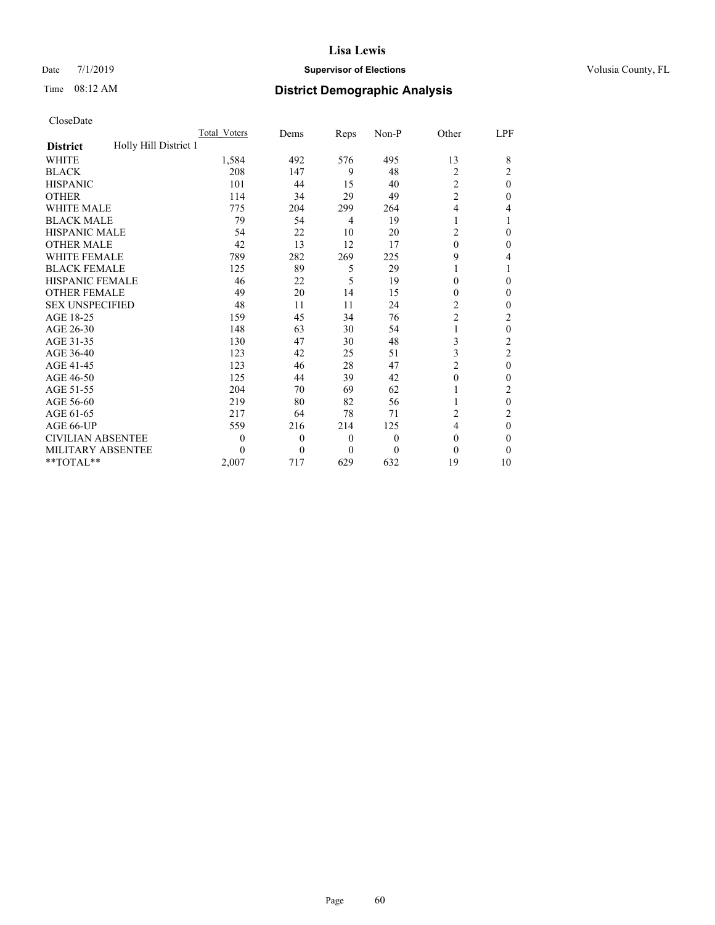# Date 7/1/2019 **Supervisor of Elections Supervisor of Elections** Volusia County, FL

# Time 08:12 AM **District Demographic Analysis**

|                                          | Total Voters | Dems         | Reps             | Non-P            | Other          | <u>LPF</u>     |
|------------------------------------------|--------------|--------------|------------------|------------------|----------------|----------------|
| Holly Hill District 1<br><b>District</b> |              |              |                  |                  |                |                |
| WHITE                                    | 1,584        | 492          | 576              | 495              | 13             | 8              |
| <b>BLACK</b>                             | 208          | 147          | 9                | 48               | 2              | 2              |
| <b>HISPANIC</b>                          | 101          | 44           | 15               | 40               | $\overline{2}$ | $\theta$       |
| <b>OTHER</b>                             | 114          | 34           | 29               | 49               | $\overline{c}$ | 0              |
| WHITE MALE                               | 775          | 204          | 299              | 264              | 4              | 4              |
| <b>BLACK MALE</b>                        | 79           | 54           | 4                | 19               | 1              |                |
| <b>HISPANIC MALE</b>                     | 54           | 22           | 10               | 20               | $\overline{2}$ | 0              |
| <b>OTHER MALE</b>                        | 42           | 13           | 12               | 17               | $\theta$       | 0              |
| <b>WHITE FEMALE</b>                      | 789          | 282          | 269              | 225              | 9              | 4              |
| <b>BLACK FEMALE</b>                      | 125          | 89           | 5                | 29               | 1              |                |
| <b>HISPANIC FEMALE</b>                   | 46           | 22           | 5                | 19               | $\theta$       | 0              |
| <b>OTHER FEMALE</b>                      | 49           | 20           | 14               | 15               | $\theta$       | 0              |
| <b>SEX UNSPECIFIED</b>                   | 48           | 11           | 11               | 24               | $\overline{c}$ | 0              |
| AGE 18-25                                | 159          | 45           | 34               | 76               | $\overline{2}$ | 2              |
| AGE 26-30                                | 148          | 63           | 30               | 54               | 1              | $\mathbf{0}$   |
| AGE 31-35                                | 130          | 47           | 30               | 48               | 3              | $\overline{c}$ |
| AGE 36-40                                | 123          | 42           | 25               | 51               | 3              | $\overline{c}$ |
| AGE 41-45                                | 123          | 46           | 28               | 47               | $\overline{c}$ | $\mathbf{0}$   |
| AGE 46-50                                | 125          | 44           | 39               | 42               | $\theta$       | 0              |
| AGE 51-55                                | 204          | 70           | 69               | 62               | 1              | 2              |
| AGE 56-60                                | 219          | 80           | 82               | 56               | 1              | $\mathbf{0}$   |
| AGE 61-65                                | 217          | 64           | 78               | 71               | 2              | 2              |
| AGE 66-UP                                | 559          | 216          | 214              | 125              | 4              | $\theta$       |
| <b>CIVILIAN ABSENTEE</b>                 | $\theta$     | $\mathbf{0}$ | $\boldsymbol{0}$ | $\boldsymbol{0}$ | $\theta$       | 0              |
| MILITARY ABSENTEE                        | $\Omega$     | 0            | $\theta$         | $\theta$         | $\theta$       | 0              |
| **TOTAL**                                | 2,007        | 717          | 629              | 632              | 19             | 10             |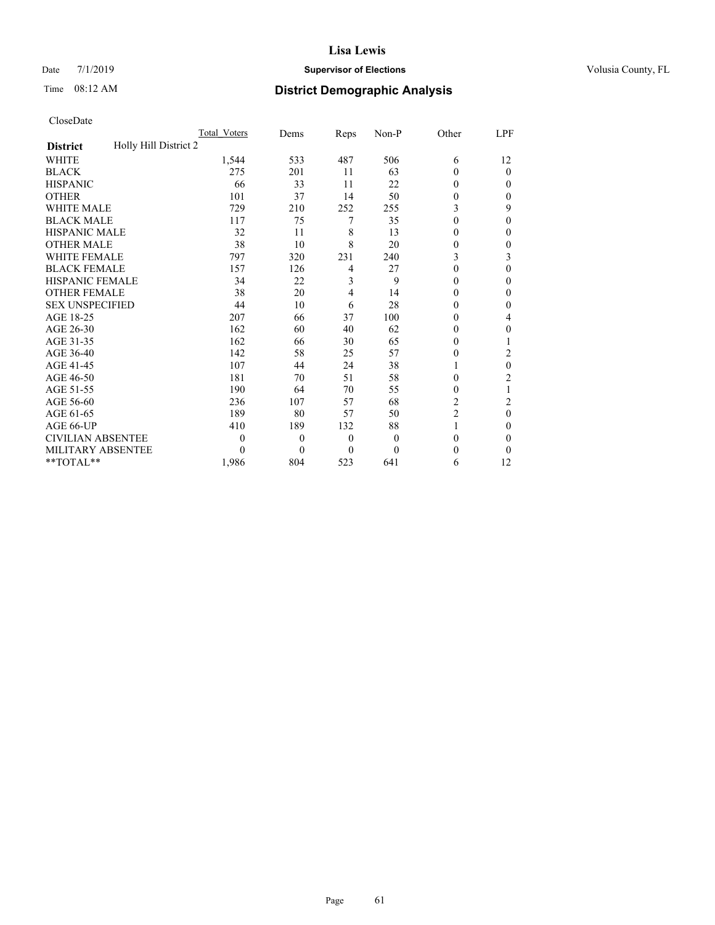# Date 7/1/2019 **Supervisor of Elections Supervisor of Elections** Volusia County, FL

# Time 08:12 AM **District Demographic Analysis**

|                                          | Total Voters | Dems     | Reps           | $Non-P$  | Other          | <u>LPF</u>     |
|------------------------------------------|--------------|----------|----------------|----------|----------------|----------------|
| Holly Hill District 2<br><b>District</b> |              |          |                |          |                |                |
| WHITE                                    | 1,544        | 533      | 487            | 506      | 6              | 12             |
| <b>BLACK</b>                             | 275          | 201      | 11             | 63       | $\theta$       | $\overline{0}$ |
| <b>HISPANIC</b>                          | 66           | 33       | 11             | 22       | $\Omega$       | 0              |
| <b>OTHER</b>                             | 101          | 37       | 14             | 50       | $\theta$       | 0              |
| WHITE MALE                               | 729          | 210      | 252            | 255      | 3              | 9              |
| <b>BLACK MALE</b>                        | 117          | 75       | 7              | 35       | $\theta$       | 0              |
| <b>HISPANIC MALE</b>                     | 32           | 11       | 8              | 13       | $\theta$       | 0              |
| <b>OTHER MALE</b>                        | 38           | 10       | 8              | 20       | 0              | 0              |
| WHITE FEMALE                             | 797          | 320      | 231            | 240      | 3              | 3              |
| <b>BLACK FEMALE</b>                      | 157          | 126      | 4              | 27       | $\Omega$       | 0              |
| <b>HISPANIC FEMALE</b>                   | 34           | 22       | 3              | 9        | $\theta$       | 0              |
| <b>OTHER FEMALE</b>                      | 38           | 20       | 4              | 14       | $\Omega$       | 0              |
| <b>SEX UNSPECIFIED</b>                   | 44           | 10       | 6              | 28       | $\theta$       | 0              |
| AGE 18-25                                | 207          | 66       | 37             | 100      | $\Omega$       | 4              |
| AGE 26-30                                | 162          | 60       | 40             | 62       | 0              | 0              |
| AGE 31-35                                | 162          | 66       | 30             | 65       | 0              |                |
| AGE 36-40                                | 142          | 58       | 25             | 57       | $\theta$       | 2              |
| AGE 41-45                                | 107          | 44       | 24             | 38       | 1              | 0              |
| AGE 46-50                                | 181          | 70       | 51             | 58       | 0              | $\overline{2}$ |
| AGE 51-55                                | 190          | 64       | 70             | 55       | $\theta$       |                |
| AGE 56-60                                | 236          | 107      | 57             | 68       | $\overline{2}$ | $\overline{c}$ |
| AGE 61-65                                | 189          | 80       | 57             | 50       | $\overline{c}$ | $\theta$       |
| AGE 66-UP                                | 410          | 189      | 132            | 88       | 1              | 0              |
| <b>CIVILIAN ABSENTEE</b>                 | $\theta$     | $\theta$ | $\overline{0}$ | $\theta$ | $\theta$       | 0              |
| <b>MILITARY ABSENTEE</b>                 | 0            | $\Omega$ | $\theta$       | 0        | $\theta$       | 0              |
| **TOTAL**                                | 1,986        | 804      | 523            | 641      | 6              | 12             |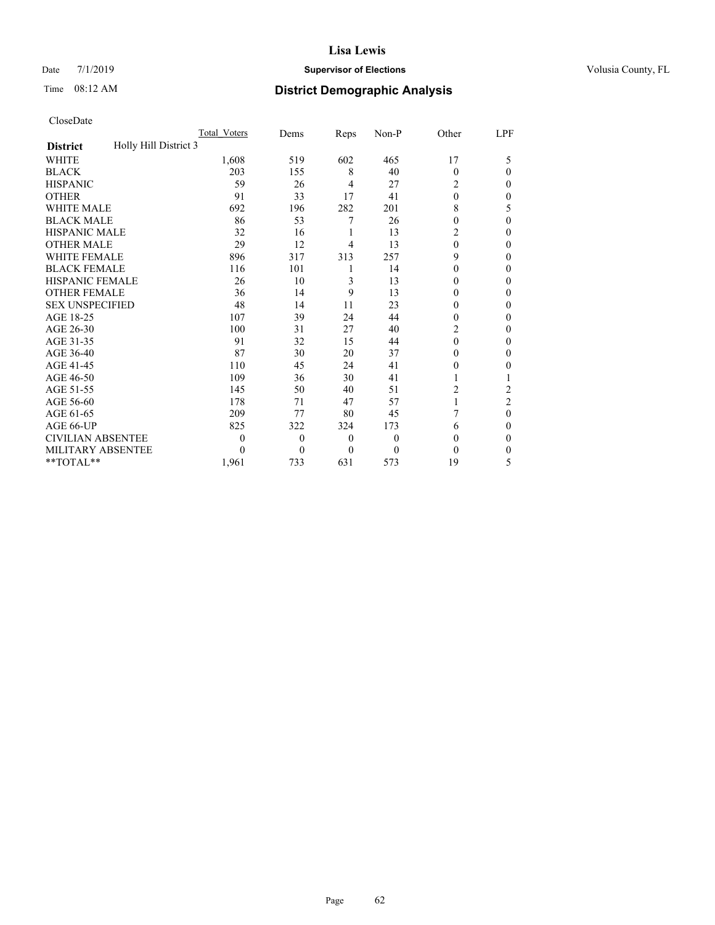# Date 7/1/2019 **Supervisor of Elections Supervisor of Elections** Volusia County, FL

# Time 08:12 AM **District Demographic Analysis**

|                                          | Total Voters     | Dems             | Reps             | Non-P    | Other    | LPF            |
|------------------------------------------|------------------|------------------|------------------|----------|----------|----------------|
| Holly Hill District 3<br><b>District</b> |                  |                  |                  |          |          |                |
| <b>WHITE</b>                             | 1,608            | 519              | 602              | 465      | 17       | 5              |
| <b>BLACK</b>                             | 203              | 155              | 8                | 40       | $\Omega$ | 0              |
| <b>HISPANIC</b>                          | 59               | 26               | 4                | 27       | 2        | 0              |
| <b>OTHER</b>                             | 91               | 33               | 17               | 41       | $\theta$ | 0              |
| WHITE MALE                               | 692              | 196              | 282              | 201      | 8        | 5              |
| <b>BLACK MALE</b>                        | 86               | 53               | 7                | 26       | 0        | 0              |
| <b>HISPANIC MALE</b>                     | 32               | 16               | 1                | 13       | 2        | 0              |
| <b>OTHER MALE</b>                        | 29               | 12               | 4                | 13       | $\theta$ | 0              |
| WHITE FEMALE                             | 896              | 317              | 313              | 257      | 9        | 0              |
| <b>BLACK FEMALE</b>                      | 116              | 101              | 1                | 14       | 0        | 0              |
| <b>HISPANIC FEMALE</b>                   | 26               | 10               | 3                | 13       | $\Omega$ | 0              |
| <b>OTHER FEMALE</b>                      | 36               | 14               | 9                | 13       | 0        | 0              |
| <b>SEX UNSPECIFIED</b>                   | 48               | 14               | 11               | 23       | 0        | 0              |
| AGE 18-25                                | 107              | 39               | 24               | 44       | 0        | 0              |
| AGE 26-30                                | 100              | 31               | 27               | 40       | 2        | 0              |
| AGE 31-35                                | 91               | 32               | 15               | 44       | $\theta$ | 0              |
| AGE 36-40                                | 87               | 30               | 20               | 37       | 0        | 0              |
| AGE 41-45                                | 110              | 45               | 24               | 41       | 0        | 0              |
| AGE 46-50                                | 109              | 36               | 30               | 41       |          |                |
| AGE 51-55                                | 145              | 50               | 40               | 51       | 2        | $\overline{2}$ |
| AGE 56-60                                | 178              | 71               | 47               | 57       | 1        | $\overline{2}$ |
| AGE 61-65                                | 209              | 77               | 80               | 45       | 7        | 0              |
| AGE 66-UP                                | 825              | 322              | 324              | 173      | 6        | 0              |
| <b>CIVILIAN ABSENTEE</b>                 | $\boldsymbol{0}$ | $\boldsymbol{0}$ | $\boldsymbol{0}$ | $\theta$ | 0        | 0              |
| <b>MILITARY ABSENTEE</b>                 | 0                | $\theta$         | $\theta$         | $\theta$ | 0        | 0              |
| **TOTAL**                                | 1,961            | 733              | 631              | 573      | 19       | 5              |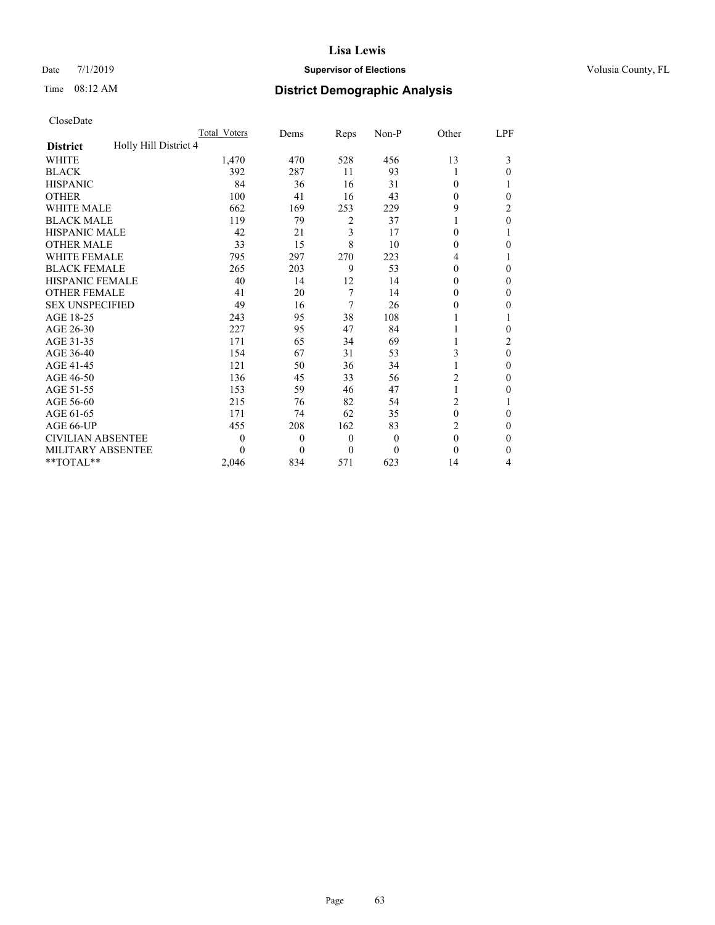# Date 7/1/2019 **Supervisor of Elections Supervisor of Elections** Volusia County, FL

# Time 08:12 AM **District Demographic Analysis**

|                                          | Total Voters | Dems         | Reps     | $Non-P$ | Other          | LPF            |
|------------------------------------------|--------------|--------------|----------|---------|----------------|----------------|
| Holly Hill District 4<br><b>District</b> |              |              |          |         |                |                |
| <b>WHITE</b>                             | 1,470        | 470          | 528      | 456     | 13             | 3              |
| <b>BLACK</b>                             | 392          | 287          | 11       | 93      | 1              | 0              |
| <b>HISPANIC</b>                          | 84           | 36           | 16       | 31      | $\Omega$       |                |
| <b>OTHER</b>                             | 100          | 41           | 16       | 43      | $\theta$       | 0              |
| WHITE MALE                               | 662          | 169          | 253      | 229     | 9              | 2              |
| <b>BLACK MALE</b>                        | 119          | 79           | 2        | 37      |                | $\theta$       |
| <b>HISPANIC MALE</b>                     | 42           | 21           | 3        | 17      | $\theta$       |                |
| <b>OTHER MALE</b>                        | 33           | 15           | 8        | 10      | $\theta$       | 0              |
| <b>WHITE FEMALE</b>                      | 795          | 297          | 270      | 223     | 4              |                |
| <b>BLACK FEMALE</b>                      | 265          | 203          | 9        | 53      | $\theta$       | 0              |
| HISPANIC FEMALE                          | 40           | 14           | 12       | 14      | $\Omega$       | 0              |
| <b>OTHER FEMALE</b>                      | 41           | 20           | 7        | 14      | $\Omega$       | 0              |
| <b>SEX UNSPECIFIED</b>                   | 49           | 16           | 7        | 26      | $\mathbf{0}$   | 0              |
| AGE 18-25                                | 243          | 95           | 38       | 108     |                |                |
| AGE 26-30                                | 227          | 95           | 47       | 84      |                | 0              |
| AGE 31-35                                | 171          | 65           | 34       | 69      |                | $\overline{2}$ |
| AGE 36-40                                | 154          | 67           | 31       | 53      | 3              | $\theta$       |
| AGE 41-45                                | 121          | 50           | 36       | 34      | 1              | 0              |
| AGE 46-50                                | 136          | 45           | 33       | 56      | 2              | 0              |
| AGE 51-55                                | 153          | 59           | 46       | 47      | 1              | 0              |
| AGE 56-60                                | 215          | 76           | 82       | 54      | $\overline{c}$ |                |
| AGE 61-65                                | 171          | 74           | 62       | 35      | $\theta$       | 0              |
| AGE 66-UP                                | 455          | 208          | 162      | 83      | $\overline{c}$ | 0              |
| <b>CIVILIAN ABSENTEE</b>                 | 0            | $\mathbf{0}$ | $\theta$ | 0       | $\theta$       | 0              |
| MILITARY ABSENTEE                        | 0            | $\theta$     | $\theta$ | 0       | $\theta$       | 0              |
| $*$ TOTAL $*$                            | 2,046        | 834          | 571      | 623     | 14             | 4              |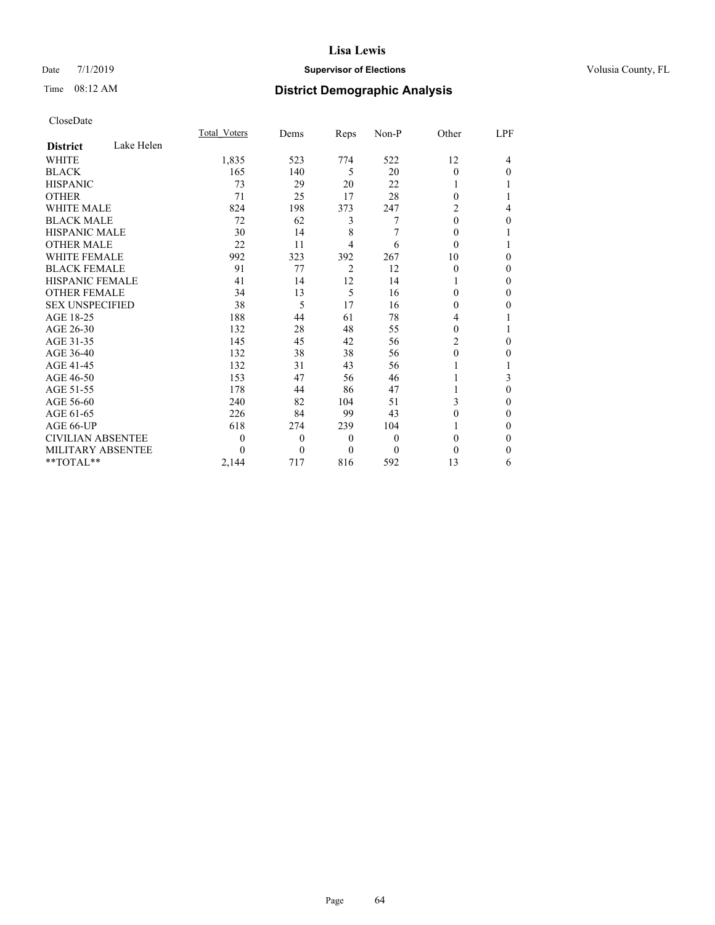# Date 7/1/2019 **Supervisor of Elections Supervisor of Elections** Volusia County, FL

# Time 08:12 AM **District Demographic Analysis**

|                          |            | Total Voters | Dems     | Reps           | Non-P    | Other          | LPF |
|--------------------------|------------|--------------|----------|----------------|----------|----------------|-----|
| <b>District</b>          | Lake Helen |              |          |                |          |                |     |
| WHITE                    |            | 1,835        | 523      | 774            | 522      | 12             | 4   |
| <b>BLACK</b>             |            | 165          | 140      | 5              | 20       | $\theta$       | 0   |
| <b>HISPANIC</b>          |            | 73           | 29       | 20             | 22       |                |     |
| <b>OTHER</b>             |            | 71           | 25       | 17             | 28       | $\Omega$       |     |
| <b>WHITE MALE</b>        |            | 824          | 198      | 373            | 247      | 2              | 4   |
| <b>BLACK MALE</b>        |            | 72           | 62       | 3              | 7        | $\Omega$       | 0   |
| <b>HISPANIC MALE</b>     |            | 30           | 14       | 8              | 7        | $\Omega$       |     |
| <b>OTHER MALE</b>        |            | 22           | 11       | 4              | 6        | $\Omega$       |     |
| <b>WHITE FEMALE</b>      |            | 992          | 323      | 392            | 267      | 10             | 0   |
| <b>BLACK FEMALE</b>      |            | 91           | 77       | $\overline{2}$ | 12       | $\Omega$       | 0   |
| <b>HISPANIC FEMALE</b>   |            | 41           | 14       | 12             | 14       |                | 0   |
| <b>OTHER FEMALE</b>      |            | 34           | 13       | 5              | 16       | 0              | 0   |
| <b>SEX UNSPECIFIED</b>   |            | 38           | 5        | 17             | 16       | 0              | 0   |
| AGE 18-25                |            | 188          | 44       | 61             | 78       | 4              |     |
| AGE 26-30                |            | 132          | 28       | 48             | 55       | $\Omega$       |     |
| AGE 31-35                |            | 145          | 45       | 42             | 56       | $\overline{c}$ | 0   |
| AGE 36-40                |            | 132          | 38       | 38             | 56       | $\theta$       | 0   |
| AGE 41-45                |            | 132          | 31       | 43             | 56       |                |     |
| AGE 46-50                |            | 153          | 47       | 56             | 46       |                | 3   |
| AGE 51-55                |            | 178          | 44       | 86             | 47       |                | 0   |
| AGE 56-60                |            | 240          | 82       | 104            | 51       | 3              | 0   |
| AGE 61-65                |            | 226          | 84       | 99             | 43       | 0              | 0   |
| AGE 66-UP                |            | 618          | 274      | 239            | 104      |                | 0   |
| <b>CIVILIAN ABSENTEE</b> |            | 0            | $\theta$ | $\theta$       | $\theta$ | $\Omega$       | 0   |
| <b>MILITARY ABSENTEE</b> |            | 0            | $\theta$ | 0              | $\Omega$ | 0              | 0   |
| $*$ TOTAL $*$            |            | 2,144        | 717      | 816            | 592      | 13             | 6   |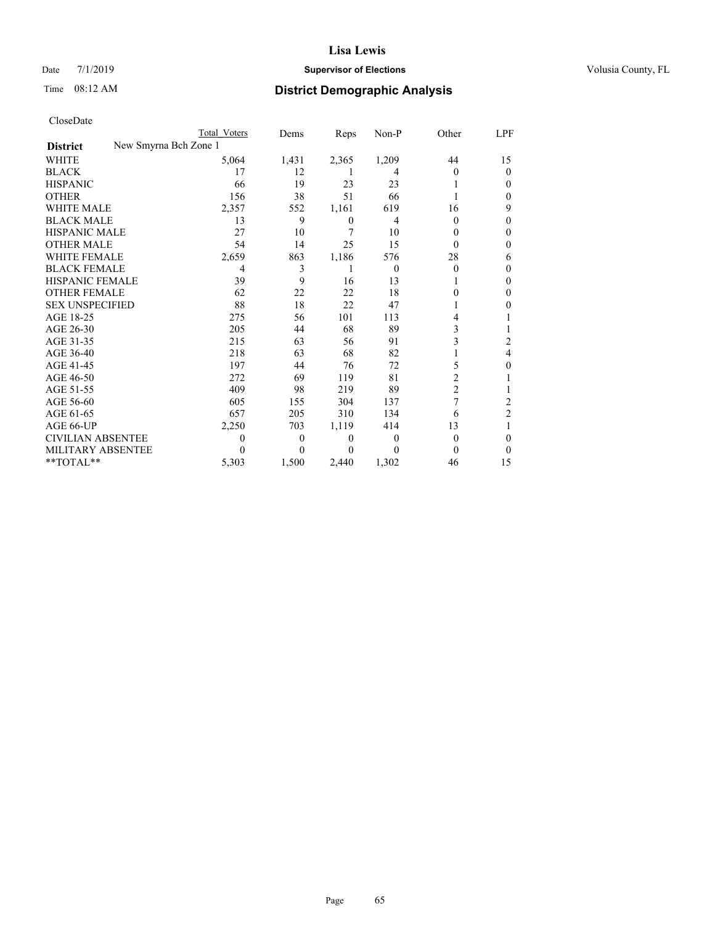# Date 7/1/2019 **Supervisor of Elections Supervisor of Elections** Volusia County, FL

| CloseDate |
|-----------|
|-----------|

|                                          | Total Voters | Dems     | Reps  | Non-P    | Other          | <u>LPF</u>     |
|------------------------------------------|--------------|----------|-------|----------|----------------|----------------|
| New Smyrna Bch Zone 1<br><b>District</b> |              |          |       |          |                |                |
| WHITE                                    | 5,064        | 1,431    | 2,365 | 1,209    | 44             | 15             |
| <b>BLACK</b>                             | 17           | 12       | 1     | 4        | $\mathbf{0}$   | $\overline{0}$ |
| <b>HISPANIC</b>                          | 66           | 19       | 23    | 23       |                | 0              |
| <b>OTHER</b>                             | 156          | 38       | 51    | 66       |                | 0              |
| <b>WHITE MALE</b>                        | 2,357        | 552      | 1,161 | 619      | 16             | 9              |
| <b>BLACK MALE</b>                        | 13           | 9        | 0     | 4        | $\Omega$       | 0              |
| <b>HISPANIC MALE</b>                     | 27           | 10       | 7     | 10       | 0              | 0              |
| <b>OTHER MALE</b>                        | 54           | 14       | 25    | 15       | 0              | 0              |
| <b>WHITE FEMALE</b>                      | 2,659        | 863      | 1,186 | 576      | 28             | 6              |
| <b>BLACK FEMALE</b>                      | 4            | 3        |       | $\theta$ | 0              | 0              |
| <b>HISPANIC FEMALE</b>                   | 39           | 9        | 16    | 13       |                | 0              |
| <b>OTHER FEMALE</b>                      | 62           | 22       | 22    | 18       | 0              | 0              |
| <b>SEX UNSPECIFIED</b>                   | 88           | 18       | 22    | 47       |                | 0              |
| AGE 18-25                                | 275          | 56       | 101   | 113      | 4              |                |
| AGE 26-30                                | 205          | 44       | 68    | 89       | 3              |                |
| AGE 31-35                                | 215          | 63       | 56    | 91       | 3              | 2              |
| AGE 36-40                                | 218          | 63       | 68    | 82       |                | 4              |
| AGE 41-45                                | 197          | 44       | 76    | 72       | 5              | 0              |
| AGE 46-50                                | 272          | 69       | 119   | 81       | 2              |                |
| AGE 51-55                                | 409          | 98       | 219   | 89       | $\overline{c}$ |                |
| AGE 56-60                                | 605          | 155      | 304   | 137      | 7              | 2              |
| AGE 61-65                                | 657          | 205      | 310   | 134      | 6              | 2              |
| AGE 66-UP                                | 2,250        | 703      | 1,119 | 414      | 13             |                |
| <b>CIVILIAN ABSENTEE</b>                 | 0            | $\theta$ | 0     | $\Omega$ | 0              | 0              |
| <b>MILITARY ABSENTEE</b>                 |              | $\Omega$ | 0     | $\Omega$ | 0              | 0              |
| $*$ $TOTAL**$                            | 5,303        | 1,500    | 2,440 | 1,302    | 46             | 15             |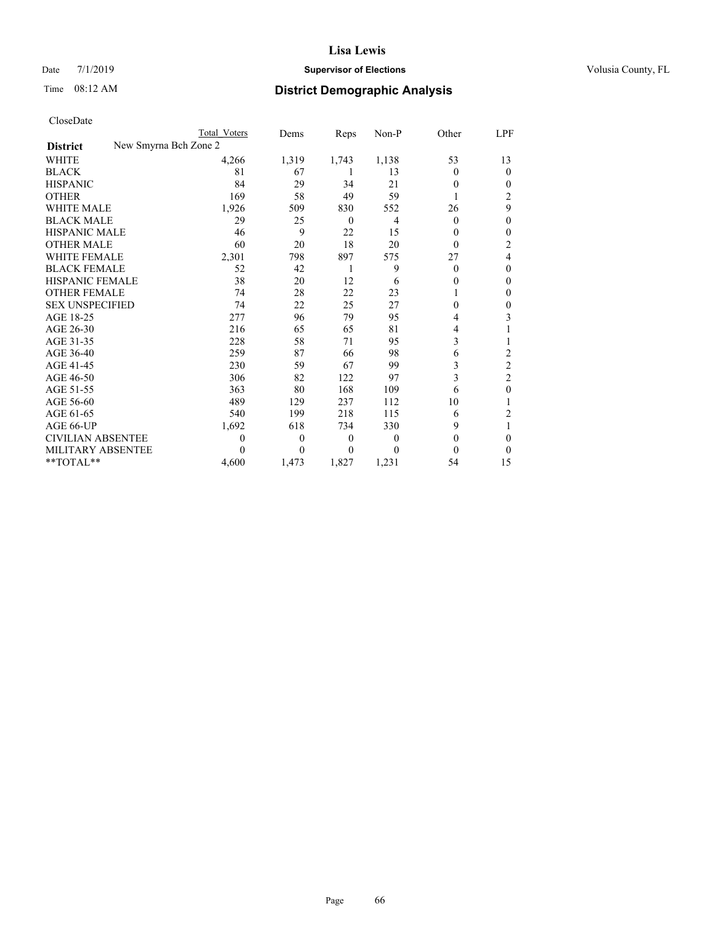# Date 7/1/2019 **Supervisor of Elections Supervisor of Elections** Volusia County, FL

| CloseDate |
|-----------|
|-----------|

|                                          | Total Voters | Dems  | Reps     | Non-P | Other    | LPF            |
|------------------------------------------|--------------|-------|----------|-------|----------|----------------|
| New Smyrna Bch Zone 2<br><b>District</b> |              |       |          |       |          |                |
| WHITE                                    | 4,266        | 1,319 | 1,743    | 1,138 | 53       | 13             |
| <b>BLACK</b>                             | 81           | 67    | 1        | 13    | 0        | $\overline{0}$ |
| <b>HISPANIC</b>                          | 84           | 29    | 34       | 21    | 0        | 0              |
| <b>OTHER</b>                             | 169          | 58    | 49       | 59    |          | 2              |
| <b>WHITE MALE</b>                        | 1,926        | 509   | 830      | 552   | 26       | 9              |
| <b>BLACK MALE</b>                        | 29           | 25    | $\theta$ | 4     | $\Omega$ | 0              |
| <b>HISPANIC MALE</b>                     | 46           | 9     | 22       | 15    | 0        | 0              |
| <b>OTHER MALE</b>                        | 60           | 20    | 18       | 20    | 0        | 2              |
| <b>WHITE FEMALE</b>                      | 2,301        | 798   | 897      | 575   | 27       | 4              |
| <b>BLACK FEMALE</b>                      | 52           | 42    | 1        | 9     | $\Omega$ | 0              |
| HISPANIC FEMALE                          | 38           | 20    | 12       | 6     | 0        | 0              |
| <b>OTHER FEMALE</b>                      | 74           | 28    | 22       | 23    |          | 0              |
| <b>SEX UNSPECIFIED</b>                   | 74           | 22    | 25       | 27    | 0        | 0              |
| AGE 18-25                                | 277          | 96    | 79       | 95    | 4        | 3              |
| AGE 26-30                                | 216          | 65    | 65       | 81    | 4        |                |
| AGE 31-35                                | 228          | 58    | 71       | 95    | 3        |                |
| AGE 36-40                                | 259          | 87    | 66       | 98    | 6        | 2              |
| AGE 41-45                                | 230          | 59    | 67       | 99    | 3        | $\overline{c}$ |
| AGE 46-50                                | 306          | 82    | 122      | 97    | 3        | $\overline{c}$ |
| AGE 51-55                                | 363          | 80    | 168      | 109   | 6        | 0              |
| AGE 56-60                                | 489          | 129   | 237      | 112   | 10       |                |
| AGE 61-65                                | 540          | 199   | 218      | 115   | 6        | 2              |
| AGE 66-UP                                | 1,692        | 618   | 734      | 330   | 9        |                |
| <b>CIVILIAN ABSENTEE</b>                 | 0            | 0     | 0        | 0     | 0        | 0              |
| <b>MILITARY ABSENTEE</b>                 | 0            | 0     | 0        | 0     | 0        | 0              |
| **TOTAL**                                | 4,600        | 1,473 | 1,827    | 1,231 | 54       | 15             |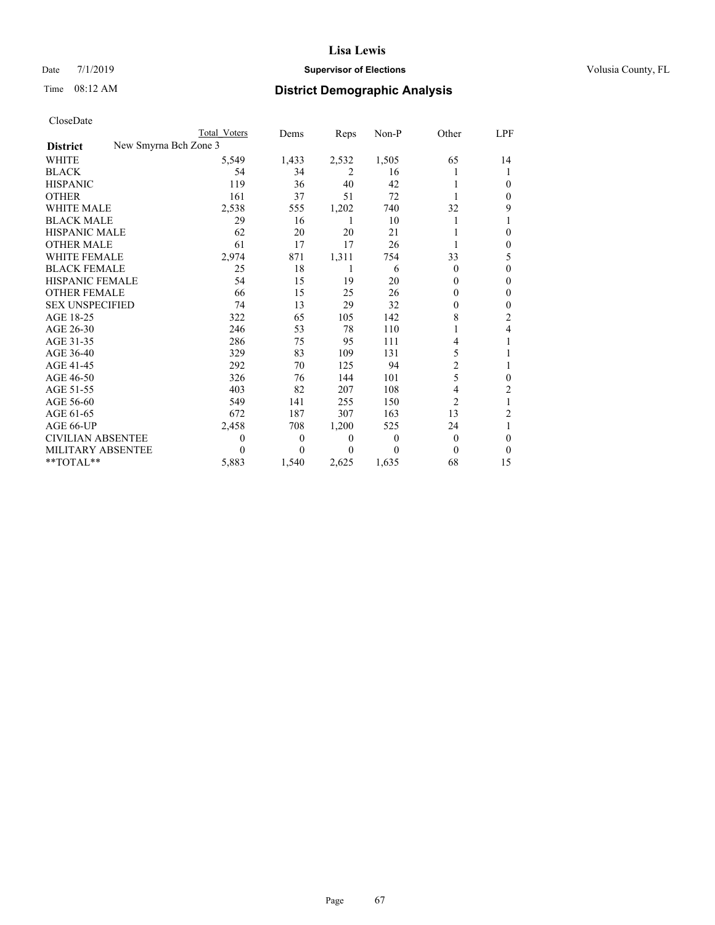# Date 7/1/2019 **Supervisor of Elections Supervisor of Elections** Volusia County, FL

| CloseDate |
|-----------|
|-----------|

| Total Voters          | Dems     | Reps           | Non-P    | Other          | LPF          |
|-----------------------|----------|----------------|----------|----------------|--------------|
| New Smyrna Bch Zone 3 |          |                |          |                |              |
| 5,549                 | 1,433    | 2,532          | 1,505    | 65             | 14           |
| 54                    | 34       | 2              | 16       |                |              |
| 119                   | 36       | 40             | 42       |                | 0            |
| 161                   | 37       | 51             | 72       |                | $\Omega$     |
| 2,538                 | 555      | 1,202          | 740      | 32             | 9            |
| 29                    | 16       | 1              | 10       |                |              |
| 62                    | 20       | 20             | 21       |                | 0            |
| 61                    | 17       | 17             | 26       |                | $\mathbf{0}$ |
| 2,974                 | 871      | 1,311          | 754      | 33             | 5            |
| 25                    | 18       | 1              | 6        | $\Omega$       | $\mathbf{0}$ |
| 54                    | 15       | 19             | 20       | $\Omega$       | $\Omega$     |
| 66                    | 15       | 25             | 26       | $\mathbf{0}$   | $\theta$     |
| 74                    | 13       | 29             | 32       | 0              | 0            |
| 322                   | 65       | 105            | 142      | 8              | 2            |
| 246                   | 53       | 78             | 110      | 1              | 4            |
| 286                   | 75       | 95             | 111      | 4              |              |
| 329                   | 83       | 109            | 131      | 5              |              |
| 292                   | 70       | 125            | 94       | 2              | 1            |
| 326                   | 76       | 144            | 101      | 5              | 0            |
| 403                   | 82       | 207            | 108      | 4              | 2            |
| 549                   | 141      | 255            | 150      | $\overline{c}$ | 1            |
| 672                   | 187      | 307            | 163      | 13             | 2            |
| 2,458                 | 708      | 1,200          | 525      | 24             | 1            |
| 0                     | $\theta$ | $\overline{0}$ | $\theta$ | $\overline{0}$ | 0            |
| 0                     | 0        | $\Omega$       | 0        | 0              | $\Omega$     |
| 5,883                 | 1,540    | 2,625          | 1,635    | 68             | 15           |
|                       |          |                |          |                |              |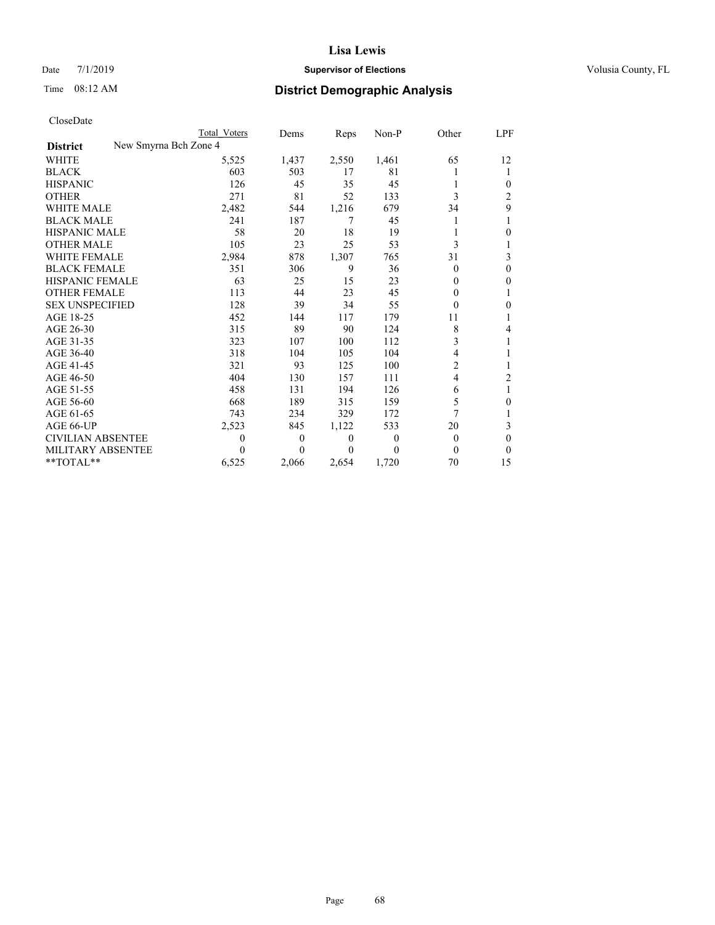# Date 7/1/2019 **Supervisor of Elections Supervisor of Elections** Volusia County, FL

|                                          | Total Voters | Dems         | Reps             | Non-P          | Other    | LPF            |
|------------------------------------------|--------------|--------------|------------------|----------------|----------|----------------|
| New Smyrna Bch Zone 4<br><b>District</b> |              |              |                  |                |          |                |
| WHITE                                    | 5,525        | 1,437        | 2,550            | 1,461          | 65       | 12             |
| <b>BLACK</b>                             | 603          | 503          | 17               | 81             |          | 1              |
| <b>HISPANIC</b>                          | 126          | 45           | 35               | 45             |          | 0              |
| <b>OTHER</b>                             | 271          | 81           | 52               | 133            | 3        | 2              |
| <b>WHITE MALE</b>                        | 2,482        | 544          | 1,216            | 679            | 34       | 9              |
| <b>BLACK MALE</b>                        | 241          | 187          | 7                | 45             | L        |                |
| <b>HISPANIC MALE</b>                     | 58           | 20           | 18               | 19             |          | 0              |
| <b>OTHER MALE</b>                        | 105          | 23           | 25               | 53             | 3        |                |
| <b>WHITE FEMALE</b>                      | 2,984        | 878          | 1,307            | 765            | 31       | 3              |
| <b>BLACK FEMALE</b>                      | 351          | 306          | 9                | 36             | $\theta$ | 0              |
| HISPANIC FEMALE                          | 63           | 25           | 15               | 23             | 0        | 0              |
| <b>OTHER FEMALE</b>                      | 113          | 44           | 23               | 45             | $\Omega$ | 1              |
| <b>SEX UNSPECIFIED</b>                   | 128          | 39           | 34               | 55             | $\Omega$ | 0              |
| AGE 18-25                                | 452          | 144          | 117              | 179            | 11       |                |
| AGE 26-30                                | 315          | 89           | 90               | 124            | 8        | 4              |
| AGE 31-35                                | 323          | 107          | 100              | 112            | 3        |                |
| AGE 36-40                                | 318          | 104          | 105              | 104            | 4        |                |
| AGE 41-45                                | 321          | 93           | 125              | 100            | 2        | 1              |
| AGE 46-50                                | 404          | 130          | 157              | 111            | 4        | $\overline{c}$ |
| AGE 51-55                                | 458          | 131          | 194              | 126            | 6        |                |
| AGE 56-60                                | 668          | 189          | 315              | 159            | 5        | 0              |
| AGE 61-65                                | 743          | 234          | 329              | 172            | 7        |                |
| AGE 66-UP                                | 2,523        | 845          | 1,122            | 533            | 20       | 3              |
| <b>CIVILIAN ABSENTEE</b>                 | 0            | $\mathbf{0}$ | $\boldsymbol{0}$ | $\overline{0}$ | $\Omega$ | $\Omega$       |
| <b>MILITARY ABSENTEE</b>                 | 0            | $\theta$     | $\theta$         | $\Omega$       | $\Omega$ | $\theta$       |
| **TOTAL**                                | 6,525        | 2,066        | 2,654            | 1,720          | 70       | 15             |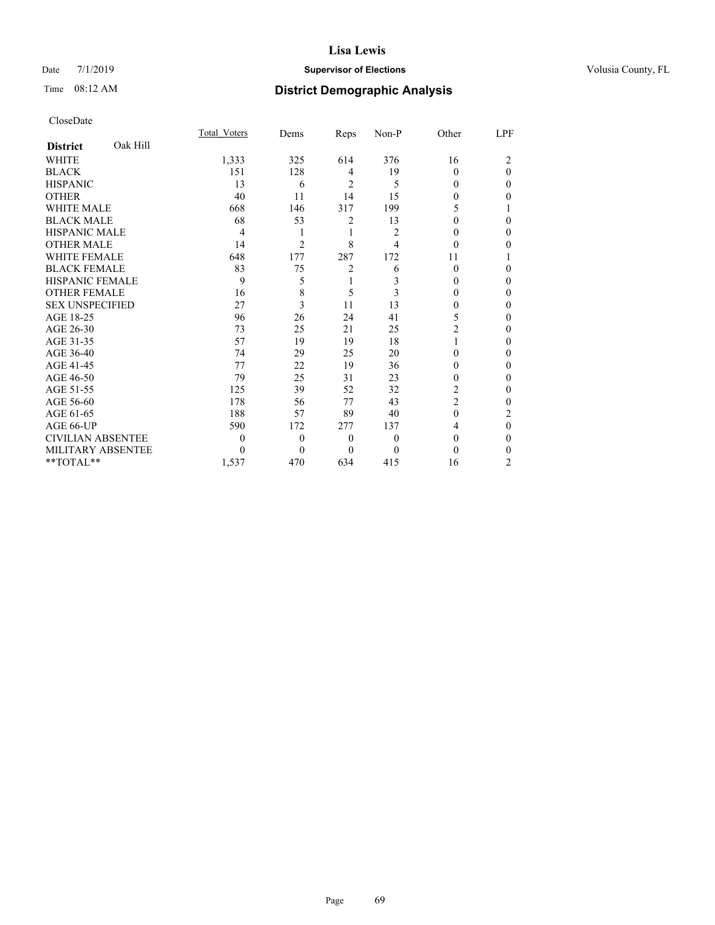# Date 7/1/2019 **Supervisor of Elections Supervisor of Elections** Volusia County, FL

# Time 08:12 AM **District Demographic Analysis**

|                          |          | Total Voters | Dems           | Reps           | Non-P          | Other          | LPF            |
|--------------------------|----------|--------------|----------------|----------------|----------------|----------------|----------------|
| <b>District</b>          | Oak Hill |              |                |                |                |                |                |
| <b>WHITE</b>             |          | 1,333        | 325            | 614            | 376            | 16             | 2              |
| <b>BLACK</b>             |          | 151          | 128            | 4              | 19             | $\Omega$       | 0              |
| <b>HISPANIC</b>          |          | 13           | 6              | $\overline{2}$ | 5              | $\theta$       | 0              |
| <b>OTHER</b>             |          | 40           | 11             | 14             | 15             | 0              | 0              |
| <b>WHITE MALE</b>        |          | 668          | 146            | 317            | 199            | 5              |                |
| <b>BLACK MALE</b>        |          | 68           | 53             | 2              | 13             | 0              | 0              |
| <b>HISPANIC MALE</b>     |          | 4            | 1              | 1              | $\overline{c}$ | 0              | 0              |
| <b>OTHER MALE</b>        |          | 14           | $\overline{c}$ | 8              | 4              | 0              | 0              |
| <b>WHITE FEMALE</b>      |          | 648          | 177            | 287            | 172            | 11             |                |
| <b>BLACK FEMALE</b>      |          | 83           | 75             | $\overline{2}$ | 6              | $\Omega$       | 0              |
| <b>HISPANIC FEMALE</b>   |          | 9            | 5              | 1              | 3              | 0              | 0              |
| <b>OTHER FEMALE</b>      |          | 16           | 8              | 5              | 3              | 0              | 0              |
| <b>SEX UNSPECIFIED</b>   |          | 27           | 3              | 11             | 13             | 0              | 0              |
| AGE 18-25                |          | 96           | 26             | 24             | 41             | 5              | 0              |
| AGE 26-30                |          | 73           | 25             | 21             | 25             | $\overline{c}$ | 0              |
| AGE 31-35                |          | 57           | 19             | 19             | 18             |                | 0              |
| AGE 36-40                |          | 74           | 29             | 25             | 20             | 0              | 0              |
| AGE 41-45                |          | 77           | 22             | 19             | 36             | 0              | 0              |
| AGE 46-50                |          | 79           | 25             | 31             | 23             | 0              | 0              |
| AGE 51-55                |          | 125          | 39             | 52             | 32             | 2              | 0              |
| AGE 56-60                |          | 178          | 56             | 77             | 43             | $\overline{c}$ | 0              |
| AGE 61-65                |          | 188          | 57             | 89             | 40             | $\theta$       | 2              |
| AGE 66-UP                |          | 590          | 172            | 277            | 137            | 4              | 0              |
| <b>CIVILIAN ABSENTEE</b> |          | 0            | $\mathbf{0}$   | $\theta$       | 0              | $\Omega$       | 0              |
| MILITARY ABSENTEE        |          | 0            | 0              | $\Omega$       | 0              | 0              | 0              |
| $*$ $TOTAL**$            |          | 1,537        | 470            | 634            | 415            | 16             | $\overline{2}$ |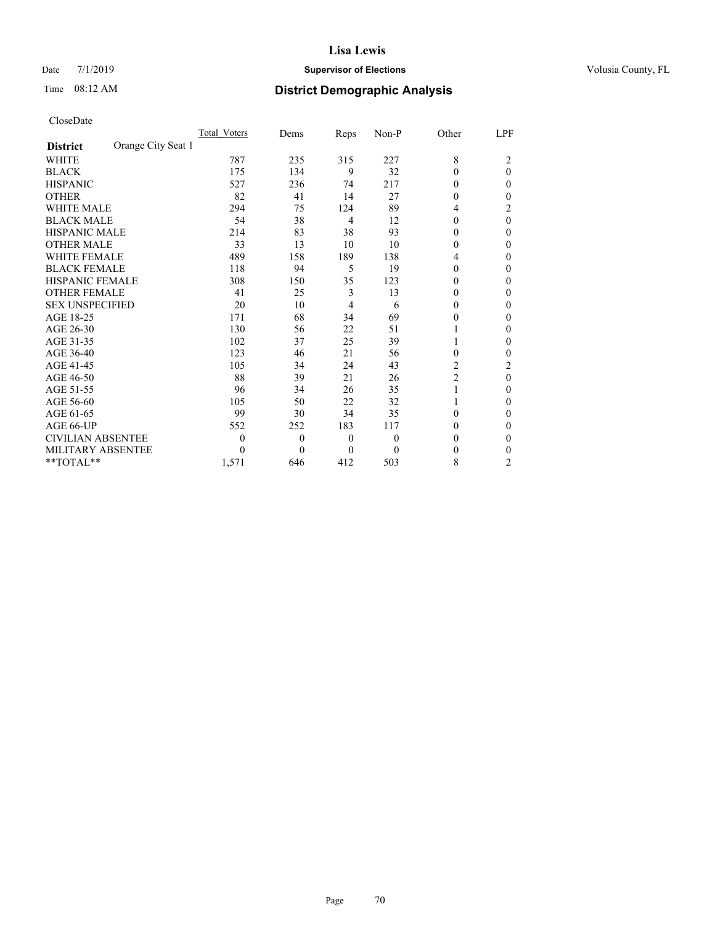# Date 7/1/2019 **Supervisor of Elections Supervisor of Elections** Volusia County, FL

# Time 08:12 AM **District Demographic Analysis**

|                          |                    | Total Voters | Dems         | Reps           | Non-P        | Other          | LPF            |
|--------------------------|--------------------|--------------|--------------|----------------|--------------|----------------|----------------|
| <b>District</b>          | Orange City Seat 1 |              |              |                |              |                |                |
| <b>WHITE</b>             |                    | 787          | 235          | 315            | 227          | 8              | 2              |
| <b>BLACK</b>             |                    | 175          | 134          | 9              | 32           | $\Omega$       | $\theta$       |
| <b>HISPANIC</b>          |                    | 527          | 236          | 74             | 217          | 0              | 0              |
| <b>OTHER</b>             |                    | 82           | 41           | 14             | 27           | 0              | 0              |
| <b>WHITE MALE</b>        |                    | 294          | 75           | 124            | 89           | 4              | 2              |
| <b>BLACK MALE</b>        |                    | 54           | 38           | $\overline{4}$ | 12           | 0              | $\theta$       |
| <b>HISPANIC MALE</b>     |                    | 214          | 83           | 38             | 93           | 0              | 0              |
| <b>OTHER MALE</b>        |                    | 33           | 13           | 10             | 10           | $\Omega$       | 0              |
| <b>WHITE FEMALE</b>      |                    | 489          | 158          | 189            | 138          | 4              | 0              |
| <b>BLACK FEMALE</b>      |                    | 118          | 94           | 5              | 19           | $\Omega$       | 0              |
| <b>HISPANIC FEMALE</b>   |                    | 308          | 150          | 35             | 123          | 0              | 0              |
| <b>OTHER FEMALE</b>      |                    | 41           | 25           | 3              | 13           | $\Omega$       | 0              |
| <b>SEX UNSPECIFIED</b>   |                    | 20           | 10           | $\overline{4}$ | 6            | 0              | 0              |
| AGE 18-25                |                    | 171          | 68           | 34             | 69           | 0              | 0              |
| AGE 26-30                |                    | 130          | 56           | 22             | 51           |                | 0              |
| AGE 31-35                |                    | 102          | 37           | 25             | 39           |                | 0              |
| AGE 36-40                |                    | 123          | 46           | 21             | 56           | 0              | 0              |
| AGE 41-45                |                    | 105          | 34           | 24             | 43           | 2              | 2              |
| AGE 46-50                |                    | 88           | 39           | 21             | 26           | $\overline{c}$ | 0              |
| AGE 51-55                |                    | 96           | 34           | 26             | 35           | 1              | 0              |
| AGE 56-60                |                    | 105          | 50           | 22             | 32           | 1              | 0              |
| AGE 61-65                |                    | 99           | 30           | 34             | 35           | 0              | 0              |
| AGE 66-UP                |                    | 552          | 252          | 183            | 117          | 0              | 0              |
| <b>CIVILIAN ABSENTEE</b> |                    | 0            | $\mathbf{0}$ | $\mathbf{0}$   | $\mathbf{0}$ | 0              | 0              |
| MILITARY ABSENTEE        |                    | 0            | 0            | $\theta$       | $\theta$     | 0              | 0              |
| $*$ $TOTAL**$            |                    | 1,571        | 646          | 412            | 503          | 8              | $\overline{2}$ |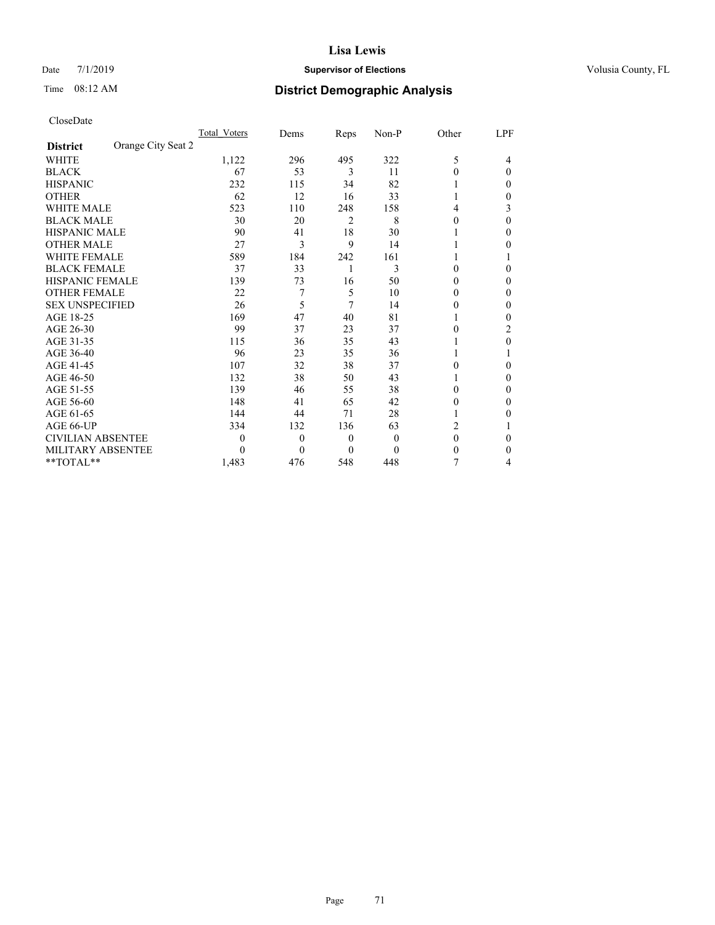# Date 7/1/2019 **Supervisor of Elections Supervisor of Elections** Volusia County, FL

| CloseDate |
|-----------|
|-----------|

|                                       | Total Voters | Dems     | Reps | $Non-P$  | Other    | <u>LPF</u> |
|---------------------------------------|--------------|----------|------|----------|----------|------------|
| Orange City Seat 2<br><b>District</b> |              |          |      |          |          |            |
| WHITE                                 | 1,122        | 296      | 495  | 322      | 5        | 4          |
| <b>BLACK</b>                          | 67           | 53       | 3    | 11       | 0        | $\theta$   |
| <b>HISPANIC</b>                       | 232          | 115      | 34   | 82       |          | 0          |
| <b>OTHER</b>                          | 62           | 12       | 16   | 33       |          | 0          |
| <b>WHITE MALE</b>                     | 523          | 110      | 248  | 158      | 4        | 3          |
| <b>BLACK MALE</b>                     | 30           | 20       | 2    | 8        | 0        | $\Omega$   |
| <b>HISPANIC MALE</b>                  | 90           | 41       | 18   | 30       |          | 0          |
| <b>OTHER MALE</b>                     | 27           | 3        | 9    | 14       |          | $_{0}$     |
| <b>WHITE FEMALE</b>                   | 589          | 184      | 242  | 161      |          |            |
| <b>BLACK FEMALE</b>                   | 37           | 33       | 1    | 3        | 0        | 0          |
| HISPANIC FEMALE                       | 139          | 73       | 16   | 50       | 0        | 0          |
| <b>OTHER FEMALE</b>                   | 22           | 7        | 5    | 10       | 0        | 0          |
| <b>SEX UNSPECIFIED</b>                | 26           | 5        | 7    | 14       | $\theta$ | 0          |
| AGE 18-25                             | 169          | 47       | 40   | 81       |          | 0          |
| AGE 26-30                             | 99           | 37       | 23   | 37       | 0        | 2          |
| AGE 31-35                             | 115          | 36       | 35   | 43       |          | 0          |
| AGE 36-40                             | 96           | 23       | 35   | 36       |          |            |
| AGE 41-45                             | 107          | 32       | 38   | 37       | 0        | 0          |
| AGE 46-50                             | 132          | 38       | 50   | 43       |          | 0          |
| AGE 51-55                             | 139          | 46       | 55   | 38       | 0        | 0          |
| AGE 56-60                             | 148          | 41       | 65   | 42       | 0        | 0          |
| AGE 61-65                             | 144          | 44       | 71   | 28       |          | 0          |
| AGE 66-UP                             | 334          | 132      | 136  | 63       | 2        |            |
| <b>CIVILIAN ABSENTEE</b>              | 0            | $\theta$ | 0    | $\theta$ | $\theta$ | 0          |
| <b>MILITARY ABSENTEE</b>              | 0            | $\theta$ | 0    | 0        | $\theta$ | 0          |
| **TOTAL**                             | 1,483        | 476      | 548  | 448      | 7        | 4          |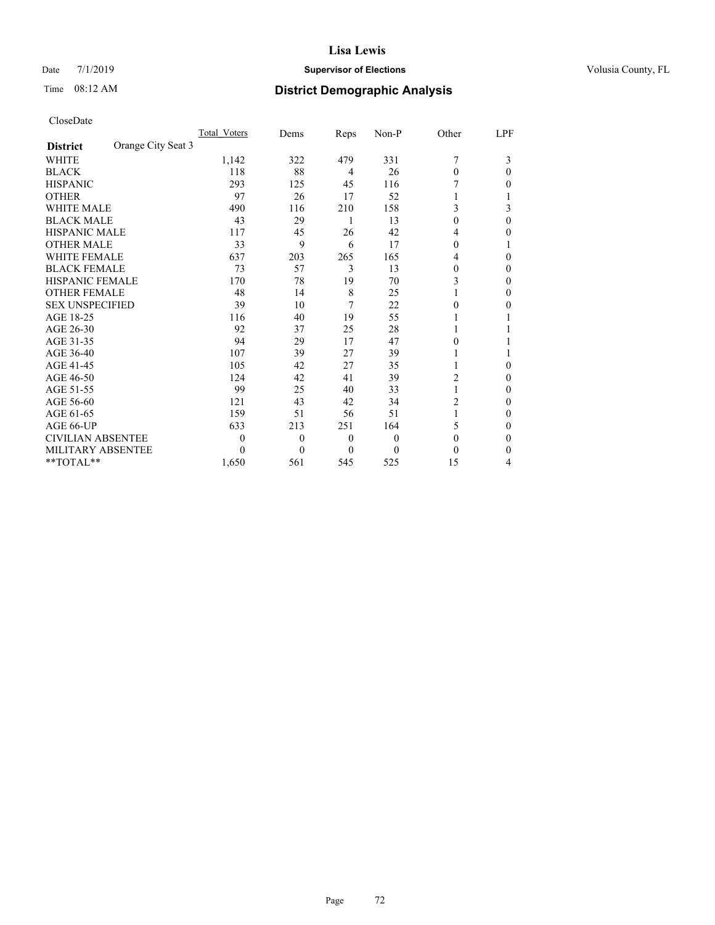# Date 7/1/2019 **Supervisor of Elections Supervisor of Elections** Volusia County, FL

# Time 08:12 AM **District Demographic Analysis**

|                                       | Total Voters | Dems     | Reps         | Non-P | Other          | LPF |
|---------------------------------------|--------------|----------|--------------|-------|----------------|-----|
| Orange City Seat 3<br><b>District</b> |              |          |              |       |                |     |
| <b>WHITE</b>                          | 1,142        | 322      | 479          | 331   | 7              | 3   |
| <b>BLACK</b>                          | 118          | 88       | 4            | 26    | $\Omega$       | 0   |
| <b>HISPANIC</b>                       | 293          | 125      | 45           | 116   |                | 0   |
| <b>OTHER</b>                          | 97           | 26       | 17           | 52    |                |     |
| WHITE MALE                            | 490          | 116      | 210          | 158   | 3              | 3   |
| <b>BLACK MALE</b>                     | 43           | 29       | 1            | 13    | $\theta$       | 0   |
| <b>HISPANIC MALE</b>                  | 117          | 45       | 26           | 42    | 4              | 0   |
| <b>OTHER MALE</b>                     | 33           | 9        | 6            | 17    | $\Omega$       |     |
| <b>WHITE FEMALE</b>                   | 637          | 203      | 265          | 165   | 4              | 0   |
| <b>BLACK FEMALE</b>                   | 73           | 57       | 3            | 13    | $\theta$       | 0   |
| <b>HISPANIC FEMALE</b>                | 170          | 78       | 19           | 70    | 3              | 0   |
| <b>OTHER FEMALE</b>                   | 48           | 14       | 8            | 25    | 1              | 0   |
| <b>SEX UNSPECIFIED</b>                | 39           | 10       | 7            | 22    | 0              | 0   |
| AGE 18-25                             | 116          | 40       | 19           | 55    |                |     |
| AGE 26-30                             | 92           | 37       | 25           | 28    |                |     |
| AGE 31-35                             | 94           | 29       | 17           | 47    | $\theta$       |     |
| AGE 36-40                             | 107          | 39       | 27           | 39    |                |     |
| AGE 41-45                             | 105          | 42       | 27           | 35    |                | 0   |
| AGE 46-50                             | 124          | 42       | 41           | 39    | 2              | 0   |
| AGE 51-55                             | 99           | 25       | 40           | 33    | 1              | 0   |
| AGE 56-60                             | 121          | 43       | 42           | 34    | $\overline{c}$ | 0   |
| AGE 61-65                             | 159          | 51       | 56           | 51    | 1              | 0   |
| AGE 66-UP                             | 633          | 213      | 251          | 164   | 5              | 0   |
| <b>CIVILIAN ABSENTEE</b>              | $\theta$     | $\theta$ | $\mathbf{0}$ | 0     | $\theta$       | 0   |
| <b>MILITARY ABSENTEE</b>              | $\theta$     | $\theta$ | $\theta$     | 0     | $\theta$       | 0   |
| $*$ TOTAL $*$                         | 1,650        | 561      | 545          | 525   | 15             | 4   |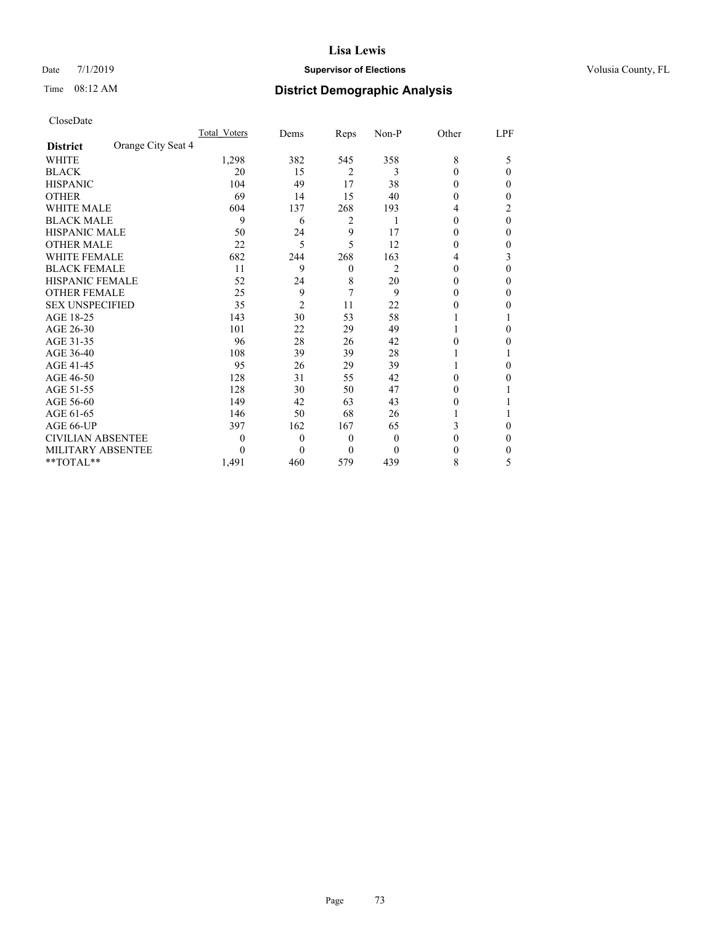## Date 7/1/2019 **Supervisor of Elections Supervisor of Elections** Volusia County, FL

# Time 08:12 AM **District Demographic Analysis**

|                        |                    | Total Voters | Dems           | Reps           | Non-P    | Other | LPF      |
|------------------------|--------------------|--------------|----------------|----------------|----------|-------|----------|
| <b>District</b>        | Orange City Seat 4 |              |                |                |          |       |          |
| WHITE                  |                    | 1,298        | 382            | 545            | 358      | 8     | 5        |
| BLACK                  |                    | 20           | 15             | $\overline{2}$ | 3        | 0     | $_{0}$   |
| <b>HISPANIC</b>        |                    | 104          | 49             | 17             | 38       | 0     | 0        |
| OTHER                  |                    | 69           | 14             | 15             | 40       | 0     | $\theta$ |
| WHITE MALE             |                    | 604          | 137            | 268            | 193      | 4     | 2        |
| BLACK MALE             |                    | 9            | 6              | 2              | 1        | 0     | 0        |
| HISPANIC MALE          |                    | 50           | 24             | 9              | 17       | 0     | $\theta$ |
| <b>OTHER MALE</b>      |                    | 22           | 5              | 5              | 12       | 0     | $_{0}$   |
| <b>WHITE FEMALE</b>    |                    | 682          | 244            | 268            | 163      | 4     | 3        |
| <b>BLACK FEMALE</b>    |                    | 11           | 9              | $\theta$       | 2        | 0     | $\theta$ |
| HISPANIC FEMALE        |                    | 52           | 24             | 8              | 20       | 0     | $\theta$ |
| <b>OTHER FEMALE</b>    |                    | 25           | 9              | 7              | 9        | 0     | 0        |
| <b>SEX UNSPECIFIED</b> |                    | 35           | $\overline{2}$ | 11             | 22       | 0     | $\theta$ |
| AGE 18-25              |                    | 143          | 30             | 53             | 58       |       |          |
| AGE 26-30              |                    | 101          | 22             | 29             | 49       |       | 0        |
| AGE 31-35              |                    | 96           | 28             | 26             | 42       | 0     | 0        |
| AGE 36-40              |                    | 108          | 39             | 39             | 28       |       |          |
| AGE 41-45              |                    | 95           | 26             | 29             | 39       |       | 0        |
| AGE 46-50              |                    | 128          | 31             | 55             | 42       | 0     | $_{0}$   |
| AGE 51-55              |                    | 128          | 30             | 50             | 47       | 0     |          |
| AGE 56-60              |                    | 149          | 42             | 63             | 43       | 0     |          |
| AGE 61-65              |                    | 146          | 50             | 68             | 26       |       |          |
| AGE 66-UP              |                    | 397          | 162            | 167            | 65       | 3     | $\theta$ |
| CIVILIAN ABSENTEE      |                    | 0            | 0              | $\theta$       | $\theta$ | 0     | 0        |
| MILITARY ABSENTEE      |                    |              | 0              | $\Omega$       | 0        | 0     | 0        |
| $*$ TOTAL $*$          |                    | 1,491        | 460            | 579            | 439      | 8     | 5        |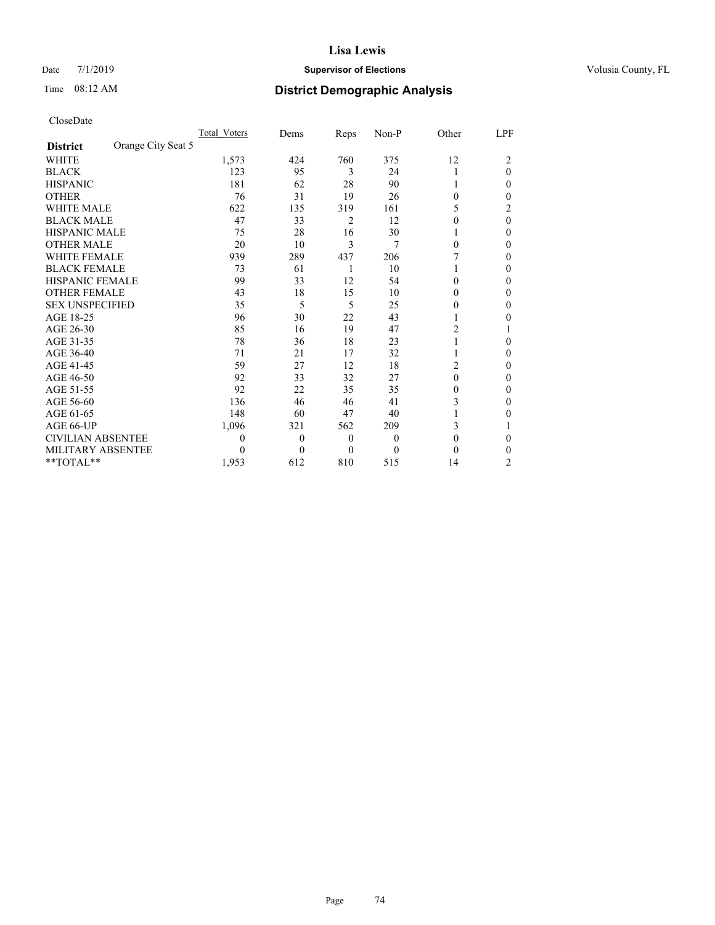## Date 7/1/2019 **Supervisor of Elections Supervisor of Elections** Volusia County, FL

# Time 08:12 AM **District Demographic Analysis**

|                        | Total Voters       | Dems     | Reps     | Non-P | Other          | LPF            |
|------------------------|--------------------|----------|----------|-------|----------------|----------------|
| <b>District</b>        | Orange City Seat 5 |          |          |       |                |                |
| <b>WHITE</b>           | 1,573              | 424      | 760      | 375   | 12             | 2              |
| <b>BLACK</b>           | 123                | 95       | 3        | 24    | 1              | 0              |
| <b>HISPANIC</b>        | 181                | 62       | 28       | 90    | 1              | 0              |
| <b>OTHER</b>           | 76                 | 31       | 19       | 26    | $\theta$       | 0              |
| <b>WHITE MALE</b>      | 622                | 135      | 319      | 161   | 5              | 2              |
| <b>BLACK MALE</b>      | 47                 | 33       | 2        | 12    | $\theta$       | $\theta$       |
| <b>HISPANIC MALE</b>   | 75                 | 28       | 16       | 30    |                | 0              |
| <b>OTHER MALE</b>      | 20                 | 10       | 3        | 7     | $\theta$       | 0              |
| <b>WHITE FEMALE</b>    | 939                | 289      | 437      | 206   |                | 0              |
| <b>BLACK FEMALE</b>    | 73                 | 61       | 1        | 10    | 1              | 0              |
| <b>HISPANIC FEMALE</b> | 99                 | 33       | 12       | 54    | $\theta$       | 0              |
| <b>OTHER FEMALE</b>    | 43                 | 18       | 15       | 10    | $\theta$       | 0              |
| <b>SEX UNSPECIFIED</b> | 35                 | 5        | 5        | 25    | 0              | 0              |
| AGE 18-25              | 96                 | 30       | 22       | 43    | 1              | 0              |
| AGE 26-30              | 85                 | 16       | 19       | 47    | 2              |                |
| AGE 31-35              | 78                 | 36       | 18       | 23    | 1              | 0              |
| AGE 36-40              | 71                 | 21       | 17       | 32    | 1              | 0              |
| AGE 41-45              | 59                 | 27       | 12       | 18    | $\overline{2}$ | 0              |
| AGE 46-50              | 92                 | 33       | 32       | 27    | $\theta$       | 0              |
| AGE 51-55              | 92                 | 22       | 35       | 35    | $\theta$       | 0              |
| AGE 56-60              | 136                | 46       | 46       | 41    | 3              | 0              |
| AGE 61-65              | 148                | 60       | 47       | 40    |                | 0              |
| AGE 66-UP              | 1,096              | 321      | 562      | 209   | 3              |                |
| CIVILIAN ABSENTEE      | 0                  | $\theta$ | $\theta$ | 0     | $\theta$       | 0              |
| MILITARY ABSENTEE      | 0                  | $\theta$ | $\theta$ | 0     | 0              | 0              |
| **TOTAL**              | 1,953              | 612      | 810      | 515   | 14             | $\overline{c}$ |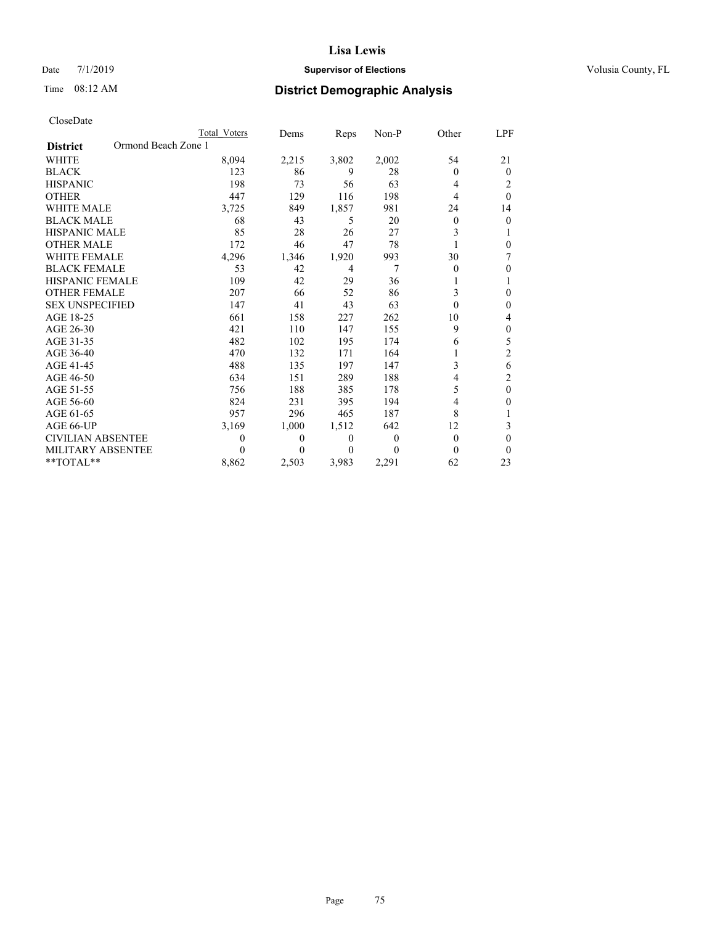## Date 7/1/2019 **Supervisor of Elections Supervisor of Elections** Volusia County, FL

# Time 08:12 AM **District Demographic Analysis**

|                                        | Total Voters     | Dems         | Reps  | Non-P    | Other | LPF              |
|----------------------------------------|------------------|--------------|-------|----------|-------|------------------|
| Ormond Beach Zone 1<br><b>District</b> |                  |              |       |          |       |                  |
| <b>WHITE</b>                           | 8,094            | 2,215        | 3,802 | 2,002    | 54    | 21               |
| <b>BLACK</b>                           | 123              | 86           | 9     | 28       | 0     | $\Omega$         |
| <b>HISPANIC</b>                        | 198              | 73           | 56    | 63       | 4     | 2                |
| <b>OTHER</b>                           | 447              | 129          | 116   | 198      | 4     | $\theta$         |
| <b>WHITE MALE</b>                      | 3,725            | 849          | 1,857 | 981      | 24    | 14               |
| <b>BLACK MALE</b>                      | 68               | 43           | 5     | 20       | 0     | $\boldsymbol{0}$ |
| <b>HISPANIC MALE</b>                   | 85               | 28           | 26    | 27       | 3     | 1                |
| <b>OTHER MALE</b>                      | 172              | 46           | 47    | 78       |       | 0                |
| <b>WHITE FEMALE</b>                    | 4,296            | 1,346        | 1,920 | 993      | 30    | 7                |
| <b>BLACK FEMALE</b>                    | 53               | 42           | 4     | 7        | 0     | $\theta$         |
| <b>HISPANIC FEMALE</b>                 | 109              | 42           | 29    | 36       |       |                  |
| <b>OTHER FEMALE</b>                    | 207              | 66           | 52    | 86       | 3     | 0                |
| <b>SEX UNSPECIFIED</b>                 | 147              | 41           | 43    | 63       | 0     | $\Omega$         |
| AGE 18-25                              | 661              | 158          | 227   | 262      | 10    | 4                |
| AGE 26-30                              | 421              | 110          | 147   | 155      | 9     | $\theta$         |
| AGE 31-35                              | 482              | 102          | 195   | 174      | 6     | 5                |
| AGE 36-40                              | 470              | 132          | 171   | 164      |       | $\overline{c}$   |
| AGE 41-45                              | 488              | 135          | 197   | 147      | 3     | 6                |
| AGE 46-50                              | 634              | 151          | 289   | 188      | 4     | $\overline{c}$   |
| AGE 51-55                              | 756              | 188          | 385   | 178      | 5     | $\theta$         |
| AGE 56-60                              | 824              | 231          | 395   | 194      | 4     | 0                |
| AGE 61-65                              | 957              | 296          | 465   | 187      | 8     |                  |
| AGE 66-UP                              | 3,169            | 1,000        | 1,512 | 642      | 12    | 3                |
| <b>CIVILIAN ABSENTEE</b>               | $\boldsymbol{0}$ | $\mathbf{0}$ | 0     | $\theta$ | 0     | 0                |
| MILITARY ABSENTEE                      | 0                | $_{0}$       | 0     | 0        | 0     | $\Omega$         |
| $*$ TOTAL $*$                          | 8,862            | 2,503        | 3,983 | 2,291    | 62    | 23               |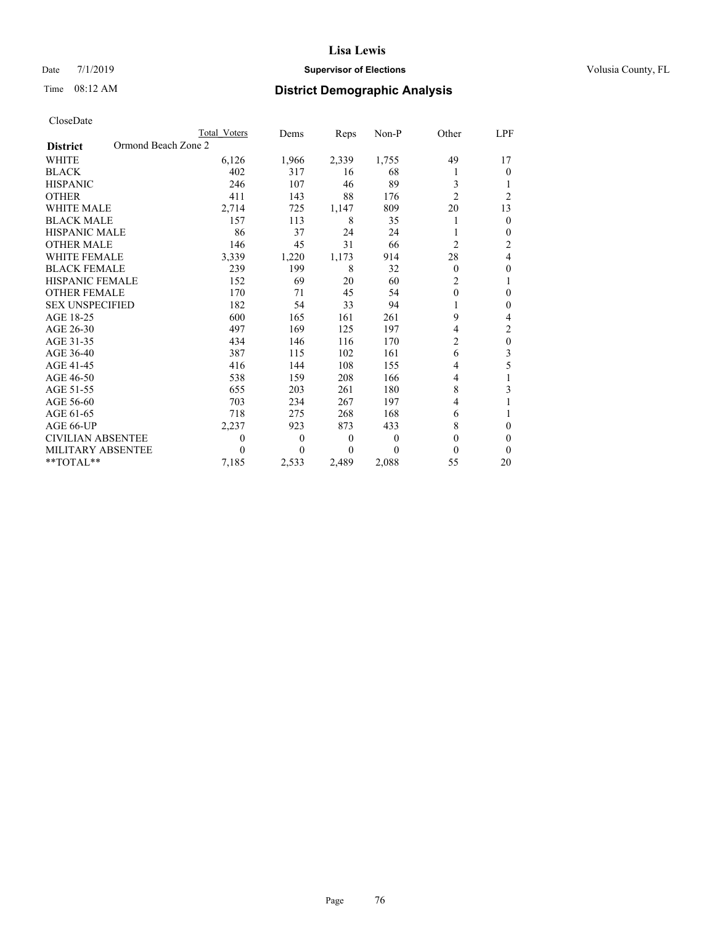## Date 7/1/2019 **Supervisor of Elections Supervisor of Elections** Volusia County, FL

# Time 08:12 AM **District Demographic Analysis**

|                                        | Total Voters | Dems     | Reps             | Non-P    | Other          | LPF              |
|----------------------------------------|--------------|----------|------------------|----------|----------------|------------------|
| Ormond Beach Zone 2<br><b>District</b> |              |          |                  |          |                |                  |
| <b>WHITE</b>                           | 6,126        | 1,966    | 2,339            | 1,755    | 49             | 17               |
| <b>BLACK</b>                           | 402          | 317      | 16               | 68       |                | 0                |
| <b>HISPANIC</b>                        | 246          | 107      | 46               | 89       | 3              |                  |
| <b>OTHER</b>                           | 411          | 143      | 88               | 176      | $\overline{c}$ | $\overline{c}$   |
| WHITE MALE                             | 2,714        | 725      | 1,147            | 809      | 20             | 13               |
| <b>BLACK MALE</b>                      | 157          | 113      | 8                | 35       |                | $\theta$         |
| <b>HISPANIC MALE</b>                   | 86           | 37       | 24               | 24       |                | $\theta$         |
| <b>OTHER MALE</b>                      | 146          | 45       | 31               | 66       | $\overline{2}$ | 2                |
| WHITE FEMALE                           | 3,339        | 1,220    | 1,173            | 914      | 28             | 4                |
| <b>BLACK FEMALE</b>                    | 239          | 199      | 8                | 32       | $\mathbf{0}$   | $\theta$         |
| <b>HISPANIC FEMALE</b>                 | 152          | 69       | 20               | 60       | $\overline{2}$ |                  |
| <b>OTHER FEMALE</b>                    | 170          | 71       | 45               | 54       | $\mathbf{0}$   | $\theta$         |
| <b>SEX UNSPECIFIED</b>                 | 182          | 54       | 33               | 94       |                | $\theta$         |
| AGE 18-25                              | 600          | 165      | 161              | 261      | 9              | 4                |
| AGE 26-30                              | 497          | 169      | 125              | 197      | 4              | $\overline{2}$   |
| AGE 31-35                              | 434          | 146      | 116              | 170      | $\overline{2}$ | $\boldsymbol{0}$ |
| AGE 36-40                              | 387          | 115      | 102              | 161      | 6              | 3                |
| AGE 41-45                              | 416          | 144      | 108              | 155      | 4              | 5                |
| AGE 46-50                              | 538          | 159      | 208              | 166      | 4              |                  |
| AGE 51-55                              | 655          | 203      | 261              | 180      | 8              | 3                |
| AGE 56-60                              | 703          | 234      | 267              | 197      | 4              |                  |
| AGE 61-65                              | 718          | 275      | 268              | 168      | 6              |                  |
| AGE 66-UP                              | 2,237        | 923      | 873              | 433      | 8              | $\Omega$         |
| <b>CIVILIAN ABSENTEE</b>               | $\theta$     | $\theta$ | $\boldsymbol{0}$ | $\theta$ | 0              | 0                |
| MILITARY ABSENTEE                      | $\Omega$     | 0        | 0                | $\Omega$ | 0              | $\theta$         |
| **TOTAL**                              | 7,185        | 2,533    | 2,489            | 2,088    | 55             | 20               |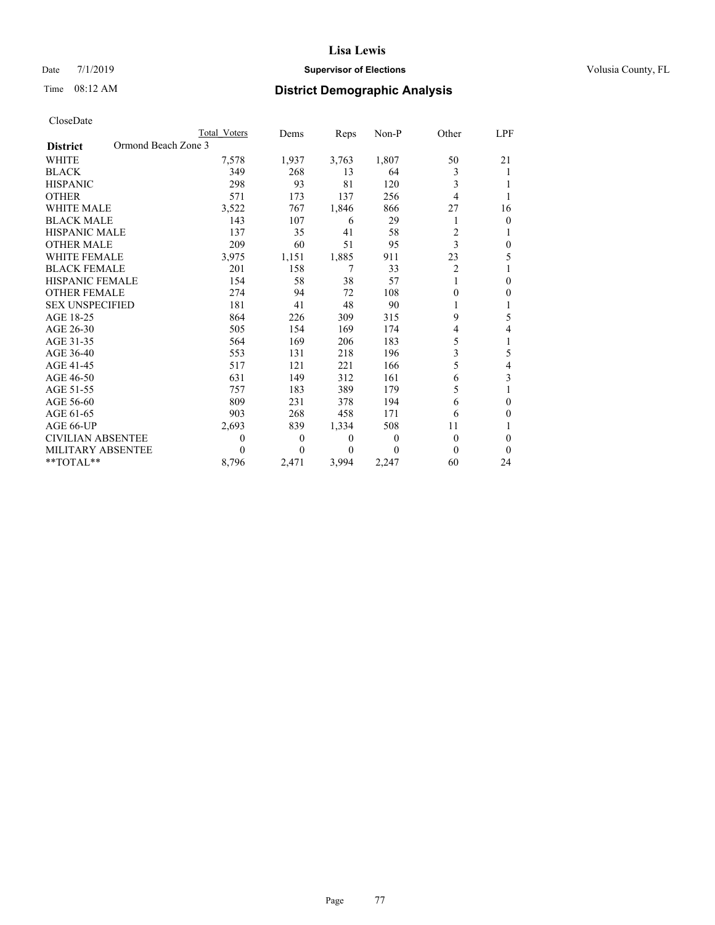## Date 7/1/2019 **Supervisor of Elections Supervisor of Elections** Volusia County, FL

# Time 08:12 AM **District Demographic Analysis**

|                                        | Total Voters | Dems         | Reps  | Non-P    | Other | LPF          |
|----------------------------------------|--------------|--------------|-------|----------|-------|--------------|
| Ormond Beach Zone 3<br><b>District</b> |              |              |       |          |       |              |
| <b>WHITE</b>                           | 7,578        | 1,937        | 3,763 | 1,807    | 50    | 21           |
| <b>BLACK</b>                           | 349          | 268          | 13    | 64       | 3     |              |
| <b>HISPANIC</b>                        | 298          | 93           | 81    | 120      | 3     | 1            |
| <b>OTHER</b>                           | 571          | 173          | 137   | 256      | 4     | 1            |
| <b>WHITE MALE</b>                      | 3,522        | 767          | 1,846 | 866      | 27    | 16           |
| <b>BLACK MALE</b>                      | 143          | 107          | 6     | 29       |       | $\mathbf{0}$ |
| <b>HISPANIC MALE</b>                   | 137          | 35           | 41    | 58       | 2     | 1            |
| <b>OTHER MALE</b>                      | 209          | 60           | 51    | 95       | 3     | 0            |
| <b>WHITE FEMALE</b>                    | 3,975        | 1,151        | 1,885 | 911      | 23    | 5            |
| <b>BLACK FEMALE</b>                    | 201          | 158          | 7     | 33       | 2     | 1            |
| <b>HISPANIC FEMALE</b>                 | 154          | 58           | 38    | 57       |       | $\Omega$     |
| <b>OTHER FEMALE</b>                    | 274          | 94           | 72    | 108      | 0     | 0            |
| <b>SEX UNSPECIFIED</b>                 | 181          | 41           | 48    | 90       |       | 1            |
| AGE 18-25                              | 864          | 226          | 309   | 315      | 9     | 5            |
| AGE 26-30                              | 505          | 154          | 169   | 174      | 4     | 4            |
| AGE 31-35                              | 564          | 169          | 206   | 183      | 5     | 1            |
| AGE 36-40                              | 553          | 131          | 218   | 196      | 3     | 5            |
| AGE 41-45                              | 517          | 121          | 221   | 166      | 5     | 4            |
| AGE 46-50                              | 631          | 149          | 312   | 161      | 6     | 3            |
| AGE 51-55                              | 757          | 183          | 389   | 179      | 5     |              |
| AGE 56-60                              | 809          | 231          | 378   | 194      | 6     | 0            |
| AGE 61-65                              | 903          | 268          | 458   | 171      | 6     | 0            |
| AGE 66-UP                              | 2,693        | 839          | 1,334 | 508      | 11    | 1            |
| CIVILIAN ABSENTEE                      | $\theta$     | $\mathbf{0}$ | 0     | $\Omega$ | 0     | 0            |
| MILITARY ABSENTEE                      | 0            | 0            | 0     | 0        | 0     | 0            |
| $*$ TOTAL $*$                          | 8,796        | 2,471        | 3,994 | 2,247    | 60    | 24           |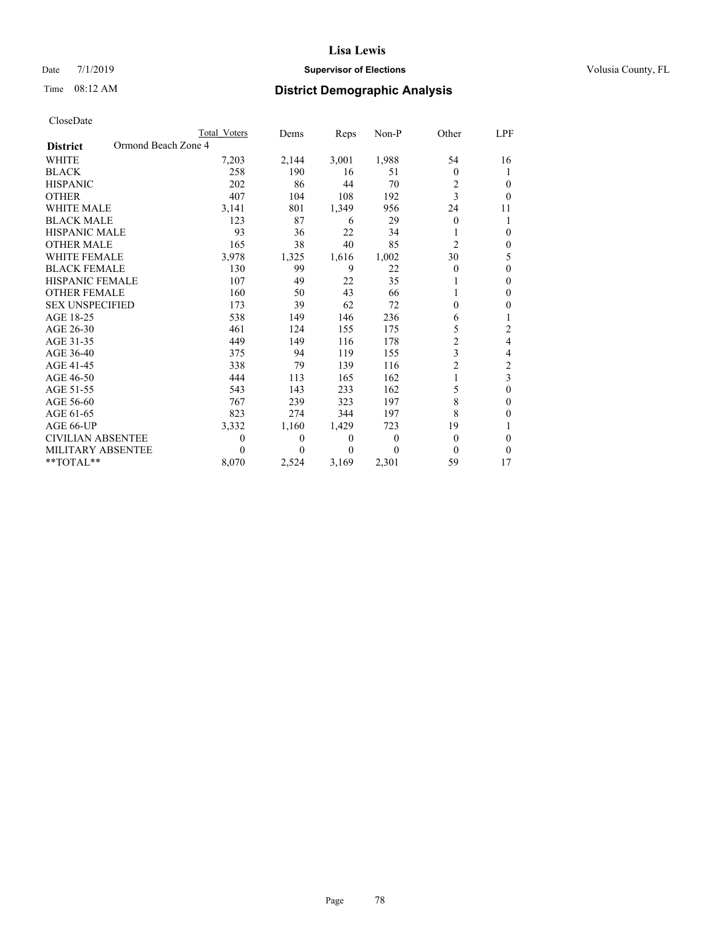## Date 7/1/2019 **Supervisor of Elections Supervisor of Elections** Volusia County, FL

# Time 08:12 AM **District Demographic Analysis**

|                          | Total Voters        | Dems         | Reps             | Non-P    | Other          | LPF            |
|--------------------------|---------------------|--------------|------------------|----------|----------------|----------------|
| <b>District</b>          | Ormond Beach Zone 4 |              |                  |          |                |                |
| <b>WHITE</b>             | 7,203               | 2,144        | 3,001            | 1,988    | 54             | 16             |
| <b>BLACK</b>             | 258                 | 190          | 16               | 51       | 0              |                |
| <b>HISPANIC</b>          | 202                 | 86           | 44               | 70       | 2              | 0              |
| <b>OTHER</b>             | 407                 | 104          | 108              | 192      | 3              | $\theta$       |
| <b>WHITE MALE</b>        | 3,141               | 801          | 1,349            | 956      | 24             | 11             |
| <b>BLACK MALE</b>        | 123                 | 87           | 6                | 29       | 0              | 1              |
| <b>HISPANIC MALE</b>     | 93                  | 36           | 22               | 34       |                | $\theta$       |
| <b>OTHER MALE</b>        | 165                 | 38           | 40               | 85       | $\overline{c}$ | 0              |
| <b>WHITE FEMALE</b>      | 3,978               | 1,325        | 1,616            | 1,002    | 30             | 5              |
| <b>BLACK FEMALE</b>      | 130                 | 99           | 9                | 22       | 0              | $\theta$       |
| <b>HISPANIC FEMALE</b>   | 107                 | 49           | 22               | 35       |                | $\Omega$       |
| <b>OTHER FEMALE</b>      | 160                 | 50           | 43               | 66       |                | 0              |
| <b>SEX UNSPECIFIED</b>   | 173                 | 39           | 62               | 72       | 0              | 0              |
| AGE 18-25                | 538                 | 149          | 146              | 236      | 6              |                |
| AGE 26-30                | 461                 | 124          | 155              | 175      | 5              | $\overline{2}$ |
| AGE 31-35                | 449                 | 149          | 116              | 178      | $\overline{c}$ | 4              |
| AGE 36-40                | 375                 | 94           | 119              | 155      | 3              | 4              |
| AGE 41-45                | 338                 | 79           | 139              | 116      | $\overline{2}$ | 2              |
| AGE 46-50                | 444                 | 113          | 165              | 162      |                | $\overline{3}$ |
| AGE 51-55                | 543                 | 143          | 233              | 162      | 5              | $\theta$       |
| AGE 56-60                | 767                 | 239          | 323              | 197      | 8              | $\theta$       |
| AGE 61-65                | 823                 | 274          | 344              | 197      | 8              | 0              |
| AGE 66-UP                | 3,332               | 1,160        | 1,429            | 723      | 19             | 1              |
| <b>CIVILIAN ABSENTEE</b> | $\theta$            | $\mathbf{0}$ | $\boldsymbol{0}$ | $\Omega$ | 0              | 0              |
| MILITARY ABSENTEE        | 0                   | $_{0}$       | 0                | 0        | 0              | 0              |
| $*$ TOTAL $*$            | 8,070               | 2,524        | 3,169            | 2,301    | 59             | 17             |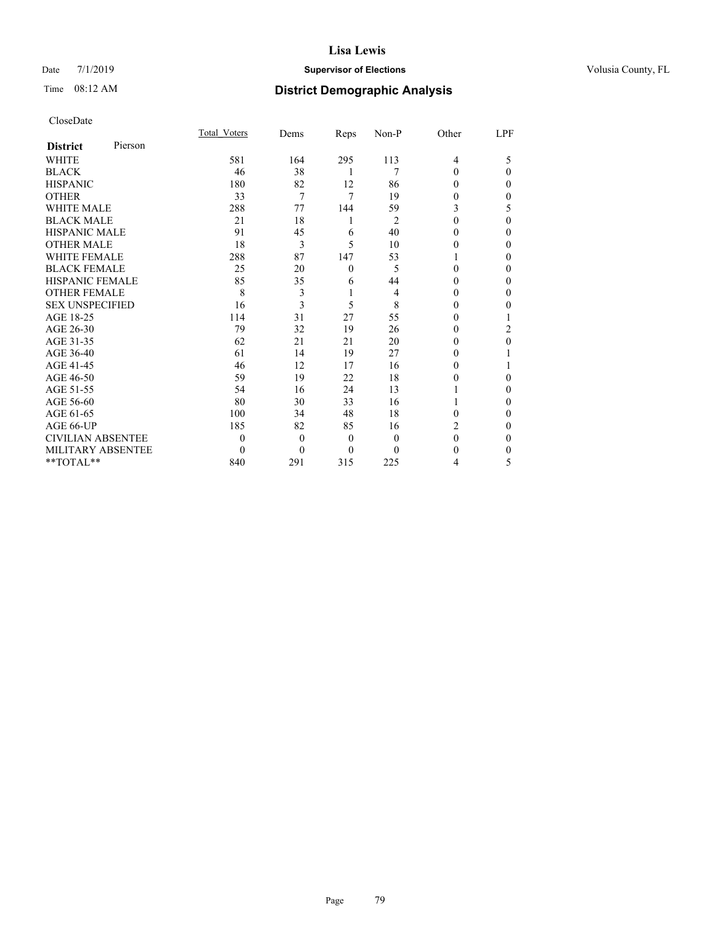## Date 7/1/2019 **Supervisor of Elections Supervisor of Elections** Volusia County, FL

# Time 08:12 AM **District Demographic Analysis**

|                          |         | Total Voters | Dems     | Reps           | Non-P          | Other    | LPF |
|--------------------------|---------|--------------|----------|----------------|----------------|----------|-----|
| <b>District</b>          | Pierson |              |          |                |                |          |     |
| WHITE                    |         | 581          | 164      | 295            | 113            | 4        | 5   |
| <b>BLACK</b>             |         | 46           | 38       | 1              | 7              | 0        | 0   |
| <b>HISPANIC</b>          |         | 180          | 82       | 12             | 86             | 0        | 0   |
| <b>OTHER</b>             |         | 33           | 7        | 7              | 19             | $\theta$ | 0   |
| <b>WHITE MALE</b>        |         | 288          | 77       | 144            | 59             | 3        | 5   |
| <b>BLACK MALE</b>        |         | 21           | 18       | 1              | $\overline{2}$ | 0        | 0   |
| <b>HISPANIC MALE</b>     |         | 91           | 45       | 6              | 40             | 0        | 0   |
| <b>OTHER MALE</b>        |         | 18           | 3        | 5              | 10             | 0        | 0   |
| <b>WHITE FEMALE</b>      |         | 288          | 87       | 147            | 53             |          | 0   |
| <b>BLACK FEMALE</b>      |         | 25           | 20       | $\theta$       | 5              | 0        | 0   |
| HISPANIC FEMALE          |         | 85           | 35       | 6              | 44             | 0        | 0   |
| <b>OTHER FEMALE</b>      |         | 8            | 3        | 1              | 4              | 0        | 0   |
| <b>SEX UNSPECIFIED</b>   |         | 16           | 3        | 5              | 8              | 0        | 0   |
| AGE 18-25                |         | 114          | 31       | 27             | 55             | 0        |     |
| AGE 26-30                |         | 79           | 32       | 19             | 26             | 0        | 2   |
| AGE 31-35                |         | 62           | 21       | 21             | 20             | $_{0}$   | 0   |
| AGE 36-40                |         | 61           | 14       | 19             | 27             | 0        |     |
| AGE 41-45                |         | 46           | 12       | 17             | 16             | 0        |     |
| AGE 46-50                |         | 59           | 19       | 22             | 18             | 0        | 0   |
| AGE 51-55                |         | 54           | 16       | 24             | 13             |          | 0   |
| AGE 56-60                |         | 80           | 30       | 33             | 16             |          | 0   |
| AGE 61-65                |         | 100          | 34       | 48             | 18             | 0        | 0   |
| AGE 66-UP                |         | 185          | 82       | 85             | 16             | 2        | 0   |
| <b>CIVILIAN ABSENTEE</b> |         | $\theta$     | $\theta$ | $\overline{0}$ | $\theta$       | 0        | 0   |
| MILITARY ABSENTEE        |         | $\Omega$     | $\Omega$ | $\theta$       | 0              | $_{0}$   | 0   |
| **TOTAL**                |         | 840          | 291      | 315            | 225            | 4        | 5   |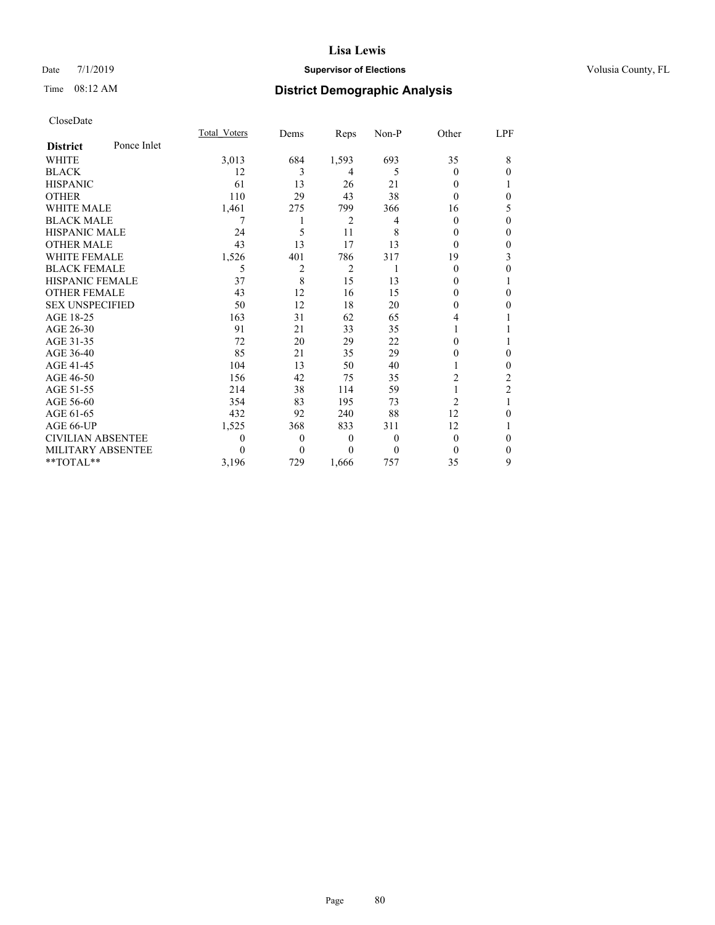### Date 7/1/2019 **Supervisor of Elections Supervisor of Elections** Volusia County, FL

# Time 08:12 AM **District Demographic Analysis**

|                          |             | Total Voters | Dems           | Reps           | Non-P    | Other          | LPF            |
|--------------------------|-------------|--------------|----------------|----------------|----------|----------------|----------------|
| <b>District</b>          | Ponce Inlet |              |                |                |          |                |                |
| WHITE                    |             | 3,013        | 684            | 1,593          | 693      | 35             | 8              |
| <b>BLACK</b>             |             | 12           | 3              | 4              | 5        | $\theta$       | 0              |
| <b>HISPANIC</b>          |             | 61           | 13             | 26             | 21       | 0              |                |
| <b>OTHER</b>             |             | 110          | 29             | 43             | 38       | $\theta$       | 0              |
| WHITE MALE               |             | 1,461        | 275            | 799            | 366      | 16             | 5              |
| <b>BLACK MALE</b>        |             | 7            |                | $\overline{2}$ | 4        | $\theta$       | 0              |
| <b>HISPANIC MALE</b>     |             | 24           | 5              | 11             | 8        | 0              | 0              |
| <b>OTHER MALE</b>        |             | 43           | 13             | 17             | 13       | $\theta$       | 0              |
| <b>WHITE FEMALE</b>      |             | 1,526        | 401            | 786            | 317      | 19             | 3              |
| <b>BLACK FEMALE</b>      |             | 5            | $\overline{2}$ | $\overline{2}$ |          | $\theta$       | 0              |
| HISPANIC FEMALE          |             | 37           | 8              | 15             | 13       | 0              | 1              |
| <b>OTHER FEMALE</b>      |             | 43           | 12             | 16             | 15       | 0              | 0              |
| <b>SEX UNSPECIFIED</b>   |             | 50           | 12             | 18             | 20       | 0              | 0              |
| AGE 18-25                |             | 163          | 31             | 62             | 65       | 4              |                |
| AGE 26-30                |             | 91           | 21             | 33             | 35       |                |                |
| AGE 31-35                |             | 72           | 20             | 29             | 22       | 0              |                |
| AGE 36-40                |             | 85           | 21             | 35             | 29       | 0              | $\theta$       |
| AGE 41-45                |             | 104          | 13             | 50             | 40       |                | 0              |
| AGE 46-50                |             | 156          | 42             | 75             | 35       | 2              | 2              |
| AGE 51-55                |             | 214          | 38             | 114            | 59       |                | $\overline{2}$ |
| AGE 56-60                |             | 354          | 83             | 195            | 73       | $\overline{c}$ | 1              |
| AGE 61-65                |             | 432          | 92             | 240            | 88       | 12             | 0              |
| AGE 66-UP                |             | 1,525        | 368            | 833            | 311      | 12             | 1              |
| <b>CIVILIAN ABSENTEE</b> |             | 0            | $\theta$       | $\theta$       | 0        | $\theta$       | 0              |
| MILITARY ABSENTEE        |             | 0            | $\Omega$       | $\Omega$       | $\theta$ | $\theta$       | $\Omega$       |
| **TOTAL**                |             | 3,196        | 729            | 1.666          | 757      | 35             | 9              |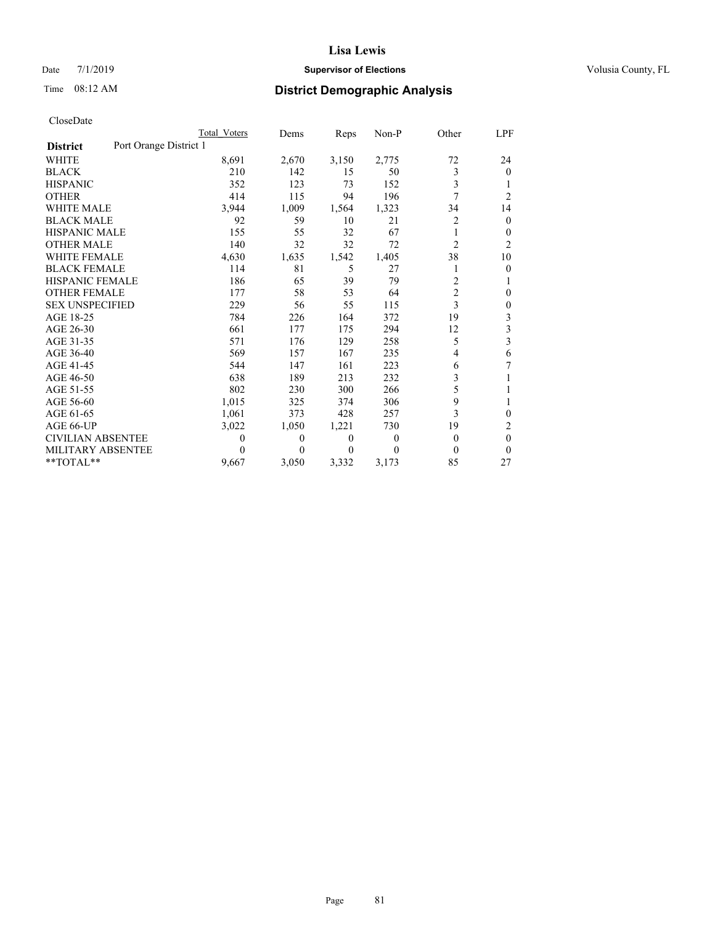## Date 7/1/2019 **Supervisor of Elections Supervisor of Elections** Volusia County, FL

# Time 08:12 AM **District Demographic Analysis**

|                                           | Total Voters | Dems     | Reps  | Non-P    | Other          | LPF                     |
|-------------------------------------------|--------------|----------|-------|----------|----------------|-------------------------|
| Port Orange District 1<br><b>District</b> |              |          |       |          |                |                         |
| <b>WHITE</b>                              | 8,691        | 2,670    | 3,150 | 2,775    | 72             | 24                      |
| <b>BLACK</b>                              | 210          | 142      | 15    | 50       | 3              | $\Omega$                |
| <b>HISPANIC</b>                           | 352          | 123      | 73    | 152      | 3              |                         |
| <b>OTHER</b>                              | 414          | 115      | 94    | 196      | 7              | $\overline{c}$          |
| WHITE MALE                                | 3,944        | 1,009    | 1,564 | 1,323    | 34             | 14                      |
| <b>BLACK MALE</b>                         | 92           | 59       | 10    | 21       | 2              | $\theta$                |
| <b>HISPANIC MALE</b>                      | 155          | 55       | 32    | 67       | 1              | $\mathbf{0}$            |
| <b>OTHER MALE</b>                         | 140          | 32       | 32    | 72       | $\overline{c}$ | $\overline{c}$          |
| WHITE FEMALE                              | 4,630        | 1,635    | 1,542 | 1,405    | 38             | 10                      |
| <b>BLACK FEMALE</b>                       | 114          | 81       | 5     | 27       | 1              | $\theta$                |
| <b>HISPANIC FEMALE</b>                    | 186          | 65       | 39    | 79       | 2              |                         |
| <b>OTHER FEMALE</b>                       | 177          | 58       | 53    | 64       | $\overline{2}$ | $\theta$                |
| <b>SEX UNSPECIFIED</b>                    | 229          | 56       | 55    | 115      | 3              | $\mathbf{0}$            |
| AGE 18-25                                 | 784          | 226      | 164   | 372      | 19             | 3                       |
| AGE 26-30                                 | 661          | 177      | 175   | 294      | 12             | 3                       |
| AGE 31-35                                 | 571          | 176      | 129   | 258      | 5              | $\overline{\mathbf{3}}$ |
| AGE 36-40                                 | 569          | 157      | 167   | 235      | 4              | 6                       |
| AGE 41-45                                 | 544          | 147      | 161   | 223      | 6              | 7                       |
| AGE 46-50                                 | 638          | 189      | 213   | 232      | 3              |                         |
| AGE 51-55                                 | 802          | 230      | 300   | 266      | 5              |                         |
| AGE 56-60                                 | 1,015        | 325      | 374   | 306      | 9              | 1                       |
| AGE 61-65                                 | 1,061        | 373      | 428   | 257      | 3              | $\Omega$                |
| AGE 66-UP                                 | 3,022        | 1,050    | 1,221 | 730      | 19             | 2                       |
| CIVILIAN ABSENTEE                         | $\Omega$     | $\theta$ | 0     | $\theta$ | $\theta$       | $\theta$                |
| MILITARY ABSENTEE                         | $\Omega$     | 0        | 0     | $\Omega$ | 0              | $\theta$                |
| **TOTAL**                                 | 9,667        | 3,050    | 3,332 | 3,173    | 85             | 27                      |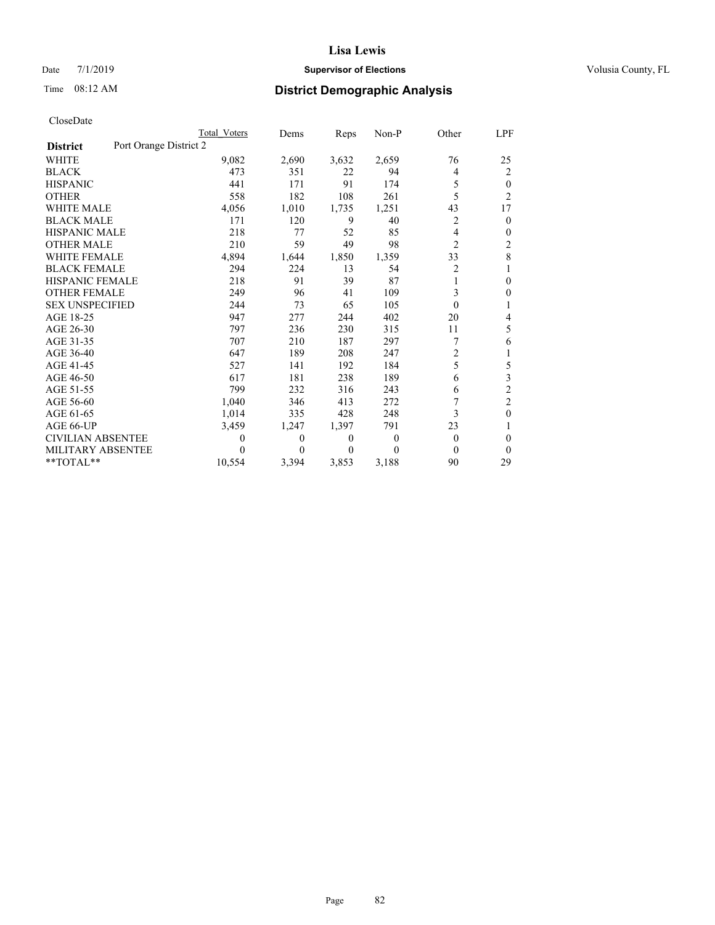## Date 7/1/2019 **Supervisor of Elections Supervisor of Elections** Volusia County, FL

# Time 08:12 AM **District Demographic Analysis**

|                          | Total Voters           | Dems  | Reps     | Non-P    | Other    | LPF            |
|--------------------------|------------------------|-------|----------|----------|----------|----------------|
| <b>District</b>          | Port Orange District 2 |       |          |          |          |                |
| <b>WHITE</b>             | 9,082                  | 2,690 | 3,632    | 2,659    | 76       | 25             |
| <b>BLACK</b>             | 473                    | 351   | 22       | 94       | 4        | 2              |
| <b>HISPANIC</b>          | 441                    | 171   | 91       | 174      | 5        | 0              |
| <b>OTHER</b>             | 558                    | 182   | 108      | 261      | 5        | $\overline{c}$ |
| <b>WHITE MALE</b>        | 4,056                  | 1,010 | 1,735    | 1,251    | 43       | 17             |
| <b>BLACK MALE</b>        | 171                    | 120   | 9        | 40       | 2        | 0              |
| <b>HISPANIC MALE</b>     | 218                    | 77    | 52       | 85       | 4        | 0              |
| <b>OTHER MALE</b>        | 210                    | 59    | 49       | 98       | 2        | 2              |
| <b>WHITE FEMALE</b>      | 4,894                  | 1,644 | 1,850    | 1,359    | 33       | 8              |
| <b>BLACK FEMALE</b>      | 294                    | 224   | 13       | 54       | 2        |                |
| HISPANIC FEMALE          | 218                    | 91    | 39       | 87       | 1        | 0              |
| <b>OTHER FEMALE</b>      | 249                    | 96    | 41       | 109      | 3        | 0              |
| <b>SEX UNSPECIFIED</b>   | 244                    | 73    | 65       | 105      | $\theta$ |                |
| AGE 18-25                | 947                    | 277   | 244      | 402      | 20       | 4              |
| AGE 26-30                | 797                    | 236   | 230      | 315      | 11       | 5              |
| AGE 31-35                | 707                    | 210   | 187      | 297      | 7        | 6              |
| AGE 36-40                | 647                    | 189   | 208      | 247      | 2        |                |
| AGE 41-45                | 527                    | 141   | 192      | 184      | 5        | 5              |
| AGE 46-50                | 617                    | 181   | 238      | 189      | 6        | 3              |
| AGE 51-55                | 799                    | 232   | 316      | 243      | 6        | 2              |
| AGE 56-60                | 1,040                  | 346   | 413      | 272      |          | $\overline{c}$ |
| AGE 61-65                | 1,014                  | 335   | 428      | 248      | 3        | 0              |
| AGE 66-UP                | 3,459                  | 1,247 | 1,397    | 791      | 23       |                |
| <b>CIVILIAN ABSENTEE</b> | $\theta$               | 0     | $\theta$ | $\theta$ | $\Omega$ | 0              |
| MILITARY ABSENTEE        | $\theta$               | 0     | 0        | 0        | 0        | 0              |
| **TOTAL**                | 10,554                 | 3,394 | 3,853    | 3,188    | 90       | 29             |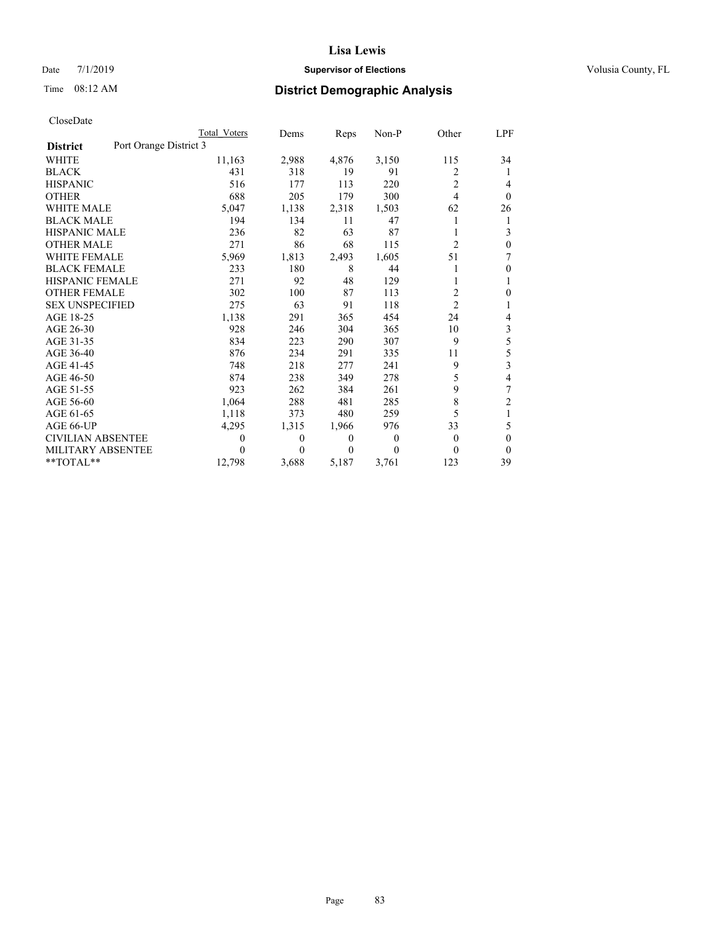## Date 7/1/2019 **Supervisor of Elections Supervisor of Elections** Volusia County, FL

# Time 08:12 AM **District Demographic Analysis**

|                                           | Total Voters | Dems           | Reps     | $Non-P$ | Other          | <u>LPF</u>     |
|-------------------------------------------|--------------|----------------|----------|---------|----------------|----------------|
| Port Orange District 3<br><b>District</b> |              |                |          |         |                |                |
| WHITE                                     | 11,163       | 2,988          | 4,876    | 3,150   | 115            | 34             |
| <b>BLACK</b>                              | 431          | 318            | 19       | 91      | 2              | 1              |
| <b>HISPANIC</b>                           | 516          | 177            | 113      | 220     | $\overline{2}$ | 4              |
| <b>OTHER</b>                              | 688          | 205            | 179      | 300     | 4              | $\theta$       |
| <b>WHITE MALE</b>                         | 5,047        | 1,138          | 2,318    | 1,503   | 62             | 26             |
| <b>BLACK MALE</b>                         | 194          | 134            | 11       | 47      |                | 1              |
| <b>HISPANIC MALE</b>                      | 236          | 82             | 63       | 87      |                | 3              |
| <b>OTHER MALE</b>                         | 271          | 86             | 68       | 115     | $\overline{c}$ | $\theta$       |
| <b>WHITE FEMALE</b>                       | 5,969        | 1,813          | 2,493    | 1,605   | 51             | 7              |
| <b>BLACK FEMALE</b>                       | 233          | 180            | 8        | 44      |                | $\mathbf{0}$   |
| <b>HISPANIC FEMALE</b>                    | 271          | 92             | 48       | 129     | 1              | 1              |
| <b>OTHER FEMALE</b>                       | 302          | 100            | 87       | 113     | 2              | $\theta$       |
| <b>SEX UNSPECIFIED</b>                    | 275          | 63             | 91       | 118     | $\overline{2}$ | 1              |
| AGE 18-25                                 | 1,138        | 291            | 365      | 454     | 24             | 4              |
| AGE 26-30                                 | 928          | 246            | 304      | 365     | 10             | $\mathfrak{Z}$ |
| AGE 31-35                                 | 834          | 223            | 290      | 307     | 9              | 5              |
| AGE 36-40                                 | 876          | 234            | 291      | 335     | 11             | 5              |
| AGE 41-45                                 | 748          | 218            | 277      | 241     | 9              | 3              |
| AGE 46-50                                 | 874          | 238            | 349      | 278     | 5              | $\overline{4}$ |
| AGE 51-55                                 | 923          | 262            | 384      | 261     | 9              | 7              |
| AGE 56-60                                 | 1,064        | 288            | 481      | 285     | 8              | $\overline{2}$ |
| AGE 61-65                                 | 1,118        | 373            | 480      | 259     | 5              | 1              |
| AGE 66-UP                                 | 4,295        | 1,315          | 1,966    | 976     | 33             | 5              |
| <b>CIVILIAN ABSENTEE</b>                  | $\theta$     | $\overline{0}$ | $\theta$ | 0       | 0              | $\theta$       |
| MILITARY ABSENTEE                         | 0            | 0              | $\theta$ | 0       | 0              | $\theta$       |
| **TOTAL**                                 | 12,798       | 3,688          | 5,187    | 3,761   | 123            | 39             |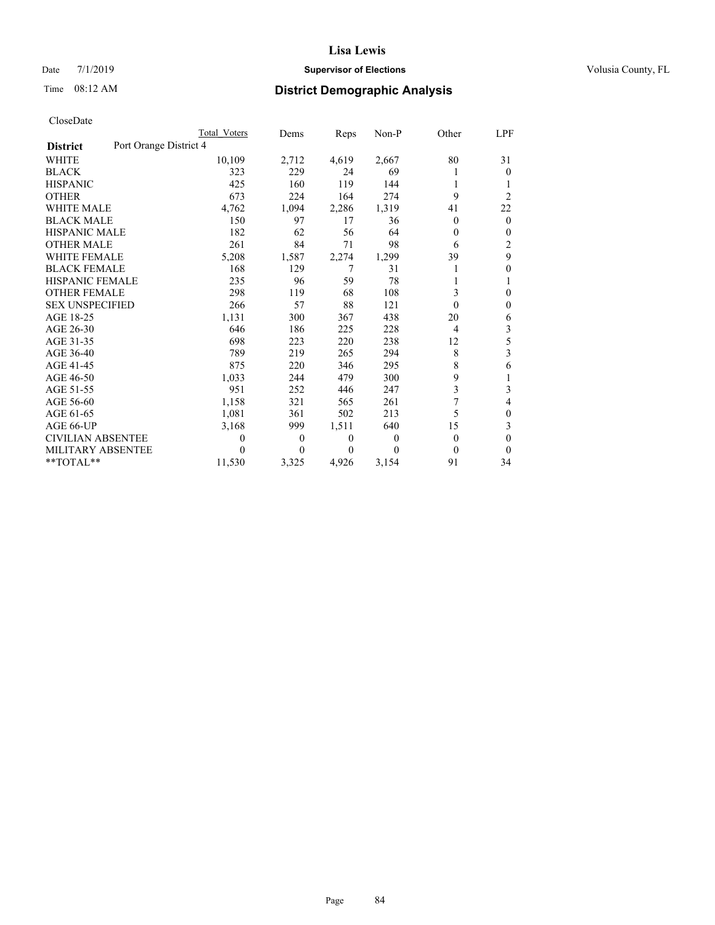## Date 7/1/2019 **Supervisor of Elections Supervisor of Elections** Volusia County, FL

# Time 08:12 AM **District Demographic Analysis**

|                                           | Total Voters     | Dems     | Reps     | Non-P | Other | LPF            |
|-------------------------------------------|------------------|----------|----------|-------|-------|----------------|
| Port Orange District 4<br><b>District</b> |                  |          |          |       |       |                |
| <b>WHITE</b>                              | 10,109           | 2,712    | 4,619    | 2,667 | 80    | 31             |
| <b>BLACK</b>                              | 323              | 229      | 24       | 69    |       | $\Omega$       |
| <b>HISPANIC</b>                           | 425              | 160      | 119      | 144   | 1     | 1              |
| <b>OTHER</b>                              | 673              | 224      | 164      | 274   | 9     | $\overline{2}$ |
| <b>WHITE MALE</b>                         | 4,762            | 1,094    | 2,286    | 1,319 | 41    | 22             |
| <b>BLACK MALE</b>                         | 150              | 97       | 17       | 36    | 0     | $\mathbf{0}$   |
| <b>HISPANIC MALE</b>                      | 182              | 62       | 56       | 64    | 0     | $\mathbf{0}$   |
| <b>OTHER MALE</b>                         | 261              | 84       | 71       | 98    | 6     | $\overline{2}$ |
| <b>WHITE FEMALE</b>                       | 5,208            | 1,587    | 2,274    | 1,299 | 39    | 9              |
| <b>BLACK FEMALE</b>                       | 168              | 129      | 7        | 31    | 1     | $\mathbf{0}$   |
| <b>HISPANIC FEMALE</b>                    | 235              | 96       | 59       | 78    | 1     | 1              |
| <b>OTHER FEMALE</b>                       | 298              | 119      | 68       | 108   | 3     | $\theta$       |
| <b>SEX UNSPECIFIED</b>                    | 266              | 57       | 88       | 121   | 0     | $\mathbf{0}$   |
| AGE 18-25                                 | 1,131            | 300      | 367      | 438   | 20    | 6              |
| AGE 26-30                                 | 646              | 186      | 225      | 228   | 4     | 3              |
| AGE 31-35                                 | 698              | 223      | 220      | 238   | 12    | 5              |
| AGE 36-40                                 | 789              | 219      | 265      | 294   | 8     | 3              |
| AGE 41-45                                 | 875              | 220      | 346      | 295   | 8     | 6              |
| AGE 46-50                                 | 1,033            | 244      | 479      | 300   | 9     | 1              |
| AGE 51-55                                 | 951              | 252      | 446      | 247   | 3     | 3              |
| AGE 56-60                                 | 1,158            | 321      | 565      | 261   | 7     | 4              |
| AGE 61-65                                 | 1,081            | 361      | 502      | 213   | 5     | $\theta$       |
| AGE 66-UP                                 | 3,168            | 999      | 1,511    | 640   | 15    | 3              |
| CIVILIAN ABSENTEE                         | $\boldsymbol{0}$ | $\Omega$ | $\theta$ | 0     | 0     | $\theta$       |
| MILITARY ABSENTEE                         | 0                | 0        | $\theta$ | 0     | 0     | $\Omega$       |
| **TOTAL**                                 | 11,530           | 3,325    | 4,926    | 3,154 | 91    | 34             |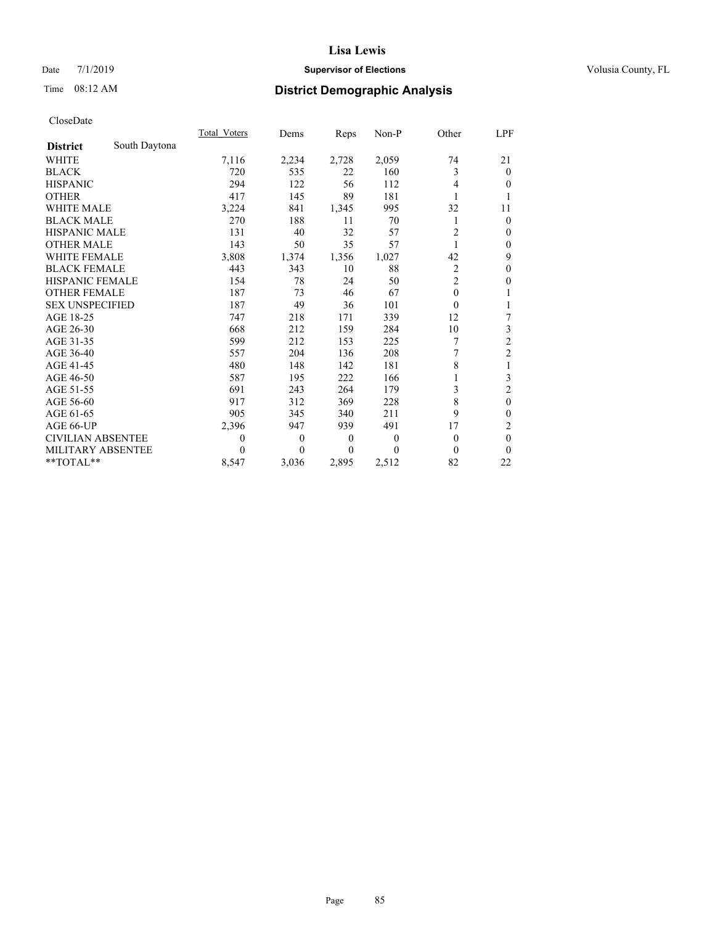## Date 7/1/2019 **Supervisor of Elections Supervisor of Elections** Volusia County, FL

# Time 08:12 AM **District Demographic Analysis**

|                          |               | Total Voters | Dems  | Reps             | Non-P | Other          | LPF            |
|--------------------------|---------------|--------------|-------|------------------|-------|----------------|----------------|
| <b>District</b>          | South Daytona |              |       |                  |       |                |                |
| WHITE                    |               | 7,116        | 2,234 | 2,728            | 2,059 | 74             | 21             |
| <b>BLACK</b>             |               | 720          | 535   | 22               | 160   | 3              | $\mathbf{0}$   |
| <b>HISPANIC</b>          |               | 294          | 122   | 56               | 112   | 4              | $\Omega$       |
| <b>OTHER</b>             |               | 417          | 145   | 89               | 181   |                | 1              |
| <b>WHITE MALE</b>        |               | 3,224        | 841   | 1,345            | 995   | 32             | 11             |
| <b>BLACK MALE</b>        |               | 270          | 188   | 11               | 70    |                | $\mathbf{0}$   |
| <b>HISPANIC MALE</b>     |               | 131          | 40    | 32               | 57    | 2              | $\theta$       |
| <b>OTHER MALE</b>        |               | 143          | 50    | 35               | 57    | 1              | $\mathbf{0}$   |
| <b>WHITE FEMALE</b>      |               | 3,808        | 1,374 | 1,356            | 1,027 | 42             | 9              |
| <b>BLACK FEMALE</b>      |               | 443          | 343   | 10               | 88    | 2              | $\mathbf{0}$   |
| HISPANIC FEMALE          |               | 154          | 78    | 24               | 50    | $\overline{c}$ | $\overline{0}$ |
| <b>OTHER FEMALE</b>      |               | 187          | 73    | 46               | 67    | $\theta$       | 1              |
| <b>SEX UNSPECIFIED</b>   |               | 187          | 49    | 36               | 101   | $\theta$       | 1              |
| AGE 18-25                |               | 747          | 218   | 171              | 339   | 12             | 7              |
| AGE 26-30                |               | 668          | 212   | 159              | 284   | 10             | 3              |
| AGE 31-35                |               | 599          | 212   | 153              | 225   | 7              | $\overline{c}$ |
| AGE 36-40                |               | 557          | 204   | 136              | 208   | 7              | $\overline{2}$ |
| AGE 41-45                |               | 480          | 148   | 142              | 181   | 8              | 1              |
| AGE 46-50                |               | 587          | 195   | 222              | 166   |                | 3              |
| AGE 51-55                |               | 691          | 243   | 264              | 179   | 3              | $\overline{c}$ |
| AGE 56-60                |               | 917          | 312   | 369              | 228   | 8              | $\mathbf{0}$   |
| AGE 61-65                |               | 905          | 345   | 340              | 211   | 9              | $\mathbf{0}$   |
| AGE 66-UP                |               | 2,396        | 947   | 939              | 491   | 17             | 2              |
| <b>CIVILIAN ABSENTEE</b> |               | $\theta$     | 0     | $\boldsymbol{0}$ | 0     | $\theta$       | $\mathbf{0}$   |
| MILITARY ABSENTEE        |               | $\Omega$     | 0     | $\theta$         | 0     | 0              | $\theta$       |
| **TOTAL**                |               | 8,547        | 3,036 | 2,895            | 2,512 | 82             | 22             |